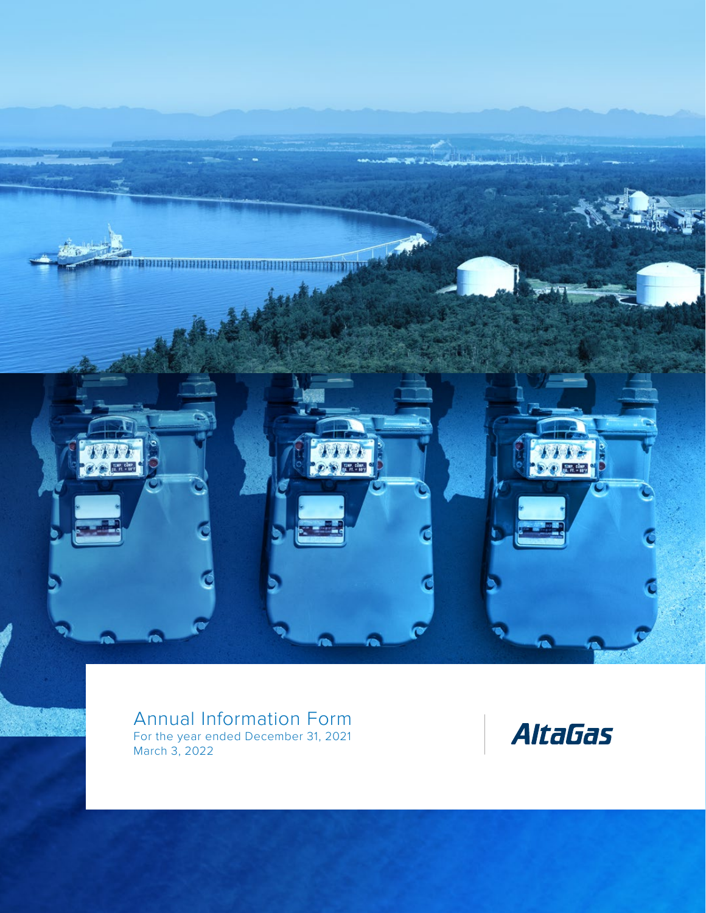

Annual Information Form For the year ended December 31, 2021 March 3, 2022

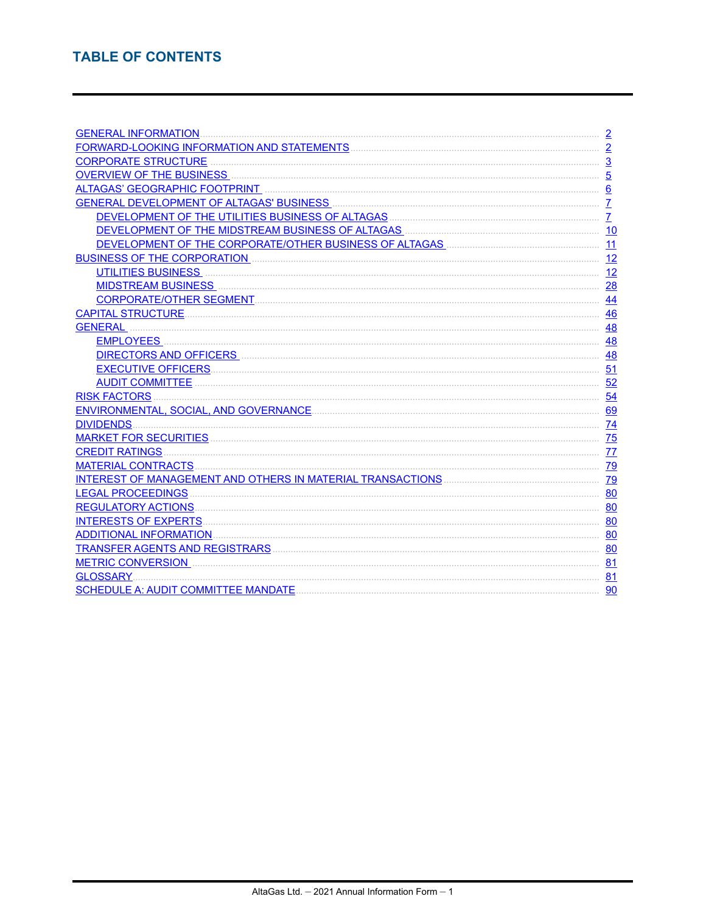| <b>GENERAL INFORMATION.</b>              | $\overline{2}$ |
|------------------------------------------|----------------|
|                                          | $\overline{2}$ |
| <b>CORPORATE STRUCTURE</b>               | $\overline{3}$ |
|                                          | $\overline{5}$ |
|                                          | 6              |
| GENERAL DEVELOPMENT OF ALTAGAS' BUSINESS | $\overline{7}$ |
|                                          | $\overline{7}$ |
|                                          | 10             |
|                                          | 11             |
|                                          | 12             |
|                                          | 12             |
|                                          | 28             |
|                                          | 44             |
|                                          | 46             |
| <b>GENERAL</b>                           | 48             |
|                                          | 48             |
| DIRECTORS AND OFFICERS <b>CONSTRUINE</b> | 48             |
| <b>EXECUTIVE OFFICERS.</b>               | 51             |
|                                          | 52             |
|                                          | 54             |
|                                          | 69             |
|                                          | 74             |
|                                          | 75             |
|                                          | 77             |
|                                          | 79             |
|                                          | 79             |
| <b>LEGAL PROCEEDINGS</b>                 | 80             |
| <b>REGULATORY ACTIONS</b>                | 80             |
|                                          | 80             |
|                                          | 80             |
|                                          | 80             |
| <b>METRIC CONVERSION</b>                 | 81             |
| <b>GLOSSARY</b>                          | 81             |
|                                          | 90             |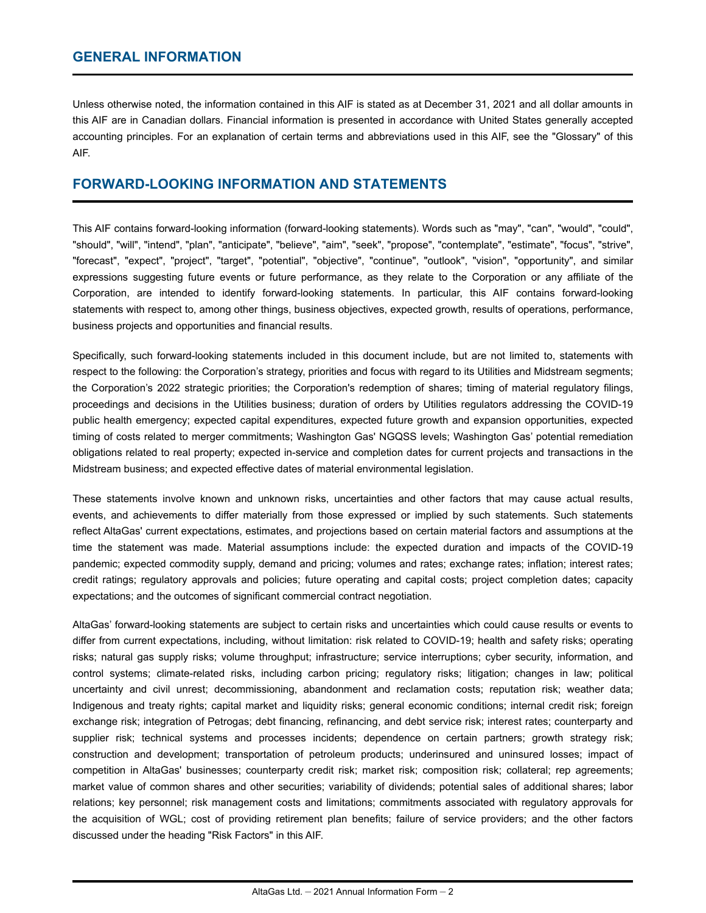## <span id="page-2-0"></span>**GENERAL INFORMATION**

Unless otherwise noted, the information contained in this AIF is stated as at December 31, 2021 and all dollar amounts in this AIF are in Canadian dollars. Financial information is presented in accordance with United States generally accepted accounting principles. For an explanation of certain terms and abbreviations used in this AIF, see the "Glossary" of this AIF.

## **FORWARD-LOOKING INFORMATION AND STATEMENTS**

This AIF contains forward-looking information (forward-looking statements). Words such as "may", "can", "would", "could", "should", "will", "intend", "plan", "anticipate", "believe", "aim", "seek", "propose", "contemplate", "estimate", "focus", "strive", "forecast", "expect", "project", "target", "potential", "objective", "continue", "outlook", "vision", "opportunity", and similar expressions suggesting future events or future performance, as they relate to the Corporation or any affiliate of the Corporation, are intended to identify forward-looking statements. In particular, this AIF contains forward-looking statements with respect to, among other things, business objectives, expected growth, results of operations, performance, business projects and opportunities and financial results.

Specifically, such forward-looking statements included in this document include, but are not limited to, statements with respect to the following: the Corporation's strategy, priorities and focus with regard to its Utilities and Midstream segments; the Corporation's 2022 strategic priorities; the Corporation's redemption of shares; timing of material regulatory filings, proceedings and decisions in the Utilities business; duration of orders by Utilities regulators addressing the COVID-19 public health emergency; expected capital expenditures, expected future growth and expansion opportunities, expected timing of costs related to merger commitments; Washington Gas' NGQSS levels; Washington Gas' potential remediation obligations related to real property; expected in-service and completion dates for current projects and transactions in the Midstream business; and expected effective dates of material environmental legislation.

These statements involve known and unknown risks, uncertainties and other factors that may cause actual results, events, and achievements to differ materially from those expressed or implied by such statements. Such statements reflect AltaGas' current expectations, estimates, and projections based on certain material factors and assumptions at the time the statement was made. Material assumptions include: the expected duration and impacts of the COVID-19 pandemic; expected commodity supply, demand and pricing; volumes and rates; exchange rates; inflation; interest rates; credit ratings; regulatory approvals and policies; future operating and capital costs; project completion dates; capacity expectations; and the outcomes of significant commercial contract negotiation.

AltaGas' forward-looking statements are subject to certain risks and uncertainties which could cause results or events to differ from current expectations, including, without limitation: risk related to COVID-19; health and safety risks; operating risks; natural gas supply risks; volume throughput; infrastructure; service interruptions; cyber security, information, and control systems; climate-related risks, including carbon pricing; regulatory risks; litigation; changes in law; political uncertainty and civil unrest; decommissioning, abandonment and reclamation costs; reputation risk; weather data; Indigenous and treaty rights; capital market and liquidity risks; general economic conditions; internal credit risk; foreign exchange risk; integration of Petrogas; debt financing, refinancing, and debt service risk; interest rates; counterparty and supplier risk; technical systems and processes incidents; dependence on certain partners; growth strategy risk; construction and development; transportation of petroleum products; underinsured and uninsured losses; impact of competition in AltaGas' businesses; counterparty credit risk; market risk; composition risk; collateral; rep agreements; market value of common shares and other securities; variability of dividends; potential sales of additional shares; labor relations; key personnel; risk management costs and limitations; commitments associated with regulatory approvals for the acquisition of WGL; cost of providing retirement plan benefits; failure of service providers; and the other factors discussed under the heading "Risk Factors" in this AIF.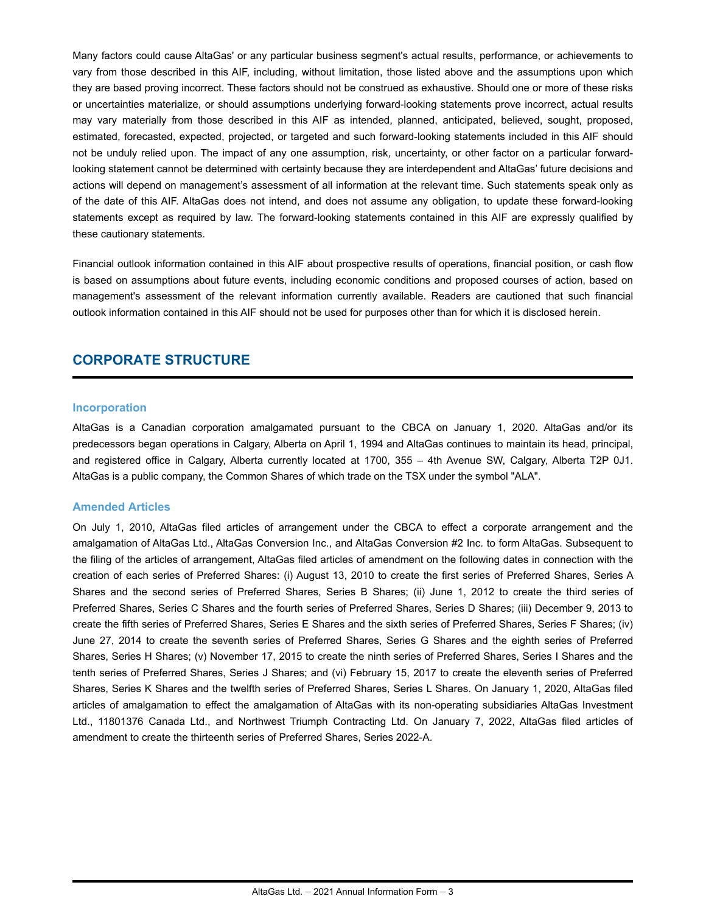<span id="page-3-0"></span>Many factors could cause AltaGas' or any particular business segment's actual results, performance, or achievements to vary from those described in this AIF, including, without limitation, those listed above and the assumptions upon which they are based proving incorrect. These factors should not be construed as exhaustive. Should one or more of these risks or uncertainties materialize, or should assumptions underlying forward-looking statements prove incorrect, actual results may vary materially from those described in this AIF as intended, planned, anticipated, believed, sought, proposed, estimated, forecasted, expected, projected, or targeted and such forward-looking statements included in this AIF should not be unduly relied upon. The impact of any one assumption, risk, uncertainty, or other factor on a particular forwardlooking statement cannot be determined with certainty because they are interdependent and AltaGas' future decisions and actions will depend on management's assessment of all information at the relevant time. Such statements speak only as of the date of this AIF. AltaGas does not intend, and does not assume any obligation, to update these forward-looking statements except as required by law. The forward-looking statements contained in this AIF are expressly qualified by these cautionary statements.

Financial outlook information contained in this AIF about prospective results of operations, financial position, or cash flow is based on assumptions about future events, including economic conditions and proposed courses of action, based on management's assessment of the relevant information currently available. Readers are cautioned that such financial outlook information contained in this AIF should not be used for purposes other than for which it is disclosed herein.

# **CORPORATE STRUCTURE**

#### **Incorporation**

AltaGas is a Canadian corporation amalgamated pursuant to the CBCA on January 1, 2020. AltaGas and/or its predecessors began operations in Calgary, Alberta on April 1, 1994 and AltaGas continues to maintain its head, principal, and registered office in Calgary, Alberta currently located at 1700, 355 – 4th Avenue SW, Calgary, Alberta T2P 0J1. AltaGas is a public company, the Common Shares of which trade on the TSX under the symbol "ALA".

#### **Amended Articles**

On July 1, 2010, AltaGas filed articles of arrangement under the CBCA to effect a corporate arrangement and the amalgamation of AltaGas Ltd., AltaGas Conversion Inc., and AltaGas Conversion #2 Inc. to form AltaGas. Subsequent to the filing of the articles of arrangement, AltaGas filed articles of amendment on the following dates in connection with the creation of each series of Preferred Shares: (i) August 13, 2010 to create the first series of Preferred Shares, Series A Shares and the second series of Preferred Shares, Series B Shares; (ii) June 1, 2012 to create the third series of Preferred Shares, Series C Shares and the fourth series of Preferred Shares, Series D Shares; (iii) December 9, 2013 to create the fifth series of Preferred Shares, Series E Shares and the sixth series of Preferred Shares, Series F Shares; (iv) June 27, 2014 to create the seventh series of Preferred Shares, Series G Shares and the eighth series of Preferred Shares, Series H Shares; (v) November 17, 2015 to create the ninth series of Preferred Shares, Series I Shares and the tenth series of Preferred Shares, Series J Shares; and (vi) February 15, 2017 to create the eleventh series of Preferred Shares, Series K Shares and the twelfth series of Preferred Shares, Series L Shares. On January 1, 2020, AltaGas filed articles of amalgamation to effect the amalgamation of AltaGas with its non-operating subsidiaries AltaGas Investment Ltd., 11801376 Canada Ltd., and Northwest Triumph Contracting Ltd. On January 7, 2022, AltaGas filed articles of amendment to create the thirteenth series of Preferred Shares, Series 2022-A.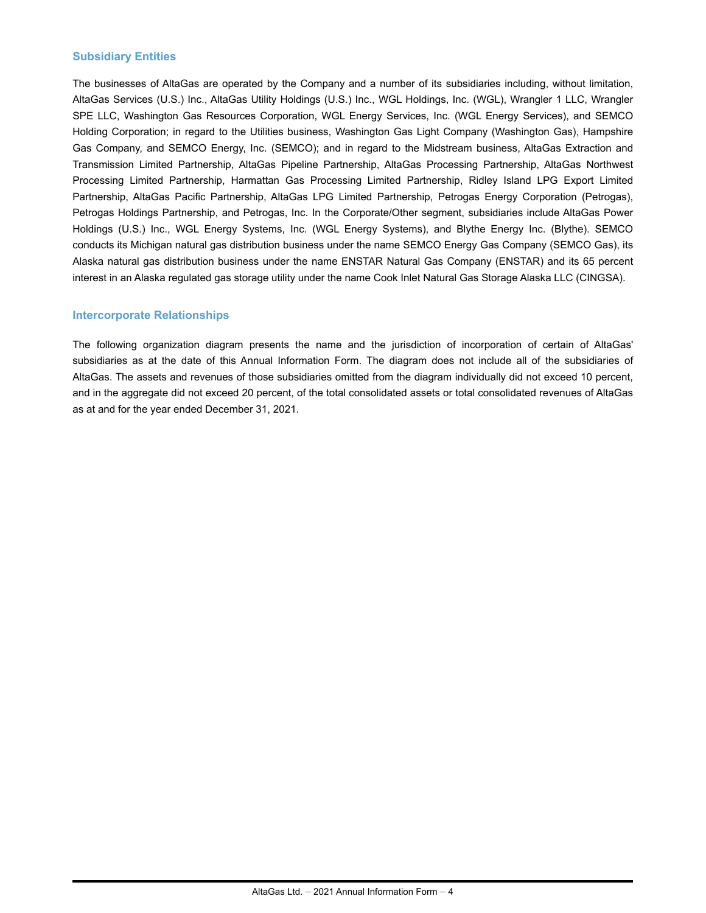#### **Subsidiary Entities**

The businesses of AltaGas are operated by the Company and a number of its subsidiaries including, without limitation, AltaGas Services (U.S.) Inc., AltaGas Utility Holdings (U.S.) Inc., WGL Holdings, Inc. (WGL), Wrangler 1 LLC, Wrangler SPE LLC, Washington Gas Resources Corporation, WGL Energy Services, Inc. (WGL Energy Services), and SEMCO Holding Corporation; in regard to the Utilities business, Washington Gas Light Company (Washington Gas), Hampshire Gas Company, and SEMCO Energy, Inc. (SEMCO); and in regard to the Midstream business, AltaGas Extraction and Transmission Limited Partnership, AltaGas Pipeline Partnership, AltaGas Processing Partnership, AltaGas Northwest Processing Limited Partnership, Harmattan Gas Processing Limited Partnership, Ridley Island LPG Export Limited Partnership, AltaGas Pacific Partnership, AltaGas LPG Limited Partnership, Petrogas Energy Corporation (Petrogas), Petrogas Holdings Partnership, and Petrogas, Inc. In the Corporate/Other segment, subsidiaries include AltaGas Power Holdings (U.S.) Inc., WGL Energy Systems, Inc. (WGL Energy Systems), and Blythe Energy Inc. (Blythe). SEMCO conducts its Michigan natural gas distribution business under the name SEMCO Energy Gas Company (SEMCO Gas), its Alaska natural gas distribution business under the name ENSTAR Natural Gas Company (ENSTAR) and its 65 percent interest in an Alaska regulated gas storage utility under the name Cook Inlet Natural Gas Storage Alaska LLC (CINGSA).

#### **Intercorporate Relationships**

The following organization diagram presents the name and the jurisdiction of incorporation of certain of AltaGas' subsidiaries as at the date of this Annual Information Form. The diagram does not include all of the subsidiaries of AltaGas. The assets and revenues of those subsidiaries omitted from the diagram individually did not exceed 10 percent, and in the aggregate did not exceed 20 percent, of the total consolidated assets or total consolidated revenues of AltaGas as at and for the year ended December 31, 2021.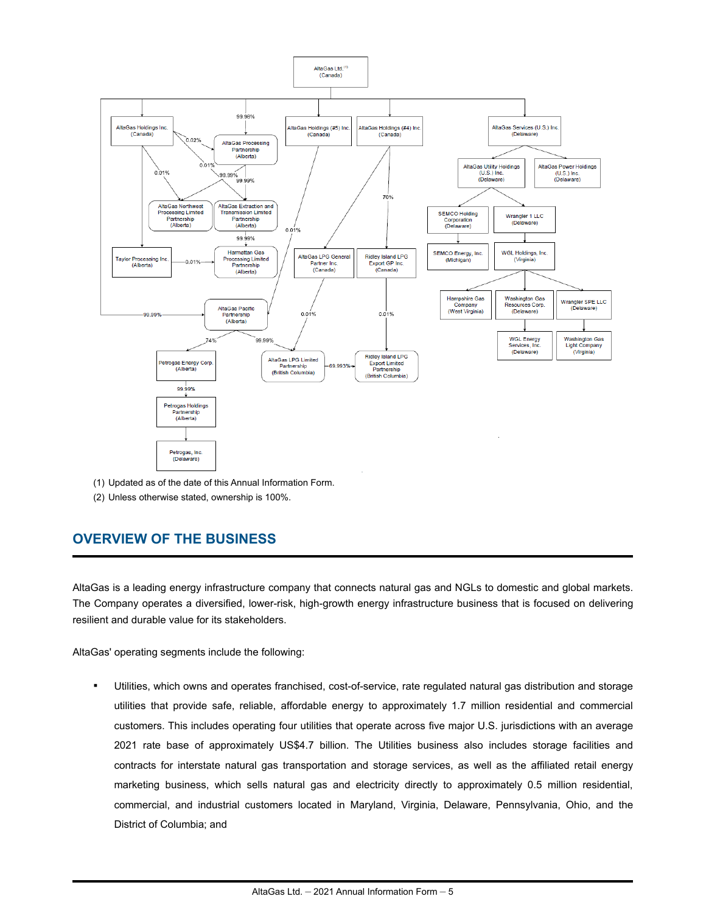<span id="page-5-0"></span>

- (1) Updated as of the date of this Annual Information Form.
- (2) Unless otherwise stated, ownership is 100%.

# **OVERVIEW OF THE BUSINESS**

AltaGas is a leading energy infrastructure company that connects natural gas and NGLs to domestic and global markets. The Company operates a diversified, lower-risk, high-growth energy infrastructure business that is focused on delivering resilient and durable value for its stakeholders.

AltaGas' operating segments include the following:

Utilities, which owns and operates franchised, cost-of-service, rate regulated natural gas distribution and storage utilities that provide safe, reliable, affordable energy to approximately 1.7 million residential and commercial customers. This includes operating four utilities that operate across five major U.S. jurisdictions with an average 2021 rate base of approximately US\$4.7 billion. The Utilities business also includes storage facilities and contracts for interstate natural gas transportation and storage services, as well as the affiliated retail energy marketing business, which sells natural gas and electricity directly to approximately 0.5 million residential, commercial, and industrial customers located in Maryland, Virginia, Delaware, Pennsylvania, Ohio, and the District of Columbia; and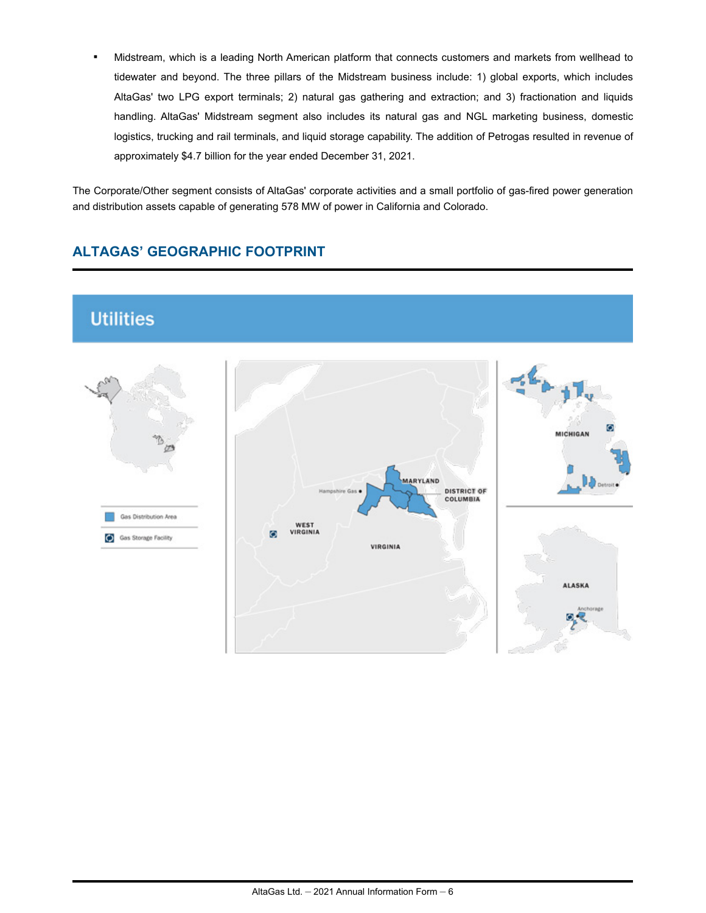<span id="page-6-0"></span>Midstream, which is a leading North American platform that connects customers and markets from wellhead to tidewater and beyond. The three pillars of the Midstream business include: 1) global exports, which includes AltaGas' two LPG export terminals; 2) natural gas gathering and extraction; and 3) fractionation and liquids handling. AltaGas' Midstream segment also includes its natural gas and NGL marketing business, domestic logistics, trucking and rail terminals, and liquid storage capability. The addition of Petrogas resulted in revenue of approximately \$4.7 billion for the year ended December 31, 2021.

The Corporate/Other segment consists of AltaGas' corporate activities and a small portfolio of gas-fired power generation and distribution assets capable of generating 578 MW of power in California and Colorado.

# **ALTAGAS' GEOGRAPHIC FOOTPRINT**

# **Utilities**

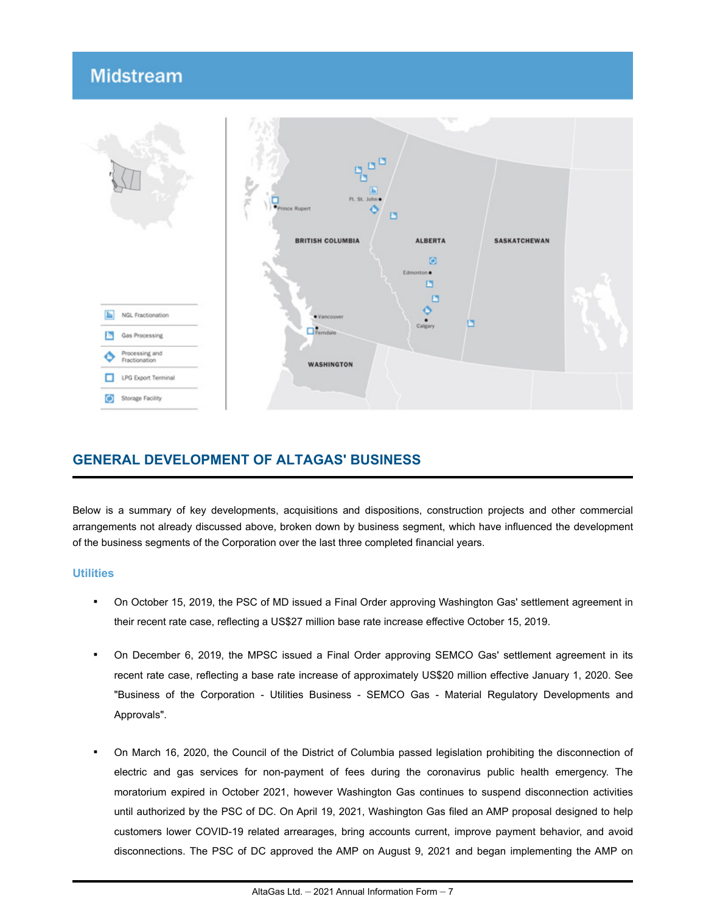# <span id="page-7-0"></span>**Midstream**



# **GENERAL DEVELOPMENT OF ALTAGAS' BUSINESS**

Below is a summary of key developments, acquisitions and dispositions, construction projects and other commercial arrangements not already discussed above, broken down by business segment, which have influenced the development of the business segments of the Corporation over the last three completed financial years.

#### **Utilities**

- On October 15, 2019, the PSC of MD issued a Final Order approving Washington Gas' settlement agreement in their recent rate case, reflecting a US\$27 million base rate increase effective October 15, 2019.
- On December 6, 2019, the MPSC issued a Final Order approving SEMCO Gas' settlement agreement in its recent rate case, reflecting a base rate increase of approximately US\$20 million effective January 1, 2020. See "Business of the Corporation - Utilities Business - SEMCO Gas - Material Regulatory Developments and Approvals".
- On March 16, 2020, the Council of the District of Columbia passed legislation prohibiting the disconnection of electric and gas services for non-payment of fees during the coronavirus public health emergency. The moratorium expired in October 2021, however Washington Gas continues to suspend disconnection activities until authorized by the PSC of DC. On April 19, 2021, Washington Gas filed an AMP proposal designed to help customers lower COVID-19 related arrearages, bring accounts current, improve payment behavior, and avoid disconnections. The PSC of DC approved the AMP on August 9, 2021 and began implementing the AMP on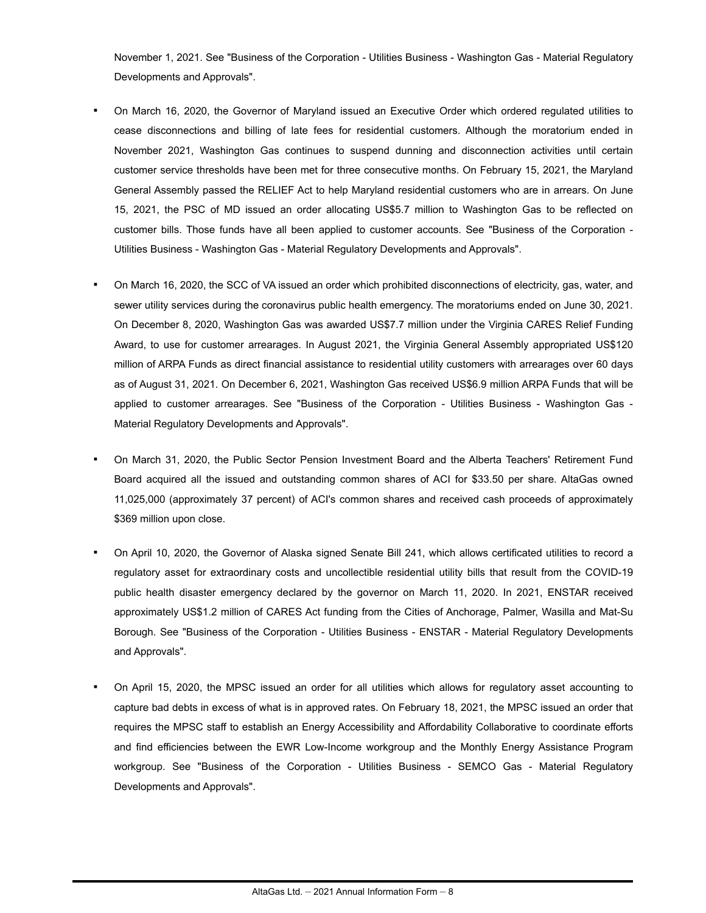November 1, 2021. See "Business of the Corporation - Utilities Business - Washington Gas - Material Regulatory Developments and Approvals".

- On March 16, 2020, the Governor of Maryland issued an Executive Order which ordered regulated utilities to cease disconnections and billing of late fees for residential customers. Although the moratorium ended in November 2021, Washington Gas continues to suspend dunning and disconnection activities until certain customer service thresholds have been met for three consecutive months. On February 15, 2021, the Maryland General Assembly passed the RELIEF Act to help Maryland residential customers who are in arrears. On June 15, 2021, the PSC of MD issued an order allocating US\$5.7 million to Washington Gas to be reflected on customer bills. Those funds have all been applied to customer accounts. See "Business of the Corporation - Utilities Business - Washington Gas - Material Regulatory Developments and Approvals".
- On March 16, 2020, the SCC of VA issued an order which prohibited disconnections of electricity, gas, water, and sewer utility services during the coronavirus public health emergency. The moratoriums ended on June 30, 2021. On December 8, 2020, Washington Gas was awarded US\$7.7 million under the Virginia CARES Relief Funding Award, to use for customer arrearages. In August 2021, the Virginia General Assembly appropriated US\$120 million of ARPA Funds as direct financial assistance to residential utility customers with arrearages over 60 days as of August 31, 2021. On December 6, 2021, Washington Gas received US\$6.9 million ARPA Funds that will be applied to customer arrearages. See "Business of the Corporation - Utilities Business - Washington Gas - Material Regulatory Developments and Approvals".
- On March 31, 2020, the Public Sector Pension Investment Board and the Alberta Teachers' Retirement Fund Board acquired all the issued and outstanding common shares of ACI for \$33.50 per share. AltaGas owned 11,025,000 (approximately 37 percent) of ACI's common shares and received cash proceeds of approximately \$369 million upon close.
- On April 10, 2020, the Governor of Alaska signed Senate Bill 241, which allows certificated utilities to record a regulatory asset for extraordinary costs and uncollectible residential utility bills that result from the COVID-19 public health disaster emergency declared by the governor on March 11, 2020. In 2021, ENSTAR received approximately US\$1.2 million of CARES Act funding from the Cities of Anchorage, Palmer, Wasilla and Mat-Su Borough. See "Business of the Corporation - Utilities Business - ENSTAR - Material Regulatory Developments and Approvals".
- On April 15, 2020, the MPSC issued an order for all utilities which allows for regulatory asset accounting to capture bad debts in excess of what is in approved rates. On February 18, 2021, the MPSC issued an order that requires the MPSC staff to establish an Energy Accessibility and Affordability Collaborative to coordinate efforts and find efficiencies between the EWR Low-Income workgroup and the Monthly Energy Assistance Program workgroup. See "Business of the Corporation - Utilities Business - SEMCO Gas - Material Regulatory Developments and Approvals".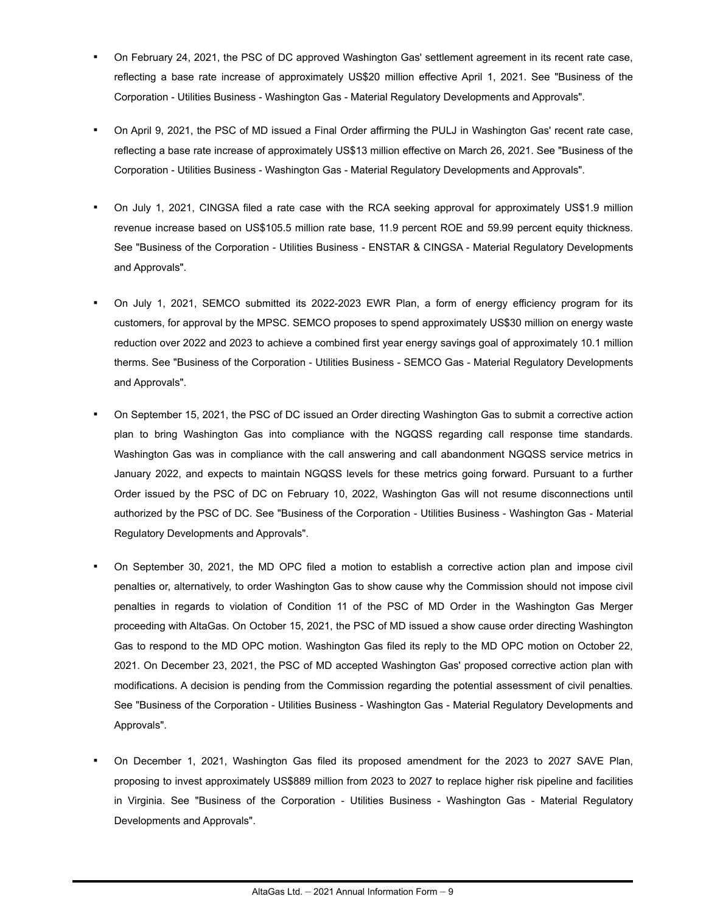- On February 24, 2021, the PSC of DC approved Washington Gas' settlement agreement in its recent rate case, reflecting a base rate increase of approximately US\$20 million effective April 1, 2021. See "Business of the Corporation - Utilities Business - Washington Gas - Material Regulatory Developments and Approvals".
- On April 9, 2021, the PSC of MD issued a Final Order affirming the PULJ in Washington Gas' recent rate case, reflecting a base rate increase of approximately US\$13 million effective on March 26, 2021. See "Business of the Corporation - Utilities Business - Washington Gas - Material Regulatory Developments and Approvals".
- On July 1, 2021, CINGSA filed a rate case with the RCA seeking approval for approximately US\$1.9 million revenue increase based on US\$105.5 million rate base, 11.9 percent ROE and 59.99 percent equity thickness. See "Business of the Corporation - Utilities Business - ENSTAR & CINGSA - Material Regulatory Developments and Approvals".
- On July 1, 2021, SEMCO submitted its 2022-2023 EWR Plan, a form of energy efficiency program for its customers, for approval by the MPSC. SEMCO proposes to spend approximately US\$30 million on energy waste reduction over 2022 and 2023 to achieve a combined first year energy savings goal of approximately 10.1 million therms. See "Business of the Corporation - Utilities Business - SEMCO Gas - Material Regulatory Developments and Approvals".
- On September 15, 2021, the PSC of DC issued an Order directing Washington Gas to submit a corrective action plan to bring Washington Gas into compliance with the NGQSS regarding call response time standards. Washington Gas was in compliance with the call answering and call abandonment NGQSS service metrics in January 2022, and expects to maintain NGQSS levels for these metrics going forward. Pursuant to a further Order issued by the PSC of DC on February 10, 2022, Washington Gas will not resume disconnections until authorized by the PSC of DC. See "Business of the Corporation - Utilities Business - Washington Gas - Material Regulatory Developments and Approvals".
- On September 30, 2021, the MD OPC filed a motion to establish a corrective action plan and impose civil penalties or, alternatively, to order Washington Gas to show cause why the Commission should not impose civil penalties in regards to violation of Condition 11 of the PSC of MD Order in the Washington Gas Merger proceeding with AltaGas. On October 15, 2021, the PSC of MD issued a show cause order directing Washington Gas to respond to the MD OPC motion. Washington Gas filed its reply to the MD OPC motion on October 22, 2021. On December 23, 2021, the PSC of MD accepted Washington Gas' proposed corrective action plan with modifications. A decision is pending from the Commission regarding the potential assessment of civil penalties. See "Business of the Corporation - Utilities Business - Washington Gas - Material Regulatory Developments and Approvals".
- On December 1, 2021, Washington Gas filed its proposed amendment for the 2023 to 2027 SAVE Plan, proposing to invest approximately US\$889 million from 2023 to 2027 to replace higher risk pipeline and facilities in Virginia. See "Business of the Corporation - Utilities Business - Washington Gas - Material Regulatory Developments and Approvals".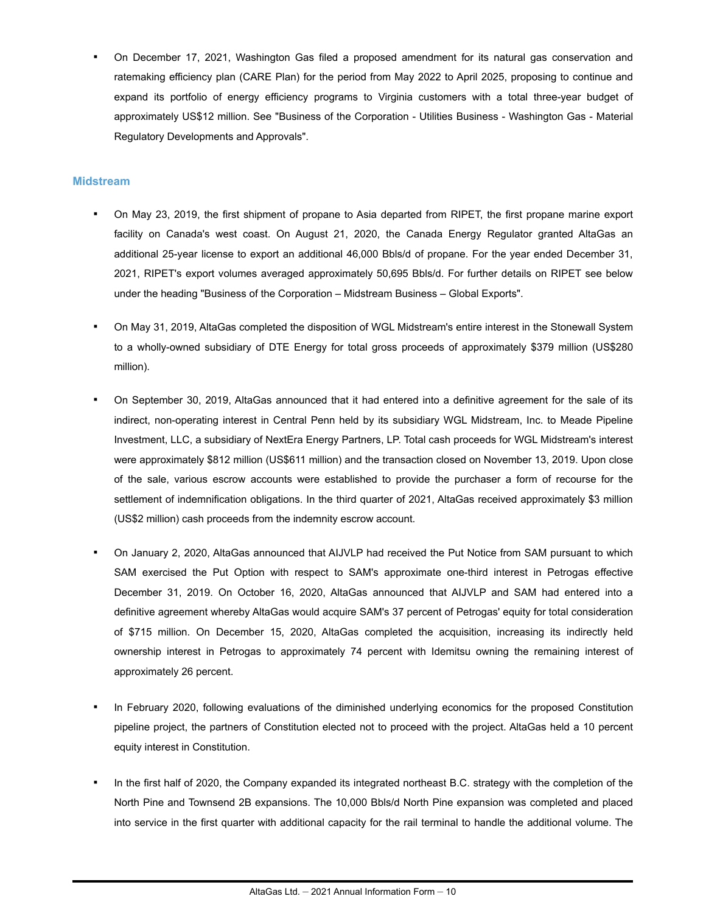<span id="page-10-0"></span>On December 17, 2021, Washington Gas filed a proposed amendment for its natural gas conservation and ratemaking efficiency plan (CARE Plan) for the period from May 2022 to April 2025, proposing to continue and expand its portfolio of energy efficiency programs to Virginia customers with a total three-year budget of approximately US\$12 million. See "Business of the Corporation - Utilities Business - Washington Gas - Material Regulatory Developments and Approvals".

#### **Midstream**

- On May 23, 2019, the first shipment of propane to Asia departed from RIPET, the first propane marine export facility on Canada's west coast. On August 21, 2020, the Canada Energy Regulator granted AltaGas an additional 25-year license to export an additional 46,000 Bbls/d of propane. For the year ended December 31, 2021, RIPET's export volumes averaged approximately 50,695 Bbls/d. For further details on RIPET see below under the heading "Business of the Corporation – Midstream Business – Global Exports".
- On May 31, 2019, AltaGas completed the disposition of WGL Midstream's entire interest in the Stonewall System to a wholly-owned subsidiary of DTE Energy for total gross proceeds of approximately \$379 million (US\$280 million).
- On September 30, 2019, AltaGas announced that it had entered into a definitive agreement for the sale of its indirect, non-operating interest in Central Penn held by its subsidiary WGL Midstream, Inc. to Meade Pipeline Investment, LLC, a subsidiary of NextEra Energy Partners, LP. Total cash proceeds for WGL Midstream's interest were approximately \$812 million (US\$611 million) and the transaction closed on November 13, 2019. Upon close of the sale, various escrow accounts were established to provide the purchaser a form of recourse for the settlement of indemnification obligations. In the third quarter of 2021, AltaGas received approximately \$3 million (US\$2 million) cash proceeds from the indemnity escrow account.
- On January 2, 2020, AltaGas announced that AIJVLP had received the Put Notice from SAM pursuant to which SAM exercised the Put Option with respect to SAM's approximate one-third interest in Petrogas effective December 31, 2019. On October 16, 2020, AltaGas announced that AIJVLP and SAM had entered into a definitive agreement whereby AltaGas would acquire SAM's 37 percent of Petrogas' equity for total consideration of \$715 million. On December 15, 2020, AltaGas completed the acquisition, increasing its indirectly held ownership interest in Petrogas to approximately 74 percent with Idemitsu owning the remaining interest of approximately 26 percent.
- In February 2020, following evaluations of the diminished underlying economics for the proposed Constitution pipeline project, the partners of Constitution elected not to proceed with the project. AltaGas held a 10 percent equity interest in Constitution.
- In the first half of 2020, the Company expanded its integrated northeast B.C. strategy with the completion of the North Pine and Townsend 2B expansions. The 10,000 Bbls/d North Pine expansion was completed and placed into service in the first quarter with additional capacity for the rail terminal to handle the additional volume. The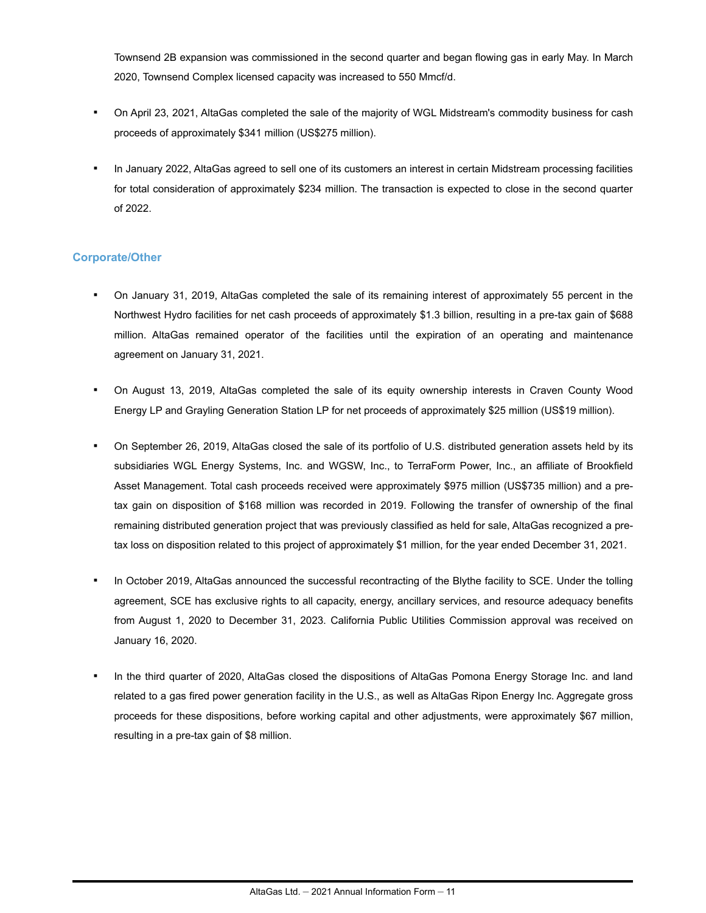<span id="page-11-0"></span>Townsend 2B expansion was commissioned in the second quarter and began flowing gas in early May. In March 2020, Townsend Complex licensed capacity was increased to 550 Mmcf/d.

- On April 23, 2021, AltaGas completed the sale of the majority of WGL Midstream's commodity business for cash proceeds of approximately \$341 million (US\$275 million).
- In January 2022, AltaGas agreed to sell one of its customers an interest in certain Midstream processing facilities for total consideration of approximately \$234 million. The transaction is expected to close in the second quarter of 2022.

#### **Corporate/Other**

- On January 31, 2019, AltaGas completed the sale of its remaining interest of approximately 55 percent in the Northwest Hydro facilities for net cash proceeds of approximately \$1.3 billion, resulting in a pre-tax gain of \$688 million. AltaGas remained operator of the facilities until the expiration of an operating and maintenance agreement on January 31, 2021.
- On August 13, 2019, AltaGas completed the sale of its equity ownership interests in Craven County Wood Energy LP and Grayling Generation Station LP for net proceeds of approximately \$25 million (US\$19 million).
- On September 26, 2019, AltaGas closed the sale of its portfolio of U.S. distributed generation assets held by its subsidiaries WGL Energy Systems, Inc. and WGSW, Inc., to TerraForm Power, Inc., an affiliate of Brookfield Asset Management. Total cash proceeds received were approximately \$975 million (US\$735 million) and a pretax gain on disposition of \$168 million was recorded in 2019. Following the transfer of ownership of the final remaining distributed generation project that was previously classified as held for sale, AltaGas recognized a pretax loss on disposition related to this project of approximately \$1 million, for the year ended December 31, 2021.
- In October 2019, AltaGas announced the successful recontracting of the Blythe facility to SCE. Under the tolling agreement, SCE has exclusive rights to all capacity, energy, ancillary services, and resource adequacy benefits from August 1, 2020 to December 31, 2023. California Public Utilities Commission approval was received on January 16, 2020.
- In the third quarter of 2020, AltaGas closed the dispositions of AltaGas Pomona Energy Storage Inc. and land related to a gas fired power generation facility in the U.S., as well as AltaGas Ripon Energy Inc. Aggregate gross proceeds for these dispositions, before working capital and other adjustments, were approximately \$67 million, resulting in a pre-tax gain of \$8 million.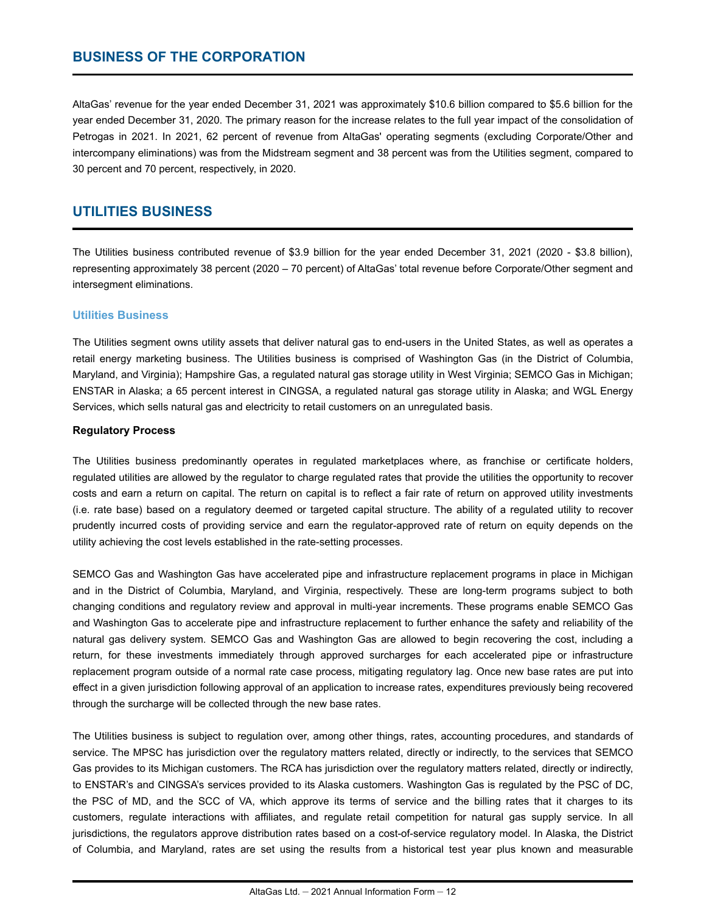## <span id="page-12-0"></span>**BUSINESS OF THE CORPORATION**

AltaGas' revenue for the year ended December 31, 2021 was approximately \$10.6 billion compared to \$5.6 billion for the year ended December 31, 2020. The primary reason for the increase relates to the full year impact of the consolidation of Petrogas in 2021. In 2021, 62 percent of revenue from AltaGas' operating segments (excluding Corporate/Other and intercompany eliminations) was from the Midstream segment and 38 percent was from the Utilities segment, compared to 30 percent and 70 percent, respectively, in 2020.

## **UTILITIES BUSINESS**

The Utilities business contributed revenue of \$3.9 billion for the year ended December 31, 2021 (2020 - \$3.8 billion), representing approximately 38 percent (2020 – 70 percent) of AltaGas' total revenue before Corporate/Other segment and intersegment eliminations.

#### **Utilities Business**

The Utilities segment owns utility assets that deliver natural gas to end-users in the United States, as well as operates a retail energy marketing business. The Utilities business is comprised of Washington Gas (in the District of Columbia, Maryland, and Virginia); Hampshire Gas, a regulated natural gas storage utility in West Virginia; SEMCO Gas in Michigan; ENSTAR in Alaska; a 65 percent interest in CINGSA, a regulated natural gas storage utility in Alaska; and WGL Energy Services, which sells natural gas and electricity to retail customers on an unregulated basis.

#### **Regulatory Process**

The Utilities business predominantly operates in regulated marketplaces where, as franchise or certificate holders, regulated utilities are allowed by the regulator to charge regulated rates that provide the utilities the opportunity to recover costs and earn a return on capital. The return on capital is to reflect a fair rate of return on approved utility investments (i.e. rate base) based on a regulatory deemed or targeted capital structure. The ability of a regulated utility to recover prudently incurred costs of providing service and earn the regulator-approved rate of return on equity depends on the utility achieving the cost levels established in the rate-setting processes.

SEMCO Gas and Washington Gas have accelerated pipe and infrastructure replacement programs in place in Michigan and in the District of Columbia, Maryland, and Virginia, respectively. These are long-term programs subject to both changing conditions and regulatory review and approval in multi-year increments. These programs enable SEMCO Gas and Washington Gas to accelerate pipe and infrastructure replacement to further enhance the safety and reliability of the natural gas delivery system. SEMCO Gas and Washington Gas are allowed to begin recovering the cost, including a return, for these investments immediately through approved surcharges for each accelerated pipe or infrastructure replacement program outside of a normal rate case process, mitigating regulatory lag. Once new base rates are put into effect in a given jurisdiction following approval of an application to increase rates, expenditures previously being recovered through the surcharge will be collected through the new base rates.

The Utilities business is subject to regulation over, among other things, rates, accounting procedures, and standards of service. The MPSC has jurisdiction over the regulatory matters related, directly or indirectly, to the services that SEMCO Gas provides to its Michigan customers. The RCA has jurisdiction over the regulatory matters related, directly or indirectly, to ENSTAR's and CINGSA's services provided to its Alaska customers. Washington Gas is regulated by the PSC of DC, the PSC of MD, and the SCC of VA, which approve its terms of service and the billing rates that it charges to its customers, regulate interactions with affiliates, and regulate retail competition for natural gas supply service. In all jurisdictions, the regulators approve distribution rates based on a cost-of-service regulatory model. In Alaska, the District of Columbia, and Maryland, rates are set using the results from a historical test year plus known and measurable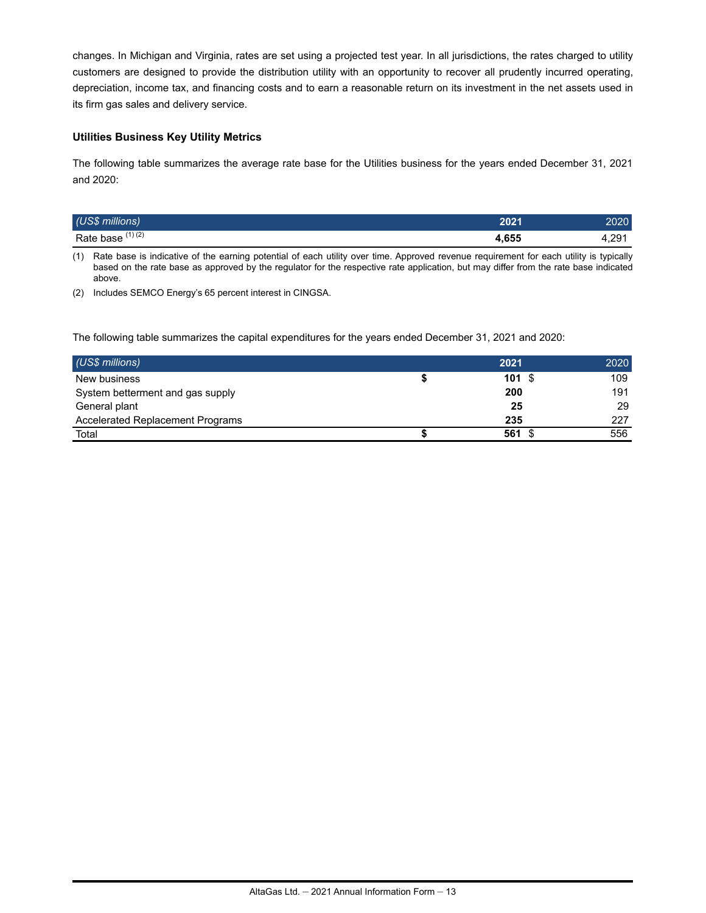changes. In Michigan and Virginia, rates are set using a projected test year. In all jurisdictions, the rates charged to utility customers are designed to provide the distribution utility with an opportunity to recover all prudently incurred operating, depreciation, income tax, and financing costs and to earn a reasonable return on its investment in the net assets used in its firm gas sales and delivery service.

#### **Utilities Business Key Utility Metrics**

The following table summarizes the average rate base for the Utilities business for the years ended December 31, 2021 and 2020:

| (US\$ millions)   | יממ  |              |
|-------------------|------|--------------|
| Rate base (1) (2) | ,655 | ററ<br>. ⊄,∠ອ |

(1) Rate base is indicative of the earning potential of each utility over time. Approved revenue requirement for each utility is typically based on the rate base as approved by the regulator for the respective rate application, but may differ from the rate base indicated above.

(2) Includes SEMCO Energy's 65 percent interest in CINGSA.

The following table summarizes the capital expenditures for the years ended December 31, 2021 and 2020:

| (US\$ millions)                         | 2021 | 2020 |
|-----------------------------------------|------|------|
| New business                            | 101S | 109  |
| System betterment and gas supply        | 200  | 191  |
| General plant                           | 25   | 29   |
| <b>Accelerated Replacement Programs</b> | 235  | 227  |
| Total                                   | 561  | 556  |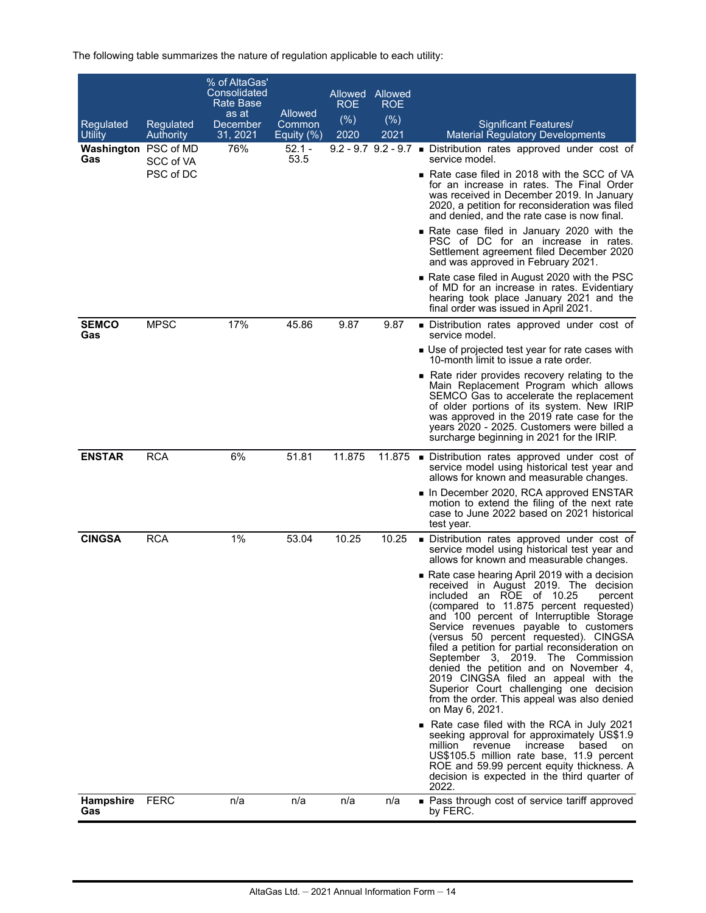| Regulated<br>Utility    | Regulated<br><b>Authority</b> | % of AltaGas'<br>Consolidated<br><b>Rate Base</b><br>as at<br>December<br>31, 2021 | <b>Allowed</b><br>Common<br>Equity $(\frac{9}{6})$ | ROE<br>(%)<br>2020 | Allowed Allowed<br>ROE<br>(%)<br>2021 | Significant Features/<br><b>Material Regulatory Developments</b>                                                                                                                                                                                                                                                                                                                                                                                                                                                                                                                                                                         |
|-------------------------|-------------------------------|------------------------------------------------------------------------------------|----------------------------------------------------|--------------------|---------------------------------------|------------------------------------------------------------------------------------------------------------------------------------------------------------------------------------------------------------------------------------------------------------------------------------------------------------------------------------------------------------------------------------------------------------------------------------------------------------------------------------------------------------------------------------------------------------------------------------------------------------------------------------------|
| Washington PSC of MD    |                               | 76%                                                                                | $52.1 -$                                           |                    |                                       | 9.2 - 9.7 9.2 - 9.7 · Distribution rates approved under cost of                                                                                                                                                                                                                                                                                                                                                                                                                                                                                                                                                                          |
| Gas                     | SCC of VA<br>PSC of DC        |                                                                                    | 53.5                                               |                    |                                       | service model.<br>Rate case filed in 2018 with the SCC of VA<br>for an increase in rates. The Final Order<br>was received in December 2019. In January<br>2020, a petition for reconsideration was filed<br>and denied, and the rate case is now final.                                                                                                                                                                                                                                                                                                                                                                                  |
|                         |                               |                                                                                    |                                                    |                    |                                       | Rate case filed in January 2020 with the<br>PSC of DC for an increase in rates.<br>Settlement agreement filed December 2020<br>and was approved in February 2021.                                                                                                                                                                                                                                                                                                                                                                                                                                                                        |
|                         |                               |                                                                                    |                                                    |                    |                                       | ■ Rate case filed in August 2020 with the PSC<br>of MD for an increase in rates. Evidentiary<br>hearing took place January 2021 and the<br>final order was issued in April 2021.                                                                                                                                                                                                                                                                                                                                                                                                                                                         |
| <b>SEMCO</b><br>Gas     | <b>MPSC</b>                   | 17%                                                                                | 45.86                                              | 9.87               | 9.87                                  | ■ Distribution rates approved under cost of<br>service model.                                                                                                                                                                                                                                                                                                                                                                                                                                                                                                                                                                            |
|                         |                               |                                                                                    |                                                    |                    |                                       | ■ Use of projected test year for rate cases with<br>10-month limit to issue a rate order.                                                                                                                                                                                                                                                                                                                                                                                                                                                                                                                                                |
|                         |                               |                                                                                    |                                                    |                    |                                       | Rate rider provides recovery relating to the<br>Main Replacement Program which allows<br>SEMCO Gas to accelerate the replacement<br>of older portions of its system. New IRIP<br>was approved in the 2019 rate case for the<br>years 2020 - 2025. Customers were billed a<br>surcharge beginning in 2021 for the IRIP.                                                                                                                                                                                                                                                                                                                   |
| <b>ENSTAR</b>           | <b>RCA</b>                    | 6%                                                                                 | 51.81                                              | 11.875             |                                       | 11.875 • Distribution rates approved under cost of<br>service model using historical test year and<br>allows for known and measurable changes.                                                                                                                                                                                                                                                                                                                                                                                                                                                                                           |
|                         |                               |                                                                                    |                                                    |                    |                                       | ln December 2020, RCA approved ENSTAR<br>motion to extend the filing of the next rate<br>case to June 2022 based on 2021 historical<br>test year.                                                                                                                                                                                                                                                                                                                                                                                                                                                                                        |
| <b>CINGSA</b>           | <b>RCA</b>                    | 1%                                                                                 | 53.04                                              | 10.25              | 10.25                                 | ■ Distribution rates approved under cost of<br>service model using historical test year and<br>allows for known and measurable changes.                                                                                                                                                                                                                                                                                                                                                                                                                                                                                                  |
|                         |                               |                                                                                    |                                                    |                    |                                       | Rate case hearing April 2019 with a decision<br>received in August 2019. The decision<br>included an ROE of 10.25<br>percent<br>(compared to 11.875 percent requested)<br>and 100 percent of Interruptible Storage<br>Service revenues payable to customers<br>(versus 50 percent requested). CINGSA<br>filed a petition for partial reconsideration on<br>September 3, 2019. The Commission<br>denied the petition and on November 4,<br>2019 CINGSA filed an appeal with the<br>Superior Court challenging one decision<br>from the order. This appeal was also denied<br>on May 6, 2021.<br>Rate case filed with the RCA in July 2021 |
|                         |                               |                                                                                    |                                                    |                    |                                       | seeking approval for approximately US\$1.9<br>million revenue<br>increase<br>based<br>on<br>US\$105.5 million rate base, 11.9 percent<br>ROE and 59.99 percent equity thickness. A<br>decision is expected in the third quarter of<br>2022.                                                                                                                                                                                                                                                                                                                                                                                              |
| <b>Hampshire</b><br>Gas | <b>FERC</b>                   | n/a                                                                                | n/a                                                | n/a                | n/a                                   | • Pass through cost of service tariff approved<br>by FERC.                                                                                                                                                                                                                                                                                                                                                                                                                                                                                                                                                                               |

The following table summarizes the nature of regulation applicable to each utility: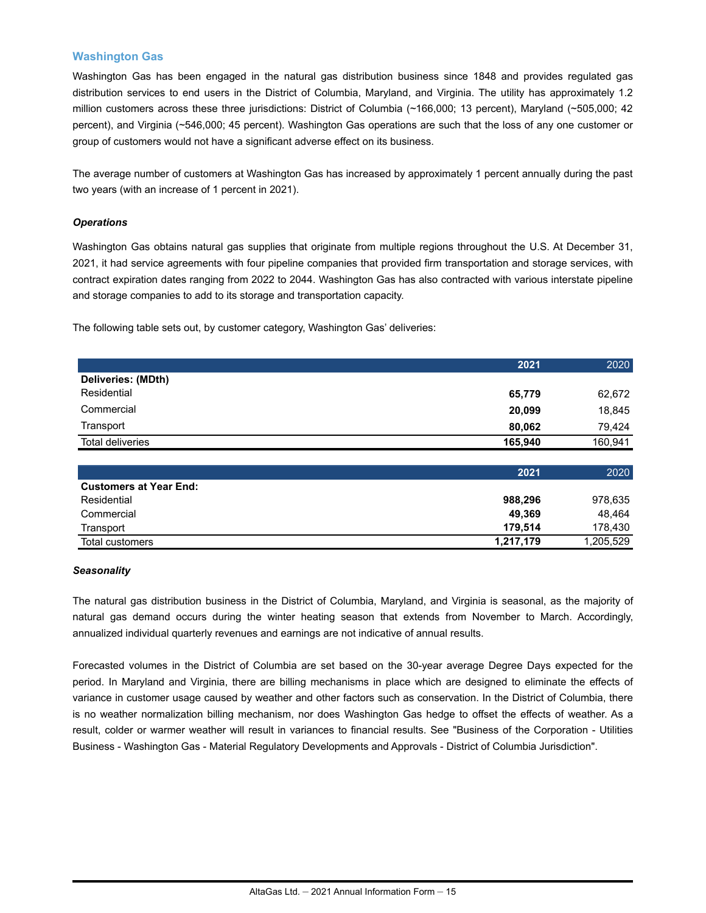#### **Washington Gas**

Washington Gas has been engaged in the natural gas distribution business since 1848 and provides regulated gas distribution services to end users in the District of Columbia, Maryland, and Virginia. The utility has approximately 1.2 million customers across these three jurisdictions: District of Columbia (~166,000; 13 percent), Maryland (~505,000; 42 percent), and Virginia (~546,000; 45 percent). Washington Gas operations are such that the loss of any one customer or group of customers would not have a significant adverse effect on its business.

The average number of customers at Washington Gas has increased by approximately 1 percent annually during the past two years (with an increase of 1 percent in 2021).

#### *Operations*

Washington Gas obtains natural gas supplies that originate from multiple regions throughout the U.S. At December 31, 2021, it had service agreements with four pipeline companies that provided firm transportation and storage services, with contract expiration dates ranging from 2022 to 2044. Washington Gas has also contracted with various interstate pipeline and storage companies to add to its storage and transportation capacity.

The following table sets out, by customer category, Washington Gas' deliveries:

|                               | 2021      | 2020      |
|-------------------------------|-----------|-----------|
| Deliveries: (MDth)            |           |           |
| Residential                   | 65,779    | 62,672    |
| Commercial                    | 20,099    | 18,845    |
| Transport                     | 80,062    | 79,424    |
| <b>Total deliveries</b>       | 165,940   | 160,941   |
|                               |           |           |
|                               | 2021      | 2020      |
| <b>Customers at Year End:</b> |           |           |
| Residential                   | 988,296   | 978,635   |
| Commercial                    | 49,369    | 48,464    |
| Transport                     | 179,514   | 178,430   |
| Total customers               | 1,217,179 | 1,205,529 |

#### *Seasonality*

The natural gas distribution business in the District of Columbia, Maryland, and Virginia is seasonal, as the majority of natural gas demand occurs during the winter heating season that extends from November to March. Accordingly, annualized individual quarterly revenues and earnings are not indicative of annual results.

Forecasted volumes in the District of Columbia are set based on the 30-year average Degree Days expected for the period. In Maryland and Virginia, there are billing mechanisms in place which are designed to eliminate the effects of variance in customer usage caused by weather and other factors such as conservation. In the District of Columbia, there is no weather normalization billing mechanism, nor does Washington Gas hedge to offset the effects of weather. As a result, colder or warmer weather will result in variances to financial results. See "Business of the Corporation - Utilities Business - Washington Gas - Material Regulatory Developments and Approvals - District of Columbia Jurisdiction".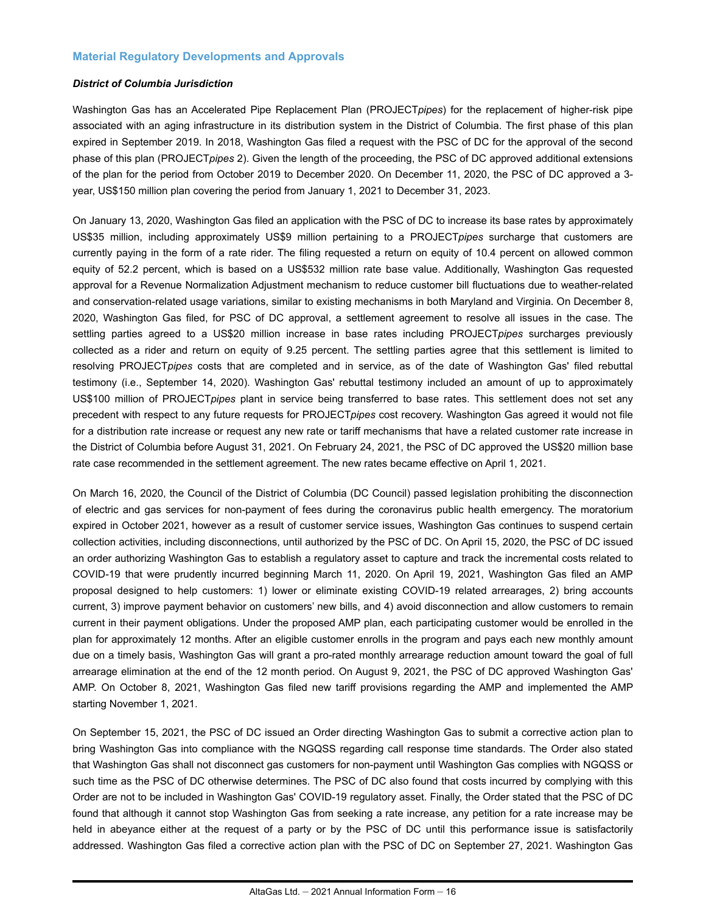#### **Material Regulatory Developments and Approvals**

#### *District of Columbia Jurisdiction*

Washington Gas has an Accelerated Pipe Replacement Plan (PROJECT*pipes*) for the replacement of higher-risk pipe associated with an aging infrastructure in its distribution system in the District of Columbia. The first phase of this plan expired in September 2019. In 2018, Washington Gas filed a request with the PSC of DC for the approval of the second phase of this plan (PROJECT*pipes* 2). Given the length of the proceeding, the PSC of DC approved additional extensions of the plan for the period from October 2019 to December 2020. On December 11, 2020, the PSC of DC approved a 3 year, US\$150 million plan covering the period from January 1, 2021 to December 31, 2023.

On January 13, 2020, Washington Gas filed an application with the PSC of DC to increase its base rates by approximately US\$35 million, including approximately US\$9 million pertaining to a PROJECT*pipes* surcharge that customers are currently paying in the form of a rate rider. The filing requested a return on equity of 10.4 percent on allowed common equity of 52.2 percent, which is based on a US\$532 million rate base value. Additionally, Washington Gas requested approval for a Revenue Normalization Adjustment mechanism to reduce customer bill fluctuations due to weather-related and conservation-related usage variations, similar to existing mechanisms in both Maryland and Virginia. On December 8, 2020, Washington Gas filed, for PSC of DC approval, a settlement agreement to resolve all issues in the case. The settling parties agreed to a US\$20 million increase in base rates including PROJECT*pipes* surcharges previously collected as a rider and return on equity of 9.25 percent. The settling parties agree that this settlement is limited to resolving PROJECT*pipes* costs that are completed and in service, as of the date of Washington Gas' filed rebuttal testimony (i.e., September 14, 2020). Washington Gas' rebuttal testimony included an amount of up to approximately US\$100 million of PROJECT*pipes* plant in service being transferred to base rates. This settlement does not set any precedent with respect to any future requests for PROJECT*pipes* cost recovery. Washington Gas agreed it would not file for a distribution rate increase or request any new rate or tariff mechanisms that have a related customer rate increase in the District of Columbia before August 31, 2021. On February 24, 2021, the PSC of DC approved the US\$20 million base rate case recommended in the settlement agreement. The new rates became effective on April 1, 2021.

On March 16, 2020, the Council of the District of Columbia (DC Council) passed legislation prohibiting the disconnection of electric and gas services for non-payment of fees during the coronavirus public health emergency. The moratorium expired in October 2021, however as a result of customer service issues, Washington Gas continues to suspend certain collection activities, including disconnections, until authorized by the PSC of DC. On April 15, 2020, the PSC of DC issued an order authorizing Washington Gas to establish a regulatory asset to capture and track the incremental costs related to COVID-19 that were prudently incurred beginning March 11, 2020. On April 19, 2021, Washington Gas filed an AMP proposal designed to help customers: 1) lower or eliminate existing COVID-19 related arrearages, 2) bring accounts current, 3) improve payment behavior on customers' new bills, and 4) avoid disconnection and allow customers to remain current in their payment obligations. Under the proposed AMP plan, each participating customer would be enrolled in the plan for approximately 12 months. After an eligible customer enrolls in the program and pays each new monthly amount due on a timely basis, Washington Gas will grant a pro-rated monthly arrearage reduction amount toward the goal of full arrearage elimination at the end of the 12 month period. On August 9, 2021, the PSC of DC approved Washington Gas' AMP. On October 8, 2021, Washington Gas filed new tariff provisions regarding the AMP and implemented the AMP starting November 1, 2021.

On September 15, 2021, the PSC of DC issued an Order directing Washington Gas to submit a corrective action plan to bring Washington Gas into compliance with the NGQSS regarding call response time standards. The Order also stated that Washington Gas shall not disconnect gas customers for non-payment until Washington Gas complies with NGQSS or such time as the PSC of DC otherwise determines. The PSC of DC also found that costs incurred by complying with this Order are not to be included in Washington Gas' COVID-19 regulatory asset. Finally, the Order stated that the PSC of DC found that although it cannot stop Washington Gas from seeking a rate increase, any petition for a rate increase may be held in abeyance either at the request of a party or by the PSC of DC until this performance issue is satisfactorily addressed. Washington Gas filed a corrective action plan with the PSC of DC on September 27, 2021. Washington Gas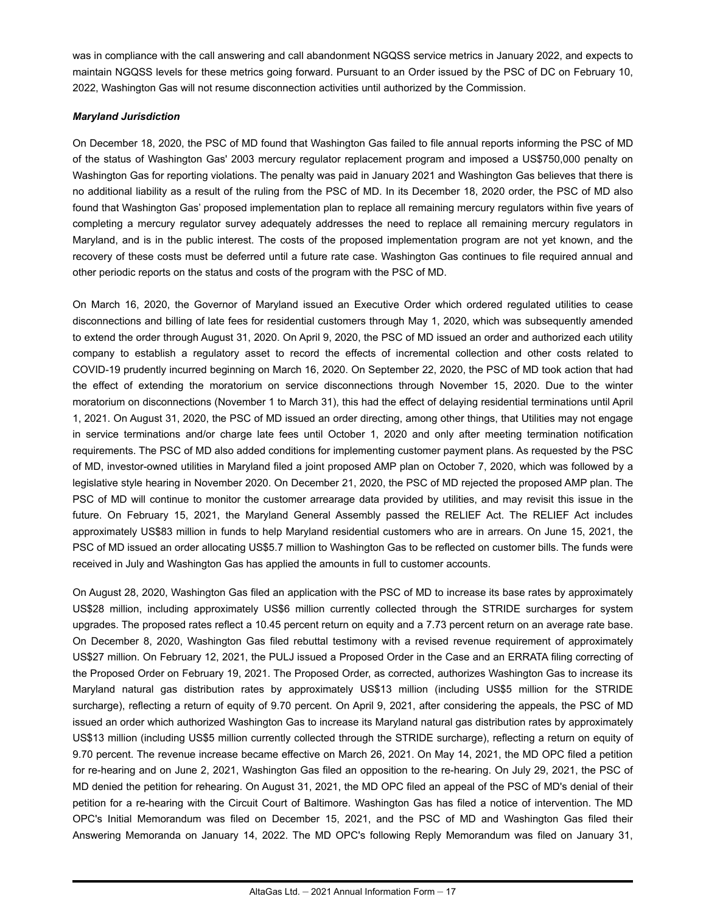was in compliance with the call answering and call abandonment NGQSS service metrics in January 2022, and expects to maintain NGQSS levels for these metrics going forward. Pursuant to an Order issued by the PSC of DC on February 10, 2022, Washington Gas will not resume disconnection activities until authorized by the Commission.

#### *Maryland Jurisdiction*

On December 18, 2020, the PSC of MD found that Washington Gas failed to file annual reports informing the PSC of MD of the status of Washington Gas' 2003 mercury regulator replacement program and imposed a US\$750,000 penalty on Washington Gas for reporting violations. The penalty was paid in January 2021 and Washington Gas believes that there is no additional liability as a result of the ruling from the PSC of MD. In its December 18, 2020 order, the PSC of MD also found that Washington Gas' proposed implementation plan to replace all remaining mercury regulators within five years of completing a mercury regulator survey adequately addresses the need to replace all remaining mercury regulators in Maryland, and is in the public interest. The costs of the proposed implementation program are not yet known, and the recovery of these costs must be deferred until a future rate case. Washington Gas continues to file required annual and other periodic reports on the status and costs of the program with the PSC of MD.

On March 16, 2020, the Governor of Maryland issued an Executive Order which ordered regulated utilities to cease disconnections and billing of late fees for residential customers through May 1, 2020, which was subsequently amended to extend the order through August 31, 2020. On April 9, 2020, the PSC of MD issued an order and authorized each utility company to establish a regulatory asset to record the effects of incremental collection and other costs related to COVID-19 prudently incurred beginning on March 16, 2020. On September 22, 2020, the PSC of MD took action that had the effect of extending the moratorium on service disconnections through November 15, 2020. Due to the winter moratorium on disconnections (November 1 to March 31), this had the effect of delaying residential terminations until April 1, 2021. On August 31, 2020, the PSC of MD issued an order directing, among other things, that Utilities may not engage in service terminations and/or charge late fees until October 1, 2020 and only after meeting termination notification requirements. The PSC of MD also added conditions for implementing customer payment plans. As requested by the PSC of MD, investor-owned utilities in Maryland filed a joint proposed AMP plan on October 7, 2020, which was followed by a legislative style hearing in November 2020. On December 21, 2020, the PSC of MD rejected the proposed AMP plan. The PSC of MD will continue to monitor the customer arrearage data provided by utilities, and may revisit this issue in the future. On February 15, 2021, the Maryland General Assembly passed the RELIEF Act. The RELIEF Act includes approximately US\$83 million in funds to help Maryland residential customers who are in arrears. On June 15, 2021, the PSC of MD issued an order allocating US\$5.7 million to Washington Gas to be reflected on customer bills. The funds were received in July and Washington Gas has applied the amounts in full to customer accounts.

On August 28, 2020, Washington Gas filed an application with the PSC of MD to increase its base rates by approximately US\$28 million, including approximately US\$6 million currently collected through the STRIDE surcharges for system upgrades. The proposed rates reflect a 10.45 percent return on equity and a 7.73 percent return on an average rate base. On December 8, 2020, Washington Gas filed rebuttal testimony with a revised revenue requirement of approximately US\$27 million. On February 12, 2021, the PULJ issued a Proposed Order in the Case and an ERRATA filing correcting of the Proposed Order on February 19, 2021. The Proposed Order, as corrected, authorizes Washington Gas to increase its Maryland natural gas distribution rates by approximately US\$13 million (including US\$5 million for the STRIDE surcharge), reflecting a return of equity of 9.70 percent. On April 9, 2021, after considering the appeals, the PSC of MD issued an order which authorized Washington Gas to increase its Maryland natural gas distribution rates by approximately US\$13 million (including US\$5 million currently collected through the STRIDE surcharge), reflecting a return on equity of 9.70 percent. The revenue increase became effective on March 26, 2021. On May 14, 2021, the MD OPC filed a petition for re-hearing and on June 2, 2021, Washington Gas filed an opposition to the re-hearing. On July 29, 2021, the PSC of MD denied the petition for rehearing. On August 31, 2021, the MD OPC filed an appeal of the PSC of MD's denial of their petition for a re-hearing with the Circuit Court of Baltimore. Washington Gas has filed a notice of intervention. The MD OPC's Initial Memorandum was filed on December 15, 2021, and the PSC of MD and Washington Gas filed their Answering Memoranda on January 14, 2022. The MD OPC's following Reply Memorandum was filed on January 31,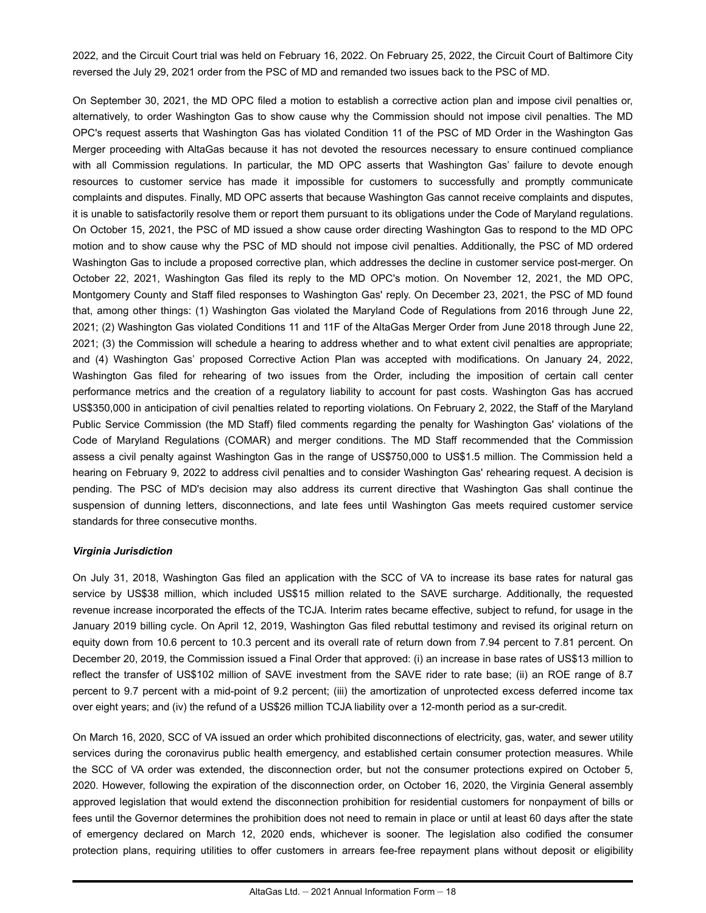2022, and the Circuit Court trial was held on February 16, 2022. On February 25, 2022, the Circuit Court of Baltimore City reversed the July 29, 2021 order from the PSC of MD and remanded two issues back to the PSC of MD.

On September 30, 2021, the MD OPC filed a motion to establish a corrective action plan and impose civil penalties or, alternatively, to order Washington Gas to show cause why the Commission should not impose civil penalties. The MD OPC's request asserts that Washington Gas has violated Condition 11 of the PSC of MD Order in the Washington Gas Merger proceeding with AltaGas because it has not devoted the resources necessary to ensure continued compliance with all Commission regulations. In particular, the MD OPC asserts that Washington Gas' failure to devote enough resources to customer service has made it impossible for customers to successfully and promptly communicate complaints and disputes. Finally, MD OPC asserts that because Washington Gas cannot receive complaints and disputes, it is unable to satisfactorily resolve them or report them pursuant to its obligations under the Code of Maryland regulations. On October 15, 2021, the PSC of MD issued a show cause order directing Washington Gas to respond to the MD OPC motion and to show cause why the PSC of MD should not impose civil penalties. Additionally, the PSC of MD ordered Washington Gas to include a proposed corrective plan, which addresses the decline in customer service post-merger. On October 22, 2021, Washington Gas filed its reply to the MD OPC's motion. On November 12, 2021, the MD OPC, Montgomery County and Staff filed responses to Washington Gas' reply. On December 23, 2021, the PSC of MD found that, among other things: (1) Washington Gas violated the Maryland Code of Regulations from 2016 through June 22, 2021; (2) Washington Gas violated Conditions 11 and 11F of the AltaGas Merger Order from June 2018 through June 22, 2021; (3) the Commission will schedule a hearing to address whether and to what extent civil penalties are appropriate; and (4) Washington Gas' proposed Corrective Action Plan was accepted with modifications. On January 24, 2022, Washington Gas filed for rehearing of two issues from the Order, including the imposition of certain call center performance metrics and the creation of a regulatory liability to account for past costs. Washington Gas has accrued US\$350,000 in anticipation of civil penalties related to reporting violations. On February 2, 2022, the Staff of the Maryland Public Service Commission (the MD Staff) filed comments regarding the penalty for Washington Gas' violations of the Code of Maryland Regulations (COMAR) and merger conditions. The MD Staff recommended that the Commission assess a civil penalty against Washington Gas in the range of US\$750,000 to US\$1.5 million. The Commission held a hearing on February 9, 2022 to address civil penalties and to consider Washington Gas' rehearing request. A decision is pending. The PSC of MD's decision may also address its current directive that Washington Gas shall continue the suspension of dunning letters, disconnections, and late fees until Washington Gas meets required customer service standards for three consecutive months.

#### *Virginia Jurisdiction*

On July 31, 2018, Washington Gas filed an application with the SCC of VA to increase its base rates for natural gas service by US\$38 million, which included US\$15 million related to the SAVE surcharge. Additionally, the requested revenue increase incorporated the effects of the TCJA. Interim rates became effective, subject to refund, for usage in the January 2019 billing cycle. On April 12, 2019, Washington Gas filed rebuttal testimony and revised its original return on equity down from 10.6 percent to 10.3 percent and its overall rate of return down from 7.94 percent to 7.81 percent. On December 20, 2019, the Commission issued a Final Order that approved: (i) an increase in base rates of US\$13 million to reflect the transfer of US\$102 million of SAVE investment from the SAVE rider to rate base; (ii) an ROE range of 8.7 percent to 9.7 percent with a mid-point of 9.2 percent; (iii) the amortization of unprotected excess deferred income tax over eight years; and (iv) the refund of a US\$26 million TCJA liability over a 12-month period as a sur-credit.

On March 16, 2020, SCC of VA issued an order which prohibited disconnections of electricity, gas, water, and sewer utility services during the coronavirus public health emergency, and established certain consumer protection measures. While the SCC of VA order was extended, the disconnection order, but not the consumer protections expired on October 5, 2020. However, following the expiration of the disconnection order, on October 16, 2020, the Virginia General assembly approved legislation that would extend the disconnection prohibition for residential customers for nonpayment of bills or fees until the Governor determines the prohibition does not need to remain in place or until at least 60 days after the state of emergency declared on March 12, 2020 ends, whichever is sooner. The legislation also codified the consumer protection plans, requiring utilities to offer customers in arrears fee-free repayment plans without deposit or eligibility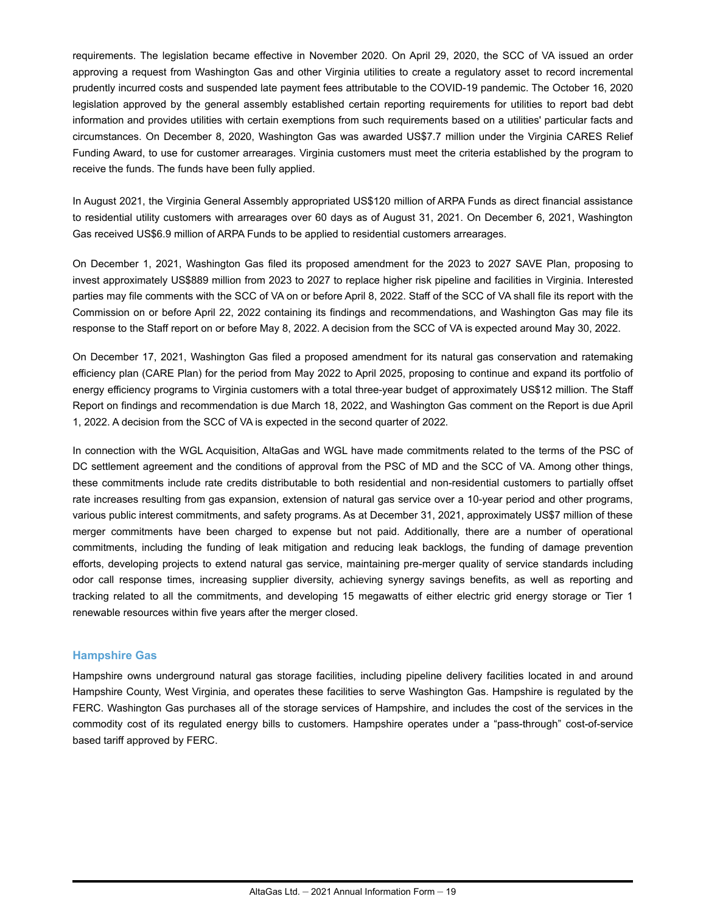requirements. The legislation became effective in November 2020. On April 29, 2020, the SCC of VA issued an order approving a request from Washington Gas and other Virginia utilities to create a regulatory asset to record incremental prudently incurred costs and suspended late payment fees attributable to the COVID-19 pandemic. The October 16, 2020 legislation approved by the general assembly established certain reporting requirements for utilities to report bad debt information and provides utilities with certain exemptions from such requirements based on a utilities' particular facts and circumstances. On December 8, 2020, Washington Gas was awarded US\$7.7 million under the Virginia CARES Relief Funding Award, to use for customer arrearages. Virginia customers must meet the criteria established by the program to receive the funds. The funds have been fully applied.

In August 2021, the Virginia General Assembly appropriated US\$120 million of ARPA Funds as direct financial assistance to residential utility customers with arrearages over 60 days as of August 31, 2021. On December 6, 2021, Washington Gas received US\$6.9 million of ARPA Funds to be applied to residential customers arrearages.

On December 1, 2021, Washington Gas filed its proposed amendment for the 2023 to 2027 SAVE Plan, proposing to invest approximately US\$889 million from 2023 to 2027 to replace higher risk pipeline and facilities in Virginia. Interested parties may file comments with the SCC of VA on or before April 8, 2022. Staff of the SCC of VA shall file its report with the Commission on or before April 22, 2022 containing its findings and recommendations, and Washington Gas may file its response to the Staff report on or before May 8, 2022. A decision from the SCC of VA is expected around May 30, 2022.

On December 17, 2021, Washington Gas filed a proposed amendment for its natural gas conservation and ratemaking efficiency plan (CARE Plan) for the period from May 2022 to April 2025, proposing to continue and expand its portfolio of energy efficiency programs to Virginia customers with a total three-year budget of approximately US\$12 million. The Staff Report on findings and recommendation is due March 18, 2022, and Washington Gas comment on the Report is due April 1, 2022. A decision from the SCC of VA is expected in the second quarter of 2022.

In connection with the WGL Acquisition, AltaGas and WGL have made commitments related to the terms of the PSC of DC settlement agreement and the conditions of approval from the PSC of MD and the SCC of VA. Among other things, these commitments include rate credits distributable to both residential and non-residential customers to partially offset rate increases resulting from gas expansion, extension of natural gas service over a 10-year period and other programs, various public interest commitments, and safety programs. As at December 31, 2021, approximately US\$7 million of these merger commitments have been charged to expense but not paid. Additionally, there are a number of operational commitments, including the funding of leak mitigation and reducing leak backlogs, the funding of damage prevention efforts, developing projects to extend natural gas service, maintaining pre-merger quality of service standards including odor call response times, increasing supplier diversity, achieving synergy savings benefits, as well as reporting and tracking related to all the commitments, and developing 15 megawatts of either electric grid energy storage or Tier 1 renewable resources within five years after the merger closed.

#### **Hampshire Gas**

Hampshire owns underground natural gas storage facilities, including pipeline delivery facilities located in and around Hampshire County, West Virginia, and operates these facilities to serve Washington Gas. Hampshire is regulated by the FERC. Washington Gas purchases all of the storage services of Hampshire, and includes the cost of the services in the commodity cost of its regulated energy bills to customers. Hampshire operates under a "pass-through" cost-of-service based tariff approved by FERC.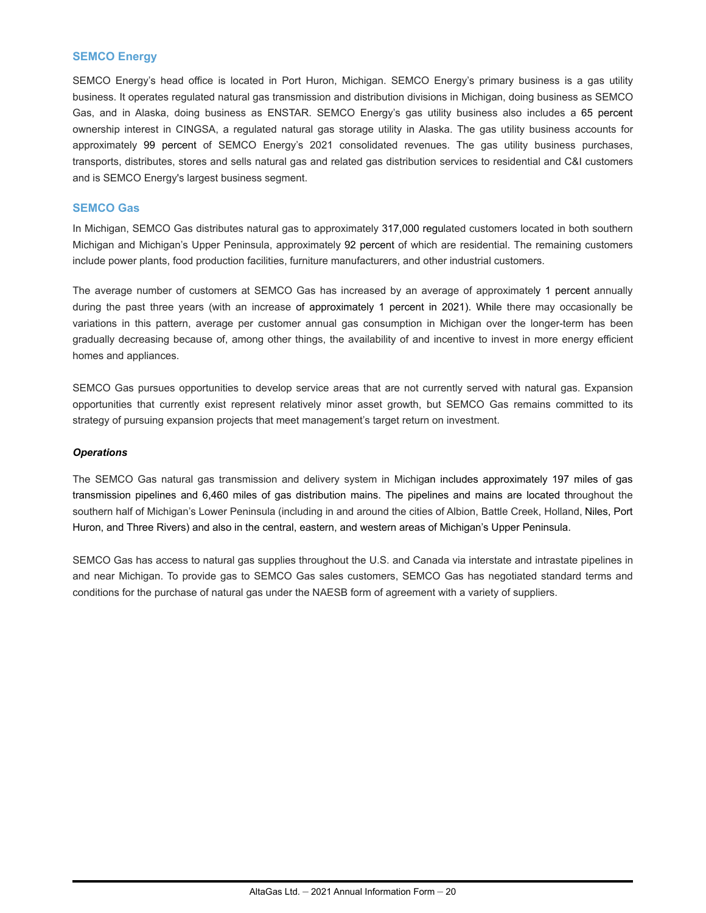#### **SEMCO Energy**

SEMCO Energy's head office is located in Port Huron, Michigan. SEMCO Energy's primary business is a gas utility business. It operates regulated natural gas transmission and distribution divisions in Michigan, doing business as SEMCO Gas, and in Alaska, doing business as ENSTAR. SEMCO Energy's gas utility business also includes a 65 percent ownership interest in CINGSA, a regulated natural gas storage utility in Alaska. The gas utility business accounts for approximately 99 percent of SEMCO Energy's 2021 consolidated revenues. The gas utility business purchases, transports, distributes, stores and sells natural gas and related gas distribution services to residential and C&I customers and is SEMCO Energy's largest business segment.

#### **SEMCO Gas**

In Michigan, SEMCO Gas distributes natural gas to approximately 317,000 regulated customers located in both southern Michigan and Michigan's Upper Peninsula, approximately 92 percent of which are residential. The remaining customers include power plants, food production facilities, furniture manufacturers, and other industrial customers.

The average number of customers at SEMCO Gas has increased by an average of approximately 1 percent annually during the past three years (with an increase of approximately 1 percent in 2021). While there may occasionally be variations in this pattern, average per customer annual gas consumption in Michigan over the longer-term has been gradually decreasing because of, among other things, the availability of and incentive to invest in more energy efficient homes and appliances.

SEMCO Gas pursues opportunities to develop service areas that are not currently served with natural gas. Expansion opportunities that currently exist represent relatively minor asset growth, but SEMCO Gas remains committed to its strategy of pursuing expansion projects that meet management's target return on investment.

#### *Operations*

The SEMCO Gas natural gas transmission and delivery system in Michigan includes approximately 197 miles of gas transmission pipelines and 6,460 miles of gas distribution mains. The pipelines and mains are located throughout the southern half of Michigan's Lower Peninsula (including in and around the cities of Albion, Battle Creek, Holland, Niles, Port Huron, and Three Rivers) and also in the central, eastern, and western areas of Michigan's Upper Peninsula.

SEMCO Gas has access to natural gas supplies throughout the U.S. and Canada via interstate and intrastate pipelines in and near Michigan. To provide gas to SEMCO Gas sales customers, SEMCO Gas has negotiated standard terms and conditions for the purchase of natural gas under the NAESB form of agreement with a variety of suppliers.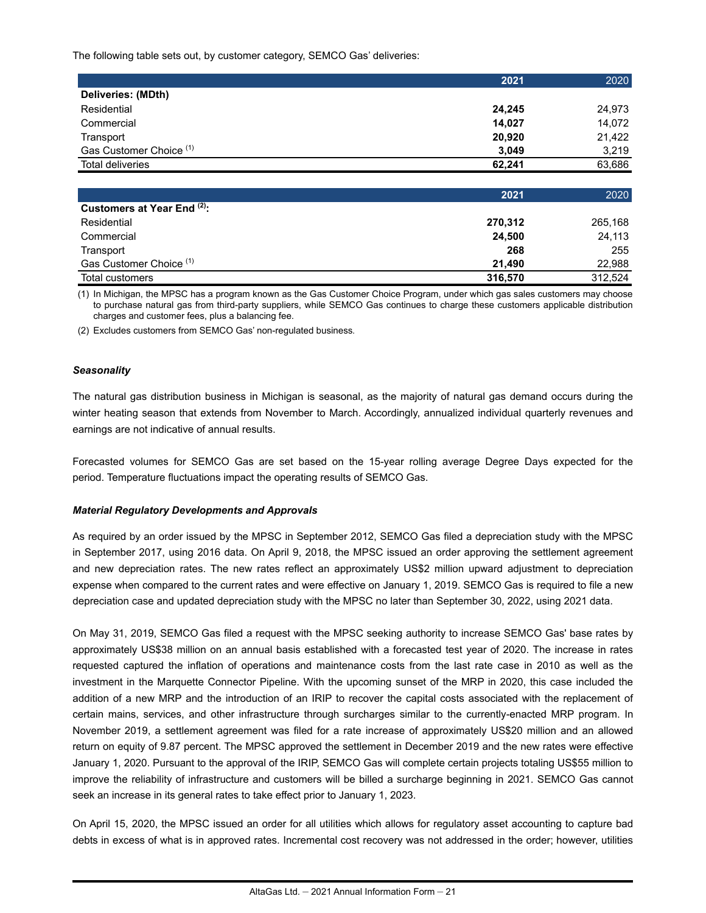The following table sets out, by customer category, SEMCO Gas' deliveries:

|                                    | 2021   | 2020   |
|------------------------------------|--------|--------|
| Deliveries: (MDth)                 |        |        |
| Residential                        | 24,245 | 24,973 |
| Commercial                         | 14,027 | 14,072 |
| Transport                          | 20,920 | 21,422 |
| Gas Customer Choice <sup>(1)</sup> | 3,049  | 3.219  |
| <b>Total deliveries</b>            | 62.241 | 63,686 |
|                                    |        |        |

|                                    | 2021    | 2020    |
|------------------------------------|---------|---------|
| Customers at Year End (2):         |         |         |
| Residential                        | 270,312 | 265.168 |
| Commercial                         | 24,500  | 24,113  |
| Transport                          | 268     | 255     |
| Gas Customer Choice <sup>(1)</sup> | 21.490  | 22.988  |
| Total customers                    | 316,570 | 312.524 |

(1) In Michigan, the MPSC has a program known as the Gas Customer Choice Program, under which gas sales customers may choose to purchase natural gas from third-party suppliers, while SEMCO Gas continues to charge these customers applicable distribution charges and customer fees, plus a balancing fee.

(2) Excludes customers from SEMCO Gas' non-regulated business.

#### *Seasonality*

The natural gas distribution business in Michigan is seasonal, as the majority of natural gas demand occurs during the winter heating season that extends from November to March. Accordingly, annualized individual quarterly revenues and earnings are not indicative of annual results.

Forecasted volumes for SEMCO Gas are set based on the 15-year rolling average Degree Days expected for the period. Temperature fluctuations impact the operating results of SEMCO Gas.

#### *Material Regulatory Developments and Approvals*

As required by an order issued by the MPSC in September 2012, SEMCO Gas filed a depreciation study with the MPSC in September 2017, using 2016 data. On April 9, 2018, the MPSC issued an order approving the settlement agreement and new depreciation rates. The new rates reflect an approximately US\$2 million upward adjustment to depreciation expense when compared to the current rates and were effective on January 1, 2019. SEMCO Gas is required to file a new depreciation case and updated depreciation study with the MPSC no later than September 30, 2022, using 2021 data.

On May 31, 2019, SEMCO Gas filed a request with the MPSC seeking authority to increase SEMCO Gas' base rates by approximately US\$38 million on an annual basis established with a forecasted test year of 2020. The increase in rates requested captured the inflation of operations and maintenance costs from the last rate case in 2010 as well as the investment in the Marquette Connector Pipeline. With the upcoming sunset of the MRP in 2020, this case included the addition of a new MRP and the introduction of an IRIP to recover the capital costs associated with the replacement of certain mains, services, and other infrastructure through surcharges similar to the currently-enacted MRP program. In November 2019, a settlement agreement was filed for a rate increase of approximately US\$20 million and an allowed return on equity of 9.87 percent. The MPSC approved the settlement in December 2019 and the new rates were effective January 1, 2020. Pursuant to the approval of the IRIP, SEMCO Gas will complete certain projects totaling US\$55 million to improve the reliability of infrastructure and customers will be billed a surcharge beginning in 2021. SEMCO Gas cannot seek an increase in its general rates to take effect prior to January 1, 2023.

On April 15, 2020, the MPSC issued an order for all utilities which allows for regulatory asset accounting to capture bad debts in excess of what is in approved rates. Incremental cost recovery was not addressed in the order; however, utilities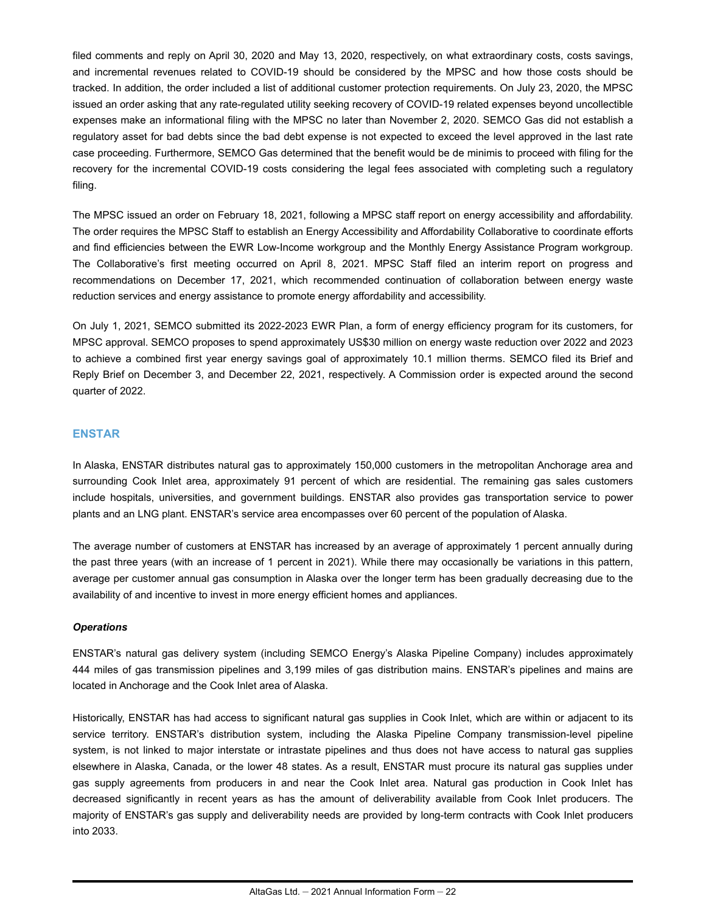filed comments and reply on April 30, 2020 and May 13, 2020, respectively, on what extraordinary costs, costs savings, and incremental revenues related to COVID-19 should be considered by the MPSC and how those costs should be tracked. In addition, the order included a list of additional customer protection requirements. On July 23, 2020, the MPSC issued an order asking that any rate-regulated utility seeking recovery of COVID-19 related expenses beyond uncollectible expenses make an informational filing with the MPSC no later than November 2, 2020. SEMCO Gas did not establish a regulatory asset for bad debts since the bad debt expense is not expected to exceed the level approved in the last rate case proceeding. Furthermore, SEMCO Gas determined that the benefit would be de minimis to proceed with filing for the recovery for the incremental COVID-19 costs considering the legal fees associated with completing such a regulatory filing.

The MPSC issued an order on February 18, 2021, following a MPSC staff report on energy accessibility and affordability. The order requires the MPSC Staff to establish an Energy Accessibility and Affordability Collaborative to coordinate efforts and find efficiencies between the EWR Low-Income workgroup and the Monthly Energy Assistance Program workgroup. The Collaborative's first meeting occurred on April 8, 2021. MPSC Staff filed an interim report on progress and recommendations on December 17, 2021, which recommended continuation of collaboration between energy waste reduction services and energy assistance to promote energy affordability and accessibility.

On July 1, 2021, SEMCO submitted its 2022-2023 EWR Plan, a form of energy efficiency program for its customers, for MPSC approval. SEMCO proposes to spend approximately US\$30 million on energy waste reduction over 2022 and 2023 to achieve a combined first year energy savings goal of approximately 10.1 million therms. SEMCO filed its Brief and Reply Brief on December 3, and December 22, 2021, respectively. A Commission order is expected around the second quarter of 2022.

#### **ENSTAR**

In Alaska, ENSTAR distributes natural gas to approximately 150,000 customers in the metropolitan Anchorage area and surrounding Cook Inlet area, approximately 91 percent of which are residential. The remaining gas sales customers include hospitals, universities, and government buildings. ENSTAR also provides gas transportation service to power plants and an LNG plant. ENSTAR's service area encompasses over 60 percent of the population of Alaska.

The average number of customers at ENSTAR has increased by an average of approximately 1 percent annually during the past three years (with an increase of 1 percent in 2021). While there may occasionally be variations in this pattern, average per customer annual gas consumption in Alaska over the longer term has been gradually decreasing due to the availability of and incentive to invest in more energy efficient homes and appliances.

#### *Operations*

ENSTAR's natural gas delivery system (including SEMCO Energy's Alaska Pipeline Company) includes approximately 444 miles of gas transmission pipelines and 3,199 miles of gas distribution mains. ENSTAR's pipelines and mains are located in Anchorage and the Cook Inlet area of Alaska.

Historically, ENSTAR has had access to significant natural gas supplies in Cook Inlet, which are within or adjacent to its service territory. ENSTAR's distribution system, including the Alaska Pipeline Company transmission-level pipeline system, is not linked to major interstate or intrastate pipelines and thus does not have access to natural gas supplies elsewhere in Alaska, Canada, or the lower 48 states. As a result, ENSTAR must procure its natural gas supplies under gas supply agreements from producers in and near the Cook Inlet area. Natural gas production in Cook Inlet has decreased significantly in recent years as has the amount of deliverability available from Cook Inlet producers. The majority of ENSTAR's gas supply and deliverability needs are provided by long-term contracts with Cook Inlet producers into 2033.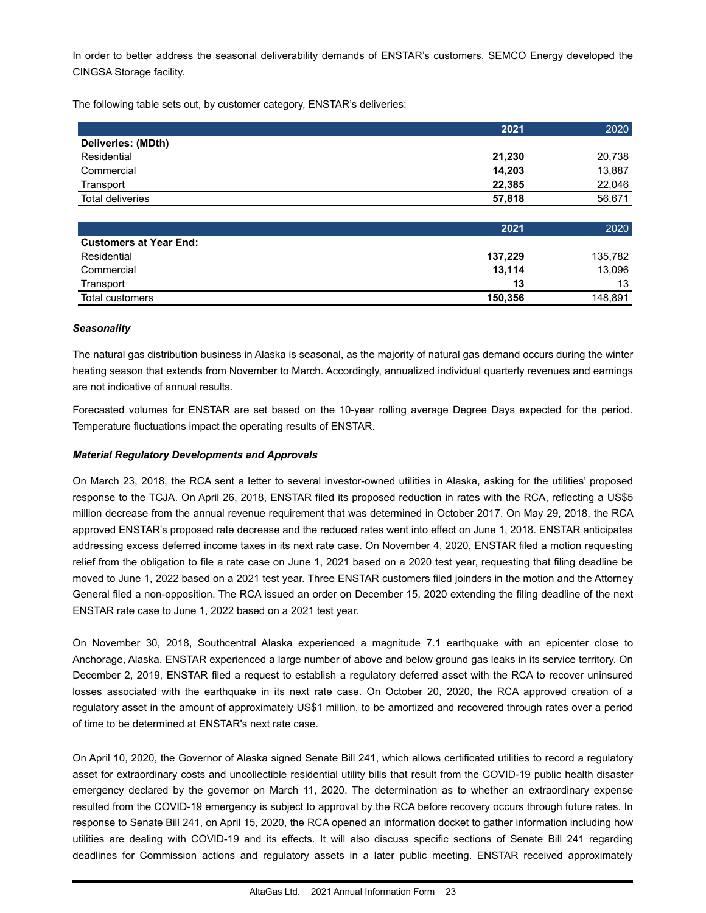In order to better address the seasonal deliverability demands of ENSTAR's customers, SEMCO Energy developed the CINGSA Storage facility.

The following table sets out, by customer category, ENSTAR's deliveries:

|                    | 2021   | 2020   |
|--------------------|--------|--------|
| Deliveries: (MDth) |        |        |
| Residential        | 21,230 | 20,738 |
| Commercial         | 14,203 | 13,887 |
| Transport          | 22.385 | 22.046 |
| Total deliveries   | 57.818 | 56,671 |
|                    |        |        |

|                               | 2021    | 2020    |
|-------------------------------|---------|---------|
| <b>Customers at Year End:</b> |         |         |
| Residential                   | 137,229 | 135,782 |
| Commercial                    | 13,114  | 13,096  |
| Transport                     | 13      | 13      |
| Total customers               | 150,356 | 148,891 |

#### *Seasonality*

The natural gas distribution business in Alaska is seasonal, as the majority of natural gas demand occurs during the winter heating season that extends from November to March. Accordingly, annualized individual quarterly revenues and earnings are not indicative of annual results.

Forecasted volumes for ENSTAR are set based on the 10-year rolling average Degree Days expected for the period. Temperature fluctuations impact the operating results of ENSTAR.

#### *Material Regulatory Developments and Approvals*

On March 23, 2018, the RCA sent a letter to several investor-owned utilities in Alaska, asking for the utilities' proposed response to the TCJA. On April 26, 2018, ENSTAR filed its proposed reduction in rates with the RCA, reflecting a US\$5 million decrease from the annual revenue requirement that was determined in October 2017. On May 29, 2018, the RCA approved ENSTAR's proposed rate decrease and the reduced rates went into effect on June 1, 2018. ENSTAR anticipates addressing excess deferred income taxes in its next rate case. On November 4, 2020, ENSTAR filed a motion requesting relief from the obligation to file a rate case on June 1, 2021 based on a 2020 test year, requesting that filing deadline be moved to June 1, 2022 based on a 2021 test year. Three ENSTAR customers filed joinders in the motion and the Attorney General filed a non-opposition. The RCA issued an order on December 15, 2020 extending the filing deadline of the next ENSTAR rate case to June 1, 2022 based on a 2021 test year.

On November 30, 2018, Southcentral Alaska experienced a magnitude 7.1 earthquake with an epicenter close to Anchorage, Alaska. ENSTAR experienced a large number of above and below ground gas leaks in its service territory. On December 2, 2019, ENSTAR filed a request to establish a regulatory deferred asset with the RCA to recover uninsured losses associated with the earthquake in its next rate case. On October 20, 2020, the RCA approved creation of a regulatory asset in the amount of approximately US\$1 million, to be amortized and recovered through rates over a period of time to be determined at ENSTAR's next rate case.

On April 10, 2020, the Governor of Alaska signed Senate Bill 241, which allows certificated utilities to record a regulatory asset for extraordinary costs and uncollectible residential utility bills that result from the COVID-19 public health disaster emergency declared by the governor on March 11, 2020. The determination as to whether an extraordinary expense resulted from the COVID-19 emergency is subject to approval by the RCA before recovery occurs through future rates. In response to Senate Bill 241, on April 15, 2020, the RCA opened an information docket to gather information including how utilities are dealing with COVID-19 and its effects. It will also discuss specific sections of Senate Bill 241 regarding deadlines for Commission actions and regulatory assets in a later public meeting. ENSTAR received approximately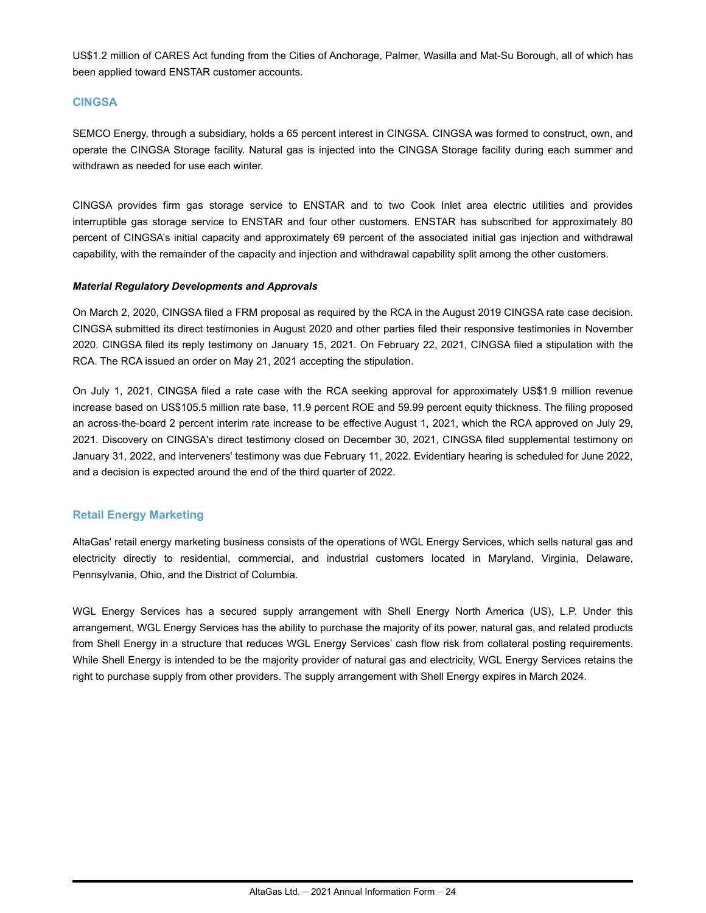US\$1.2 million of CARES Act funding from the Cities of Anchorage, Palmer, Wasilla and Mat-Su Borough, all of which has been applied toward ENSTAR customer accounts.

#### **CINGSA**

SEMCO Energy, through a subsidiary, holds a 65 percent interest in CINGSA. CINGSA was formed to construct, own, and operate the CINGSA Storage facility. Natural gas is injected into the CINGSA Storage facility during each summer and withdrawn as needed for use each winter.

CINGSA provides firm gas storage service to ENSTAR and to two Cook Inlet area electric utilities and provides interruptible gas storage service to ENSTAR and four other customers. ENSTAR has subscribed for approximately 80 percent of CINGSA's initial capacity and approximately 69 percent of the associated initial gas injection and withdrawal capability, with the remainder of the capacity and injection and withdrawal capability split among the other customers.

#### *Material Regulatory Developments and Approvals*

On March 2, 2020, CINGSA filed a FRM proposal as required by the RCA in the August 2019 CINGSA rate case decision. CINGSA submitted its direct testimonies in August 2020 and other parties filed their responsive testimonies in November 2020. CINGSA filed its reply testimony on January 15, 2021. On February 22, 2021, CINGSA filed a stipulation with the RCA. The RCA issued an order on May 21, 2021 accepting the stipulation.

On July 1, 2021, CINGSA filed a rate case with the RCA seeking approval for approximately US\$1.9 million revenue increase based on US\$105.5 million rate base, 11.9 percent ROE and 59.99 percent equity thickness. The filing proposed an across-the-board 2 percent interim rate increase to be effective August 1, 2021, which the RCA approved on July 29, 2021. Discovery on CINGSA's direct testimony closed on December 30, 2021, CINGSA filed supplemental testimony on January 31, 2022, and interveners' testimony was due February 11, 2022. Evidentiary hearing is scheduled for June 2022, and a decision is expected around the end of the third quarter of 2022.

#### **Retail Energy Marketing**

AltaGas' retail energy marketing business consists of the operations of WGL Energy Services, which sells natural gas and electricity directly to residential, commercial, and industrial customers located in Maryland, Virginia, Delaware, Pennsylvania, Ohio, and the District of Columbia.

WGL Energy Services has a secured supply arrangement with Shell Energy North America (US), L.P. Under this arrangement, WGL Energy Services has the ability to purchase the majority of its power, natural gas, and related products from Shell Energy in a structure that reduces WGL Energy Services' cash flow risk from collateral posting requirements. While Shell Energy is intended to be the majority provider of natural gas and electricity, WGL Energy Services retains the right to purchase supply from other providers. The supply arrangement with Shell Energy expires in March 2024.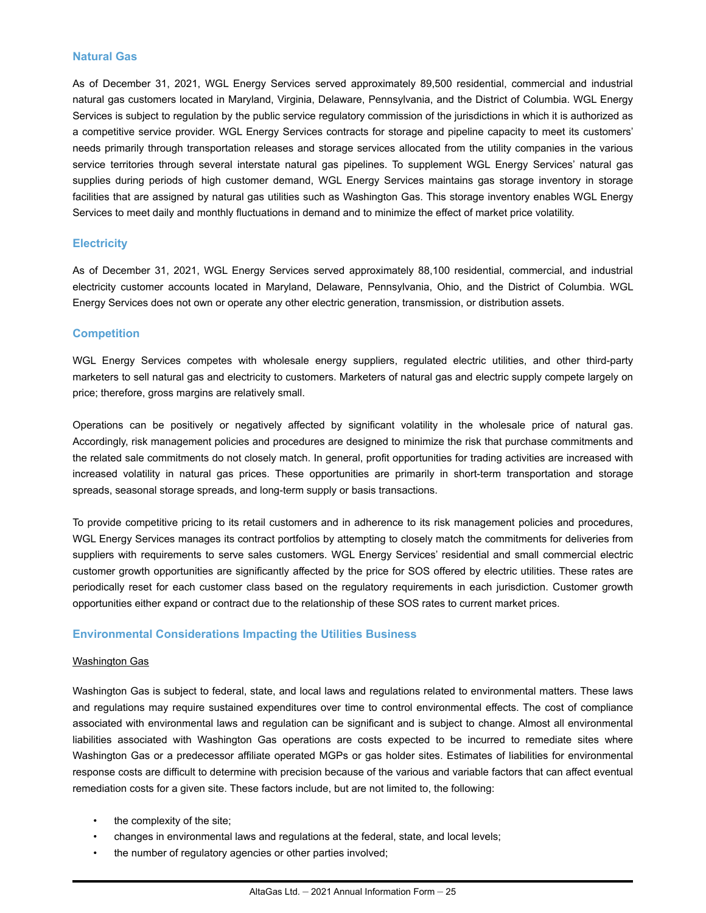#### **Natural Gas**

As of December 31, 2021, WGL Energy Services served approximately 89,500 residential, commercial and industrial natural gas customers located in Maryland, Virginia, Delaware, Pennsylvania, and the District of Columbia. WGL Energy Services is subject to regulation by the public service regulatory commission of the jurisdictions in which it is authorized as a competitive service provider. WGL Energy Services contracts for storage and pipeline capacity to meet its customers' needs primarily through transportation releases and storage services allocated from the utility companies in the various service territories through several interstate natural gas pipelines. To supplement WGL Energy Services' natural gas supplies during periods of high customer demand, WGL Energy Services maintains gas storage inventory in storage facilities that are assigned by natural gas utilities such as Washington Gas. This storage inventory enables WGL Energy Services to meet daily and monthly fluctuations in demand and to minimize the effect of market price volatility.

#### **Electricity**

As of December 31, 2021, WGL Energy Services served approximately 88,100 residential, commercial, and industrial electricity customer accounts located in Maryland, Delaware, Pennsylvania, Ohio, and the District of Columbia. WGL Energy Services does not own or operate any other electric generation, transmission, or distribution assets.

#### **Competition**

WGL Energy Services competes with wholesale energy suppliers, regulated electric utilities, and other third-party marketers to sell natural gas and electricity to customers. Marketers of natural gas and electric supply compete largely on price; therefore, gross margins are relatively small.

Operations can be positively or negatively affected by significant volatility in the wholesale price of natural gas. Accordingly, risk management policies and procedures are designed to minimize the risk that purchase commitments and the related sale commitments do not closely match. In general, profit opportunities for trading activities are increased with increased volatility in natural gas prices. These opportunities are primarily in short-term transportation and storage spreads, seasonal storage spreads, and long-term supply or basis transactions.

To provide competitive pricing to its retail customers and in adherence to its risk management policies and procedures, WGL Energy Services manages its contract portfolios by attempting to closely match the commitments for deliveries from suppliers with requirements to serve sales customers. WGL Energy Services' residential and small commercial electric customer growth opportunities are significantly affected by the price for SOS offered by electric utilities. These rates are periodically reset for each customer class based on the regulatory requirements in each jurisdiction. Customer growth opportunities either expand or contract due to the relationship of these SOS rates to current market prices.

#### **Environmental Considerations Impacting the Utilities Business**

#### Washington Gas

Washington Gas is subject to federal, state, and local laws and regulations related to environmental matters. These laws and regulations may require sustained expenditures over time to control environmental effects. The cost of compliance associated with environmental laws and regulation can be significant and is subject to change. Almost all environmental liabilities associated with Washington Gas operations are costs expected to be incurred to remediate sites where Washington Gas or a predecessor affiliate operated MGPs or gas holder sites. Estimates of liabilities for environmental response costs are difficult to determine with precision because of the various and variable factors that can affect eventual remediation costs for a given site. These factors include, but are not limited to, the following:

- the complexity of the site;
- changes in environmental laws and regulations at the federal, state, and local levels;
- the number of regulatory agencies or other parties involved;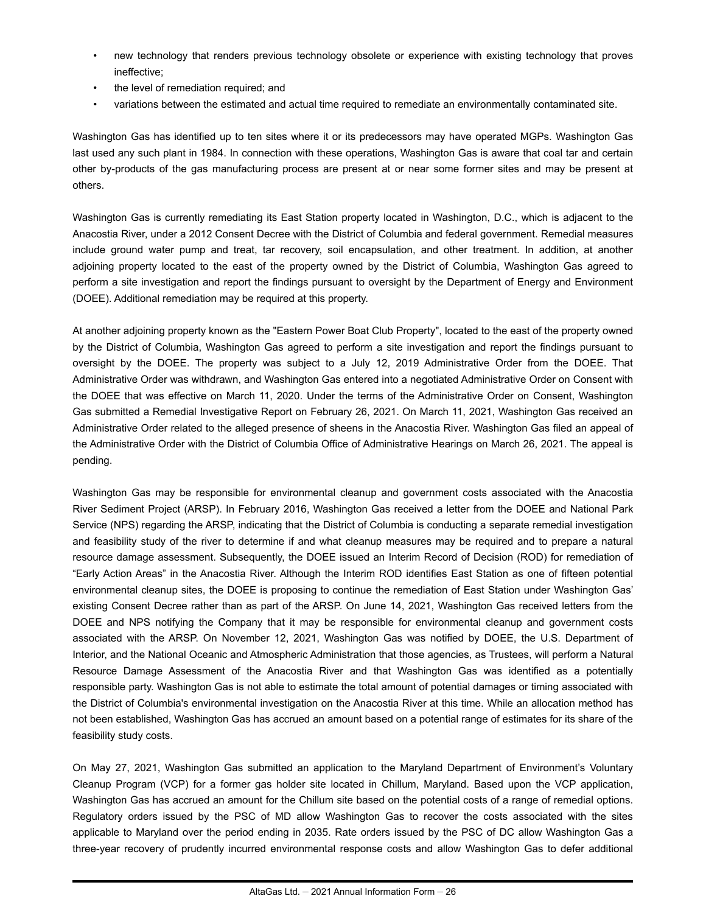- new technology that renders previous technology obsolete or experience with existing technology that proves ineffective;
- the level of remediation required; and
- variations between the estimated and actual time required to remediate an environmentally contaminated site.

Washington Gas has identified up to ten sites where it or its predecessors may have operated MGPs. Washington Gas last used any such plant in 1984. In connection with these operations, Washington Gas is aware that coal tar and certain other by-products of the gas manufacturing process are present at or near some former sites and may be present at others.

Washington Gas is currently remediating its East Station property located in Washington, D.C., which is adjacent to the Anacostia River, under a 2012 Consent Decree with the District of Columbia and federal government. Remedial measures include ground water pump and treat, tar recovery, soil encapsulation, and other treatment. In addition, at another adjoining property located to the east of the property owned by the District of Columbia, Washington Gas agreed to perform a site investigation and report the findings pursuant to oversight by the Department of Energy and Environment (DOEE). Additional remediation may be required at this property.

At another adjoining property known as the "Eastern Power Boat Club Property", located to the east of the property owned by the District of Columbia, Washington Gas agreed to perform a site investigation and report the findings pursuant to oversight by the DOEE. The property was subject to a July 12, 2019 Administrative Order from the DOEE. That Administrative Order was withdrawn, and Washington Gas entered into a negotiated Administrative Order on Consent with the DOEE that was effective on March 11, 2020. Under the terms of the Administrative Order on Consent, Washington Gas submitted a Remedial Investigative Report on February 26, 2021. On March 11, 2021, Washington Gas received an Administrative Order related to the alleged presence of sheens in the Anacostia River. Washington Gas filed an appeal of the Administrative Order with the District of Columbia Office of Administrative Hearings on March 26, 2021. The appeal is pending.

Washington Gas may be responsible for environmental cleanup and government costs associated with the Anacostia River Sediment Project (ARSP). In February 2016, Washington Gas received a letter from the DOEE and National Park Service (NPS) regarding the ARSP, indicating that the District of Columbia is conducting a separate remedial investigation and feasibility study of the river to determine if and what cleanup measures may be required and to prepare a natural resource damage assessment. Subsequently, the DOEE issued an Interim Record of Decision (ROD) for remediation of "Early Action Areas" in the Anacostia River. Although the Interim ROD identifies East Station as one of fifteen potential environmental cleanup sites, the DOEE is proposing to continue the remediation of East Station under Washington Gas' existing Consent Decree rather than as part of the ARSP. On June 14, 2021, Washington Gas received letters from the DOEE and NPS notifying the Company that it may be responsible for environmental cleanup and government costs associated with the ARSP. On November 12, 2021, Washington Gas was notified by DOEE, the U.S. Department of Interior, and the National Oceanic and Atmospheric Administration that those agencies, as Trustees, will perform a Natural Resource Damage Assessment of the Anacostia River and that Washington Gas was identified as a potentially responsible party. Washington Gas is not able to estimate the total amount of potential damages or timing associated with the District of Columbia's environmental investigation on the Anacostia River at this time. While an allocation method has not been established, Washington Gas has accrued an amount based on a potential range of estimates for its share of the feasibility study costs.

On May 27, 2021, Washington Gas submitted an application to the Maryland Department of Environment's Voluntary Cleanup Program (VCP) for a former gas holder site located in Chillum, Maryland. Based upon the VCP application, Washington Gas has accrued an amount for the Chillum site based on the potential costs of a range of remedial options. Regulatory orders issued by the PSC of MD allow Washington Gas to recover the costs associated with the sites applicable to Maryland over the period ending in 2035. Rate orders issued by the PSC of DC allow Washington Gas a three-year recovery of prudently incurred environmental response costs and allow Washington Gas to defer additional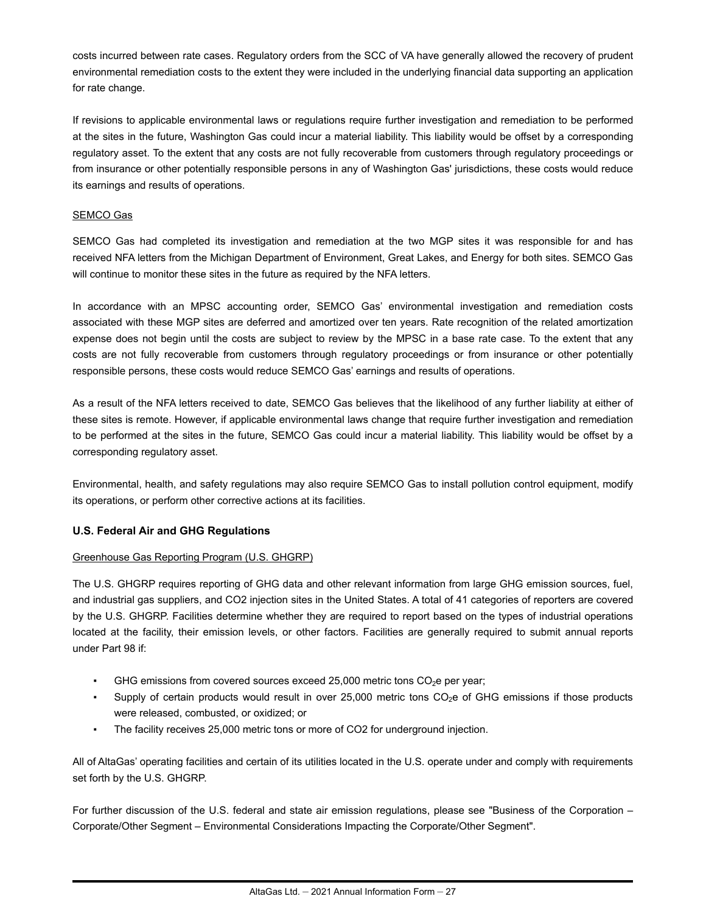costs incurred between rate cases. Regulatory orders from the SCC of VA have generally allowed the recovery of prudent environmental remediation costs to the extent they were included in the underlying financial data supporting an application for rate change.

If revisions to applicable environmental laws or regulations require further investigation and remediation to be performed at the sites in the future, Washington Gas could incur a material liability. This liability would be offset by a corresponding regulatory asset. To the extent that any costs are not fully recoverable from customers through regulatory proceedings or from insurance or other potentially responsible persons in any of Washington Gas' jurisdictions, these costs would reduce its earnings and results of operations.

#### SEMCO Gas

SEMCO Gas had completed its investigation and remediation at the two MGP sites it was responsible for and has received NFA letters from the Michigan Department of Environment, Great Lakes, and Energy for both sites. SEMCO Gas will continue to monitor these sites in the future as required by the NFA letters.

In accordance with an MPSC accounting order, SEMCO Gas' environmental investigation and remediation costs associated with these MGP sites are deferred and amortized over ten years. Rate recognition of the related amortization expense does not begin until the costs are subject to review by the MPSC in a base rate case. To the extent that any costs are not fully recoverable from customers through regulatory proceedings or from insurance or other potentially responsible persons, these costs would reduce SEMCO Gas' earnings and results of operations.

As a result of the NFA letters received to date, SEMCO Gas believes that the likelihood of any further liability at either of these sites is remote. However, if applicable environmental laws change that require further investigation and remediation to be performed at the sites in the future, SEMCO Gas could incur a material liability. This liability would be offset by a corresponding regulatory asset.

Environmental, health, and safety regulations may also require SEMCO Gas to install pollution control equipment, modify its operations, or perform other corrective actions at its facilities.

#### **U.S. Federal Air and GHG Regulations**

#### Greenhouse Gas Reporting Program (U.S. GHGRP)

The U.S. GHGRP requires reporting of GHG data and other relevant information from large GHG emission sources, fuel, and industrial gas suppliers, and CO2 injection sites in the United States. A total of 41 categories of reporters are covered by the U.S. GHGRP. Facilities determine whether they are required to report based on the types of industrial operations located at the facility, their emission levels, or other factors. Facilities are generally required to submit annual reports under Part 98 if:

- GHG emissions from covered sources exceed 25,000 metric tons  $CO<sub>2</sub>$ e per year;
- Supply of certain products would result in over  $25,000$  metric tons  $CO<sub>2</sub>e$  of GHG emissions if those products were released, combusted, or oxidized; or
- The facility receives 25,000 metric tons or more of CO2 for underground injection.

All of AltaGas' operating facilities and certain of its utilities located in the U.S. operate under and comply with requirements set forth by the U.S. GHGRP.

For further discussion of the U.S. federal and state air emission regulations, please see "Business of the Corporation -Corporate/Other Segment – Environmental Considerations Impacting the Corporate/Other Segment".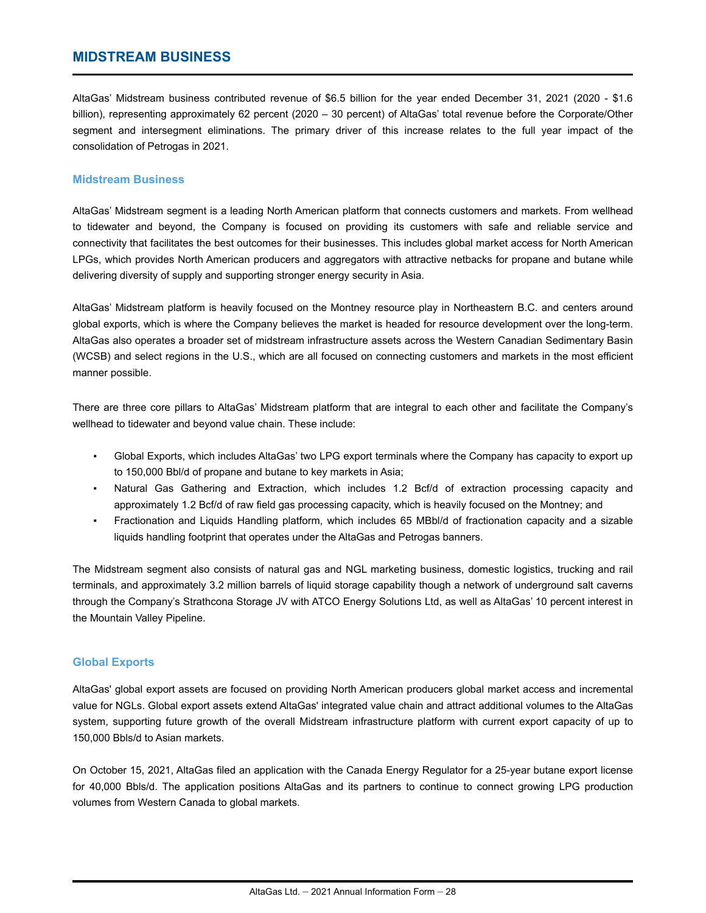## <span id="page-28-0"></span>**MIDSTREAM BUSINESS**

AltaGas' Midstream business contributed revenue of \$6.5 billion for the year ended December 31, 2021 (2020 - \$1.6 billion), representing approximately 62 percent (2020 – 30 percent) of AltaGas' total revenue before the Corporate/Other segment and intersegment eliminations. The primary driver of this increase relates to the full year impact of the consolidation of Petrogas in 2021.

#### **Midstream Business**

AltaGas' Midstream segment is a leading North American platform that connects customers and markets. From wellhead to tidewater and beyond, the Company is focused on providing its customers with safe and reliable service and connectivity that facilitates the best outcomes for their businesses. This includes global market access for North American LPGs, which provides North American producers and aggregators with attractive netbacks for propane and butane while delivering diversity of supply and supporting stronger energy security in Asia.

AltaGas' Midstream platform is heavily focused on the Montney resource play in Northeastern B.C. and centers around global exports, which is where the Company believes the market is headed for resource development over the long-term. AltaGas also operates a broader set of midstream infrastructure assets across the Western Canadian Sedimentary Basin (WCSB) and select regions in the U.S., which are all focused on connecting customers and markets in the most efficient manner possible.

There are three core pillars to AltaGas' Midstream platform that are integral to each other and facilitate the Company's wellhead to tidewater and beyond value chain. These include:

- Global Exports, which includes AltaGas' two LPG export terminals where the Company has capacity to export up to 150,000 Bbl/d of propane and butane to key markets in Asia;
- Natural Gas Gathering and Extraction, which includes 1.2 Bcf/d of extraction processing capacity and approximately 1.2 Bcf/d of raw field gas processing capacity, which is heavily focused on the Montney; and
- Fractionation and Liquids Handling platform, which includes 65 MBbl/d of fractionation capacity and a sizable liquids handling footprint that operates under the AltaGas and Petrogas banners.

The Midstream segment also consists of natural gas and NGL marketing business, domestic logistics, trucking and rail terminals, and approximately 3.2 million barrels of liquid storage capability though a network of underground salt caverns through the Company's Strathcona Storage JV with ATCO Energy Solutions Ltd, as well as AltaGas' 10 percent interest in the Mountain Valley Pipeline.

#### **Global Exports**

AltaGas' global export assets are focused on providing North American producers global market access and incremental value for NGLs. Global export assets extend AltaGas' integrated value chain and attract additional volumes to the AltaGas system, supporting future growth of the overall Midstream infrastructure platform with current export capacity of up to 150,000 Bbls/d to Asian markets.

On October 15, 2021, AltaGas filed an application with the Canada Energy Regulator for a 25-year butane export license for 40,000 Bbls/d. The application positions AltaGas and its partners to continue to connect growing LPG production volumes from Western Canada to global markets.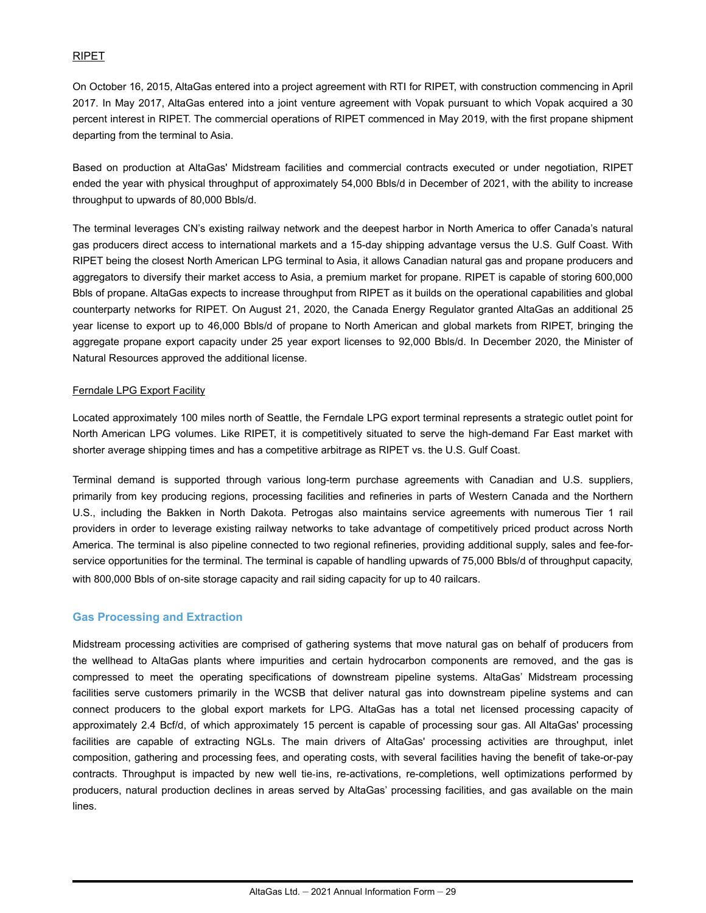#### RIPET

On October 16, 2015, AltaGas entered into a project agreement with RTI for RIPET, with construction commencing in April 2017. In May 2017, AltaGas entered into a joint venture agreement with Vopak pursuant to which Vopak acquired a 30 percent interest in RIPET. The commercial operations of RIPET commenced in May 2019, with the first propane shipment departing from the terminal to Asia.

Based on production at AltaGas' Midstream facilities and commercial contracts executed or under negotiation, RIPET ended the year with physical throughput of approximately 54,000 Bbls/d in December of 2021, with the ability to increase throughput to upwards of 80,000 Bbls/d.

The terminal leverages CN's existing railway network and the deepest harbor in North America to offer Canada's natural gas producers direct access to international markets and a 15-day shipping advantage versus the U.S. Gulf Coast. With RIPET being the closest North American LPG terminal to Asia, it allows Canadian natural gas and propane producers and aggregators to diversify their market access to Asia, a premium market for propane. RIPET is capable of storing 600,000 Bbls of propane. AltaGas expects to increase throughput from RIPET as it builds on the operational capabilities and global counterparty networks for RIPET. On August 21, 2020, the Canada Energy Regulator granted AltaGas an additional 25 year license to export up to 46,000 Bbls/d of propane to North American and global markets from RIPET, bringing the aggregate propane export capacity under 25 year export licenses to 92,000 Bbls/d. In December 2020, the Minister of Natural Resources approved the additional license.

#### Ferndale LPG Export Facility

Located approximately 100 miles north of Seattle, the Ferndale LPG export terminal represents a strategic outlet point for North American LPG volumes. Like RIPET, it is competitively situated to serve the high-demand Far East market with shorter average shipping times and has a competitive arbitrage as RIPET vs. the U.S. Gulf Coast.

Terminal demand is supported through various long-term purchase agreements with Canadian and U.S. suppliers, primarily from key producing regions, processing facilities and refineries in parts of Western Canada and the Northern U.S., including the Bakken in North Dakota. Petrogas also maintains service agreements with numerous Tier 1 rail providers in order to leverage existing railway networks to take advantage of competitively priced product across North America. The terminal is also pipeline connected to two regional refineries, providing additional supply, sales and fee-forservice opportunities for the terminal. The terminal is capable of handling upwards of 75,000 Bbls/d of throughput capacity, with 800,000 Bbls of on-site storage capacity and rail siding capacity for up to 40 railcars.

#### **Gas Processing and Extraction**

Midstream processing activities are comprised of gathering systems that move natural gas on behalf of producers from the wellhead to AltaGas plants where impurities and certain hydrocarbon components are removed, and the gas is compressed to meet the operating specifications of downstream pipeline systems. AltaGas' Midstream processing facilities serve customers primarily in the WCSB that deliver natural gas into downstream pipeline systems and can connect producers to the global export markets for LPG. AltaGas has a total net licensed processing capacity of approximately 2.4 Bcf/d, of which approximately 15 percent is capable of processing sour gas. All AltaGas' processing facilities are capable of extracting NGLs. The main drivers of AltaGas' processing activities are throughput, inlet composition, gathering and processing fees, and operating costs, with several facilities having the benefit of take-or-pay contracts. Throughput is impacted by new well tie-ins, re-activations, re-completions, well optimizations performed by producers, natural production declines in areas served by AltaGas' processing facilities, and gas available on the main lines.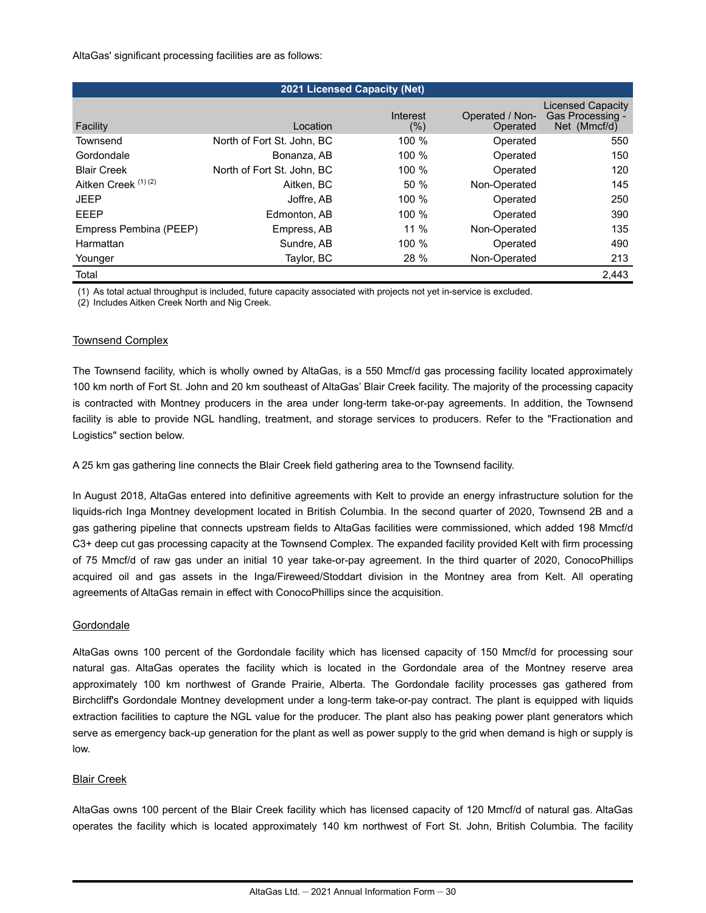AltaGas' significant processing facilities are as follows:

| <b>2021 Licensed Capacity (Net)</b> |                            |                 |                             |                                                              |  |  |
|-------------------------------------|----------------------------|-----------------|-----------------------------|--------------------------------------------------------------|--|--|
| Facility                            | Location                   | Interest<br>(%) | Operated / Non-<br>Operated | <b>Licensed Capacity</b><br>Gas Processing -<br>Net (Mmcf/d) |  |  |
| Townsend                            | North of Fort St. John, BC | 100 %           | Operated                    | 550                                                          |  |  |
| Gordondale                          | Bonanza, AB                | 100 $%$         | Operated                    | 150                                                          |  |  |
| <b>Blair Creek</b>                  | North of Fort St. John. BC | 100 %           | Operated                    | 120                                                          |  |  |
| Aitken Creek <sup>(1)(2)</sup>      | Aitken, BC                 | 50%             | Non-Operated                | 145                                                          |  |  |
| <b>JEEP</b>                         | Joffre, AB                 | 100 %           | Operated                    | 250                                                          |  |  |
| EEEP                                | Edmonton, AB               | $100 \%$        | Operated                    | 390                                                          |  |  |
| Empress Pembina (PEEP)              | Empress, AB                | $11\%$          | Non-Operated                | 135                                                          |  |  |
| Harmattan                           | Sundre, AB                 | $100 \%$        | Operated                    | 490                                                          |  |  |
| Younger                             | Taylor, BC                 | 28 %            | Non-Operated                | 213                                                          |  |  |
| Total                               |                            |                 |                             | 2,443                                                        |  |  |

(1) As total actual throughput is included, future capacity associated with projects not yet in-service is excluded. (2) Includes Aitken Creek North and Nig Creek.

#### Townsend Complex

The Townsend facility, which is wholly owned by AltaGas, is a 550 Mmcf/d gas processing facility located approximately 100 km north of Fort St. John and 20 km southeast of AltaGas' Blair Creek facility. The majority of the processing capacity is contracted with Montney producers in the area under long-term take-or-pay agreements. In addition, the Townsend facility is able to provide NGL handling, treatment, and storage services to producers. Refer to the "Fractionation and Logistics" section below.

A 25 km gas gathering line connects the Blair Creek field gathering area to the Townsend facility.

In August 2018, AltaGas entered into definitive agreements with Kelt to provide an energy infrastructure solution for the liquids-rich Inga Montney development located in British Columbia. In the second quarter of 2020, Townsend 2B and a gas gathering pipeline that connects upstream fields to AltaGas facilities were commissioned, which added 198 Mmcf/d C3+ deep cut gas processing capacity at the Townsend Complex. The expanded facility provided Kelt with firm processing of 75 Mmcf/d of raw gas under an initial 10 year take-or-pay agreement. In the third quarter of 2020, ConocoPhillips acquired oil and gas assets in the Inga/Fireweed/Stoddart division in the Montney area from Kelt. All operating agreements of AltaGas remain in effect with ConocoPhillips since the acquisition.

#### **Gordondale**

AltaGas owns 100 percent of the Gordondale facility which has licensed capacity of 150 Mmcf/d for processing sour natural gas. AltaGas operates the facility which is located in the Gordondale area of the Montney reserve area approximately 100 km northwest of Grande Prairie, Alberta. The Gordondale facility processes gas gathered from Birchcliff's Gordondale Montney development under a long-term take-or-pay contract. The plant is equipped with liquids extraction facilities to capture the NGL value for the producer. The plant also has peaking power plant generators which serve as emergency back-up generation for the plant as well as power supply to the grid when demand is high or supply is low.

#### Blair Creek

AltaGas owns 100 percent of the Blair Creek facility which has licensed capacity of 120 Mmcf/d of natural gas. AltaGas operates the facility which is located approximately 140 km northwest of Fort St. John, British Columbia. The facility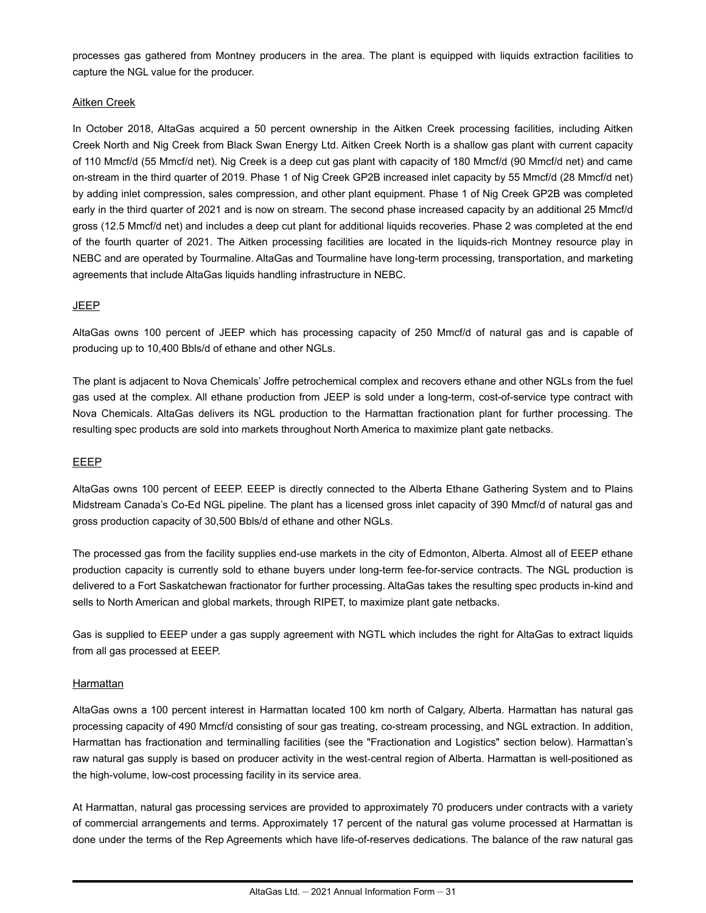processes gas gathered from Montney producers in the area. The plant is equipped with liquids extraction facilities to capture the NGL value for the producer.

#### Aitken Creek

In October 2018, AltaGas acquired a 50 percent ownership in the Aitken Creek processing facilities, including Aitken Creek North and Nig Creek from Black Swan Energy Ltd. Aitken Creek North is a shallow gas plant with current capacity of 110 Mmcf/d (55 Mmcf/d net). Nig Creek is a deep cut gas plant with capacity of 180 Mmcf/d (90 Mmcf/d net) and came on-stream in the third quarter of 2019. Phase 1 of Nig Creek GP2B increased inlet capacity by 55 Mmcf/d (28 Mmcf/d net) by adding inlet compression, sales compression, and other plant equipment. Phase 1 of Nig Creek GP2B was completed early in the third quarter of 2021 and is now on stream. The second phase increased capacity by an additional 25 Mmcf/d gross (12.5 Mmcf/d net) and includes a deep cut plant for additional liquids recoveries. Phase 2 was completed at the end of the fourth quarter of 2021. The Aitken processing facilities are located in the liquids-rich Montney resource play in NEBC and are operated by Tourmaline. AltaGas and Tourmaline have long-term processing, transportation, and marketing agreements that include AltaGas liquids handling infrastructure in NEBC.

#### JEEP

AltaGas owns 100 percent of JEEP which has processing capacity of 250 Mmcf/d of natural gas and is capable of producing up to 10,400 Bbls/d of ethane and other NGLs.

The plant is adjacent to Nova Chemicals' Joffre petrochemical complex and recovers ethane and other NGLs from the fuel gas used at the complex. All ethane production from JEEP is sold under a long-term, cost-of-service type contract with Nova Chemicals. AltaGas delivers its NGL production to the Harmattan fractionation plant for further processing. The resulting spec products are sold into markets throughout North America to maximize plant gate netbacks.

#### EEEP

AltaGas owns 100 percent of EEEP. EEEP is directly connected to the Alberta Ethane Gathering System and to Plains Midstream Canada's Co-Ed NGL pipeline. The plant has a licensed gross inlet capacity of 390 Mmcf/d of natural gas and gross production capacity of 30,500 Bbls/d of ethane and other NGLs.

The processed gas from the facility supplies end-use markets in the city of Edmonton, Alberta. Almost all of EEEP ethane production capacity is currently sold to ethane buyers under long-term fee-for-service contracts. The NGL production is delivered to a Fort Saskatchewan fractionator for further processing. AltaGas takes the resulting spec products in-kind and sells to North American and global markets, through RIPET, to maximize plant gate netbacks.

Gas is supplied to EEEP under a gas supply agreement with NGTL which includes the right for AltaGas to extract liquids from all gas processed at EEEP.

#### **Harmattan**

AltaGas owns a 100 percent interest in Harmattan located 100 km north of Calgary, Alberta. Harmattan has natural gas processing capacity of 490 Mmcf/d consisting of sour gas treating, co-stream processing, and NGL extraction. In addition, Harmattan has fractionation and terminalling facilities (see the "Fractionation and Logistics" section below). Harmattan's raw natural gas supply is based on producer activity in the west-central region of Alberta. Harmattan is well-positioned as the high-volume, low-cost processing facility in its service area.

At Harmattan, natural gas processing services are provided to approximately 70 producers under contracts with a variety of commercial arrangements and terms. Approximately 17 percent of the natural gas volume processed at Harmattan is done under the terms of the Rep Agreements which have life-of-reserves dedications. The balance of the raw natural gas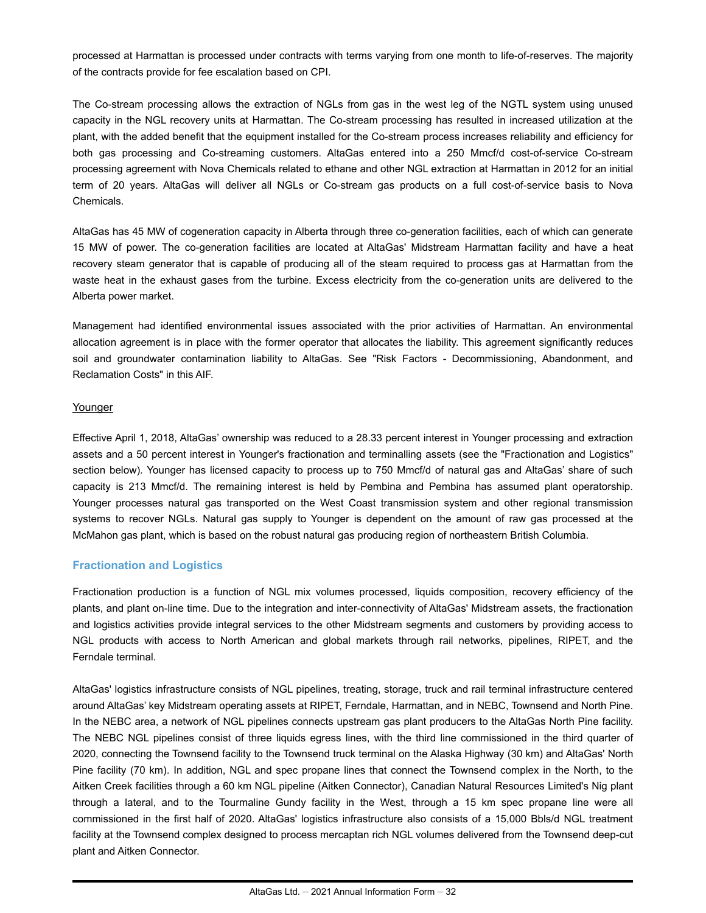processed at Harmattan is processed under contracts with terms varying from one month to life-of-reserves. The majority of the contracts provide for fee escalation based on CPI.

The Co-stream processing allows the extraction of NGLs from gas in the west leg of the NGTL system using unused capacity in the NGL recovery units at Harmattan. The Co‑stream processing has resulted in increased utilization at the plant, with the added benefit that the equipment installed for the Co-stream process increases reliability and efficiency for both gas processing and Co-streaming customers. AltaGas entered into a 250 Mmcf/d cost-of-service Co-stream processing agreement with Nova Chemicals related to ethane and other NGL extraction at Harmattan in 2012 for an initial term of 20 years. AltaGas will deliver all NGLs or Co-stream gas products on a full cost-of-service basis to Nova Chemicals.

AltaGas has 45 MW of cogeneration capacity in Alberta through three co-generation facilities, each of which can generate 15 MW of power. The co-generation facilities are located at AltaGas' Midstream Harmattan facility and have a heat recovery steam generator that is capable of producing all of the steam required to process gas at Harmattan from the waste heat in the exhaust gases from the turbine. Excess electricity from the co-generation units are delivered to the Alberta power market.

Management had identified environmental issues associated with the prior activities of Harmattan. An environmental allocation agreement is in place with the former operator that allocates the liability. This agreement significantly reduces soil and groundwater contamination liability to AltaGas. See "Risk Factors - Decommissioning, Abandonment, and Reclamation Costs" in this AIF.

#### **Younger**

Effective April 1, 2018, AltaGas' ownership was reduced to a 28.33 percent interest in Younger processing and extraction assets and a 50 percent interest in Younger's fractionation and terminalling assets (see the "Fractionation and Logistics" section below). Younger has licensed capacity to process up to 750 Mmcf/d of natural gas and AltaGas' share of such capacity is 213 Mmcf/d. The remaining interest is held by Pembina and Pembina has assumed plant operatorship. Younger processes natural gas transported on the West Coast transmission system and other regional transmission systems to recover NGLs. Natural gas supply to Younger is dependent on the amount of raw gas processed at the McMahon gas plant, which is based on the robust natural gas producing region of northeastern British Columbia.

#### **Fractionation and Logistics**

Fractionation production is a function of NGL mix volumes processed, liquids composition, recovery efficiency of the plants, and plant on-line time. Due to the integration and inter-connectivity of AltaGas' Midstream assets, the fractionation and logistics activities provide integral services to the other Midstream segments and customers by providing access to NGL products with access to North American and global markets through rail networks, pipelines, RIPET, and the Ferndale terminal.

AltaGas' logistics infrastructure consists of NGL pipelines, treating, storage, truck and rail terminal infrastructure centered around AltaGas' key Midstream operating assets at RIPET, Ferndale, Harmattan, and in NEBC, Townsend and North Pine. In the NEBC area, a network of NGL pipelines connects upstream gas plant producers to the AltaGas North Pine facility. The NEBC NGL pipelines consist of three liquids egress lines, with the third line commissioned in the third quarter of 2020, connecting the Townsend facility to the Townsend truck terminal on the Alaska Highway (30 km) and AltaGas' North Pine facility (70 km). In addition, NGL and spec propane lines that connect the Townsend complex in the North, to the Aitken Creek facilities through a 60 km NGL pipeline (Aitken Connector), Canadian Natural Resources Limited's Nig plant through a lateral, and to the Tourmaline Gundy facility in the West, through a 15 km spec propane line were all commissioned in the first half of 2020. AltaGas' logistics infrastructure also consists of a 15,000 Bbls/d NGL treatment facility at the Townsend complex designed to process mercaptan rich NGL volumes delivered from the Townsend deep-cut plant and Aitken Connector.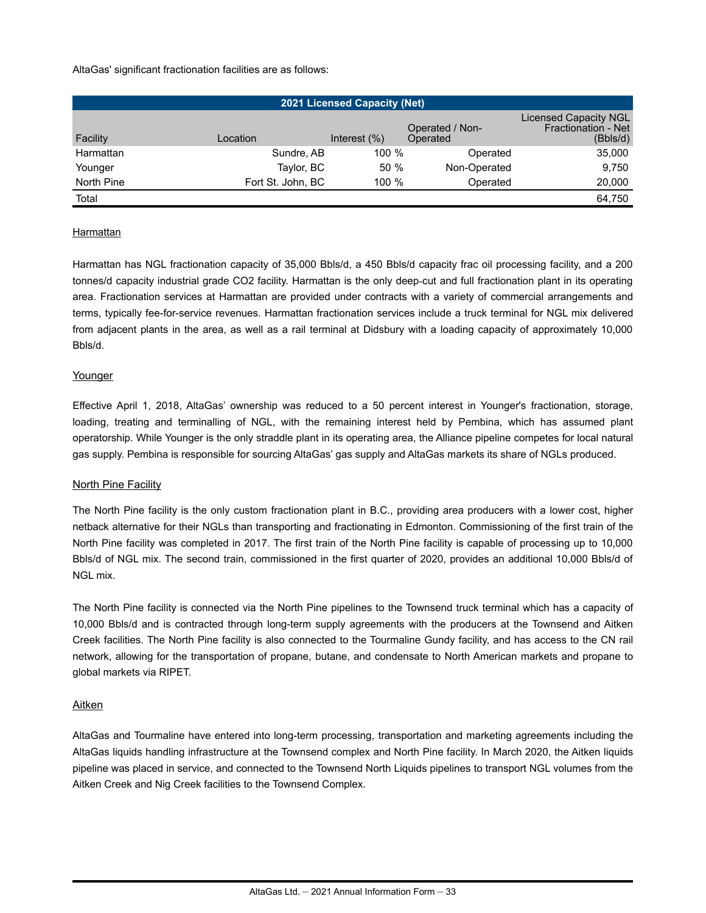AltaGas' significant fractionation facilities are as follows:

| <b>2021 Licensed Capacity (Net)</b> |                   |                 |                             |                                                                 |  |  |
|-------------------------------------|-------------------|-----------------|-----------------------------|-----------------------------------------------------------------|--|--|
| Facility                            | Location          | Interest $(\%)$ | Operated / Non-<br>Operated | <b>Licensed Capacity NGL</b><br>Fractionation - Net<br>(Bbls/d) |  |  |
| Harmattan                           | Sundre, AB        | 100 %           | Operated                    | 35,000                                                          |  |  |
| Younger                             | Taylor, BC        | 50%             | Non-Operated                | 9.750                                                           |  |  |
| North Pine                          | Fort St. John, BC | 100 %           | Operated                    | 20,000                                                          |  |  |
| Total                               |                   |                 |                             | 64.750                                                          |  |  |

#### **Harmattan**

Harmattan has NGL fractionation capacity of 35,000 Bbls/d, a 450 Bbls/d capacity frac oil processing facility, and a 200 tonnes/d capacity industrial grade CO2 facility. Harmattan is the only deep-cut and full fractionation plant in its operating area. Fractionation services at Harmattan are provided under contracts with a variety of commercial arrangements and terms, typically fee-for-service revenues. Harmattan fractionation services include a truck terminal for NGL mix delivered from adjacent plants in the area, as well as a rail terminal at Didsbury with a loading capacity of approximately 10,000 Bbls/d.

#### Younger

Effective April 1, 2018, AltaGas' ownership was reduced to a 50 percent interest in Younger's fractionation, storage, loading, treating and terminalling of NGL, with the remaining interest held by Pembina, which has assumed plant operatorship. While Younger is the only straddle plant in its operating area, the Alliance pipeline competes for local natural gas supply. Pembina is responsible for sourcing AltaGas' gas supply and AltaGas markets its share of NGLs produced.

#### **North Pine Facility**

The North Pine facility is the only custom fractionation plant in B.C., providing area producers with a lower cost, higher netback alternative for their NGLs than transporting and fractionating in Edmonton. Commissioning of the first train of the North Pine facility was completed in 2017. The first train of the North Pine facility is capable of processing up to 10,000 Bbls/d of NGL mix. The second train, commissioned in the first quarter of 2020, provides an additional 10,000 Bbls/d of NGL mix.

The North Pine facility is connected via the North Pine pipelines to the Townsend truck terminal which has a capacity of 10,000 Bbls/d and is contracted through long-term supply agreements with the producers at the Townsend and Aitken Creek facilities. The North Pine facility is also connected to the Tourmaline Gundy facility, and has access to the CN rail network, allowing for the transportation of propane, butane, and condensate to North American markets and propane to global markets via RIPET.

#### Aitken

AltaGas and Tourmaline have entered into long-term processing, transportation and marketing agreements including the AltaGas liquids handling infrastructure at the Townsend complex and North Pine facility. In March 2020, the Aitken liquids pipeline was placed in service, and connected to the Townsend North Liquids pipelines to transport NGL volumes from the Aitken Creek and Nig Creek facilities to the Townsend Complex.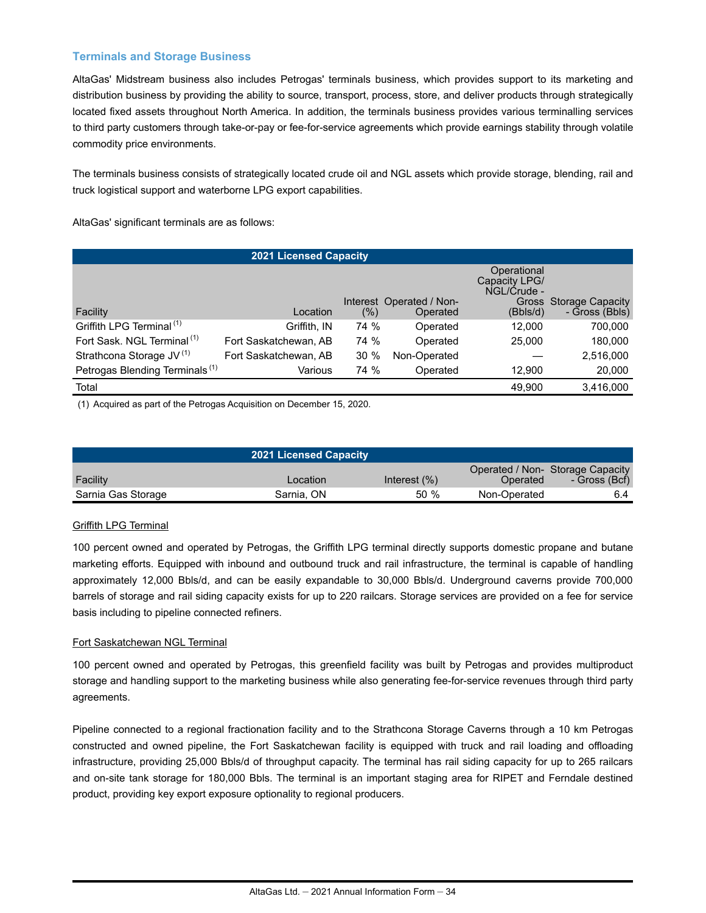#### **Terminals and Storage Business**

AltaGas' Midstream business also includes Petrogas' terminals business, which provides support to its marketing and distribution business by providing the ability to source, transport, process, store, and deliver products through strategically located fixed assets throughout North America. In addition, the terminals business provides various terminalling services to third party customers through take-or-pay or fee-for-service agreements which provide earnings stability through volatile commodity price environments.

The terminals business consists of strategically located crude oil and NGL assets which provide storage, blending, rail and truck logistical support and waterborne LPG export capabilities.

AltaGas' significant terminals are as follows:

| <b>2021 Licensed Capacity</b>              |                       |        |                          |                                             |                        |  |  |
|--------------------------------------------|-----------------------|--------|--------------------------|---------------------------------------------|------------------------|--|--|
|                                            |                       |        | Interest Operated / Non- | Operational<br>Capacity LPG/<br>NGL/Crude - | Gross Storage Capacity |  |  |
| Facility                                   | Location              | $(\%)$ | Operated                 | (Bbls/d)                                    | - Gross (Bbls)         |  |  |
| Griffith LPG Terminal <sup>(1)</sup>       | Griffith, IN          | 74 %   | Operated                 | 12.000                                      | 700,000                |  |  |
| Fort Sask. NGL Terminal <sup>(1)</sup>     | Fort Saskatchewan, AB | 74 %   | Operated                 | 25,000                                      | 180,000                |  |  |
| Strathcona Storage JV <sup>(1)</sup>       | Fort Saskatchewan, AB | 30%    | Non-Operated             |                                             | 2,516,000              |  |  |
| Petrogas Blending Terminals <sup>(1)</sup> | Various               | 74 %   | Operated                 | 12,900                                      | 20,000                 |  |  |
| Total                                      |                       |        |                          | 49,900                                      | 3,416,000              |  |  |

(1) Acquired as part of the Petrogas Acquisition on December 15, 2020.

|                    | <b>2021 Licensed Capacity</b> |                 |              |                                                   |
|--------------------|-------------------------------|-----------------|--------------|---------------------------------------------------|
| Facility           | Location                      | Interest $(\%)$ | Operated     | Operated / Non- Storage Capacity<br>- Gross (Bcf) |
| Sarnia Gas Storage | Sarnia, ON                    | 50%             | Non-Operated | 6.4                                               |

#### Griffith LPG Terminal

100 percent owned and operated by Petrogas, the Griffith LPG terminal directly supports domestic propane and butane marketing efforts. Equipped with inbound and outbound truck and rail infrastructure, the terminal is capable of handling approximately 12,000 Bbls/d, and can be easily expandable to 30,000 Bbls/d. Underground caverns provide 700,000 barrels of storage and rail siding capacity exists for up to 220 railcars. Storage services are provided on a fee for service basis including to pipeline connected refiners.

#### Fort Saskatchewan NGL Terminal

100 percent owned and operated by Petrogas, this greenfield facility was built by Petrogas and provides multiproduct storage and handling support to the marketing business while also generating fee-for-service revenues through third party agreements.

Pipeline connected to a regional fractionation facility and to the Strathcona Storage Caverns through a 10 km Petrogas constructed and owned pipeline, the Fort Saskatchewan facility is equipped with truck and rail loading and offloading infrastructure, providing 25,000 Bbls/d of throughput capacity. The terminal has rail siding capacity for up to 265 railcars and on-site tank storage for 180,000 Bbls. The terminal is an important staging area for RIPET and Ferndale destined product, providing key export exposure optionality to regional producers.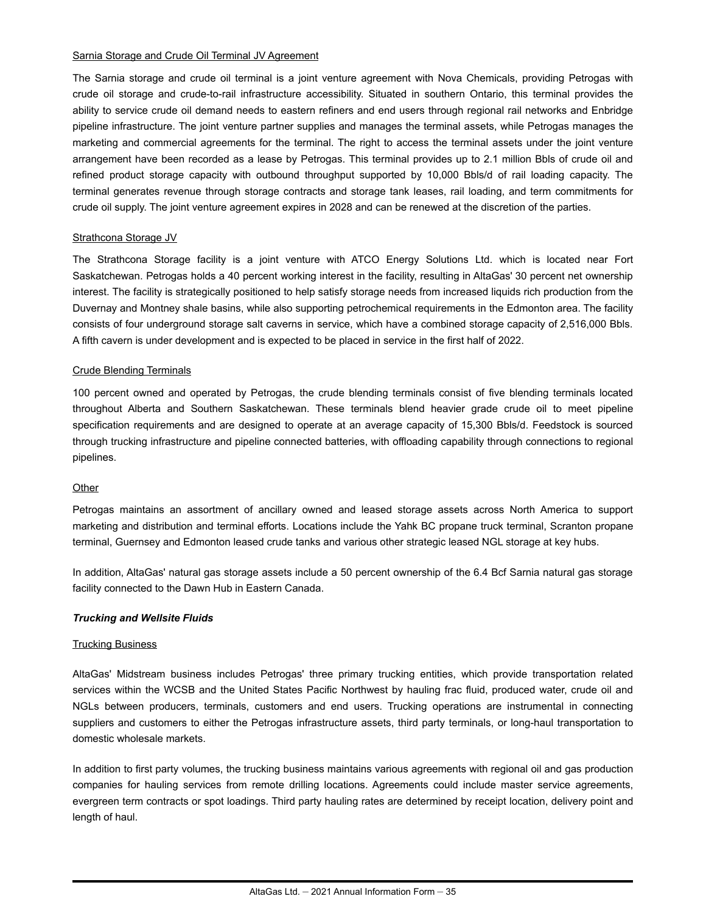#### Sarnia Storage and Crude Oil Terminal JV Agreement

The Sarnia storage and crude oil terminal is a joint venture agreement with Nova Chemicals, providing Petrogas with crude oil storage and crude-to-rail infrastructure accessibility. Situated in southern Ontario, this terminal provides the ability to service crude oil demand needs to eastern refiners and end users through regional rail networks and Enbridge pipeline infrastructure. The joint venture partner supplies and manages the terminal assets, while Petrogas manages the marketing and commercial agreements for the terminal. The right to access the terminal assets under the joint venture arrangement have been recorded as a lease by Petrogas. This terminal provides up to 2.1 million Bbls of crude oil and refined product storage capacity with outbound throughput supported by 10,000 Bbls/d of rail loading capacity. The terminal generates revenue through storage contracts and storage tank leases, rail loading, and term commitments for crude oil supply. The joint venture agreement expires in 2028 and can be renewed at the discretion of the parties.

#### Strathcona Storage JV

The Strathcona Storage facility is a joint venture with ATCO Energy Solutions Ltd. which is located near Fort Saskatchewan. Petrogas holds a 40 percent working interest in the facility, resulting in AltaGas' 30 percent net ownership interest. The facility is strategically positioned to help satisfy storage needs from increased liquids rich production from the Duvernay and Montney shale basins, while also supporting petrochemical requirements in the Edmonton area. The facility consists of four underground storage salt caverns in service, which have a combined storage capacity of 2,516,000 Bbls. A fifth cavern is under development and is expected to be placed in service in the first half of 2022.

#### Crude Blending Terminals

100 percent owned and operated by Petrogas, the crude blending terminals consist of five blending terminals located throughout Alberta and Southern Saskatchewan. These terminals blend heavier grade crude oil to meet pipeline specification requirements and are designed to operate at an average capacity of 15,300 Bbls/d. Feedstock is sourced through trucking infrastructure and pipeline connected batteries, with offloading capability through connections to regional pipelines.

#### **Other**

Petrogas maintains an assortment of ancillary owned and leased storage assets across North America to support marketing and distribution and terminal efforts. Locations include the Yahk BC propane truck terminal, Scranton propane terminal, Guernsey and Edmonton leased crude tanks and various other strategic leased NGL storage at key hubs.

In addition, AltaGas' natural gas storage assets include a 50 percent ownership of the 6.4 Bcf Sarnia natural gas storage facility connected to the Dawn Hub in Eastern Canada.

#### *Trucking and Wellsite Fluids*

#### Trucking Business

AltaGas' Midstream business includes Petrogas' three primary trucking entities, which provide transportation related services within the WCSB and the United States Pacific Northwest by hauling frac fluid, produced water, crude oil and NGLs between producers, terminals, customers and end users. Trucking operations are instrumental in connecting suppliers and customers to either the Petrogas infrastructure assets, third party terminals, or long-haul transportation to domestic wholesale markets.

In addition to first party volumes, the trucking business maintains various agreements with regional oil and gas production companies for hauling services from remote drilling locations. Agreements could include master service agreements, evergreen term contracts or spot loadings. Third party hauling rates are determined by receipt location, delivery point and length of haul.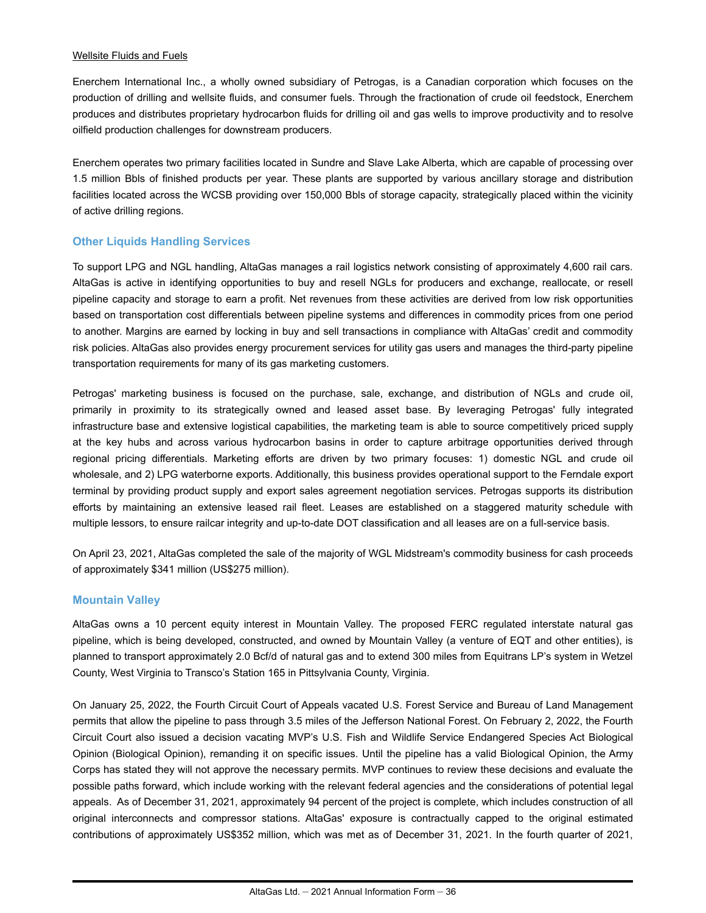### Wellsite Fluids and Fuels

Enerchem International Inc., a wholly owned subsidiary of Petrogas, is a Canadian corporation which focuses on the production of drilling and wellsite fluids, and consumer fuels. Through the fractionation of crude oil feedstock, Enerchem produces and distributes proprietary hydrocarbon fluids for drilling oil and gas wells to improve productivity and to resolve oilfield production challenges for downstream producers.

Enerchem operates two primary facilities located in Sundre and Slave Lake Alberta, which are capable of processing over 1.5 million Bbls of finished products per year. These plants are supported by various ancillary storage and distribution facilities located across the WCSB providing over 150,000 Bbls of storage capacity, strategically placed within the vicinity of active drilling regions.

# **Other Liquids Handling Services**

To support LPG and NGL handling, AltaGas manages a rail logistics network consisting of approximately 4,600 rail cars. AltaGas is active in identifying opportunities to buy and resell NGLs for producers and exchange, reallocate, or resell pipeline capacity and storage to earn a profit. Net revenues from these activities are derived from low risk opportunities based on transportation cost differentials between pipeline systems and differences in commodity prices from one period to another. Margins are earned by locking in buy and sell transactions in compliance with AltaGas' credit and commodity risk policies. AltaGas also provides energy procurement services for utility gas users and manages the third-party pipeline transportation requirements for many of its gas marketing customers.

Petrogas' marketing business is focused on the purchase, sale, exchange, and distribution of NGLs and crude oil, primarily in proximity to its strategically owned and leased asset base. By leveraging Petrogas' fully integrated infrastructure base and extensive logistical capabilities, the marketing team is able to source competitively priced supply at the key hubs and across various hydrocarbon basins in order to capture arbitrage opportunities derived through regional pricing differentials. Marketing efforts are driven by two primary focuses: 1) domestic NGL and crude oil wholesale, and 2) LPG waterborne exports. Additionally, this business provides operational support to the Ferndale export terminal by providing product supply and export sales agreement negotiation services. Petrogas supports its distribution efforts by maintaining an extensive leased rail fleet. Leases are established on a staggered maturity schedule with multiple lessors, to ensure railcar integrity and up-to-date DOT classification and all leases are on a full-service basis.

On April 23, 2021, AltaGas completed the sale of the majority of WGL Midstream's commodity business for cash proceeds of approximately \$341 million (US\$275 million).

### **Mountain Valley**

AltaGas owns a 10 percent equity interest in Mountain Valley. The proposed FERC regulated interstate natural gas pipeline, which is being developed, constructed, and owned by Mountain Valley (a venture of EQT and other entities), is planned to transport approximately 2.0 Bcf/d of natural gas and to extend 300 miles from Equitrans LP's system in Wetzel County, West Virginia to Transco's Station 165 in Pittsylvania County, Virginia.

On January 25, 2022, the Fourth Circuit Court of Appeals vacated U.S. Forest Service and Bureau of Land Management permits that allow the pipeline to pass through 3.5 miles of the Jefferson National Forest. On February 2, 2022, the Fourth Circuit Court also issued a decision vacating MVP's U.S. Fish and Wildlife Service Endangered Species Act Biological Opinion (Biological Opinion), remanding it on specific issues. Until the pipeline has a valid Biological Opinion, the Army Corps has stated they will not approve the necessary permits. MVP continues to review these decisions and evaluate the possible paths forward, which include working with the relevant federal agencies and the considerations of potential legal appeals. As of December 31, 2021, approximately 94 percent of the project is complete, which includes construction of all original interconnects and compressor stations. AltaGas' exposure is contractually capped to the original estimated contributions of approximately US\$352 million, which was met as of December 31, 2021. In the fourth quarter of 2021,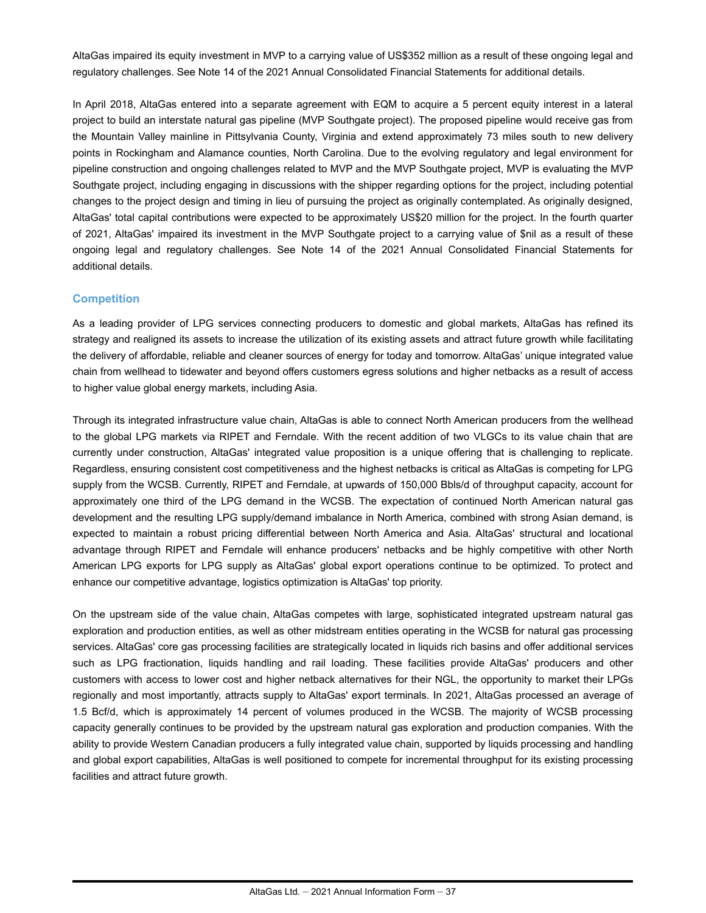AltaGas impaired its equity investment in MVP to a carrying value of US\$352 million as a result of these ongoing legal and regulatory challenges. See Note 14 of the 2021 Annual Consolidated Financial Statements for additional details.

In April 2018, AltaGas entered into a separate agreement with EQM to acquire a 5 percent equity interest in a lateral project to build an interstate natural gas pipeline (MVP Southgate project). The proposed pipeline would receive gas from the Mountain Valley mainline in Pittsylvania County, Virginia and extend approximately 73 miles south to new delivery points in Rockingham and Alamance counties, North Carolina. Due to the evolving regulatory and legal environment for pipeline construction and ongoing challenges related to MVP and the MVP Southgate project, MVP is evaluating the MVP Southgate project, including engaging in discussions with the shipper regarding options for the project, including potential changes to the project design and timing in lieu of pursuing the project as originally contemplated. As originally designed, AltaGas' total capital contributions were expected to be approximately US\$20 million for the project. In the fourth quarter of 2021, AltaGas' impaired its investment in the MVP Southgate project to a carrying value of \$nil as a result of these ongoing legal and regulatory challenges. See Note 14 of the 2021 Annual Consolidated Financial Statements for additional details.

### **Competition**

As a leading provider of LPG services connecting producers to domestic and global markets, AltaGas has refined its strategy and realigned its assets to increase the utilization of its existing assets and attract future growth while facilitating the delivery of affordable, reliable and cleaner sources of energy for today and tomorrow. AltaGas' unique integrated value chain from wellhead to tidewater and beyond offers customers egress solutions and higher netbacks as a result of access to higher value global energy markets, including Asia.

Through its integrated infrastructure value chain, AltaGas is able to connect North American producers from the wellhead to the global LPG markets via RIPET and Ferndale. With the recent addition of two VLGCs to its value chain that are currently under construction, AltaGas' integrated value proposition is a unique offering that is challenging to replicate. Regardless, ensuring consistent cost competitiveness and the highest netbacks is critical as AltaGas is competing for LPG supply from the WCSB. Currently, RIPET and Ferndale, at upwards of 150,000 Bbls/d of throughput capacity, account for approximately one third of the LPG demand in the WCSB. The expectation of continued North American natural gas development and the resulting LPG supply/demand imbalance in North America, combined with strong Asian demand, is expected to maintain a robust pricing differential between North America and Asia. AltaGas' structural and locational advantage through RIPET and Ferndale will enhance producers' netbacks and be highly competitive with other North American LPG exports for LPG supply as AltaGas' global export operations continue to be optimized. To protect and enhance our competitive advantage, logistics optimization is AltaGas' top priority.

On the upstream side of the value chain, AltaGas competes with large, sophisticated integrated upstream natural gas exploration and production entities, as well as other midstream entities operating in the WCSB for natural gas processing services. AltaGas' core gas processing facilities are strategically located in liquids rich basins and offer additional services such as LPG fractionation, liquids handling and rail loading. These facilities provide AltaGas' producers and other customers with access to lower cost and higher netback alternatives for their NGL, the opportunity to market their LPGs regionally and most importantly, attracts supply to AltaGas' export terminals. In 2021, AltaGas processed an average of 1.5 Bcf/d, which is approximately 14 percent of volumes produced in the WCSB. The majority of WCSB processing capacity generally continues to be provided by the upstream natural gas exploration and production companies. With the ability to provide Western Canadian producers a fully integrated value chain, supported by liquids processing and handling and global export capabilities, AltaGas is well positioned to compete for incremental throughput for its existing processing facilities and attract future growth.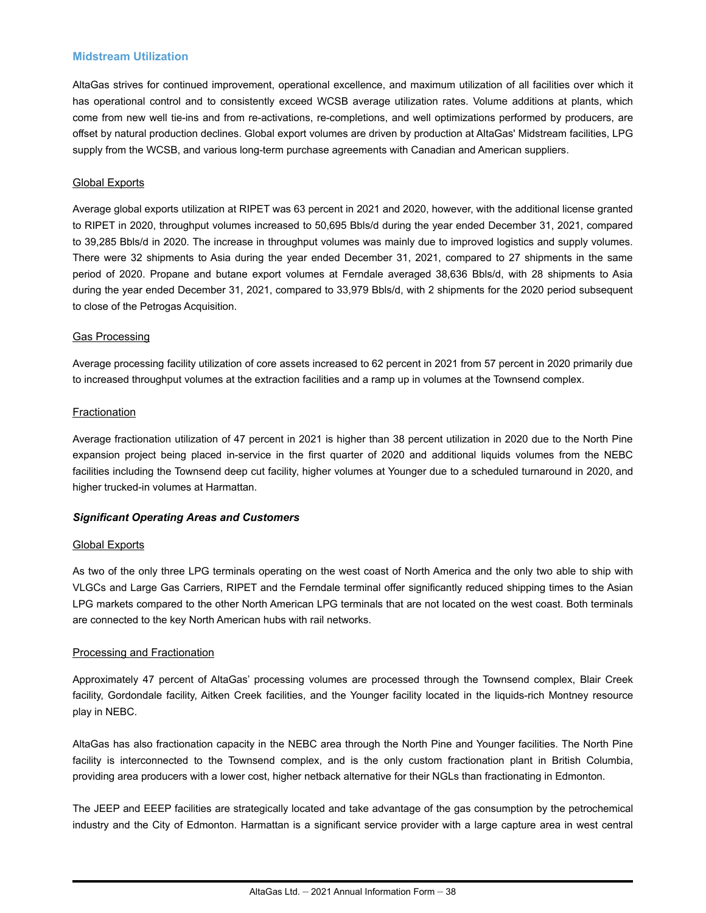### **Midstream Utilization**

AltaGas strives for continued improvement, operational excellence, and maximum utilization of all facilities over which it has operational control and to consistently exceed WCSB average utilization rates. Volume additions at plants, which come from new well tie-ins and from re-activations, re-completions, and well optimizations performed by producers, are offset by natural production declines. Global export volumes are driven by production at AltaGas' Midstream facilities, LPG supply from the WCSB, and various long-term purchase agreements with Canadian and American suppliers.

### Global Exports

Average global exports utilization at RIPET was 63 percent in 2021 and 2020, however, with the additional license granted to RIPET in 2020, throughput volumes increased to 50,695 Bbls/d during the year ended December 31, 2021, compared to 39,285 Bbls/d in 2020. The increase in throughput volumes was mainly due to improved logistics and supply volumes. There were 32 shipments to Asia during the year ended December 31, 2021, compared to 27 shipments in the same period of 2020. Propane and butane export volumes at Ferndale averaged 38,636 Bbls/d, with 28 shipments to Asia during the year ended December 31, 2021, compared to 33,979 Bbls/d, with 2 shipments for the 2020 period subsequent to close of the Petrogas Acquisition.

### Gas Processing

Average processing facility utilization of core assets increased to 62 percent in 2021 from 57 percent in 2020 primarily due to increased throughput volumes at the extraction facilities and a ramp up in volumes at the Townsend complex.

### **Fractionation**

Average fractionation utilization of 47 percent in 2021 is higher than 38 percent utilization in 2020 due to the North Pine expansion project being placed in-service in the first quarter of 2020 and additional liquids volumes from the NEBC facilities including the Townsend deep cut facility, higher volumes at Younger due to a scheduled turnaround in 2020, and higher trucked-in volumes at Harmattan.

### *Significant Operating Areas and Customers*

### Global Exports

As two of the only three LPG terminals operating on the west coast of North America and the only two able to ship with VLGCs and Large Gas Carriers, RIPET and the Ferndale terminal offer significantly reduced shipping times to the Asian LPG markets compared to the other North American LPG terminals that are not located on the west coast. Both terminals are connected to the key North American hubs with rail networks.

#### Processing and Fractionation

Approximately 47 percent of AltaGas' processing volumes are processed through the Townsend complex, Blair Creek facility, Gordondale facility, Aitken Creek facilities, and the Younger facility located in the liquids-rich Montney resource play in NEBC.

AltaGas has also fractionation capacity in the NEBC area through the North Pine and Younger facilities. The North Pine facility is interconnected to the Townsend complex, and is the only custom fractionation plant in British Columbia, providing area producers with a lower cost, higher netback alternative for their NGLs than fractionating in Edmonton.

The JEEP and EEEP facilities are strategically located and take advantage of the gas consumption by the petrochemical industry and the City of Edmonton. Harmattan is a significant service provider with a large capture area in west central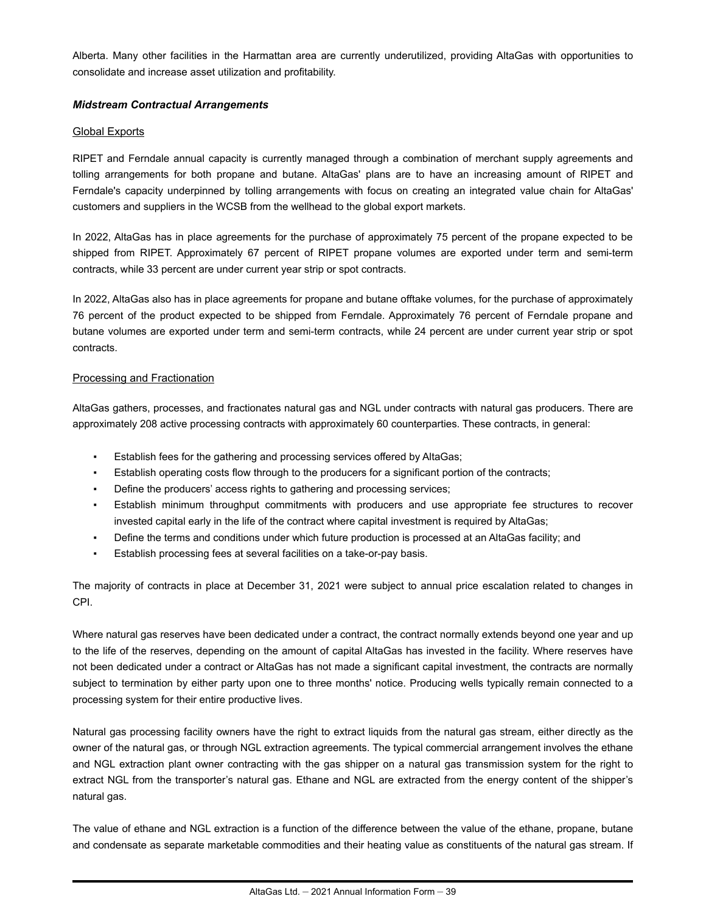Alberta. Many other facilities in the Harmattan area are currently underutilized, providing AltaGas with opportunities to consolidate and increase asset utilization and profitability.

### *Midstream Contractual Arrangements*

### **Global Exports**

RIPET and Ferndale annual capacity is currently managed through a combination of merchant supply agreements and tolling arrangements for both propane and butane. AltaGas' plans are to have an increasing amount of RIPET and Ferndale's capacity underpinned by tolling arrangements with focus on creating an integrated value chain for AltaGas' customers and suppliers in the WCSB from the wellhead to the global export markets.

In 2022, AltaGas has in place agreements for the purchase of approximately 75 percent of the propane expected to be shipped from RIPET. Approximately 67 percent of RIPET propane volumes are exported under term and semi-term contracts, while 33 percent are under current year strip or spot contracts.

In 2022, AltaGas also has in place agreements for propane and butane offtake volumes, for the purchase of approximately 76 percent of the product expected to be shipped from Ferndale. Approximately 76 percent of Ferndale propane and butane volumes are exported under term and semi-term contracts, while 24 percent are under current year strip or spot contracts.

### Processing and Fractionation

AltaGas gathers, processes, and fractionates natural gas and NGL under contracts with natural gas producers. There are approximately 208 active processing contracts with approximately 60 counterparties. These contracts, in general:

- Establish fees for the gathering and processing services offered by AltaGas;
- Establish operating costs flow through to the producers for a significant portion of the contracts;
- Define the producers' access rights to gathering and processing services;
- Establish minimum throughput commitments with producers and use appropriate fee structures to recover invested capital early in the life of the contract where capital investment is required by AltaGas;
- Define the terms and conditions under which future production is processed at an AltaGas facility; and
- Establish processing fees at several facilities on a take-or-pay basis.

The majority of contracts in place at December 31, 2021 were subject to annual price escalation related to changes in CPI.

Where natural gas reserves have been dedicated under a contract, the contract normally extends beyond one year and up to the life of the reserves, depending on the amount of capital AltaGas has invested in the facility. Where reserves have not been dedicated under a contract or AltaGas has not made a significant capital investment, the contracts are normally subject to termination by either party upon one to three months' notice. Producing wells typically remain connected to a processing system for their entire productive lives.

Natural gas processing facility owners have the right to extract liquids from the natural gas stream, either directly as the owner of the natural gas, or through NGL extraction agreements. The typical commercial arrangement involves the ethane and NGL extraction plant owner contracting with the gas shipper on a natural gas transmission system for the right to extract NGL from the transporter's natural gas. Ethane and NGL are extracted from the energy content of the shipper's natural gas.

The value of ethane and NGL extraction is a function of the difference between the value of the ethane, propane, butane and condensate as separate marketable commodities and their heating value as constituents of the natural gas stream. If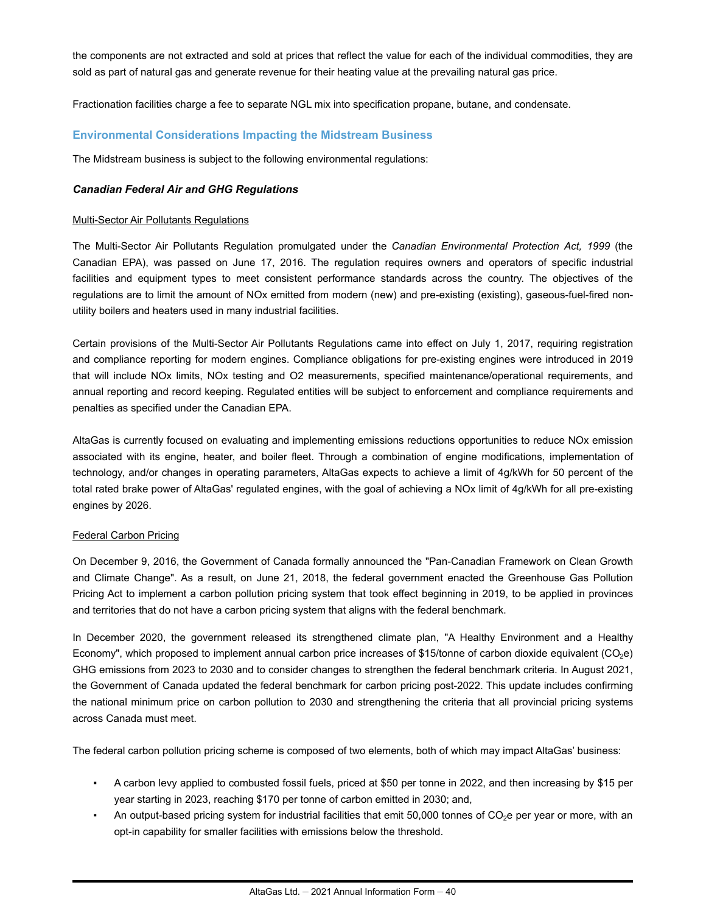the components are not extracted and sold at prices that reflect the value for each of the individual commodities, they are sold as part of natural gas and generate revenue for their heating value at the prevailing natural gas price.

Fractionation facilities charge a fee to separate NGL mix into specification propane, butane, and condensate.

### **Environmental Considerations Impacting the Midstream Business**

The Midstream business is subject to the following environmental regulations:

#### *Canadian Federal Air and GHG Regulations*

#### Multi-Sector Air Pollutants Regulations

The Multi-Sector Air Pollutants Regulation promulgated under the *Canadian Environmental Protection Act, 1999* (the Canadian EPA), was passed on June 17, 2016. The regulation requires owners and operators of specific industrial facilities and equipment types to meet consistent performance standards across the country. The objectives of the regulations are to limit the amount of NOx emitted from modern (new) and pre-existing (existing), gaseous-fuel-fired nonutility boilers and heaters used in many industrial facilities.

Certain provisions of the Multi-Sector Air Pollutants Regulations came into effect on July 1, 2017, requiring registration and compliance reporting for modern engines. Compliance obligations for pre-existing engines were introduced in 2019 that will include NOx limits, NOx testing and O2 measurements, specified maintenance/operational requirements, and annual reporting and record keeping. Regulated entities will be subject to enforcement and compliance requirements and penalties as specified under the Canadian EPA.

AltaGas is currently focused on evaluating and implementing emissions reductions opportunities to reduce NOx emission associated with its engine, heater, and boiler fleet. Through a combination of engine modifications, implementation of technology, and/or changes in operating parameters, AltaGas expects to achieve a limit of 4g/kWh for 50 percent of the total rated brake power of AltaGas' regulated engines, with the goal of achieving a NOx limit of 4g/kWh for all pre-existing engines by 2026.

#### Federal Carbon Pricing

On December 9, 2016, the Government of Canada formally announced the "Pan-Canadian Framework on Clean Growth and Climate Change". As a result, on June 21, 2018, the federal government enacted the Greenhouse Gas Pollution Pricing Act to implement a carbon pollution pricing system that took effect beginning in 2019, to be applied in provinces and territories that do not have a carbon pricing system that aligns with the federal benchmark.

In December 2020, the government released its strengthened climate plan, "A Healthy Environment and a Healthy Economy", which proposed to implement annual carbon price increases of \$15/tonne of carbon dioxide equivalent (CO<sub>2</sub>e) GHG emissions from 2023 to 2030 and to consider changes to strengthen the federal benchmark criteria. In August 2021, the Government of Canada updated the federal benchmark for carbon pricing post-2022. This update includes confirming the national minimum price on carbon pollution to 2030 and strengthening the criteria that all provincial pricing systems across Canada must meet.

The federal carbon pollution pricing scheme is composed of two elements, both of which may impact AltaGas' business:

- A carbon levy applied to combusted fossil fuels, priced at \$50 per tonne in 2022, and then increasing by \$15 per year starting in 2023, reaching \$170 per tonne of carbon emitted in 2030; and,
- An output-based pricing system for industrial facilities that emit 50,000 tonnes of  $CO<sub>2</sub>e$  per year or more, with an opt-in capability for smaller facilities with emissions below the threshold.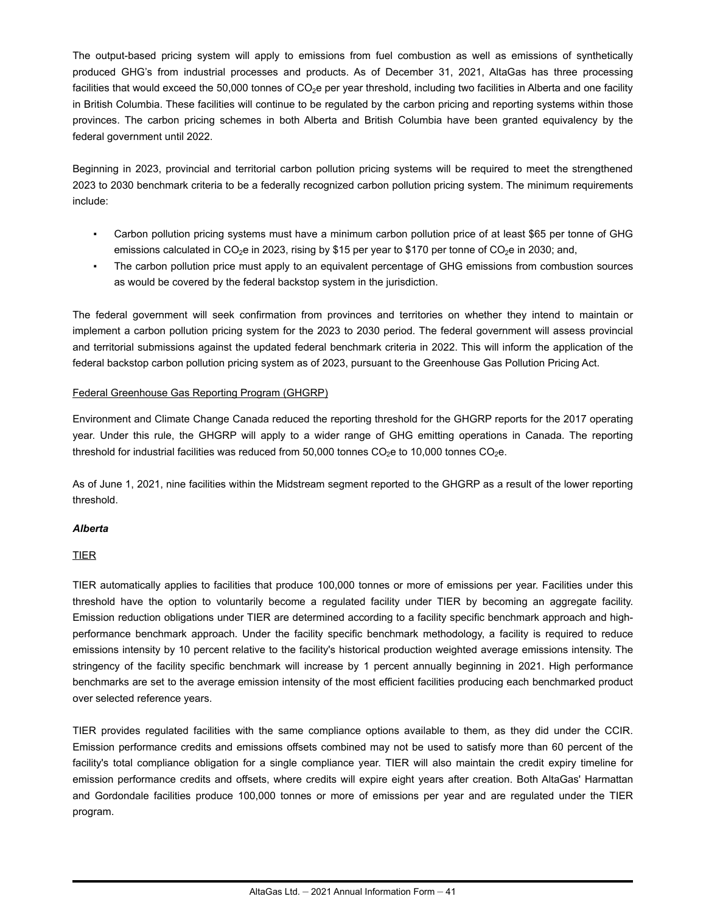The output-based pricing system will apply to emissions from fuel combustion as well as emissions of synthetically produced GHG's from industrial processes and products. As of December 31, 2021, AltaGas has three processing facilities that would exceed the 50,000 tonnes of CO<sub>2</sub>e per year threshold, including two facilities in Alberta and one facility in British Columbia. These facilities will continue to be regulated by the carbon pricing and reporting systems within those provinces. The carbon pricing schemes in both Alberta and British Columbia have been granted equivalency by the federal government until 2022.

Beginning in 2023, provincial and territorial carbon pollution pricing systems will be required to meet the strengthened 2023 to 2030 benchmark criteria to be a federally recognized carbon pollution pricing system. The minimum requirements include:

- Carbon pollution pricing systems must have a minimum carbon pollution price of at least \$65 per tonne of GHG emissions calculated in CO<sub>2</sub>e in 2023, rising by \$15 per year to \$170 per tonne of CO<sub>2</sub>e in 2030; and,
- The carbon pollution price must apply to an equivalent percentage of GHG emissions from combustion sources as would be covered by the federal backstop system in the jurisdiction.

The federal government will seek confirmation from provinces and territories on whether they intend to maintain or implement a carbon pollution pricing system for the 2023 to 2030 period. The federal government will assess provincial and territorial submissions against the updated federal benchmark criteria in 2022. This will inform the application of the federal backstop carbon pollution pricing system as of 2023, pursuant to the Greenhouse Gas Pollution Pricing Act.

### Federal Greenhouse Gas Reporting Program (GHGRP)

Environment and Climate Change Canada reduced the reporting threshold for the GHGRP reports for the 2017 operating year. Under this rule, the GHGRP will apply to a wider range of GHG emitting operations in Canada. The reporting threshold for industrial facilities was reduced from 50,000 tonnes  $CO<sub>2</sub>e$  to 10,000 tonnes  $CO<sub>2</sub>e$ .

As of June 1, 2021, nine facilities within the Midstream segment reported to the GHGRP as a result of the lower reporting threshold.

#### *Alberta*

### TIER

TIER automatically applies to facilities that produce 100,000 tonnes or more of emissions per year. Facilities under this threshold have the option to voluntarily become a regulated facility under TIER by becoming an aggregate facility. Emission reduction obligations under TIER are determined according to a facility specific benchmark approach and highperformance benchmark approach. Under the facility specific benchmark methodology, a facility is required to reduce emissions intensity by 10 percent relative to the facility's historical production weighted average emissions intensity. The stringency of the facility specific benchmark will increase by 1 percent annually beginning in 2021. High performance benchmarks are set to the average emission intensity of the most efficient facilities producing each benchmarked product over selected reference years.

TIER provides regulated facilities with the same compliance options available to them, as they did under the CCIR. Emission performance credits and emissions offsets combined may not be used to satisfy more than 60 percent of the facility's total compliance obligation for a single compliance year. TIER will also maintain the credit expiry timeline for emission performance credits and offsets, where credits will expire eight years after creation. Both AltaGas' Harmattan and Gordondale facilities produce 100,000 tonnes or more of emissions per year and are regulated under the TIER program.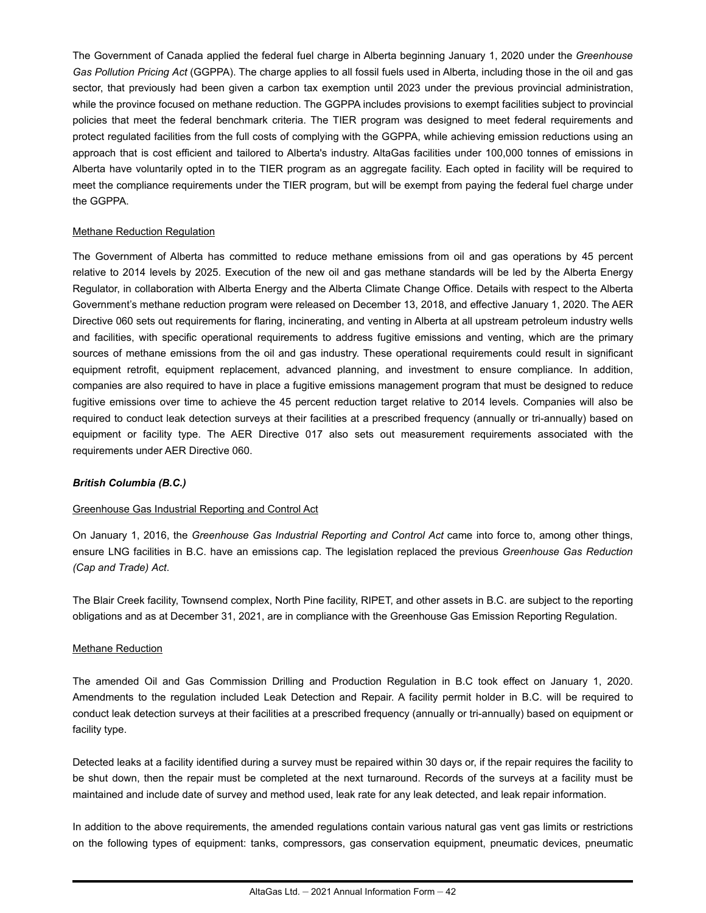The Government of Canada applied the federal fuel charge in Alberta beginning January 1, 2020 under the *Greenhouse Gas Pollution Pricing Act* (GGPPA). The charge applies to all fossil fuels used in Alberta, including those in the oil and gas sector, that previously had been given a carbon tax exemption until 2023 under the previous provincial administration, while the province focused on methane reduction. The GGPPA includes provisions to exempt facilities subject to provincial policies that meet the federal benchmark criteria. The TIER program was designed to meet federal requirements and protect regulated facilities from the full costs of complying with the GGPPA, while achieving emission reductions using an approach that is cost efficient and tailored to Alberta's industry. AltaGas facilities under 100,000 tonnes of emissions in Alberta have voluntarily opted in to the TIER program as an aggregate facility. Each opted in facility will be required to meet the compliance requirements under the TIER program, but will be exempt from paying the federal fuel charge under the GGPPA.

### Methane Reduction Regulation

The Government of Alberta has committed to reduce methane emissions from oil and gas operations by 45 percent relative to 2014 levels by 2025. Execution of the new oil and gas methane standards will be led by the Alberta Energy Regulator, in collaboration with Alberta Energy and the Alberta Climate Change Office. Details with respect to the Alberta Government's methane reduction program were released on December 13, 2018, and effective January 1, 2020. The AER Directive 060 sets out requirements for flaring, incinerating, and venting in Alberta at all upstream petroleum industry wells and facilities, with specific operational requirements to address fugitive emissions and venting, which are the primary sources of methane emissions from the oil and gas industry. These operational requirements could result in significant equipment retrofit, equipment replacement, advanced planning, and investment to ensure compliance. In addition, companies are also required to have in place a fugitive emissions management program that must be designed to reduce fugitive emissions over time to achieve the 45 percent reduction target relative to 2014 levels. Companies will also be required to conduct leak detection surveys at their facilities at a prescribed frequency (annually or tri-annually) based on equipment or facility type. The AER Directive 017 also sets out measurement requirements associated with the requirements under AER Directive 060.

#### *British Columbia (B.C.)*

#### Greenhouse Gas Industrial Reporting and Control Act

On January 1, 2016, the *Greenhouse Gas Industrial Reporting and Control Act* came into force to, among other things, ensure LNG facilities in B.C. have an emissions cap. The legislation replaced the previous *Greenhouse Gas Reduction (Cap and Trade) Act*.

The Blair Creek facility, Townsend complex, North Pine facility, RIPET, and other assets in B.C. are subject to the reporting obligations and as at December 31, 2021, are in compliance with the Greenhouse Gas Emission Reporting Regulation.

#### Methane Reduction

The amended Oil and Gas Commission Drilling and Production Regulation in B.C took effect on January 1, 2020. Amendments to the regulation included Leak Detection and Repair. A facility permit holder in B.C. will be required to conduct leak detection surveys at their facilities at a prescribed frequency (annually or tri-annually) based on equipment or facility type.

Detected leaks at a facility identified during a survey must be repaired within 30 days or, if the repair requires the facility to be shut down, then the repair must be completed at the next turnaround. Records of the surveys at a facility must be maintained and include date of survey and method used, leak rate for any leak detected, and leak repair information.

In addition to the above requirements, the amended regulations contain various natural gas vent gas limits or restrictions on the following types of equipment: tanks, compressors, gas conservation equipment, pneumatic devices, pneumatic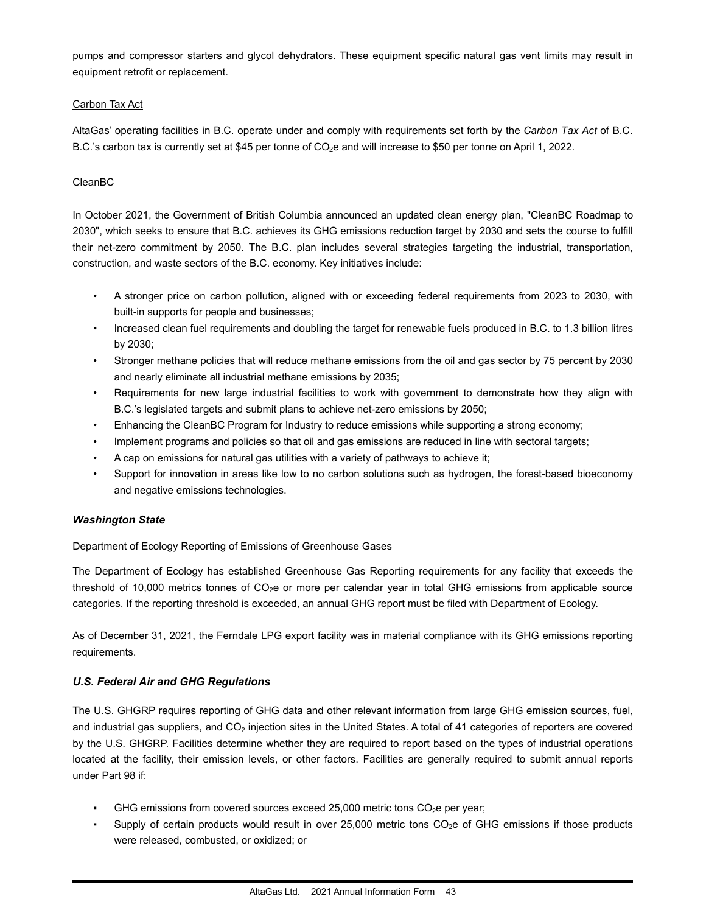pumps and compressor starters and glycol dehydrators. These equipment specific natural gas vent limits may result in equipment retrofit or replacement.

### Carbon Tax Act

AltaGas' operating facilities in B.C. operate under and comply with requirements set forth by the *Carbon Tax Act* of B.C. B.C.'s carbon tax is currently set at \$45 per tonne of  $CO<sub>2</sub>e$  and will increase to \$50 per tonne on April 1, 2022.

## CleanBC

In October 2021, the Government of British Columbia announced an updated clean energy plan, "CleanBC Roadmap to 2030", which seeks to ensure that B.C. achieves its GHG emissions reduction target by 2030 and sets the course to fulfill their net-zero commitment by 2050. The B.C. plan includes several strategies targeting the industrial, transportation, construction, and waste sectors of the B.C. economy. Key initiatives include:

- A stronger price on carbon pollution, aligned with or exceeding federal requirements from 2023 to 2030, with built-in supports for people and businesses;
- Increased clean fuel requirements and doubling the target for renewable fuels produced in B.C. to 1.3 billion litres by 2030;
- Stronger methane policies that will reduce methane emissions from the oil and gas sector by 75 percent by 2030 and nearly eliminate all industrial methane emissions by 2035;
- Requirements for new large industrial facilities to work with government to demonstrate how they align with B.C.'s legislated targets and submit plans to achieve net-zero emissions by 2050;
- Enhancing the CleanBC Program for Industry to reduce emissions while supporting a strong economy;
- Implement programs and policies so that oil and gas emissions are reduced in line with sectoral targets;
- A cap on emissions for natural gas utilities with a variety of pathways to achieve it;
- Support for innovation in areas like low to no carbon solutions such as hydrogen, the forest-based bioeconomy and negative emissions technologies.

### *Washington State*

### Department of Ecology Reporting of Emissions of Greenhouse Gases

The Department of Ecology has established Greenhouse Gas Reporting requirements for any facility that exceeds the threshold of 10,000 metrics tonnes of  $CO<sub>2</sub>e$  or more per calendar year in total GHG emissions from applicable source categories. If the reporting threshold is exceeded, an annual GHG report must be filed with Department of Ecology.

As of December 31, 2021, the Ferndale LPG export facility was in material compliance with its GHG emissions reporting requirements.

# *U.S. Federal Air and GHG Regulations*

The U.S. GHGRP requires reporting of GHG data and other relevant information from large GHG emission sources, fuel, and industrial gas suppliers, and  $CO<sub>2</sub>$  injection sites in the United States. A total of 41 categories of reporters are covered by the U.S. GHGRP. Facilities determine whether they are required to report based on the types of industrial operations located at the facility, their emission levels, or other factors. Facilities are generally required to submit annual reports under Part 98 if:

- GHG emissions from covered sources exceed 25,000 metric tons  $CO<sub>2</sub>$ e per year;
- Supply of certain products would result in over  $25,000$  metric tons  $CO<sub>2</sub>$ e of GHG emissions if those products were released, combusted, or oxidized; or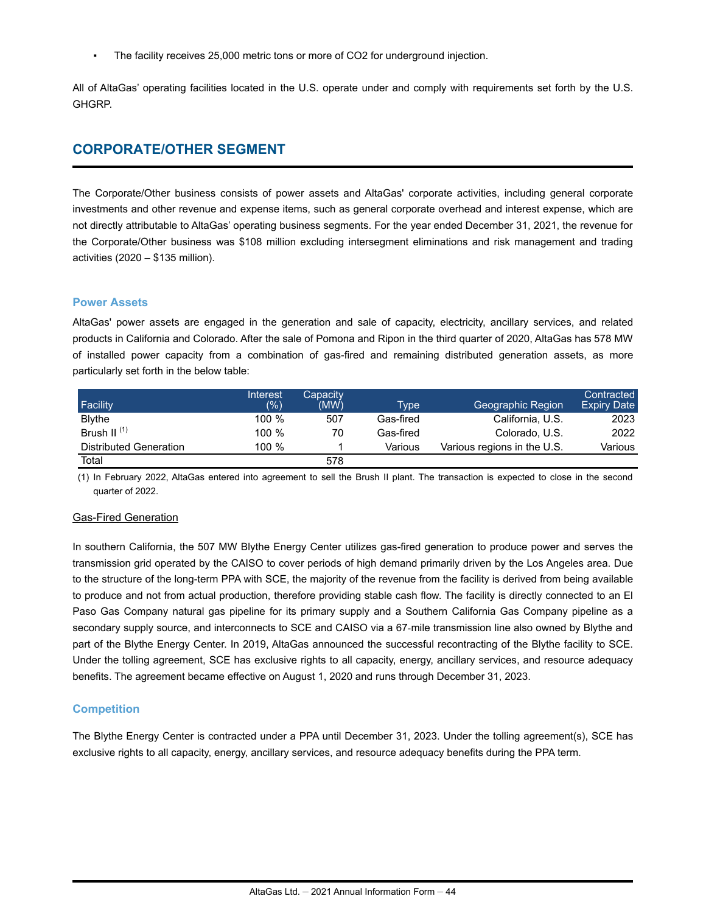The facility receives 25,000 metric tons or more of CO2 for underground injection.

All of AltaGas' operating facilities located in the U.S. operate under and comply with requirements set forth by the U.S. GHGRP.

# **CORPORATE/OTHER SEGMENT**

The Corporate/Other business consists of power assets and AltaGas' corporate activities, including general corporate investments and other revenue and expense items, such as general corporate overhead and interest expense, which are not directly attributable to AltaGas' operating business segments. For the year ended December 31, 2021, the revenue for the Corporate/Other business was \$108 million excluding intersegment eliminations and risk management and trading activities (2020 – \$135 million).

#### **Power Assets**

AltaGas' power assets are engaged in the generation and sale of capacity, electricity, ancillary services, and related products in California and Colorado. After the sale of Pomona and Ripon in the third quarter of 2020, AltaGas has 578 MW of installed power capacity from a combination of gas-fired and remaining distributed generation assets, as more particularly set forth in the below table:

| Facility               | Interest<br>$(\%)$ | Capacitv<br>(MW) | Type      | Geographic Region           | Contracted<br><b>Expiry Date</b> |
|------------------------|--------------------|------------------|-----------|-----------------------------|----------------------------------|
| <b>Blythe</b>          | 100%               | 507              | Gas-fired | California, U.S.            | 2023                             |
| Brush II $(1)$         | 100 %              | 70               | Gas-fired | Colorado, U.S.              | 2022                             |
| Distributed Generation | 100 %              |                  | Various   | Various regions in the U.S. | Various                          |
| Total                  |                    | 578              |           |                             |                                  |

(1) In February 2022, AltaGas entered into agreement to sell the Brush II plant. The transaction is expected to close in the second quarter of 2022.

### Gas-Fired Generation

In southern California, the 507 MW Blythe Energy Center utilizes gas-fired generation to produce power and serves the transmission grid operated by the CAISO to cover periods of high demand primarily driven by the Los Angeles area. Due to the structure of the long-term PPA with SCE, the majority of the revenue from the facility is derived from being available to produce and not from actual production, therefore providing stable cash flow. The facility is directly connected to an El Paso Gas Company natural gas pipeline for its primary supply and a Southern California Gas Company pipeline as a secondary supply source, and interconnects to SCE and CAISO via a 67-mile transmission line also owned by Blythe and part of the Blythe Energy Center. In 2019, AltaGas announced the successful recontracting of the Blythe facility to SCE. Under the tolling agreement, SCE has exclusive rights to all capacity, energy, ancillary services, and resource adequacy benefits. The agreement became effective on August 1, 2020 and runs through December 31, 2023.

#### **Competition**

The Blythe Energy Center is contracted under a PPA until December 31, 2023. Under the tolling agreement(s), SCE has exclusive rights to all capacity, energy, ancillary services, and resource adequacy benefits during the PPA term.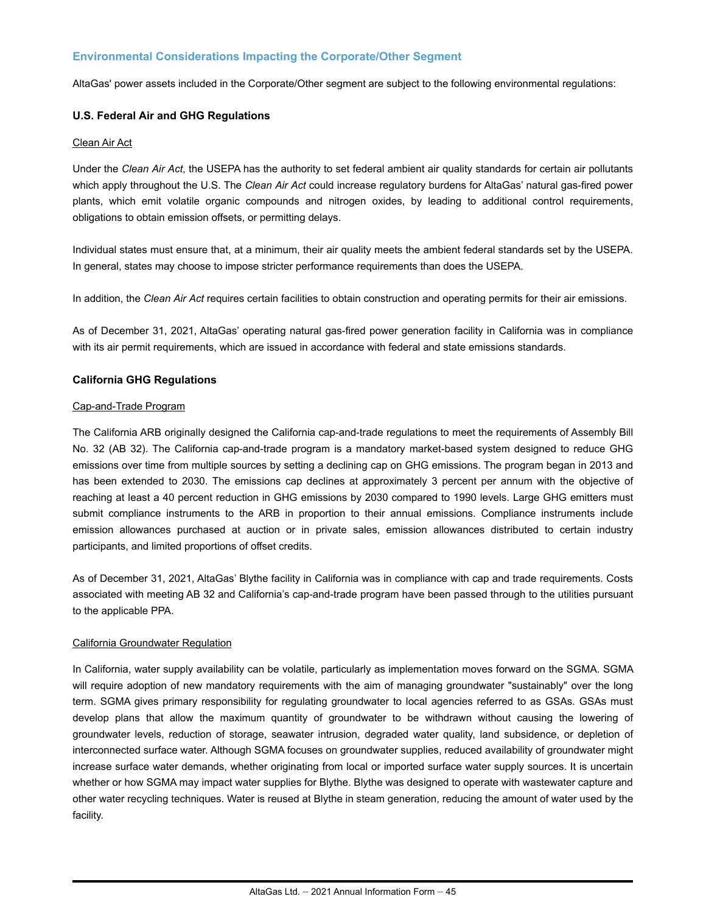## **Environmental Considerations Impacting the Corporate/Other Segment**

AltaGas' power assets included in the Corporate/Other segment are subject to the following environmental regulations:

### **U.S. Federal Air and GHG Regulations**

#### Clean Air Act

Under the *Clean Air Act*, the USEPA has the authority to set federal ambient air quality standards for certain air pollutants which apply throughout the U.S. The *Clean Air Act* could increase regulatory burdens for AltaGas' natural gas-fired power plants, which emit volatile organic compounds and nitrogen oxides, by leading to additional control requirements, obligations to obtain emission offsets, or permitting delays.

Individual states must ensure that, at a minimum, their air quality meets the ambient federal standards set by the USEPA. In general, states may choose to impose stricter performance requirements than does the USEPA.

In addition, the *Clean Air Act* requires certain facilities to obtain construction and operating permits for their air emissions.

As of December 31, 2021, AltaGas' operating natural gas-fired power generation facility in California was in compliance with its air permit requirements, which are issued in accordance with federal and state emissions standards.

### **California GHG Regulations**

#### Cap-and-Trade Program

The California ARB originally designed the California cap-and-trade regulations to meet the requirements of Assembly Bill No. 32 (AB 32). The California cap-and-trade program is a mandatory market-based system designed to reduce GHG emissions over time from multiple sources by setting a declining cap on GHG emissions. The program began in 2013 and has been extended to 2030. The emissions cap declines at approximately 3 percent per annum with the objective of reaching at least a 40 percent reduction in GHG emissions by 2030 compared to 1990 levels. Large GHG emitters must submit compliance instruments to the ARB in proportion to their annual emissions. Compliance instruments include emission allowances purchased at auction or in private sales, emission allowances distributed to certain industry participants, and limited proportions of offset credits.

As of December 31, 2021, AltaGas' Blythe facility in California was in compliance with cap and trade requirements. Costs associated with meeting AB 32 and California's cap-and-trade program have been passed through to the utilities pursuant to the applicable PPA.

#### California Groundwater Regulation

In California, water supply availability can be volatile, particularly as implementation moves forward on the SGMA. SGMA will require adoption of new mandatory requirements with the aim of managing groundwater "sustainably" over the long term. SGMA gives primary responsibility for regulating groundwater to local agencies referred to as GSAs. GSAs must develop plans that allow the maximum quantity of groundwater to be withdrawn without causing the lowering of groundwater levels, reduction of storage, seawater intrusion, degraded water quality, land subsidence, or depletion of interconnected surface water. Although SGMA focuses on groundwater supplies, reduced availability of groundwater might increase surface water demands, whether originating from local or imported surface water supply sources. It is uncertain whether or how SGMA may impact water supplies for Blythe. Blythe was designed to operate with wastewater capture and other water recycling techniques. Water is reused at Blythe in steam generation, reducing the amount of water used by the facility.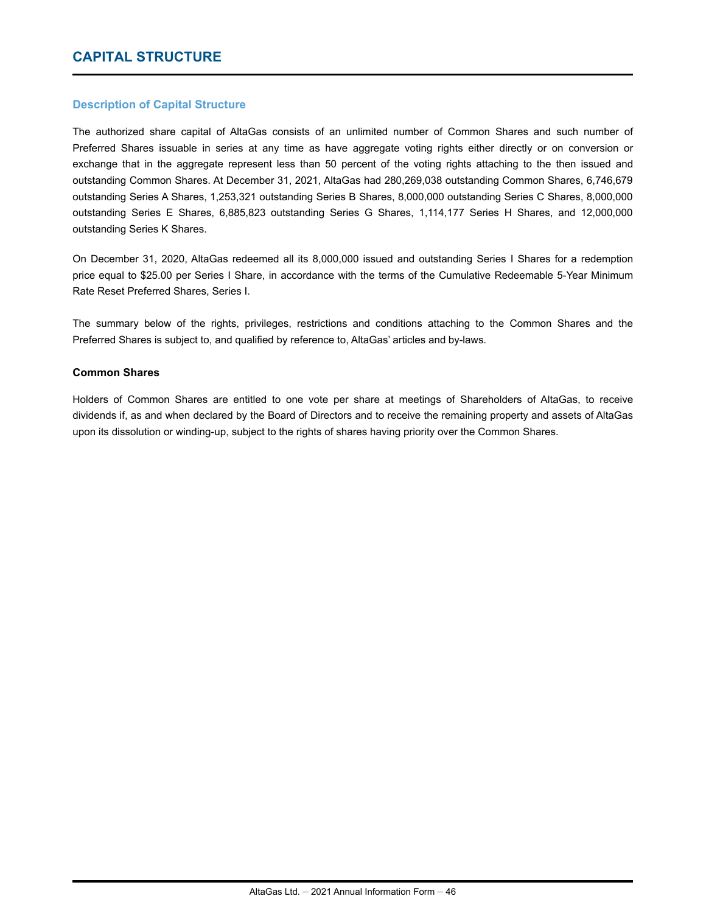# **CAPITAL STRUCTURE**

### **Description of Capital Structure**

The authorized share capital of AltaGas consists of an unlimited number of Common Shares and such number of Preferred Shares issuable in series at any time as have aggregate voting rights either directly or on conversion or exchange that in the aggregate represent less than 50 percent of the voting rights attaching to the then issued and outstanding Common Shares. At December 31, 2021, AltaGas had 280,269,038 outstanding Common Shares, 6,746,679 outstanding Series A Shares, 1,253,321 outstanding Series B Shares, 8,000,000 outstanding Series C Shares, 8,000,000 outstanding Series E Shares, 6,885,823 outstanding Series G Shares, 1,114,177 Series H Shares, and 12,000,000 outstanding Series K Shares.

On December 31, 2020, AltaGas redeemed all its 8,000,000 issued and outstanding Series I Shares for a redemption price equal to \$25.00 per Series I Share, in accordance with the terms of the Cumulative Redeemable 5-Year Minimum Rate Reset Preferred Shares, Series I.

The summary below of the rights, privileges, restrictions and conditions attaching to the Common Shares and the Preferred Shares is subject to, and qualified by reference to, AltaGas' articles and by-laws.

#### **Common Shares**

Holders of Common Shares are entitled to one vote per share at meetings of Shareholders of AltaGas, to receive dividends if, as and when declared by the Board of Directors and to receive the remaining property and assets of AltaGas upon its dissolution or winding-up, subject to the rights of shares having priority over the Common Shares.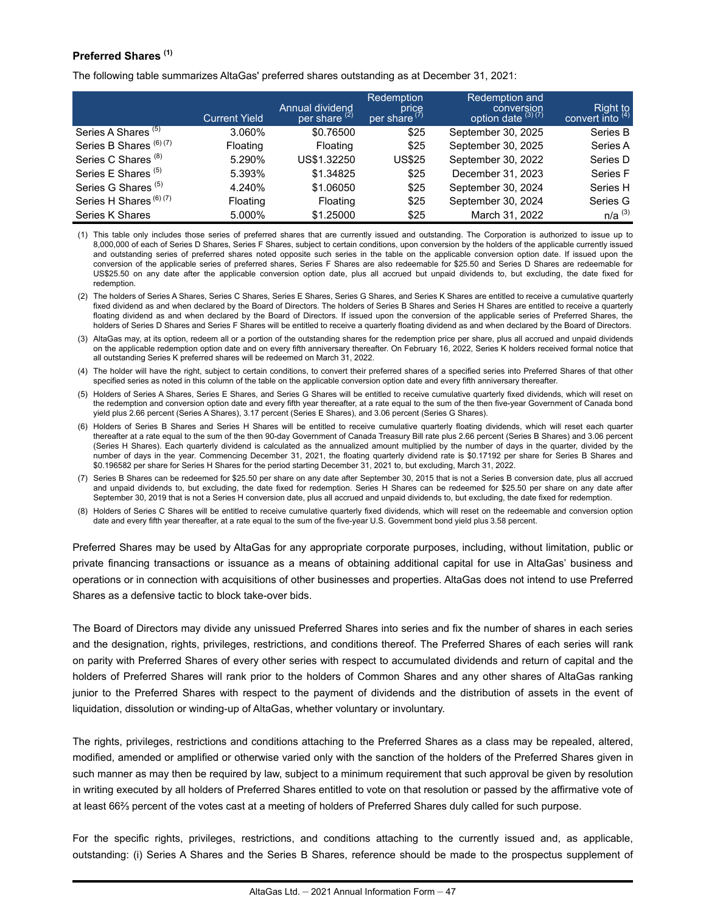## **Preferred Shares (1)**

The following table summarizes AltaGas' preferred shares outstanding as at December 31, 2021:

|                                | <b>Current Yield</b> | Annual dividend<br>per share <sup>(2)</sup> | <b>Redemption</b><br>price<br>per share <sup>(7)</sup> | <b>Redemption and</b><br>conversion<br>option date (3) (7) | $Right toconvert into (4)$ |
|--------------------------------|----------------------|---------------------------------------------|--------------------------------------------------------|------------------------------------------------------------|----------------------------|
| Series A Shares <sup>(5)</sup> | 3.060%               | \$0.76500                                   | \$25                                                   | September 30, 2025                                         | Series B                   |
| Series B Shares (6) (7)        | Floating             | Floating                                    | \$25                                                   | September 30, 2025                                         | Series A                   |
| Series C Shares <sup>(8)</sup> | 5.290%               | US\$1.32250                                 | <b>US\$25</b>                                          | September 30, 2022                                         | Series D                   |
| Series E Shares <sup>(5)</sup> | 5.393%               | \$1.34825                                   | \$25                                                   | December 31, 2023                                          | Series F                   |
| Series G Shares <sup>(5)</sup> | 4.240%               | \$1.06050                                   | \$25                                                   | September 30, 2024                                         | Series H                   |
| Series H Shares (6) (7)        | Floating             | Floating                                    | \$25                                                   | September 30, 2024                                         | Series G                   |
| Series K Shares                | 5.000%               | \$1.25000                                   | \$25                                                   | March 31, 2022                                             | $n/a^{(3)}$                |

(1) This table only includes those series of preferred shares that are currently issued and outstanding. The Corporation is authorized to issue up to 8,000,000 of each of Series D Shares, Series F Shares, subject to certain conditions, upon conversion by the holders of the applicable currently issued and outstanding series of preferred shares noted opposite such series in the table on the applicable conversion option date. If issued upon the conversion of the applicable series of preferred shares, Series F Shares are also redeemable for \$25.50 and Series D Shares are redeemable for US\$25.50 on any date after the applicable conversion option date, plus all accrued but unpaid dividends to, but excluding, the date fixed for redemption.

(2) The holders of Series A Shares, Series C Shares, Series E Shares, Series G Shares, and Series K Shares are entitled to receive a cumulative quarterly fixed dividend as and when declared by the Board of Directors. The holders of Series B Shares and Series H Shares are entitled to receive a quarterly floating dividend as and when declared by the Board of Directors. If issued upon the conversion of the applicable series of Preferred Shares, the holders of Series D Shares and Series F Shares will be entitled to receive a quarterly floating dividend as and when declared by the Board of Directors.

(3) AltaGas may, at its option, redeem all or a portion of the outstanding shares for the redemption price per share, plus all accrued and unpaid dividends on the applicable redemption option date and on every fifth anniversary thereafter. On February 16, 2022, Series K holders received formal notice that all outstanding Series K preferred shares will be redeemed on March 31, 2022.

(4) The holder will have the right, subject to certain conditions, to convert their preferred shares of a specified series into Preferred Shares of that other specified series as noted in this column of the table on the applicable conversion option date and every fifth anniversary thereafter.

(5) Holders of Series A Shares, Series E Shares, and Series G Shares will be entitled to receive cumulative quarterly fixed dividends, which will reset on the redemption and conversion option date and every fifth year thereafter, at a rate equal to the sum of the then five-year Government of Canada bond yield plus 2.66 percent (Series A Shares), 3.17 percent (Series E Shares), and 3.06 percent (Series G Shares).

- (6) Holders of Series B Shares and Series H Shares will be entitled to receive cumulative quarterly floating dividends, which will reset each quarter thereafter at a rate equal to the sum of the then 90-day Government of Canada Treasury Bill rate plus 2.66 percent (Series B Shares) and 3.06 percent (Series H Shares). Each quarterly dividend is calculated as the annualized amount multiplied by the number of days in the quarter, divided by the number of days in the year. Commencing December 31, 2021, the floating quarterly dividend rate is \$0.17192 per share for Series B Shares and \$0.196582 per share for Series H Shares for the period starting December 31, 2021 to, but excluding, March 31, 2022.
- (7) Series B Shares can be redeemed for \$25.50 per share on any date after September 30, 2015 that is not a Series B conversion date, plus all accrued and unpaid dividends to, but excluding, the date fixed for redemption. Series H Shares can be redeemed for \$25.50 per share on any date after September 30, 2019 that is not a Series H conversion date, plus all accrued and unpaid dividends to, but excluding, the date fixed for redemption.
- (8) Holders of Series C Shares will be entitled to receive cumulative quarterly fixed dividends, which will reset on the redeemable and conversion option date and every fifth year thereafter, at a rate equal to the sum of the five-year U.S. Government bond yield plus 3.58 percent.

Preferred Shares may be used by AltaGas for any appropriate corporate purposes, including, without limitation, public or private financing transactions or issuance as a means of obtaining additional capital for use in AltaGas' business and operations or in connection with acquisitions of other businesses and properties. AltaGas does not intend to use Preferred Shares as a defensive tactic to block take-over bids.

The Board of Directors may divide any unissued Preferred Shares into series and fix the number of shares in each series and the designation, rights, privileges, restrictions, and conditions thereof. The Preferred Shares of each series will rank on parity with Preferred Shares of every other series with respect to accumulated dividends and return of capital and the holders of Preferred Shares will rank prior to the holders of Common Shares and any other shares of AltaGas ranking junior to the Preferred Shares with respect to the payment of dividends and the distribution of assets in the event of liquidation, dissolution or winding-up of AltaGas, whether voluntary or involuntary.

The rights, privileges, restrictions and conditions attaching to the Preferred Shares as a class may be repealed, altered, modified, amended or amplified or otherwise varied only with the sanction of the holders of the Preferred Shares given in such manner as may then be required by law, subject to a minimum requirement that such approval be given by resolution in writing executed by all holders of Preferred Shares entitled to vote on that resolution or passed by the affirmative vote of at least 66⅔ percent of the votes cast at a meeting of holders of Preferred Shares duly called for such purpose.

For the specific rights, privileges, restrictions, and conditions attaching to the currently issued and, as applicable, outstanding: (i) Series A Shares and the Series B Shares, reference should be made to the prospectus supplement of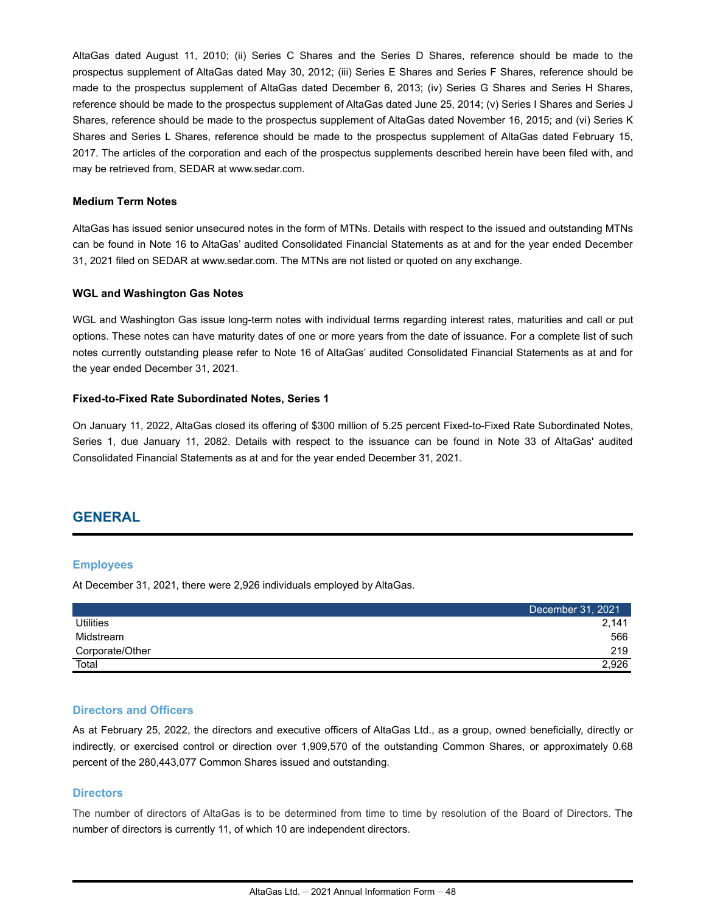AltaGas dated August 11, 2010; (ii) Series C Shares and the Series D Shares, reference should be made to the prospectus supplement of AltaGas dated May 30, 2012; (iii) Series E Shares and Series F Shares, reference should be made to the prospectus supplement of AltaGas dated December 6, 2013; (iv) Series G Shares and Series H Shares, reference should be made to the prospectus supplement of AltaGas dated June 25, 2014; (v) Series I Shares and Series J Shares, reference should be made to the prospectus supplement of AltaGas dated November 16, 2015; and (vi) Series K Shares and Series L Shares, reference should be made to the prospectus supplement of AltaGas dated February 15, 2017. The articles of the corporation and each of the prospectus supplements described herein have been filed with, and may be retrieved from, SEDAR at www.sedar.com.

#### **Medium Term Notes**

AltaGas has issued senior unsecured notes in the form of MTNs. Details with respect to the issued and outstanding MTNs can be found in Note 16 to AltaGas' audited Consolidated Financial Statements as at and for the year ended December 31, 2021 filed on SEDAR at www.sedar.com. The MTNs are not listed or quoted on any exchange.

#### **WGL and Washington Gas Notes**

WGL and Washington Gas issue long-term notes with individual terms regarding interest rates, maturities and call or put options. These notes can have maturity dates of one or more years from the date of issuance. For a complete list of such notes currently outstanding please refer to Note 16 of AltaGas' audited Consolidated Financial Statements as at and for the year ended December 31, 2021.

### **Fixed-to-Fixed Rate Subordinated Notes, Series 1**

On January 11, 2022, AltaGas closed its offering of \$300 million of 5.25 percent Fixed-to-Fixed Rate Subordinated Notes, Series 1, due January 11, 2082. Details with respect to the issuance can be found in Note 33 of AltaGas' audited Consolidated Financial Statements as at and for the year ended December 31, 2021.

# **GENERAL**

### **Employees**

At December 31, 2021, there were 2,926 individuals employed by AltaGas.

|                  | December 31, 2021 <sup>1</sup> |
|------------------|--------------------------------|
| <b>Utilities</b> | 2.141                          |
| Midstream        | 566                            |
| Corporate/Other  | 219                            |
| Total            | 2,926                          |

### **Directors and Officers**

As at February 25, 2022, the directors and executive officers of AltaGas Ltd., as a group, owned beneficially, directly or indirectly, or exercised control or direction over 1,909,570 of the outstanding Common Shares, or approximately 0.68 percent of the 280,443,077 Common Shares issued and outstanding.

### **Directors**

The number of directors of AltaGas is to be determined from time to time by resolution of the Board of Directors. The number of directors is currently 11, of which 10 are independent directors.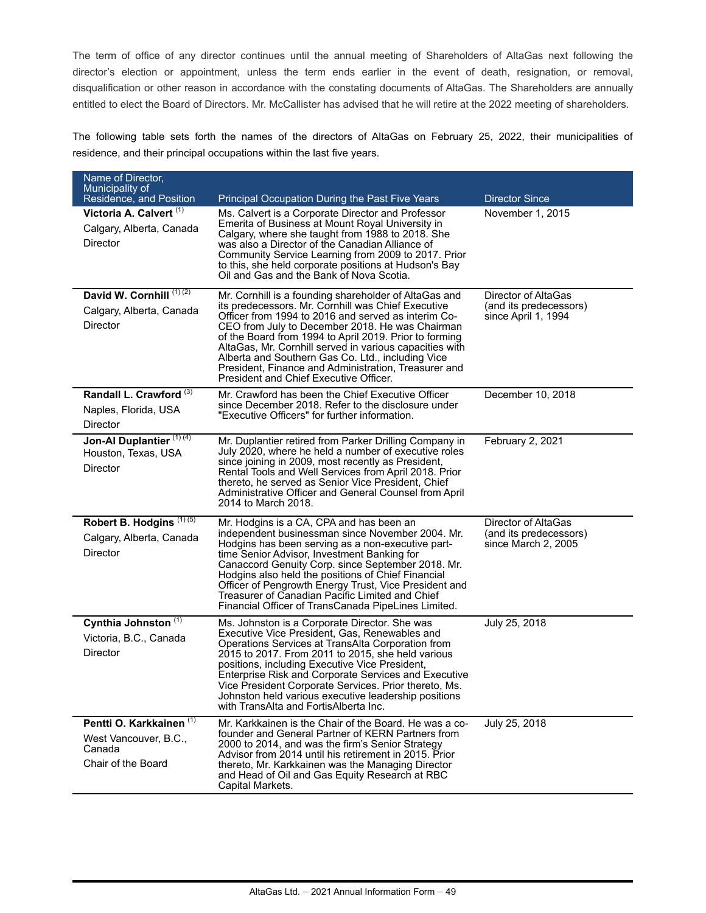The term of office of any director continues until the annual meeting of Shareholders of AltaGas next following the director's election or appointment, unless the term ends earlier in the event of death, resignation, or removal, disqualification or other reason in accordance with the constating documents of AltaGas. The Shareholders are annually entitled to elect the Board of Directors. Mr. McCallister has advised that he will retire at the 2022 meeting of shareholders.

The following table sets forth the names of the directors of AltaGas on February 25, 2022, their municipalities of residence, and their principal occupations within the last five years.

| Name of Director,<br>Municipality of<br>Residence, and Position                              | Principal Occupation During the Past Five Years                                                                                                                                                                                                                                                                                                                                                                                                                                                   | <b>Director Since</b>                                                |
|----------------------------------------------------------------------------------------------|---------------------------------------------------------------------------------------------------------------------------------------------------------------------------------------------------------------------------------------------------------------------------------------------------------------------------------------------------------------------------------------------------------------------------------------------------------------------------------------------------|----------------------------------------------------------------------|
| Victoria A. Calvert <sup>(1)</sup><br>Calgary, Alberta, Canada<br>Director                   | Ms. Calvert is a Corporate Director and Professor<br>Emerita of Business at Mount Royal University in<br>Calgary, where she taught from 1988 to 2018. She<br>was also a Director of the Canadian Alliance of<br>Community Service Learning from 2009 to 2017. Prior<br>to this, she held corporate positions at Hudson's Bay<br>Oil and Gas and the Bank of Nova Scotia.                                                                                                                          | November 1, 2015                                                     |
| David W. Cornhill (1)(2)<br>Calgary, Alberta, Canada<br>Director                             | Mr. Cornhill is a founding shareholder of AltaGas and<br>its predecessors. Mr. Cornhill was Chief Executive<br>Officer from 1994 to 2016 and served as interim Co-<br>CEO from July to December 2018. He was Chairman<br>of the Board from 1994 to April 2019. Prior to forming<br>AltaGas, Mr. Cornhill served in various capacities with<br>Alberta and Southern Gas Co. Ltd., including Vice<br>President, Finance and Administration, Treasurer and<br>President and Chief Executive Officer. | Director of AltaGas<br>(and its predecessors)<br>since April 1, 1994 |
| Randall L. Crawford <sup>(3)</sup><br>Naples, Florida, USA<br>Director                       | Mr. Crawford has been the Chief Executive Officer<br>since December 2018. Refer to the disclosure under<br>"Executive Officers" for further information.                                                                                                                                                                                                                                                                                                                                          | December 10, 2018                                                    |
| Jon-Al Duplantier <sup>(1)(4)</sup><br>Houston, Texas, USA<br>Director                       | Mr. Duplantier retired from Parker Drilling Company in<br>July 2020, where he held a number of executive roles<br>since joining in 2009, most recently as President,<br>Rental Tools and Well Services from April 2018. Prior<br>thereto, he served as Senior Vice President, Chief<br>Administrative Officer and General Counsel from April<br>2014 to March 2018.                                                                                                                               | February 2, 2021                                                     |
| Robert B. Hodgins <sup>(1)(5)</sup><br>Calgary, Alberta, Canada<br>Director                  | Mr. Hodgins is a CA, CPA and has been an<br>independent businessman since November 2004. Mr.<br>Hodgins has been serving as a non-executive part-<br>time Senior Advisor, Investment Banking for<br>Canaccord Genuity Corp. since September 2018. Mr.<br>Hodgins also held the positions of Chief Financial<br>Officer of Pengrowth Energy Trust, Vice President and<br>Treasurer of Canadian Pacific Limited and Chief<br>Financial Officer of TransCanada PipeLines Limited.                    | Director of AltaGas<br>(and its predecessors)<br>since March 2, 2005 |
| Cynthia Johnston <sup>(1)</sup><br>Victoria, B.C., Canada<br>Director                        | Ms. Johnston is a Corporate Director. She was<br>Executive Vice President, Gas, Renewables and<br>Operations Services at TransAlta Corporation from<br>2015 to 2017. From 2011 to 2015, she held various<br>positions, including Executive Vice President,<br>Enterprise Risk and Corporate Services and Executive<br>Vice President Corporate Services. Prior thereto, Ms.<br>Johnston held various executive leadership positions<br>with TransAlta and FortisAlberta Inc.                      | July 25, 2018                                                        |
| Pentti O. Karkkainen <sup>(1)</sup><br>West Vancouver, B.C.,<br>Canada<br>Chair of the Board | Mr. Karkkainen is the Chair of the Board. He was a co-<br>founder and General Partner of KERN Partners from<br>2000 to 2014, and was the firm's Senior Strategy<br>Advisor from 2014 until his retirement in 2015. Prior<br>thereto, Mr. Karkkainen was the Managing Director<br>and Head of Oil and Gas Equity Research at RBC<br>Capital Markets.                                                                                                                                               | July 25, 2018                                                        |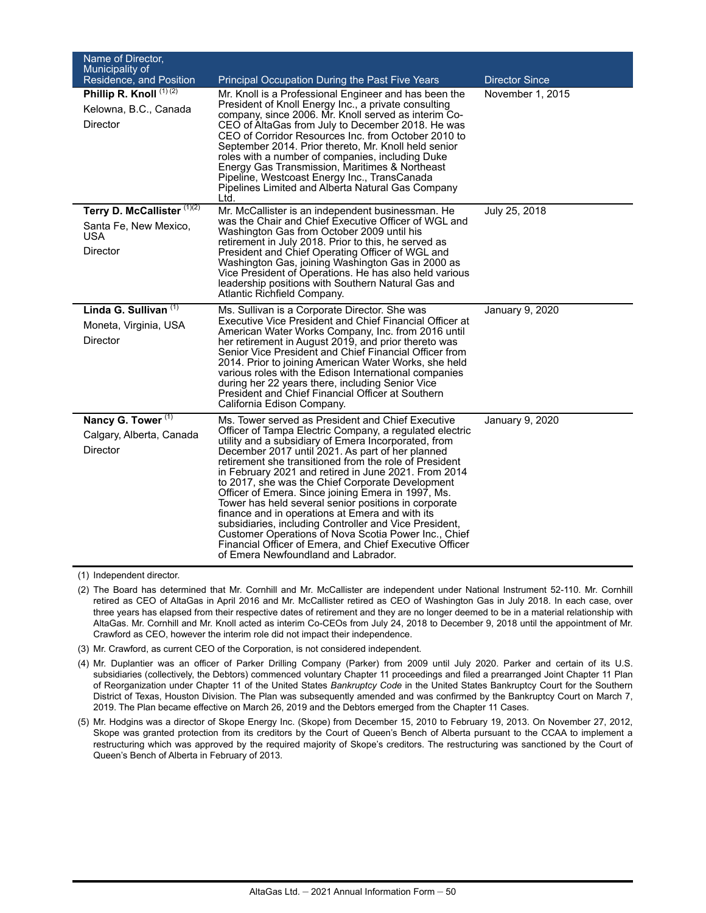| Name of Director,<br>Municipality of<br>Residence, and Position          | <b>Principal Occupation During the Past Five Years</b>                                                                                                                                                                                                                                                                                                                                                                                                                                                                                                                                                                                                                                                                                                                              | <b>Director Since</b> |
|--------------------------------------------------------------------------|-------------------------------------------------------------------------------------------------------------------------------------------------------------------------------------------------------------------------------------------------------------------------------------------------------------------------------------------------------------------------------------------------------------------------------------------------------------------------------------------------------------------------------------------------------------------------------------------------------------------------------------------------------------------------------------------------------------------------------------------------------------------------------------|-----------------------|
| Phillip R. Knoll (1) (2)<br>Kelowna, B.C., Canada<br>Director            | Mr. Knoll is a Professional Engineer and has been the<br>President of Knoll Energy Inc., a private consulting<br>company, since 2006. Mr. Knoll served as interim Co-<br>CEO of AltaGas from July to December 2018. He was<br>CEO of Corridor Resources Inc. from October 2010 to<br>September 2014. Prior thereto, Mr. Knoll held senior<br>roles with a number of companies, including Duke<br>Energy Gas Transmission, Maritimes & Northeast<br>Pipeline, Westcoast Energy Inc., TransCanada<br>Pipelines Limited and Alberta Natural Gas Company<br>Ltd.                                                                                                                                                                                                                        | November 1, 2015      |
| Terry D. McCallister (1)(2)<br>Santa Fe, New Mexico,<br>USA.<br>Director | Mr. McCallister is an independent businessman. He<br>was the Chair and Chief Executive Officer of WGL and<br>Washington Gas from October 2009 until his<br>retirement in July 2018. Prior to this, he served as<br>President and Chief Operating Officer of WGL and<br>Washington Gas, joining Washington Gas in 2000 as<br>Vice President of Operations. He has also held various<br>leadership positions with Southern Natural Gas and<br>Atlantic Richfield Company.                                                                                                                                                                                                                                                                                                             | July 25, 2018         |
| Linda G. Sullivan (1)<br>Moneta, Virginia, USA<br>Director               | Ms. Sullivan is a Corporate Director. She was<br><b>Executive Vice President and Chief Financial Officer at</b><br>American Water Works Company, Inc. from 2016 until<br>her retirement in August 2019, and prior thereto was<br>Senior Vice President and Chief Financial Officer from<br>2014. Prior to joining American Water Works, she held<br>various roles with the Edison International companies<br>during her 22 years there, including Senior Vice<br>President and Chief Financial Officer at Southern<br>California Edison Company.                                                                                                                                                                                                                                    | January 9, 2020       |
| Nancy G. Tower <sup>(1)</sup><br>Calgary, Alberta, Canada<br>Director    | Ms. Tower served as President and Chief Executive<br>Officer of Tampa Electric Company, a regulated electric<br>utility and a subsidiary of Emera Incorporated, from<br>December 2017 until 2021. As part of her planned<br>retirement she transitioned from the role of President<br>in February 2021 and retired in June 2021. From 2014<br>to 2017, she was the Chief Corporate Development<br>Officer of Emera. Since joining Emera in 1997, Ms.<br>Tower has held several senior positions in corporate<br>finance and in operations at Emera and with its<br>subsidiaries, including Controller and Vice President,<br>Customer Operations of Nova Scotia Power Inc., Chief<br>Financial Officer of Emera, and Chief Executive Officer<br>of Emera Newfoundland and Labrador. | January 9, 2020       |

(1) Independent director.

(2) The Board has determined that Mr. Cornhill and Mr. McCallister are independent under National Instrument 52-110. Mr. Cornhill retired as CEO of AltaGas in April 2016 and Mr. McCallister retired as CEO of Washington Gas in July 2018. In each case, over three years has elapsed from their respective dates of retirement and they are no longer deemed to be in a material relationship with AltaGas. Mr. Cornhill and Mr. Knoll acted as interim Co-CEOs from July 24, 2018 to December 9, 2018 until the appointment of Mr. Crawford as CEO, however the interim role did not impact their independence.

(3) Mr. Crawford, as current CEO of the Corporation, is not considered independent.

(4) Mr. Duplantier was an officer of Parker Drilling Company (Parker) from 2009 until July 2020. Parker and certain of its U.S. subsidiaries (collectively, the Debtors) commenced voluntary Chapter 11 proceedings and filed a prearranged Joint Chapter 11 Plan of Reorganization under Chapter 11 of the United States *Bankruptcy Code* in the United States Bankruptcy Court for the Southern District of Texas, Houston Division. The Plan was subsequently amended and was confirmed by the Bankruptcy Court on March 7, 2019. The Plan became effective on March 26, 2019 and the Debtors emerged from the Chapter 11 Cases.

(5) Mr. Hodgins was a director of Skope Energy Inc. (Skope) from December 15, 2010 to February 19, 2013. On November 27, 2012, Skope was granted protection from its creditors by the Court of Queen's Bench of Alberta pursuant to the CCAA to implement a restructuring which was approved by the required majority of Skope's creditors. The restructuring was sanctioned by the Court of Queen's Bench of Alberta in February of 2013.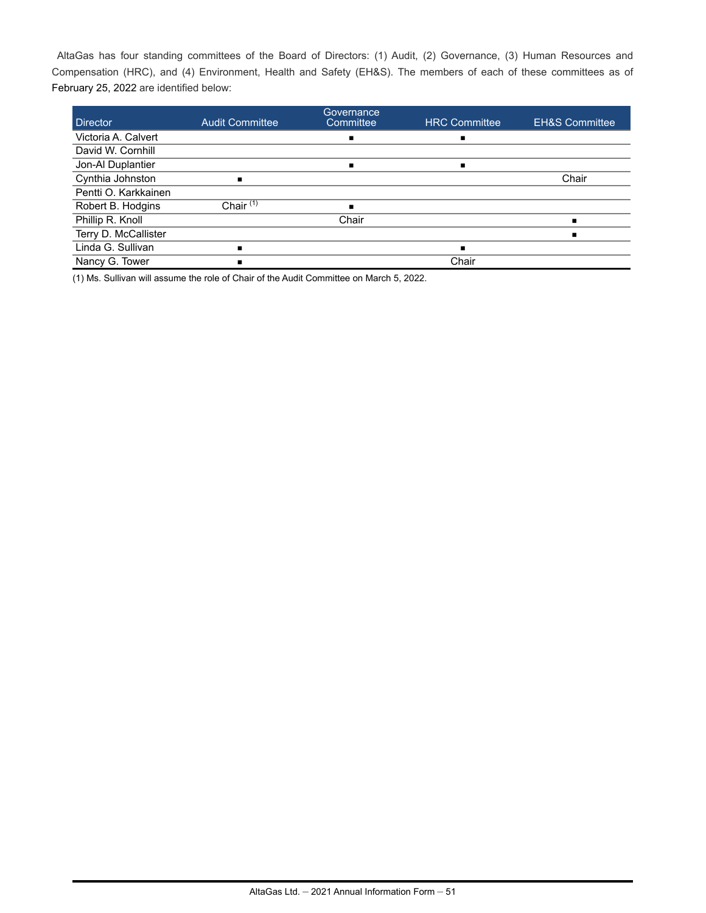AltaGas has four standing committees of the Board of Directors: (1) Audit, (2) Governance, (3) Human Resources and Compensation (HRC), and (4) Environment, Health and Safety (EH&S). The members of each of these committees as of February 25, 2022 are identified below:

| <b>Director</b>      | <b>Audit Committee</b> | Governance<br>Committee | <b>HRC Committee</b> | <b>EH&amp;S Committee</b> |
|----------------------|------------------------|-------------------------|----------------------|---------------------------|
| Victoria A. Calvert  |                        |                         | п                    |                           |
| David W. Cornhill    |                        |                         |                      |                           |
| Jon-Al Duplantier    |                        | ٠                       | п                    |                           |
| Cynthia Johnston     | ٠                      |                         |                      | Chair                     |
| Pentti O. Karkkainen |                        |                         |                      |                           |
| Robert B. Hodgins    | Chair $(1)$            |                         |                      |                           |
| Phillip R. Knoll     |                        | Chair                   |                      |                           |
| Terry D. McCallister |                        |                         |                      |                           |
| Linda G. Sullivan    | ٠                      |                         | $\blacksquare$       |                           |
| Nancy G. Tower       | ٠                      |                         | Chair                |                           |

(1) Ms. Sullivan will assume the role of Chair of the Audit Committee on March 5, 2022.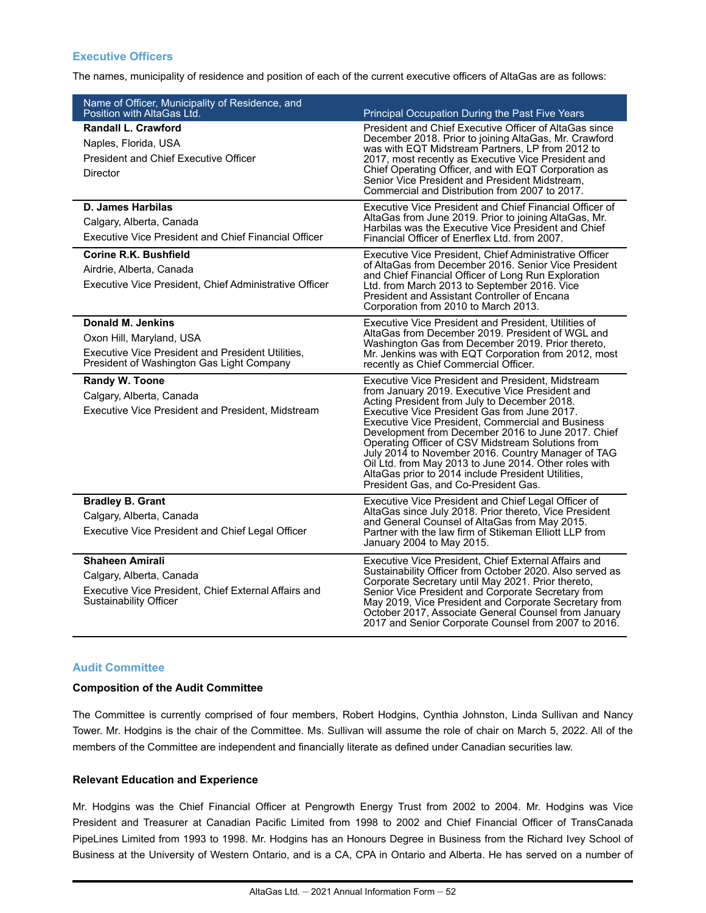# **Executive Officers**

The names, municipality of residence and position of each of the current executive officers of AltaGas are as follows:

| Name of Officer, Municipality of Residence, and<br>Position with AltaGas Ltd.                                                                          |                                                                                                                                                                                                                                                                                                                                                                                                                                                                                                                                                                                          |
|--------------------------------------------------------------------------------------------------------------------------------------------------------|------------------------------------------------------------------------------------------------------------------------------------------------------------------------------------------------------------------------------------------------------------------------------------------------------------------------------------------------------------------------------------------------------------------------------------------------------------------------------------------------------------------------------------------------------------------------------------------|
| Randall L. Crawford<br>Naples, Florida, USA<br><b>President and Chief Executive Officer</b>                                                            | Principal Occupation During the Past Five Years<br>President and Chief Executive Officer of AltaGas since<br>December 2018. Prior to joining AltaGas, Mr. Crawford<br>was with EQT Midstream Partners, LP from 2012 to<br>2017, most recently as Executive Vice President and<br>Chief Operating Officer, and with EQT Corporation as                                                                                                                                                                                                                                                    |
| Director                                                                                                                                               | Senior Vice President and President Midstream,<br>Commercial and Distribution from 2007 to 2017.                                                                                                                                                                                                                                                                                                                                                                                                                                                                                         |
| <b>D. James Harbilas</b><br>Calgary, Alberta, Canada<br><b>Executive Vice President and Chief Financial Officer</b>                                    | Executive Vice President and Chief Financial Officer of<br>AltaGas from June 2019. Prior to joining AltaGas, Mr.<br>Harbilas was the Executive Vice President and Chief<br>Financial Officer of Enerflex Ltd. from 2007.                                                                                                                                                                                                                                                                                                                                                                 |
| Corine R.K. Bushfield<br>Airdrie, Alberta, Canada<br>Executive Vice President, Chief Administrative Officer                                            | Executive Vice President, Chief Administrative Officer<br>of AltaGas from December 2016. Senior Vice President<br>and Chief Financial Officer of Long Run Exploration<br>Ltd. from March 2013 to September 2016. Vice<br>President and Assistant Controller of Encana<br>Corporation from 2010 to March 2013.                                                                                                                                                                                                                                                                            |
| <b>Donald M. Jenkins</b><br>Oxon Hill, Maryland, USA<br>Executive Vice President and President Utilities,<br>President of Washington Gas Light Company | Executive Vice President and President, Utilities of<br>AltaGas from December 2019. President of WGL and<br>Washington Gas from December 2019. Prior thereto,<br>Mr. Jenkins was with EQT Corporation from 2012, most<br>recently as Chief Commercial Officer.                                                                                                                                                                                                                                                                                                                           |
| Randy W. Toone<br>Calgary, Alberta, Canada<br>Executive Vice President and President, Midstream                                                        | Executive Vice President and President, Midstream<br>from January 2019. Executive Vice President and<br>Acting President from July to December 2018.<br>Executive Vice President Gas from June 2017.<br><b>Executive Vice President, Commercial and Business</b><br>Development from December 2016 to June 2017. Chief<br>Operating Officer of CSV Midstream Solutions from<br>July 2014 to November 2016. Country Manager of TAG<br>Oil Ltd. from May 2013 to June 2014. Other roles with<br>AltaGas prior to 2014 include President Utilities,<br>President Gas, and Co-President Gas. |
| <b>Bradley B. Grant</b><br>Calgary, Alberta, Canada<br>Executive Vice President and Chief Legal Officer                                                | Executive Vice President and Chief Legal Officer of<br>AltaGas since July 2018. Prior thereto, Vice President<br>and General Counsel of AltaGas from May 2015.<br>Partner with the law firm of Stikeman Elliott LLP from<br>January 2004 to May 2015.                                                                                                                                                                                                                                                                                                                                    |
| <b>Shaheen Amirali</b><br>Calgary, Alberta, Canada<br>Executive Vice President, Chief External Affairs and<br><b>Sustainability Officer</b>            | Executive Vice President, Chief External Affairs and<br>Sustainability Officer from October 2020. Also served as<br>Corporate Secretary until May 2021. Prior thereto,<br>Senior Vice President and Corporate Secretary from<br>May 2019, Vice President and Corporate Secretary from<br>October 2017, Associate General Counsel from January<br>2017 and Senior Corporate Counsel from 2007 to 2016.                                                                                                                                                                                    |

### **Audit Committee**

### **Composition of the Audit Committee**

The Committee is currently comprised of four members, Robert Hodgins, Cynthia Johnston, Linda Sullivan and Nancy Tower. Mr. Hodgins is the chair of the Committee. Ms. Sullivan will assume the role of chair on March 5, 2022. All of the members of the Committee are independent and financially literate as defined under Canadian securities law.

## **Relevant Education and Experience**

Mr. Hodgins was the Chief Financial Officer at Pengrowth Energy Trust from 2002 to 2004. Mr. Hodgins was Vice President and Treasurer at Canadian Pacific Limited from 1998 to 2002 and Chief Financial Officer of TransCanada PipeLines Limited from 1993 to 1998. Mr. Hodgins has an Honours Degree in Business from the Richard Ivey School of Business at the University of Western Ontario, and is a CA, CPA in Ontario and Alberta. He has served on a number of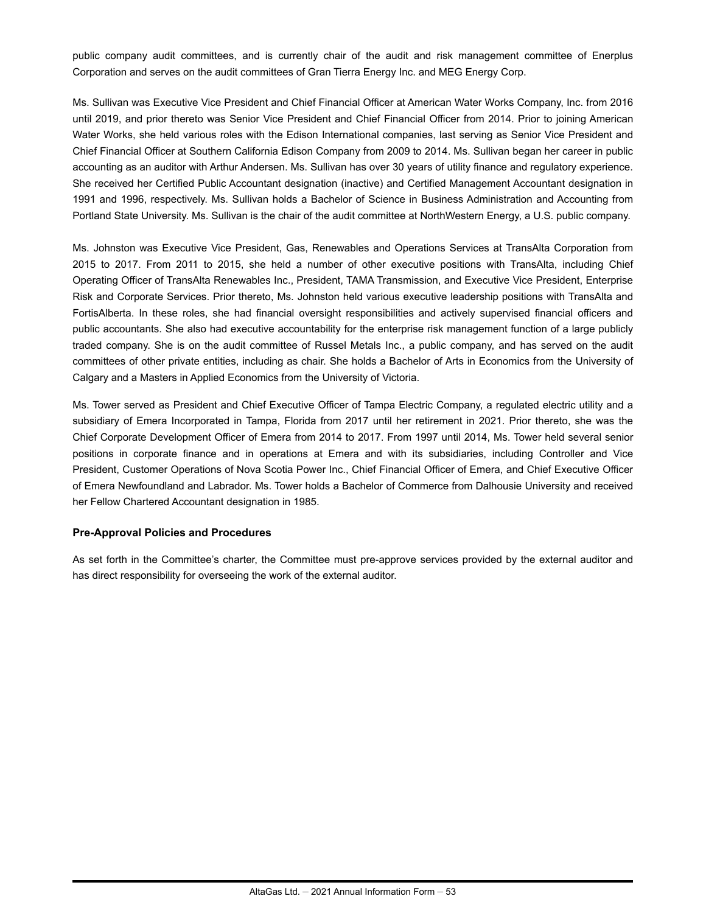public company audit committees, and is currently chair of the audit and risk management committee of Enerplus Corporation and serves on the audit committees of Gran Tierra Energy Inc. and MEG Energy Corp.

Ms. Sullivan was Executive Vice President and Chief Financial Officer at American Water Works Company, Inc. from 2016 until 2019, and prior thereto was Senior Vice President and Chief Financial Officer from 2014. Prior to joining American Water Works, she held various roles with the Edison International companies, last serving as Senior Vice President and Chief Financial Officer at Southern California Edison Company from 2009 to 2014. Ms. Sullivan began her career in public accounting as an auditor with Arthur Andersen. Ms. Sullivan has over 30 years of utility finance and regulatory experience. She received her Certified Public Accountant designation (inactive) and Certified Management Accountant designation in 1991 and 1996, respectively. Ms. Sullivan holds a Bachelor of Science in Business Administration and Accounting from Portland State University. Ms. Sullivan is the chair of the audit committee at NorthWestern Energy, a U.S. public company.

Ms. Johnston was Executive Vice President, Gas, Renewables and Operations Services at TransAlta Corporation from 2015 to 2017. From 2011 to 2015, she held a number of other executive positions with TransAlta, including Chief Operating Officer of TransAlta Renewables Inc., President, TAMA Transmission, and Executive Vice President, Enterprise Risk and Corporate Services. Prior thereto, Ms. Johnston held various executive leadership positions with TransAlta and FortisAlberta. In these roles, she had financial oversight responsibilities and actively supervised financial officers and public accountants. She also had executive accountability for the enterprise risk management function of a large publicly traded company. She is on the audit committee of Russel Metals Inc., a public company, and has served on the audit committees of other private entities, including as chair. She holds a Bachelor of Arts in Economics from the University of Calgary and a Masters in Applied Economics from the University of Victoria.

Ms. Tower served as President and Chief Executive Officer of Tampa Electric Company, a regulated electric utility and a subsidiary of Emera Incorporated in Tampa, Florida from 2017 until her retirement in 2021. Prior thereto, she was the Chief Corporate Development Officer of Emera from 2014 to 2017. From 1997 until 2014, Ms. Tower held several senior positions in corporate finance and in operations at Emera and with its subsidiaries, including Controller and Vice President, Customer Operations of Nova Scotia Power Inc., Chief Financial Officer of Emera, and Chief Executive Officer of Emera Newfoundland and Labrador. Ms. Tower holds a Bachelor of Commerce from Dalhousie University and received her Fellow Chartered Accountant designation in 1985.

### **Pre-Approval Policies and Procedures**

As set forth in the Committee's charter, the Committee must pre-approve services provided by the external auditor and has direct responsibility for overseeing the work of the external auditor.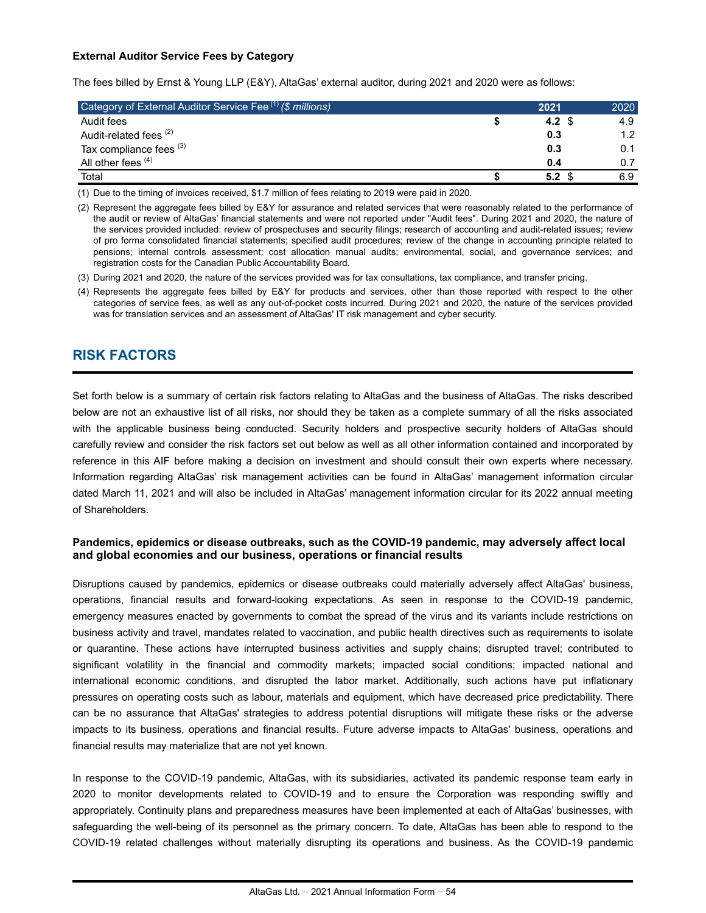### **External Auditor Service Fees by Category**

The fees billed by Ernst & Young LLP (E&Y), AltaGas' external auditor, during 2021 and 2020 were as follows:

| Category of External Auditor Service Fee (1) (\$ millions) | 2021    | 2020 |
|------------------------------------------------------------|---------|------|
| Audit fees                                                 | 4.2 $$$ | 4.9  |
| Audit-related fees <sup>(2)</sup>                          | 0.3     | 1.2  |
| Tax compliance fees (3)                                    | 0.3     | 0.1  |
| All other fees (4)                                         | 0.4     | 0.7  |
| Total                                                      | 5.2     | 6.9  |

(1) Due to the timing of invoices received, \$1.7 million of fees relating to 2019 were paid in 2020.

(2) Represent the aggregate fees billed by E&Y for assurance and related services that were reasonably related to the performance of the audit or review of AltaGas' financial statements and were not reported under "Audit fees". During 2021 and 2020, the nature of the services provided included: review of prospectuses and security filings; research of accounting and audit-related issues; review of pro forma consolidated financial statements; specified audit procedures; review of the change in accounting principle related to pensions; internal controls assessment; cost allocation manual audits; environmental, social, and governance services; and registration costs for the Canadian Public Accountability Board.

(3) During 2021 and 2020, the nature of the services provided was for tax consultations, tax compliance, and transfer pricing.

(4) Represents the aggregate fees billed by E&Y for products and services, other than those reported with respect to the other categories of service fees, as well as any out-of-pocket costs incurred. During 2021 and 2020, the nature of the services provided was for translation services and an assessment of AltaGas' IT risk management and cyber security.

# **RISK FACTORS**

Set forth below is a summary of certain risk factors relating to AltaGas and the business of AltaGas. The risks described below are not an exhaustive list of all risks, nor should they be taken as a complete summary of all the risks associated with the applicable business being conducted. Security holders and prospective security holders of AltaGas should carefully review and consider the risk factors set out below as well as all other information contained and incorporated by reference in this AIF before making a decision on investment and should consult their own experts where necessary. Information regarding AltaGas' risk management activities can be found in AltaGas' management information circular dated March 11, 2021 and will also be included in AltaGas' management information circular for its 2022 annual meeting of Shareholders.

### **Pandemics, epidemics or disease outbreaks, such as the COVID-19 pandemic, may adversely affect local and global economies and our business, operations or financial results**

Disruptions caused by pandemics, epidemics or disease outbreaks could materially adversely affect AltaGas' business, operations, financial results and forward-looking expectations. As seen in response to the COVID-19 pandemic, emergency measures enacted by governments to combat the spread of the virus and its variants include restrictions on business activity and travel, mandates related to vaccination, and public health directives such as requirements to isolate or quarantine. These actions have interrupted business activities and supply chains; disrupted travel; contributed to significant volatility in the financial and commodity markets; impacted social conditions; impacted national and international economic conditions, and disrupted the labor market. Additionally, such actions have put inflationary pressures on operating costs such as labour, materials and equipment, which have decreased price predictability. There can be no assurance that AltaGas' strategies to address potential disruptions will mitigate these risks or the adverse impacts to its business, operations and financial results. Future adverse impacts to AltaGas' business, operations and financial results may materialize that are not yet known.

In response to the COVID-19 pandemic, AltaGas, with its subsidiaries, activated its pandemic response team early in 2020 to monitor developments related to COVID-19 and to ensure the Corporation was responding swiftly and appropriately. Continuity plans and preparedness measures have been implemented at each of AltaGas' businesses, with safeguarding the well-being of its personnel as the primary concern. To date, AltaGas has been able to respond to the COVID-19 related challenges without materially disrupting its operations and business. As the COVID-19 pandemic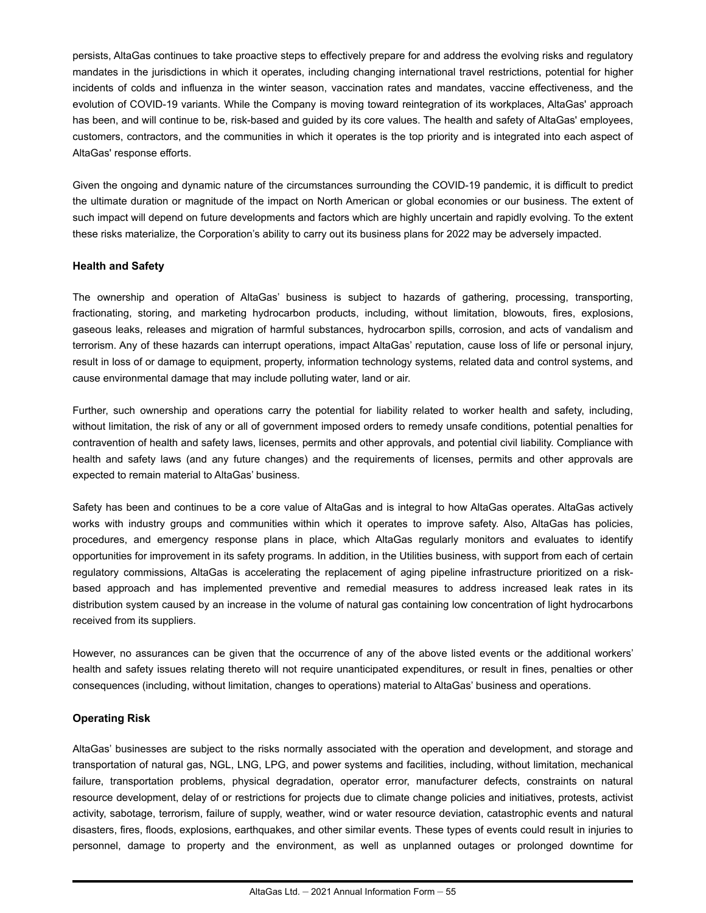persists, AltaGas continues to take proactive steps to effectively prepare for and address the evolving risks and regulatory mandates in the jurisdictions in which it operates, including changing international travel restrictions, potential for higher incidents of colds and influenza in the winter season, vaccination rates and mandates, vaccine effectiveness, and the evolution of COVID-19 variants. While the Company is moving toward reintegration of its workplaces, AltaGas' approach has been, and will continue to be, risk-based and guided by its core values. The health and safety of AltaGas' employees, customers, contractors, and the communities in which it operates is the top priority and is integrated into each aspect of AltaGas' response efforts.

Given the ongoing and dynamic nature of the circumstances surrounding the COVID-19 pandemic, it is difficult to predict the ultimate duration or magnitude of the impact on North American or global economies or our business. The extent of such impact will depend on future developments and factors which are highly uncertain and rapidly evolving. To the extent these risks materialize, the Corporation's ability to carry out its business plans for 2022 may be adversely impacted.

### **Health and Safety**

The ownership and operation of AltaGas' business is subject to hazards of gathering, processing, transporting, fractionating, storing, and marketing hydrocarbon products, including, without limitation, blowouts, fires, explosions, gaseous leaks, releases and migration of harmful substances, hydrocarbon spills, corrosion, and acts of vandalism and terrorism. Any of these hazards can interrupt operations, impact AltaGas' reputation, cause loss of life or personal injury, result in loss of or damage to equipment, property, information technology systems, related data and control systems, and cause environmental damage that may include polluting water, land or air.

Further, such ownership and operations carry the potential for liability related to worker health and safety, including, without limitation, the risk of any or all of government imposed orders to remedy unsafe conditions, potential penalties for contravention of health and safety laws, licenses, permits and other approvals, and potential civil liability. Compliance with health and safety laws (and any future changes) and the requirements of licenses, permits and other approvals are expected to remain material to AltaGas' business.

Safety has been and continues to be a core value of AltaGas and is integral to how AltaGas operates. AltaGas actively works with industry groups and communities within which it operates to improve safety. Also, AltaGas has policies, procedures, and emergency response plans in place, which AltaGas regularly monitors and evaluates to identify opportunities for improvement in its safety programs. In addition, in the Utilities business, with support from each of certain regulatory commissions, AltaGas is accelerating the replacement of aging pipeline infrastructure prioritized on a riskbased approach and has implemented preventive and remedial measures to address increased leak rates in its distribution system caused by an increase in the volume of natural gas containing low concentration of light hydrocarbons received from its suppliers.

However, no assurances can be given that the occurrence of any of the above listed events or the additional workers' health and safety issues relating thereto will not require unanticipated expenditures, or result in fines, penalties or other consequences (including, without limitation, changes to operations) material to AltaGas' business and operations.

### **Operating Risk**

AltaGas' businesses are subject to the risks normally associated with the operation and development, and storage and transportation of natural gas, NGL, LNG, LPG, and power systems and facilities, including, without limitation, mechanical failure, transportation problems, physical degradation, operator error, manufacturer defects, constraints on natural resource development, delay of or restrictions for projects due to climate change policies and initiatives, protests, activist activity, sabotage, terrorism, failure of supply, weather, wind or water resource deviation, catastrophic events and natural disasters, fires, floods, explosions, earthquakes, and other similar events. These types of events could result in injuries to personnel, damage to property and the environment, as well as unplanned outages or prolonged downtime for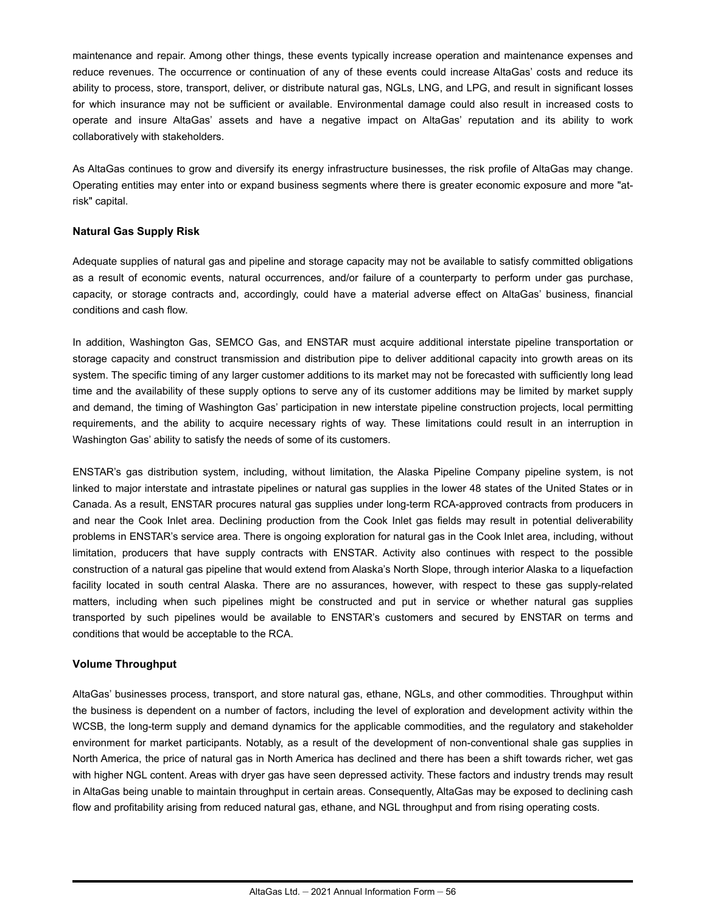maintenance and repair. Among other things, these events typically increase operation and maintenance expenses and reduce revenues. The occurrence or continuation of any of these events could increase AltaGas' costs and reduce its ability to process, store, transport, deliver, or distribute natural gas, NGLs, LNG, and LPG, and result in significant losses for which insurance may not be sufficient or available. Environmental damage could also result in increased costs to operate and insure AltaGas' assets and have a negative impact on AltaGas' reputation and its ability to work collaboratively with stakeholders.

As AltaGas continues to grow and diversify its energy infrastructure businesses, the risk profile of AltaGas may change. Operating entities may enter into or expand business segments where there is greater economic exposure and more "atrisk" capital.

### **Natural Gas Supply Risk**

Adequate supplies of natural gas and pipeline and storage capacity may not be available to satisfy committed obligations as a result of economic events, natural occurrences, and/or failure of a counterparty to perform under gas purchase, capacity, or storage contracts and, accordingly, could have a material adverse effect on AltaGas' business, financial conditions and cash flow.

In addition, Washington Gas, SEMCO Gas, and ENSTAR must acquire additional interstate pipeline transportation or storage capacity and construct transmission and distribution pipe to deliver additional capacity into growth areas on its system. The specific timing of any larger customer additions to its market may not be forecasted with sufficiently long lead time and the availability of these supply options to serve any of its customer additions may be limited by market supply and demand, the timing of Washington Gas' participation in new interstate pipeline construction projects, local permitting requirements, and the ability to acquire necessary rights of way. These limitations could result in an interruption in Washington Gas' ability to satisfy the needs of some of its customers.

ENSTAR's gas distribution system, including, without limitation, the Alaska Pipeline Company pipeline system, is not linked to major interstate and intrastate pipelines or natural gas supplies in the lower 48 states of the United States or in Canada. As a result, ENSTAR procures natural gas supplies under long-term RCA-approved contracts from producers in and near the Cook Inlet area. Declining production from the Cook Inlet gas fields may result in potential deliverability problems in ENSTAR's service area. There is ongoing exploration for natural gas in the Cook Inlet area, including, without limitation, producers that have supply contracts with ENSTAR. Activity also continues with respect to the possible construction of a natural gas pipeline that would extend from Alaska's North Slope, through interior Alaska to a liquefaction facility located in south central Alaska. There are no assurances, however, with respect to these gas supply-related matters, including when such pipelines might be constructed and put in service or whether natural gas supplies transported by such pipelines would be available to ENSTAR's customers and secured by ENSTAR on terms and conditions that would be acceptable to the RCA.

#### **Volume Throughput**

AltaGas' businesses process, transport, and store natural gas, ethane, NGLs, and other commodities. Throughput within the business is dependent on a number of factors, including the level of exploration and development activity within the WCSB, the long-term supply and demand dynamics for the applicable commodities, and the regulatory and stakeholder environment for market participants. Notably, as a result of the development of non-conventional shale gas supplies in North America, the price of natural gas in North America has declined and there has been a shift towards richer, wet gas with higher NGL content. Areas with dryer gas have seen depressed activity. These factors and industry trends may result in AltaGas being unable to maintain throughput in certain areas. Consequently, AltaGas may be exposed to declining cash flow and profitability arising from reduced natural gas, ethane, and NGL throughput and from rising operating costs.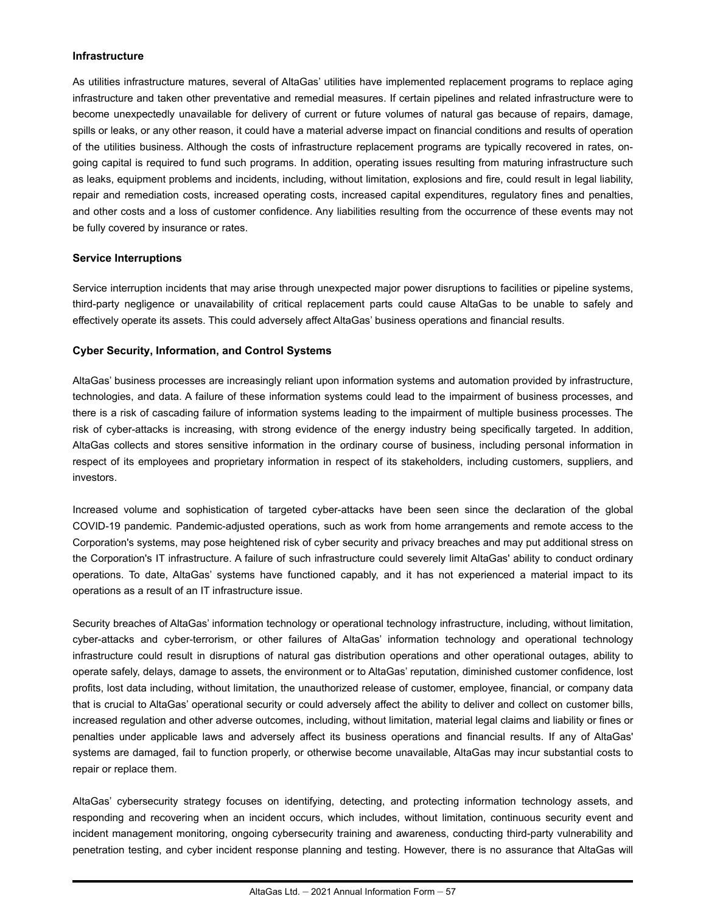#### **Infrastructure**

As utilities infrastructure matures, several of AltaGas' utilities have implemented replacement programs to replace aging infrastructure and taken other preventative and remedial measures. If certain pipelines and related infrastructure were to become unexpectedly unavailable for delivery of current or future volumes of natural gas because of repairs, damage, spills or leaks, or any other reason, it could have a material adverse impact on financial conditions and results of operation of the utilities business. Although the costs of infrastructure replacement programs are typically recovered in rates, ongoing capital is required to fund such programs. In addition, operating issues resulting from maturing infrastructure such as leaks, equipment problems and incidents, including, without limitation, explosions and fire, could result in legal liability, repair and remediation costs, increased operating costs, increased capital expenditures, regulatory fines and penalties, and other costs and a loss of customer confidence. Any liabilities resulting from the occurrence of these events may not be fully covered by insurance or rates.

### **Service Interruptions**

Service interruption incidents that may arise through unexpected major power disruptions to facilities or pipeline systems, third-party negligence or unavailability of critical replacement parts could cause AltaGas to be unable to safely and effectively operate its assets. This could adversely affect AltaGas' business operations and financial results.

### **Cyber Security, Information, and Control Systems**

AltaGas' business processes are increasingly reliant upon information systems and automation provided by infrastructure, technologies, and data. A failure of these information systems could lead to the impairment of business processes, and there is a risk of cascading failure of information systems leading to the impairment of multiple business processes. The risk of cyber-attacks is increasing, with strong evidence of the energy industry being specifically targeted. In addition, AltaGas collects and stores sensitive information in the ordinary course of business, including personal information in respect of its employees and proprietary information in respect of its stakeholders, including customers, suppliers, and investors.

Increased volume and sophistication of targeted cyber-attacks have been seen since the declaration of the global COVID-19 pandemic. Pandemic-adjusted operations, such as work from home arrangements and remote access to the Corporation's systems, may pose heightened risk of cyber security and privacy breaches and may put additional stress on the Corporation's IT infrastructure. A failure of such infrastructure could severely limit AltaGas' ability to conduct ordinary operations. To date, AltaGas' systems have functioned capably, and it has not experienced a material impact to its operations as a result of an IT infrastructure issue.

Security breaches of AltaGas' information technology or operational technology infrastructure, including, without limitation, cyber-attacks and cyber-terrorism, or other failures of AltaGas' information technology and operational technology infrastructure could result in disruptions of natural gas distribution operations and other operational outages, ability to operate safely, delays, damage to assets, the environment or to AltaGas' reputation, diminished customer confidence, lost profits, lost data including, without limitation, the unauthorized release of customer, employee, financial, or company data that is crucial to AltaGas' operational security or could adversely affect the ability to deliver and collect on customer bills, increased regulation and other adverse outcomes, including, without limitation, material legal claims and liability or fines or penalties under applicable laws and adversely affect its business operations and financial results. If any of AltaGas' systems are damaged, fail to function properly, or otherwise become unavailable, AltaGas may incur substantial costs to repair or replace them.

AltaGas' cybersecurity strategy focuses on identifying, detecting, and protecting information technology assets, and responding and recovering when an incident occurs, which includes, without limitation, continuous security event and incident management monitoring, ongoing cybersecurity training and awareness, conducting third-party vulnerability and penetration testing, and cyber incident response planning and testing. However, there is no assurance that AltaGas will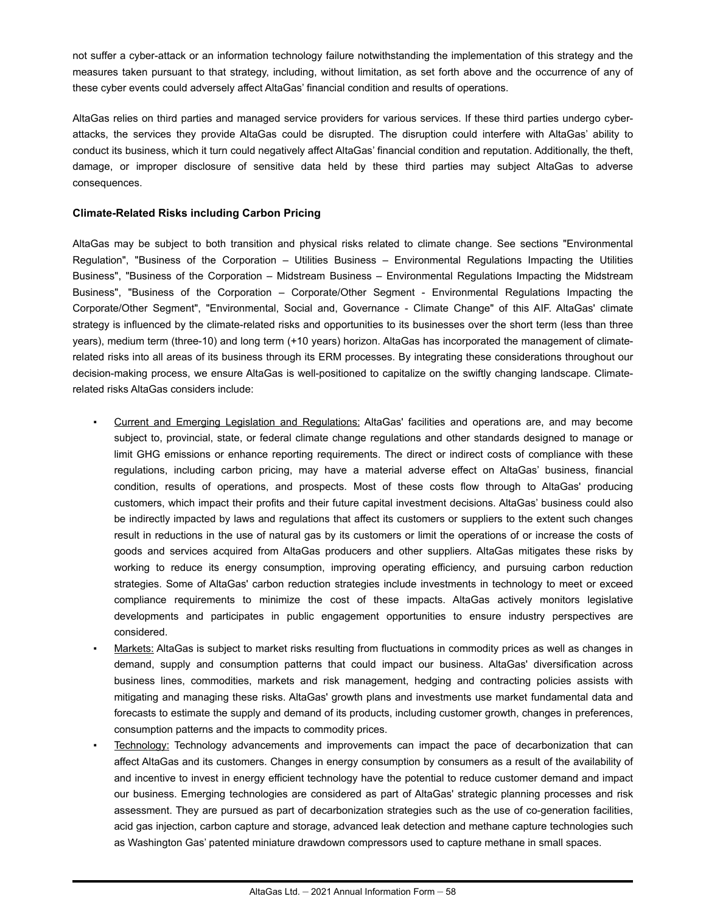not suffer a cyber-attack or an information technology failure notwithstanding the implementation of this strategy and the measures taken pursuant to that strategy, including, without limitation, as set forth above and the occurrence of any of these cyber events could adversely affect AltaGas' financial condition and results of operations.

AltaGas relies on third parties and managed service providers for various services. If these third parties undergo cyberattacks, the services they provide AltaGas could be disrupted. The disruption could interfere with AltaGas' ability to conduct its business, which it turn could negatively affect AltaGas' financial condition and reputation. Additionally, the theft, damage, or improper disclosure of sensitive data held by these third parties may subject AltaGas to adverse consequences.

### **Climate-Related Risks including Carbon Pricing**

AltaGas may be subject to both transition and physical risks related to climate change. See sections "Environmental Regulation", "Business of the Corporation – Utilities Business – Environmental Regulations Impacting the Utilities Business", "Business of the Corporation – Midstream Business – Environmental Regulations Impacting the Midstream Business", "Business of the Corporation – Corporate/Other Segment - Environmental Regulations Impacting the Corporate/Other Segment", "Environmental, Social and, Governance - Climate Change" of this AIF. AltaGas' climate strategy is influenced by the climate-related risks and opportunities to its businesses over the short term (less than three years), medium term (three-10) and long term (+10 years) horizon. AltaGas has incorporated the management of climaterelated risks into all areas of its business through its ERM processes. By integrating these considerations throughout our decision-making process, we ensure AltaGas is well-positioned to capitalize on the swiftly changing landscape. Climaterelated risks AltaGas considers include:

- Current and Emerging Legislation and Regulations: AltaGas' facilities and operations are, and may become subject to, provincial, state, or federal climate change regulations and other standards designed to manage or limit GHG emissions or enhance reporting requirements. The direct or indirect costs of compliance with these regulations, including carbon pricing, may have a material adverse effect on AltaGas' business, financial condition, results of operations, and prospects. Most of these costs flow through to AltaGas' producing customers, which impact their profits and their future capital investment decisions. AltaGas' business could also be indirectly impacted by laws and regulations that affect its customers or suppliers to the extent such changes result in reductions in the use of natural gas by its customers or limit the operations of or increase the costs of goods and services acquired from AltaGas producers and other suppliers. AltaGas mitigates these risks by working to reduce its energy consumption, improving operating efficiency, and pursuing carbon reduction strategies. Some of AltaGas' carbon reduction strategies include investments in technology to meet or exceed compliance requirements to minimize the cost of these impacts. AltaGas actively monitors legislative developments and participates in public engagement opportunities to ensure industry perspectives are considered.
- Markets: AltaGas is subject to market risks resulting from fluctuations in commodity prices as well as changes in demand, supply and consumption patterns that could impact our business. AltaGas' diversification across business lines, commodities, markets and risk management, hedging and contracting policies assists with mitigating and managing these risks. AltaGas' growth plans and investments use market fundamental data and forecasts to estimate the supply and demand of its products, including customer growth, changes in preferences, consumption patterns and the impacts to commodity prices.
- **Technology:** Technology advancements and improvements can impact the pace of decarbonization that can affect AltaGas and its customers. Changes in energy consumption by consumers as a result of the availability of and incentive to invest in energy efficient technology have the potential to reduce customer demand and impact our business. Emerging technologies are considered as part of AltaGas' strategic planning processes and risk assessment. They are pursued as part of decarbonization strategies such as the use of co-generation facilities, acid gas injection, carbon capture and storage, advanced leak detection and methane capture technologies such as Washington Gas' patented miniature drawdown compressors used to capture methane in small spaces.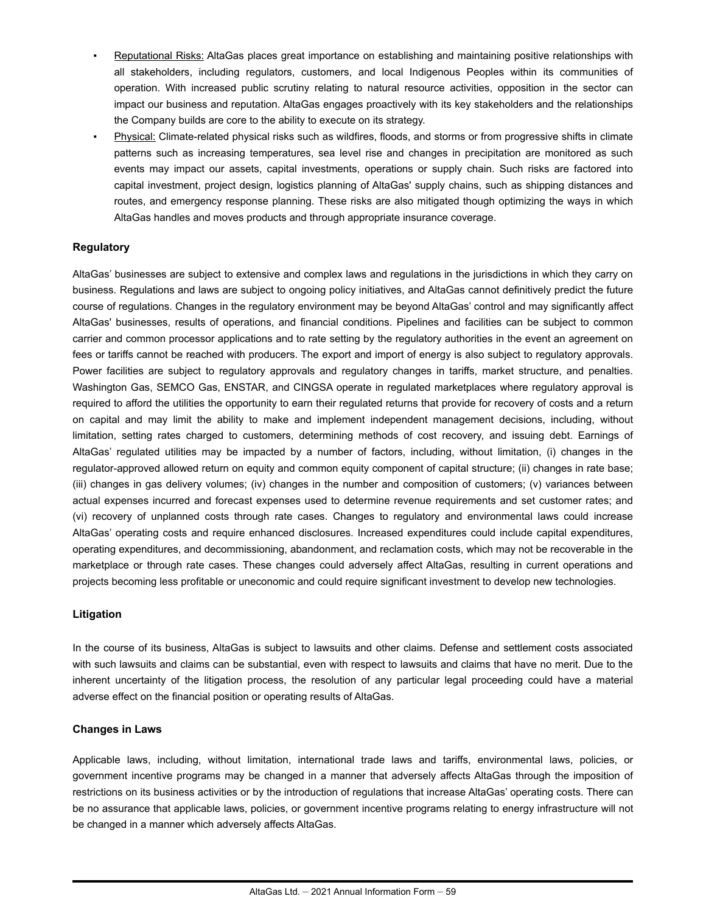- Reputational Risks: AltaGas places great importance on establishing and maintaining positive relationships with all stakeholders, including regulators, customers, and local Indigenous Peoples within its communities of operation. With increased public scrutiny relating to natural resource activities, opposition in the sector can impact our business and reputation. AltaGas engages proactively with its key stakeholders and the relationships the Company builds are core to the ability to execute on its strategy.
- Physical: Climate-related physical risks such as wildfires, floods, and storms or from progressive shifts in climate patterns such as increasing temperatures, sea level rise and changes in precipitation are monitored as such events may impact our assets, capital investments, operations or supply chain. Such risks are factored into capital investment, project design, logistics planning of AltaGas' supply chains, such as shipping distances and routes, and emergency response planning. These risks are also mitigated though optimizing the ways in which AltaGas handles and moves products and through appropriate insurance coverage.

### **Regulatory**

AltaGas' businesses are subject to extensive and complex laws and regulations in the jurisdictions in which they carry on business. Regulations and laws are subject to ongoing policy initiatives, and AltaGas cannot definitively predict the future course of regulations. Changes in the regulatory environment may be beyond AltaGas' control and may significantly affect AltaGas' businesses, results of operations, and financial conditions. Pipelines and facilities can be subject to common carrier and common processor applications and to rate setting by the regulatory authorities in the event an agreement on fees or tariffs cannot be reached with producers. The export and import of energy is also subject to regulatory approvals. Power facilities are subject to regulatory approvals and regulatory changes in tariffs, market structure, and penalties. Washington Gas, SEMCO Gas, ENSTAR, and CINGSA operate in regulated marketplaces where regulatory approval is required to afford the utilities the opportunity to earn their regulated returns that provide for recovery of costs and a return on capital and may limit the ability to make and implement independent management decisions, including, without limitation, setting rates charged to customers, determining methods of cost recovery, and issuing debt. Earnings of AltaGas' regulated utilities may be impacted by a number of factors, including, without limitation, (i) changes in the regulator-approved allowed return on equity and common equity component of capital structure; (ii) changes in rate base; (iii) changes in gas delivery volumes; (iv) changes in the number and composition of customers; (v) variances between actual expenses incurred and forecast expenses used to determine revenue requirements and set customer rates; and (vi) recovery of unplanned costs through rate cases. Changes to regulatory and environmental laws could increase AltaGas' operating costs and require enhanced disclosures. Increased expenditures could include capital expenditures, operating expenditures, and decommissioning, abandonment, and reclamation costs, which may not be recoverable in the marketplace or through rate cases. These changes could adversely affect AltaGas, resulting in current operations and projects becoming less profitable or uneconomic and could require significant investment to develop new technologies.

### **Litigation**

In the course of its business, AltaGas is subject to lawsuits and other claims. Defense and settlement costs associated with such lawsuits and claims can be substantial, even with respect to lawsuits and claims that have no merit. Due to the inherent uncertainty of the litigation process, the resolution of any particular legal proceeding could have a material adverse effect on the financial position or operating results of AltaGas.

### **Changes in Laws**

Applicable laws, including, without limitation, international trade laws and tariffs, environmental laws, policies, or government incentive programs may be changed in a manner that adversely affects AltaGas through the imposition of restrictions on its business activities or by the introduction of regulations that increase AltaGas' operating costs. There can be no assurance that applicable laws, policies, or government incentive programs relating to energy infrastructure will not be changed in a manner which adversely affects AltaGas.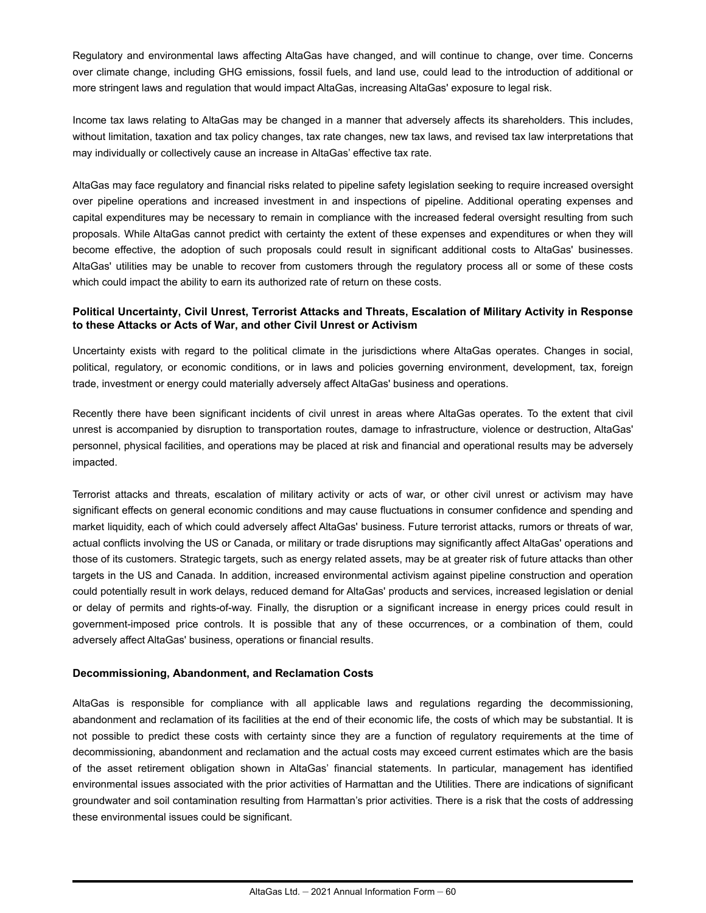Regulatory and environmental laws affecting AltaGas have changed, and will continue to change, over time. Concerns over climate change, including GHG emissions, fossil fuels, and land use, could lead to the introduction of additional or more stringent laws and regulation that would impact AltaGas, increasing AltaGas' exposure to legal risk.

Income tax laws relating to AltaGas may be changed in a manner that adversely affects its shareholders. This includes, without limitation, taxation and tax policy changes, tax rate changes, new tax laws, and revised tax law interpretations that may individually or collectively cause an increase in AltaGas' effective tax rate.

AltaGas may face regulatory and financial risks related to pipeline safety legislation seeking to require increased oversight over pipeline operations and increased investment in and inspections of pipeline. Additional operating expenses and capital expenditures may be necessary to remain in compliance with the increased federal oversight resulting from such proposals. While AltaGas cannot predict with certainty the extent of these expenses and expenditures or when they will become effective, the adoption of such proposals could result in significant additional costs to AltaGas' businesses. AltaGas' utilities may be unable to recover from customers through the regulatory process all or some of these costs which could impact the ability to earn its authorized rate of return on these costs.

### **Political Uncertainty, Civil Unrest, Terrorist Attacks and Threats, Escalation of Military Activity in Response to these Attacks or Acts of War, and other Civil Unrest or Activism**

Uncertainty exists with regard to the political climate in the jurisdictions where AltaGas operates. Changes in social, political, regulatory, or economic conditions, or in laws and policies governing environment, development, tax, foreign trade, investment or energy could materially adversely affect AltaGas' business and operations.

Recently there have been significant incidents of civil unrest in areas where AltaGas operates. To the extent that civil unrest is accompanied by disruption to transportation routes, damage to infrastructure, violence or destruction, AltaGas' personnel, physical facilities, and operations may be placed at risk and financial and operational results may be adversely impacted.

Terrorist attacks and threats, escalation of military activity or acts of war, or other civil unrest or activism may have significant effects on general economic conditions and may cause fluctuations in consumer confidence and spending and market liquidity, each of which could adversely affect AltaGas' business. Future terrorist attacks, rumors or threats of war, actual conflicts involving the US or Canada, or military or trade disruptions may significantly affect AltaGas' operations and those of its customers. Strategic targets, such as energy related assets, may be at greater risk of future attacks than other targets in the US and Canada. In addition, increased environmental activism against pipeline construction and operation could potentially result in work delays, reduced demand for AltaGas' products and services, increased legislation or denial or delay of permits and rights-of-way. Finally, the disruption or a significant increase in energy prices could result in government-imposed price controls. It is possible that any of these occurrences, or a combination of them, could adversely affect AltaGas' business, operations or financial results.

### **Decommissioning, Abandonment, and Reclamation Costs**

AltaGas is responsible for compliance with all applicable laws and regulations regarding the decommissioning, abandonment and reclamation of its facilities at the end of their economic life, the costs of which may be substantial. It is not possible to predict these costs with certainty since they are a function of regulatory requirements at the time of decommissioning, abandonment and reclamation and the actual costs may exceed current estimates which are the basis of the asset retirement obligation shown in AltaGas' financial statements. In particular, management has identified environmental issues associated with the prior activities of Harmattan and the Utilities. There are indications of significant groundwater and soil contamination resulting from Harmattan's prior activities. There is a risk that the costs of addressing these environmental issues could be significant.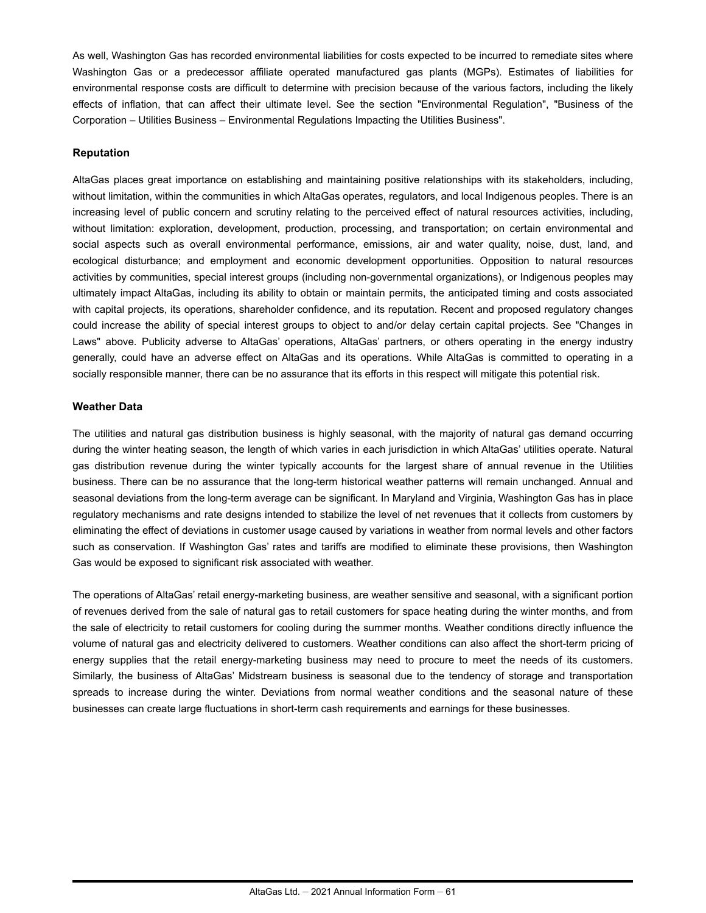As well, Washington Gas has recorded environmental liabilities for costs expected to be incurred to remediate sites where Washington Gas or a predecessor affiliate operated manufactured gas plants (MGPs). Estimates of liabilities for environmental response costs are difficult to determine with precision because of the various factors, including the likely effects of inflation, that can affect their ultimate level. See the section "Environmental Regulation", "Business of the Corporation – Utilities Business – Environmental Regulations Impacting the Utilities Business".

#### **Reputation**

AltaGas places great importance on establishing and maintaining positive relationships with its stakeholders, including, without limitation, within the communities in which AltaGas operates, regulators, and local Indigenous peoples. There is an increasing level of public concern and scrutiny relating to the perceived effect of natural resources activities, including, without limitation: exploration, development, production, processing, and transportation; on certain environmental and social aspects such as overall environmental performance, emissions, air and water quality, noise, dust, land, and ecological disturbance; and employment and economic development opportunities. Opposition to natural resources activities by communities, special interest groups (including non-governmental organizations), or Indigenous peoples may ultimately impact AltaGas, including its ability to obtain or maintain permits, the anticipated timing and costs associated with capital projects, its operations, shareholder confidence, and its reputation. Recent and proposed regulatory changes could increase the ability of special interest groups to object to and/or delay certain capital projects. See "Changes in Laws" above. Publicity adverse to AltaGas' operations, AltaGas' partners, or others operating in the energy industry generally, could have an adverse effect on AltaGas and its operations. While AltaGas is committed to operating in a socially responsible manner, there can be no assurance that its efforts in this respect will mitigate this potential risk.

#### **Weather Data**

The utilities and natural gas distribution business is highly seasonal, with the majority of natural gas demand occurring during the winter heating season, the length of which varies in each jurisdiction in which AltaGas' utilities operate. Natural gas distribution revenue during the winter typically accounts for the largest share of annual revenue in the Utilities business. There can be no assurance that the long-term historical weather patterns will remain unchanged. Annual and seasonal deviations from the long-term average can be significant. In Maryland and Virginia, Washington Gas has in place regulatory mechanisms and rate designs intended to stabilize the level of net revenues that it collects from customers by eliminating the effect of deviations in customer usage caused by variations in weather from normal levels and other factors such as conservation. If Washington Gas' rates and tariffs are modified to eliminate these provisions, then Washington Gas would be exposed to significant risk associated with weather.

The operations of AltaGas' retail energy-marketing business, are weather sensitive and seasonal, with a significant portion of revenues derived from the sale of natural gas to retail customers for space heating during the winter months, and from the sale of electricity to retail customers for cooling during the summer months. Weather conditions directly influence the volume of natural gas and electricity delivered to customers. Weather conditions can also affect the short-term pricing of energy supplies that the retail energy-marketing business may need to procure to meet the needs of its customers. Similarly, the business of AltaGas' Midstream business is seasonal due to the tendency of storage and transportation spreads to increase during the winter. Deviations from normal weather conditions and the seasonal nature of these businesses can create large fluctuations in short-term cash requirements and earnings for these businesses.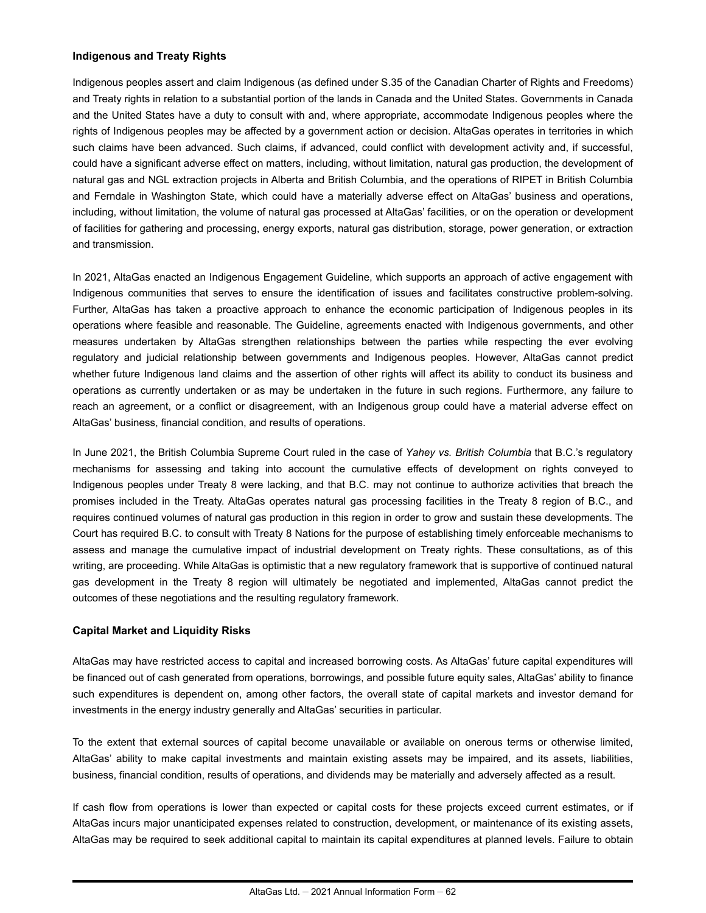### **Indigenous and Treaty Rights**

Indigenous peoples assert and claim Indigenous (as defined under S.35 of the Canadian Charter of Rights and Freedoms) and Treaty rights in relation to a substantial portion of the lands in Canada and the United States. Governments in Canada and the United States have a duty to consult with and, where appropriate, accommodate Indigenous peoples where the rights of Indigenous peoples may be affected by a government action or decision. AltaGas operates in territories in which such claims have been advanced. Such claims, if advanced, could conflict with development activity and, if successful, could have a significant adverse effect on matters, including, without limitation, natural gas production, the development of natural gas and NGL extraction projects in Alberta and British Columbia, and the operations of RIPET in British Columbia and Ferndale in Washington State, which could have a materially adverse effect on AltaGas' business and operations, including, without limitation, the volume of natural gas processed at AltaGas' facilities, or on the operation or development of facilities for gathering and processing, energy exports, natural gas distribution, storage, power generation, or extraction and transmission.

In 2021, AltaGas enacted an Indigenous Engagement Guideline, which supports an approach of active engagement with Indigenous communities that serves to ensure the identification of issues and facilitates constructive problem-solving. Further, AltaGas has taken a proactive approach to enhance the economic participation of Indigenous peoples in its operations where feasible and reasonable. The Guideline, agreements enacted with Indigenous governments, and other measures undertaken by AltaGas strengthen relationships between the parties while respecting the ever evolving regulatory and judicial relationship between governments and Indigenous peoples. However, AltaGas cannot predict whether future Indigenous land claims and the assertion of other rights will affect its ability to conduct its business and operations as currently undertaken or as may be undertaken in the future in such regions. Furthermore, any failure to reach an agreement, or a conflict or disagreement, with an Indigenous group could have a material adverse effect on AltaGas' business, financial condition, and results of operations.

In June 2021, the British Columbia Supreme Court ruled in the case of *Yahey vs. British Columbia* that B.C.'s regulatory mechanisms for assessing and taking into account the cumulative effects of development on rights conveyed to Indigenous peoples under Treaty 8 were lacking, and that B.C. may not continue to authorize activities that breach the promises included in the Treaty. AltaGas operates natural gas processing facilities in the Treaty 8 region of B.C., and requires continued volumes of natural gas production in this region in order to grow and sustain these developments. The Court has required B.C. to consult with Treaty 8 Nations for the purpose of establishing timely enforceable mechanisms to assess and manage the cumulative impact of industrial development on Treaty rights. These consultations, as of this writing, are proceeding. While AltaGas is optimistic that a new regulatory framework that is supportive of continued natural gas development in the Treaty 8 region will ultimately be negotiated and implemented, AltaGas cannot predict the outcomes of these negotiations and the resulting regulatory framework.

### **Capital Market and Liquidity Risks**

AltaGas may have restricted access to capital and increased borrowing costs. As AltaGas' future capital expenditures will be financed out of cash generated from operations, borrowings, and possible future equity sales, AltaGas' ability to finance such expenditures is dependent on, among other factors, the overall state of capital markets and investor demand for investments in the energy industry generally and AltaGas' securities in particular.

To the extent that external sources of capital become unavailable or available on onerous terms or otherwise limited, AltaGas' ability to make capital investments and maintain existing assets may be impaired, and its assets, liabilities, business, financial condition, results of operations, and dividends may be materially and adversely affected as a result.

If cash flow from operations is lower than expected or capital costs for these projects exceed current estimates, or if AltaGas incurs major unanticipated expenses related to construction, development, or maintenance of its existing assets, AltaGas may be required to seek additional capital to maintain its capital expenditures at planned levels. Failure to obtain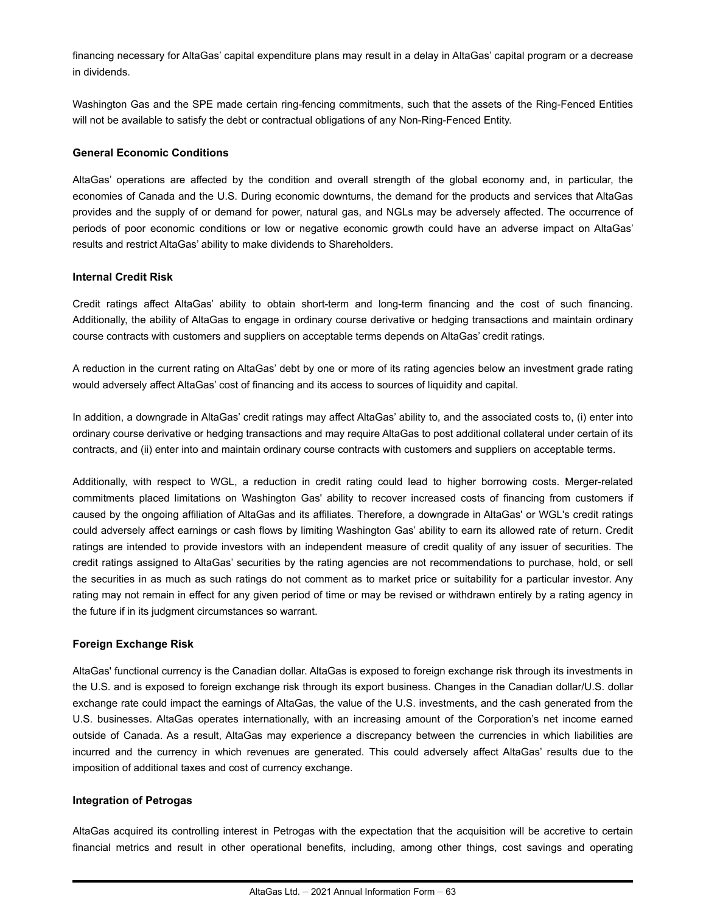financing necessary for AltaGas' capital expenditure plans may result in a delay in AltaGas' capital program or a decrease in dividends.

Washington Gas and the SPE made certain ring-fencing commitments, such that the assets of the Ring-Fenced Entities will not be available to satisfy the debt or contractual obligations of any Non-Ring-Fenced Entity.

### **General Economic Conditions**

AltaGas' operations are affected by the condition and overall strength of the global economy and, in particular, the economies of Canada and the U.S. During economic downturns, the demand for the products and services that AltaGas provides and the supply of or demand for power, natural gas, and NGLs may be adversely affected. The occurrence of periods of poor economic conditions or low or negative economic growth could have an adverse impact on AltaGas' results and restrict AltaGas' ability to make dividends to Shareholders.

### **Internal Credit Risk**

Credit ratings affect AltaGas' ability to obtain short-term and long-term financing and the cost of such financing. Additionally, the ability of AltaGas to engage in ordinary course derivative or hedging transactions and maintain ordinary course contracts with customers and suppliers on acceptable terms depends on AltaGas' credit ratings.

A reduction in the current rating on AltaGas' debt by one or more of its rating agencies below an investment grade rating would adversely affect AltaGas' cost of financing and its access to sources of liquidity and capital.

In addition, a downgrade in AltaGas' credit ratings may affect AltaGas' ability to, and the associated costs to, (i) enter into ordinary course derivative or hedging transactions and may require AltaGas to post additional collateral under certain of its contracts, and (ii) enter into and maintain ordinary course contracts with customers and suppliers on acceptable terms.

Additionally, with respect to WGL, a reduction in credit rating could lead to higher borrowing costs. Merger-related commitments placed limitations on Washington Gas' ability to recover increased costs of financing from customers if caused by the ongoing affiliation of AltaGas and its affiliates. Therefore, a downgrade in AltaGas' or WGL's credit ratings could adversely affect earnings or cash flows by limiting Washington Gas' ability to earn its allowed rate of return. Credit ratings are intended to provide investors with an independent measure of credit quality of any issuer of securities. The credit ratings assigned to AltaGas' securities by the rating agencies are not recommendations to purchase, hold, or sell the securities in as much as such ratings do not comment as to market price or suitability for a particular investor. Any rating may not remain in effect for any given period of time or may be revised or withdrawn entirely by a rating agency in the future if in its judgment circumstances so warrant.

### **Foreign Exchange Risk**

AltaGas' functional currency is the Canadian dollar. AltaGas is exposed to foreign exchange risk through its investments in the U.S. and is exposed to foreign exchange risk through its export business. Changes in the Canadian dollar/U.S. dollar exchange rate could impact the earnings of AltaGas, the value of the U.S. investments, and the cash generated from the U.S. businesses. AltaGas operates internationally, with an increasing amount of the Corporation's net income earned outside of Canada. As a result, AltaGas may experience a discrepancy between the currencies in which liabilities are incurred and the currency in which revenues are generated. This could adversely affect AltaGas' results due to the imposition of additional taxes and cost of currency exchange.

### **Integration of Petrogas**

AltaGas acquired its controlling interest in Petrogas with the expectation that the acquisition will be accretive to certain financial metrics and result in other operational benefits, including, among other things, cost savings and operating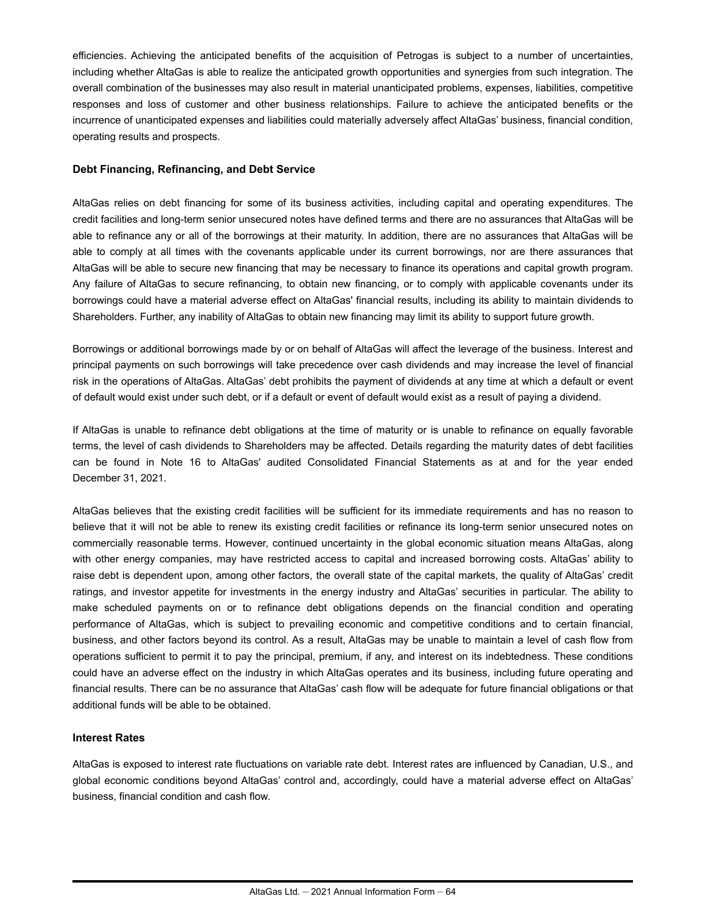efficiencies. Achieving the anticipated benefits of the acquisition of Petrogas is subject to a number of uncertainties, including whether AltaGas is able to realize the anticipated growth opportunities and synergies from such integration. The overall combination of the businesses may also result in material unanticipated problems, expenses, liabilities, competitive responses and loss of customer and other business relationships. Failure to achieve the anticipated benefits or the incurrence of unanticipated expenses and liabilities could materially adversely affect AltaGas' business, financial condition, operating results and prospects.

#### **Debt Financing, Refinancing, and Debt Service**

AltaGas relies on debt financing for some of its business activities, including capital and operating expenditures. The credit facilities and long-term senior unsecured notes have defined terms and there are no assurances that AltaGas will be able to refinance any or all of the borrowings at their maturity. In addition, there are no assurances that AltaGas will be able to comply at all times with the covenants applicable under its current borrowings, nor are there assurances that AltaGas will be able to secure new financing that may be necessary to finance its operations and capital growth program. Any failure of AltaGas to secure refinancing, to obtain new financing, or to comply with applicable covenants under its borrowings could have a material adverse effect on AltaGas' financial results, including its ability to maintain dividends to Shareholders. Further, any inability of AltaGas to obtain new financing may limit its ability to support future growth.

Borrowings or additional borrowings made by or on behalf of AltaGas will affect the leverage of the business. Interest and principal payments on such borrowings will take precedence over cash dividends and may increase the level of financial risk in the operations of AltaGas. AltaGas' debt prohibits the payment of dividends at any time at which a default or event of default would exist under such debt, or if a default or event of default would exist as a result of paying a dividend.

If AltaGas is unable to refinance debt obligations at the time of maturity or is unable to refinance on equally favorable terms, the level of cash dividends to Shareholders may be affected. Details regarding the maturity dates of debt facilities can be found in Note 16 to AltaGas' audited Consolidated Financial Statements as at and for the year ended December 31, 2021.

AltaGas believes that the existing credit facilities will be sufficient for its immediate requirements and has no reason to believe that it will not be able to renew its existing credit facilities or refinance its long-term senior unsecured notes on commercially reasonable terms. However, continued uncertainty in the global economic situation means AltaGas, along with other energy companies, may have restricted access to capital and increased borrowing costs. AltaGas' ability to raise debt is dependent upon, among other factors, the overall state of the capital markets, the quality of AltaGas' credit ratings, and investor appetite for investments in the energy industry and AltaGas' securities in particular. The ability to make scheduled payments on or to refinance debt obligations depends on the financial condition and operating performance of AltaGas, which is subject to prevailing economic and competitive conditions and to certain financial, business, and other factors beyond its control. As a result, AltaGas may be unable to maintain a level of cash flow from operations sufficient to permit it to pay the principal, premium, if any, and interest on its indebtedness. These conditions could have an adverse effect on the industry in which AltaGas operates and its business, including future operating and financial results. There can be no assurance that AltaGas' cash flow will be adequate for future financial obligations or that additional funds will be able to be obtained.

### **Interest Rates**

AltaGas is exposed to interest rate fluctuations on variable rate debt. Interest rates are influenced by Canadian, U.S., and global economic conditions beyond AltaGas' control and, accordingly, could have a material adverse effect on AltaGas' business, financial condition and cash flow.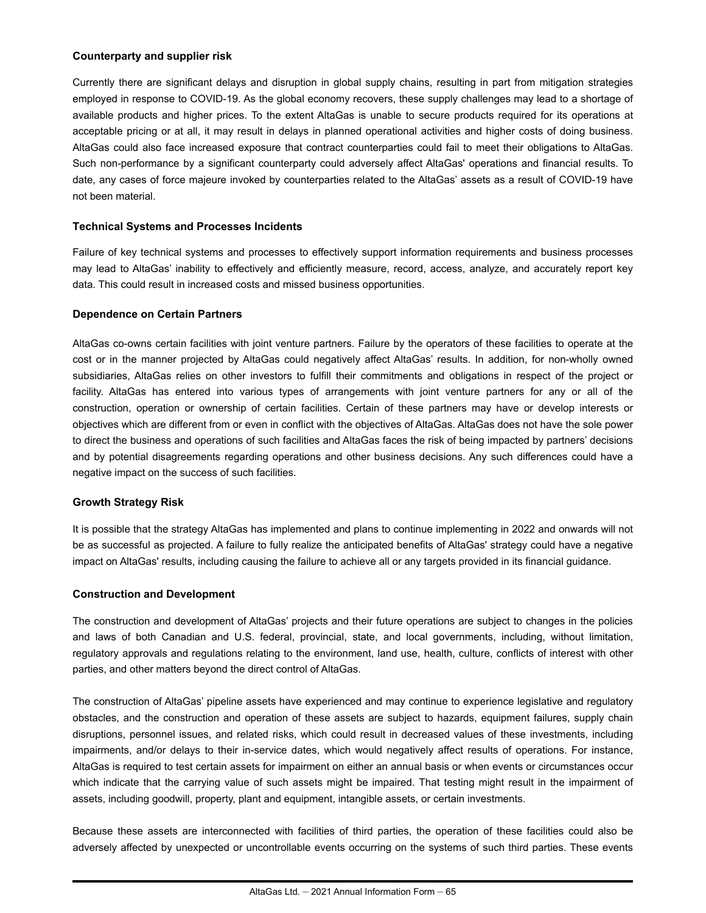#### **Counterparty and supplier risk**

Currently there are significant delays and disruption in global supply chains, resulting in part from mitigation strategies employed in response to COVID-19. As the global economy recovers, these supply challenges may lead to a shortage of available products and higher prices. To the extent AltaGas is unable to secure products required for its operations at acceptable pricing or at all, it may result in delays in planned operational activities and higher costs of doing business. AltaGas could also face increased exposure that contract counterparties could fail to meet their obligations to AltaGas. Such non-performance by a significant counterparty could adversely affect AltaGas' operations and financial results. To date, any cases of force majeure invoked by counterparties related to the AltaGas' assets as a result of COVID-19 have not been material.

### **Technical Systems and Processes Incidents**

Failure of key technical systems and processes to effectively support information requirements and business processes may lead to AltaGas' inability to effectively and efficiently measure, record, access, analyze, and accurately report key data. This could result in increased costs and missed business opportunities.

### **Dependence on Certain Partners**

AltaGas co-owns certain facilities with joint venture partners. Failure by the operators of these facilities to operate at the cost or in the manner projected by AltaGas could negatively affect AltaGas' results. In addition, for non-wholly owned subsidiaries, AltaGas relies on other investors to fulfill their commitments and obligations in respect of the project or facility. AltaGas has entered into various types of arrangements with joint venture partners for any or all of the construction, operation or ownership of certain facilities. Certain of these partners may have or develop interests or objectives which are different from or even in conflict with the objectives of AltaGas. AltaGas does not have the sole power to direct the business and operations of such facilities and AltaGas faces the risk of being impacted by partners' decisions and by potential disagreements regarding operations and other business decisions. Any such differences could have a negative impact on the success of such facilities.

### **Growth Strategy Risk**

It is possible that the strategy AltaGas has implemented and plans to continue implementing in 2022 and onwards will not be as successful as projected. A failure to fully realize the anticipated benefits of AltaGas' strategy could have a negative impact on AltaGas' results, including causing the failure to achieve all or any targets provided in its financial guidance.

### **Construction and Development**

The construction and development of AltaGas' projects and their future operations are subject to changes in the policies and laws of both Canadian and U.S. federal, provincial, state, and local governments, including, without limitation, regulatory approvals and regulations relating to the environment, land use, health, culture, conflicts of interest with other parties, and other matters beyond the direct control of AltaGas.

The construction of AltaGas' pipeline assets have experienced and may continue to experience legislative and regulatory obstacles, and the construction and operation of these assets are subject to hazards, equipment failures, supply chain disruptions, personnel issues, and related risks, which could result in decreased values of these investments, including impairments, and/or delays to their in-service dates, which would negatively affect results of operations. For instance, AltaGas is required to test certain assets for impairment on either an annual basis or when events or circumstances occur which indicate that the carrying value of such assets might be impaired. That testing might result in the impairment of assets, including goodwill, property, plant and equipment, intangible assets, or certain investments.

Because these assets are interconnected with facilities of third parties, the operation of these facilities could also be adversely affected by unexpected or uncontrollable events occurring on the systems of such third parties. These events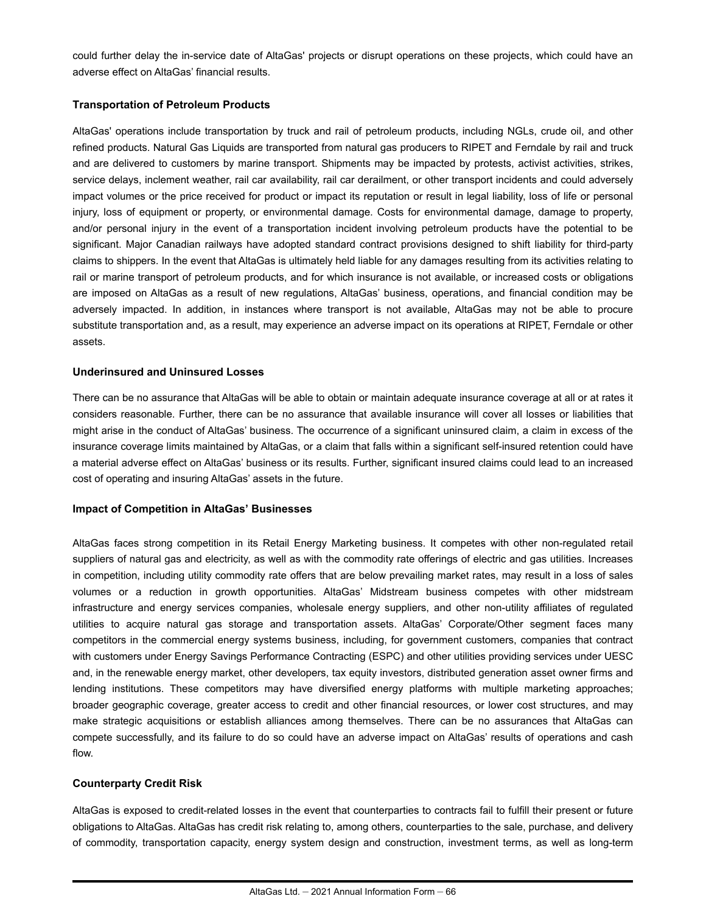could further delay the in-service date of AltaGas' projects or disrupt operations on these projects, which could have an adverse effect on AltaGas' financial results.

### **Transportation of Petroleum Products**

AltaGas' operations include transportation by truck and rail of petroleum products, including NGLs, crude oil, and other refined products. Natural Gas Liquids are transported from natural gas producers to RIPET and Ferndale by rail and truck and are delivered to customers by marine transport. Shipments may be impacted by protests, activist activities, strikes, service delays, inclement weather, rail car availability, rail car derailment, or other transport incidents and could adversely impact volumes or the price received for product or impact its reputation or result in legal liability, loss of life or personal injury, loss of equipment or property, or environmental damage. Costs for environmental damage, damage to property, and/or personal injury in the event of a transportation incident involving petroleum products have the potential to be significant. Major Canadian railways have adopted standard contract provisions designed to shift liability for third-party claims to shippers. In the event that AltaGas is ultimately held liable for any damages resulting from its activities relating to rail or marine transport of petroleum products, and for which insurance is not available, or increased costs or obligations are imposed on AltaGas as a result of new regulations, AltaGas' business, operations, and financial condition may be adversely impacted. In addition, in instances where transport is not available, AltaGas may not be able to procure substitute transportation and, as a result, may experience an adverse impact on its operations at RIPET, Ferndale or other assets.

### **Underinsured and Uninsured Losses**

There can be no assurance that AltaGas will be able to obtain or maintain adequate insurance coverage at all or at rates it considers reasonable. Further, there can be no assurance that available insurance will cover all losses or liabilities that might arise in the conduct of AltaGas' business. The occurrence of a significant uninsured claim, a claim in excess of the insurance coverage limits maintained by AltaGas, or a claim that falls within a significant self-insured retention could have a material adverse effect on AltaGas' business or its results. Further, significant insured claims could lead to an increased cost of operating and insuring AltaGas' assets in the future.

#### **Impact of Competition in AltaGas' Businesses**

AltaGas faces strong competition in its Retail Energy Marketing business. It competes with other non-regulated retail suppliers of natural gas and electricity, as well as with the commodity rate offerings of electric and gas utilities. Increases in competition, including utility commodity rate offers that are below prevailing market rates, may result in a loss of sales volumes or a reduction in growth opportunities. AltaGas' Midstream business competes with other midstream infrastructure and energy services companies, wholesale energy suppliers, and other non-utility affiliates of regulated utilities to acquire natural gas storage and transportation assets. AltaGas' Corporate/Other segment faces many competitors in the commercial energy systems business, including, for government customers, companies that contract with customers under Energy Savings Performance Contracting (ESPC) and other utilities providing services under UESC and, in the renewable energy market, other developers, tax equity investors, distributed generation asset owner firms and lending institutions. These competitors may have diversified energy platforms with multiple marketing approaches; broader geographic coverage, greater access to credit and other financial resources, or lower cost structures, and may make strategic acquisitions or establish alliances among themselves. There can be no assurances that AltaGas can compete successfully, and its failure to do so could have an adverse impact on AltaGas' results of operations and cash flow.

### **Counterparty Credit Risk**

AltaGas is exposed to credit-related losses in the event that counterparties to contracts fail to fulfill their present or future obligations to AltaGas. AltaGas has credit risk relating to, among others, counterparties to the sale, purchase, and delivery of commodity, transportation capacity, energy system design and construction, investment terms, as well as long-term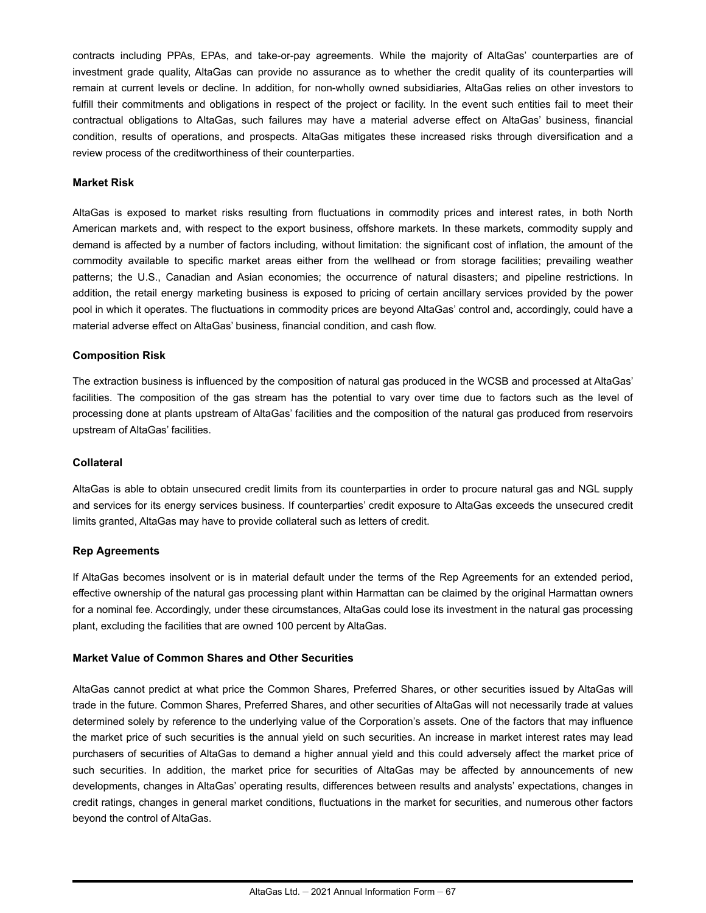contracts including PPAs, EPAs, and take-or-pay agreements. While the majority of AltaGas' counterparties are of investment grade quality, AltaGas can provide no assurance as to whether the credit quality of its counterparties will remain at current levels or decline. In addition, for non-wholly owned subsidiaries, AltaGas relies on other investors to fulfill their commitments and obligations in respect of the project or facility. In the event such entities fail to meet their contractual obligations to AltaGas, such failures may have a material adverse effect on AltaGas' business, financial condition, results of operations, and prospects. AltaGas mitigates these increased risks through diversification and a review process of the creditworthiness of their counterparties.

#### **Market Risk**

AltaGas is exposed to market risks resulting from fluctuations in commodity prices and interest rates, in both North American markets and, with respect to the export business, offshore markets. In these markets, commodity supply and demand is affected by a number of factors including, without limitation: the significant cost of inflation, the amount of the commodity available to specific market areas either from the wellhead or from storage facilities; prevailing weather patterns; the U.S., Canadian and Asian economies; the occurrence of natural disasters; and pipeline restrictions. In addition, the retail energy marketing business is exposed to pricing of certain ancillary services provided by the power pool in which it operates. The fluctuations in commodity prices are beyond AltaGas' control and, accordingly, could have a material adverse effect on AltaGas' business, financial condition, and cash flow.

### **Composition Risk**

The extraction business is influenced by the composition of natural gas produced in the WCSB and processed at AltaGas' facilities. The composition of the gas stream has the potential to vary over time due to factors such as the level of processing done at plants upstream of AltaGas' facilities and the composition of the natural gas produced from reservoirs upstream of AltaGas' facilities.

#### **Collateral**

AltaGas is able to obtain unsecured credit limits from its counterparties in order to procure natural gas and NGL supply and services for its energy services business. If counterparties' credit exposure to AltaGas exceeds the unsecured credit limits granted, AltaGas may have to provide collateral such as letters of credit.

### **Rep Agreements**

If AltaGas becomes insolvent or is in material default under the terms of the Rep Agreements for an extended period, effective ownership of the natural gas processing plant within Harmattan can be claimed by the original Harmattan owners for a nominal fee. Accordingly, under these circumstances, AltaGas could lose its investment in the natural gas processing plant, excluding the facilities that are owned 100 percent by AltaGas.

#### **Market Value of Common Shares and Other Securities**

AltaGas cannot predict at what price the Common Shares, Preferred Shares, or other securities issued by AltaGas will trade in the future. Common Shares, Preferred Shares, and other securities of AltaGas will not necessarily trade at values determined solely by reference to the underlying value of the Corporation's assets. One of the factors that may influence the market price of such securities is the annual yield on such securities. An increase in market interest rates may lead purchasers of securities of AltaGas to demand a higher annual yield and this could adversely affect the market price of such securities. In addition, the market price for securities of AltaGas may be affected by announcements of new developments, changes in AltaGas' operating results, differences between results and analysts' expectations, changes in credit ratings, changes in general market conditions, fluctuations in the market for securities, and numerous other factors beyond the control of AltaGas.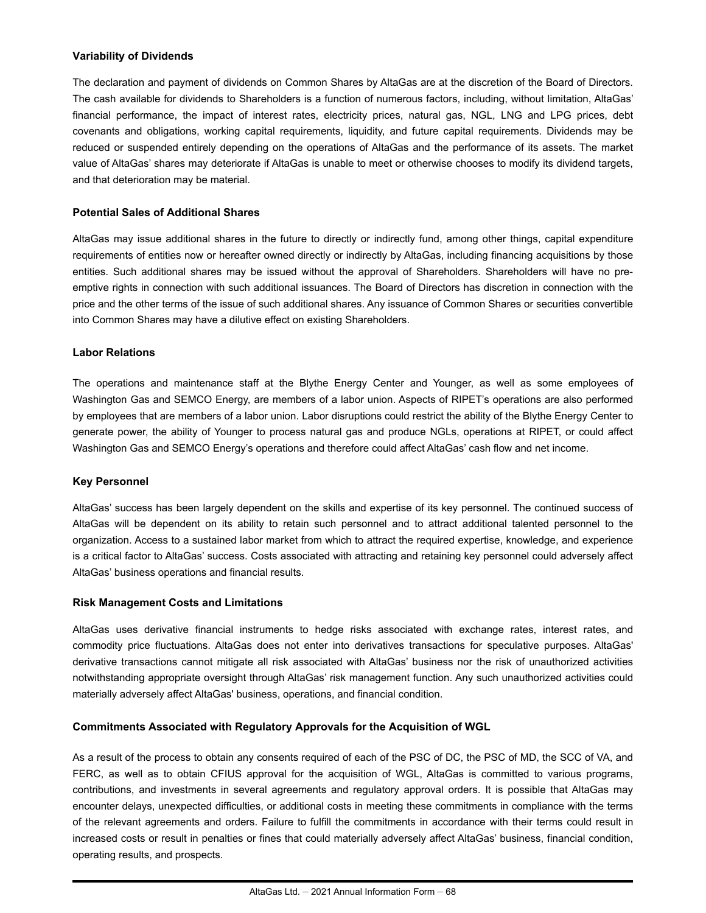### **Variability of Dividends**

The declaration and payment of dividends on Common Shares by AltaGas are at the discretion of the Board of Directors. The cash available for dividends to Shareholders is a function of numerous factors, including, without limitation, AltaGas' financial performance, the impact of interest rates, electricity prices, natural gas, NGL, LNG and LPG prices, debt covenants and obligations, working capital requirements, liquidity, and future capital requirements. Dividends may be reduced or suspended entirely depending on the operations of AltaGas and the performance of its assets. The market value of AltaGas' shares may deteriorate if AltaGas is unable to meet or otherwise chooses to modify its dividend targets, and that deterioration may be material.

### **Potential Sales of Additional Shares**

AltaGas may issue additional shares in the future to directly or indirectly fund, among other things, capital expenditure requirements of entities now or hereafter owned directly or indirectly by AltaGas, including financing acquisitions by those entities. Such additional shares may be issued without the approval of Shareholders. Shareholders will have no preemptive rights in connection with such additional issuances. The Board of Directors has discretion in connection with the price and the other terms of the issue of such additional shares. Any issuance of Common Shares or securities convertible into Common Shares may have a dilutive effect on existing Shareholders.

### **Labor Relations**

The operations and maintenance staff at the Blythe Energy Center and Younger, as well as some employees of Washington Gas and SEMCO Energy, are members of a labor union. Aspects of RIPET's operations are also performed by employees that are members of a labor union. Labor disruptions could restrict the ability of the Blythe Energy Center to generate power, the ability of Younger to process natural gas and produce NGLs, operations at RIPET, or could affect Washington Gas and SEMCO Energy's operations and therefore could affect AltaGas' cash flow and net income.

### **Key Personnel**

AltaGas' success has been largely dependent on the skills and expertise of its key personnel. The continued success of AltaGas will be dependent on its ability to retain such personnel and to attract additional talented personnel to the organization. Access to a sustained labor market from which to attract the required expertise, knowledge, and experience is a critical factor to AltaGas' success. Costs associated with attracting and retaining key personnel could adversely affect AltaGas' business operations and financial results.

#### **Risk Management Costs and Limitations**

AltaGas uses derivative financial instruments to hedge risks associated with exchange rates, interest rates, and commodity price fluctuations. AltaGas does not enter into derivatives transactions for speculative purposes. AltaGas' derivative transactions cannot mitigate all risk associated with AltaGas' business nor the risk of unauthorized activities notwithstanding appropriate oversight through AltaGas' risk management function. Any such unauthorized activities could materially adversely affect AltaGas' business, operations, and financial condition.

#### **Commitments Associated with Regulatory Approvals for the Acquisition of WGL**

As a result of the process to obtain any consents required of each of the PSC of DC, the PSC of MD, the SCC of VA, and FERC, as well as to obtain CFIUS approval for the acquisition of WGL, AltaGas is committed to various programs, contributions, and investments in several agreements and regulatory approval orders. It is possible that AltaGas may encounter delays, unexpected difficulties, or additional costs in meeting these commitments in compliance with the terms of the relevant agreements and orders. Failure to fulfill the commitments in accordance with their terms could result in increased costs or result in penalties or fines that could materially adversely affect AltaGas' business, financial condition, operating results, and prospects.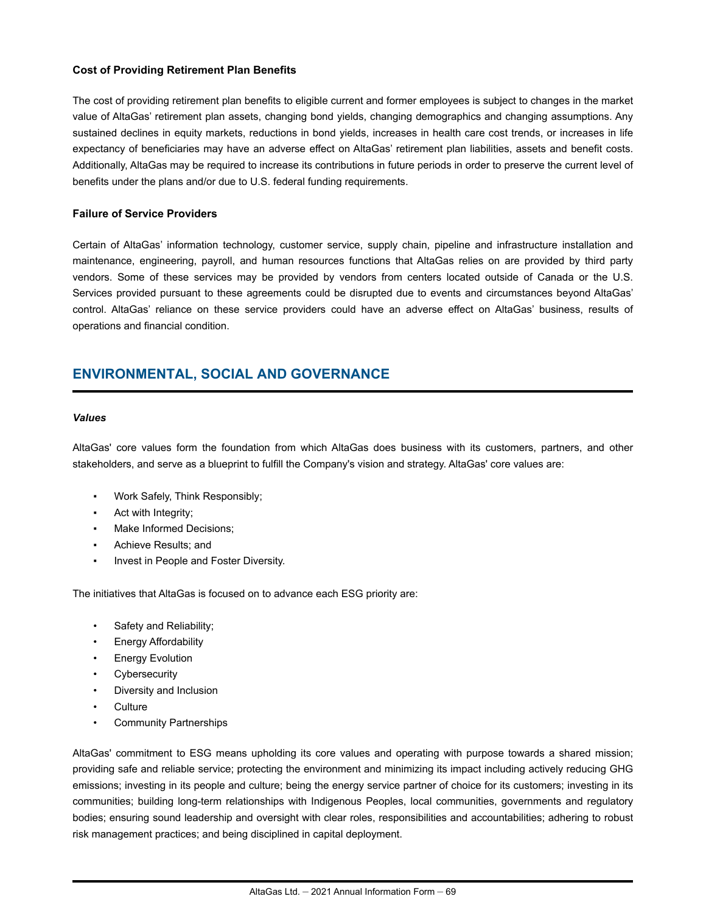### **Cost of Providing Retirement Plan Benefits**

The cost of providing retirement plan benefits to eligible current and former employees is subject to changes in the market value of AltaGas' retirement plan assets, changing bond yields, changing demographics and changing assumptions. Any sustained declines in equity markets, reductions in bond yields, increases in health care cost trends, or increases in life expectancy of beneficiaries may have an adverse effect on AltaGas' retirement plan liabilities, assets and benefit costs. Additionally, AltaGas may be required to increase its contributions in future periods in order to preserve the current level of benefits under the plans and/or due to U.S. federal funding requirements.

#### **Failure of Service Providers**

Certain of AltaGas' information technology, customer service, supply chain, pipeline and infrastructure installation and maintenance, engineering, payroll, and human resources functions that AltaGas relies on are provided by third party vendors. Some of these services may be provided by vendors from centers located outside of Canada or the U.S. Services provided pursuant to these agreements could be disrupted due to events and circumstances beyond AltaGas' control. AltaGas' reliance on these service providers could have an adverse effect on AltaGas' business, results of operations and financial condition.

# **ENVIRONMENTAL, SOCIAL AND GOVERNANCE**

#### *Values*

AltaGas' core values form the foundation from which AltaGas does business with its customers, partners, and other stakeholders, and serve as a blueprint to fulfill the Company's vision and strategy. AltaGas' core values are:

- Work Safely, Think Responsibly;
- Act with Integrity;
- Make Informed Decisions:
- Achieve Results; and
- **Invest in People and Foster Diversity.**

The initiatives that AltaGas is focused on to advance each ESG priority are:

- Safety and Reliability;
- Energy Affordability
- **Energy Evolution**
- **Cybersecurity**
- Diversity and Inclusion
- **Culture**
- Community Partnerships

AltaGas' commitment to ESG means upholding its core values and operating with purpose towards a shared mission; providing safe and reliable service; protecting the environment and minimizing its impact including actively reducing GHG emissions; investing in its people and culture; being the energy service partner of choice for its customers; investing in its communities; building long-term relationships with Indigenous Peoples, local communities, governments and regulatory bodies; ensuring sound leadership and oversight with clear roles, responsibilities and accountabilities; adhering to robust risk management practices; and being disciplined in capital deployment.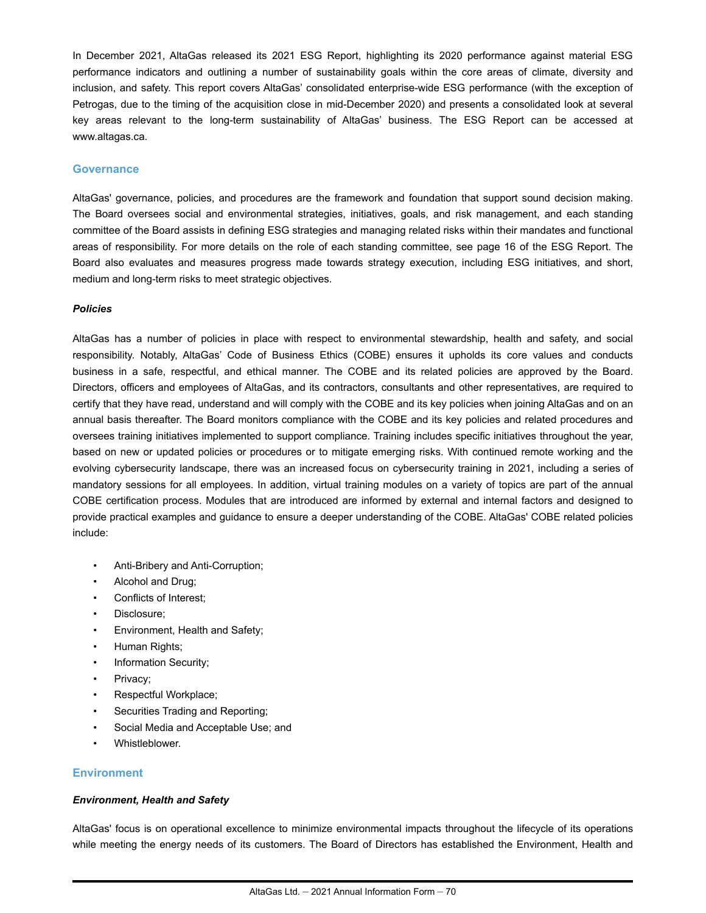In December 2021, AltaGas released its 2021 ESG Report, highlighting its 2020 performance against material ESG performance indicators and outlining a number of sustainability goals within the core areas of climate, diversity and inclusion, and safety. This report covers AltaGas' consolidated enterprise-wide ESG performance (with the exception of Petrogas, due to the timing of the acquisition close in mid-December 2020) and presents a consolidated look at several key areas relevant to the long-term sustainability of AltaGas' business. The ESG Report can be accessed at www.altagas.ca.

#### **Governance**

AltaGas' governance, policies, and procedures are the framework and foundation that support sound decision making. The Board oversees social and environmental strategies, initiatives, goals, and risk management, and each standing committee of the Board assists in defining ESG strategies and managing related risks within their mandates and functional areas of responsibility. For more details on the role of each standing committee, see page 16 of the ESG Report. The Board also evaluates and measures progress made towards strategy execution, including ESG initiatives, and short, medium and long-term risks to meet strategic objectives.

#### *Policies*

AltaGas has a number of policies in place with respect to environmental stewardship, health and safety, and social responsibility. Notably, AltaGas' Code of Business Ethics (COBE) ensures it upholds its core values and conducts business in a safe, respectful, and ethical manner. The COBE and its related policies are approved by the Board. Directors, officers and employees of AltaGas, and its contractors, consultants and other representatives, are required to certify that they have read, understand and will comply with the COBE and its key policies when joining AltaGas and on an annual basis thereafter. The Board monitors compliance with the COBE and its key policies and related procedures and oversees training initiatives implemented to support compliance. Training includes specific initiatives throughout the year, based on new or updated policies or procedures or to mitigate emerging risks. With continued remote working and the evolving cybersecurity landscape, there was an increased focus on cybersecurity training in 2021, including a series of mandatory sessions for all employees. In addition, virtual training modules on a variety of topics are part of the annual COBE certification process. Modules that are introduced are informed by external and internal factors and designed to provide practical examples and guidance to ensure a deeper understanding of the COBE. AltaGas' COBE related policies include:

- Anti-Bribery and Anti-Corruption;
- Alcohol and Drug;
- Conflicts of Interest;
- Disclosure;
- Environment, Health and Safety;
- Human Rights;
- Information Security;
- Privacy;
- Respectful Workplace;
- Securities Trading and Reporting;
- Social Media and Acceptable Use; and
- Whistleblower.

### **Environment**

#### *Environment, Health and Safety*

AltaGas' focus is on operational excellence to minimize environmental impacts throughout the lifecycle of its operations while meeting the energy needs of its customers. The Board of Directors has established the Environment, Health and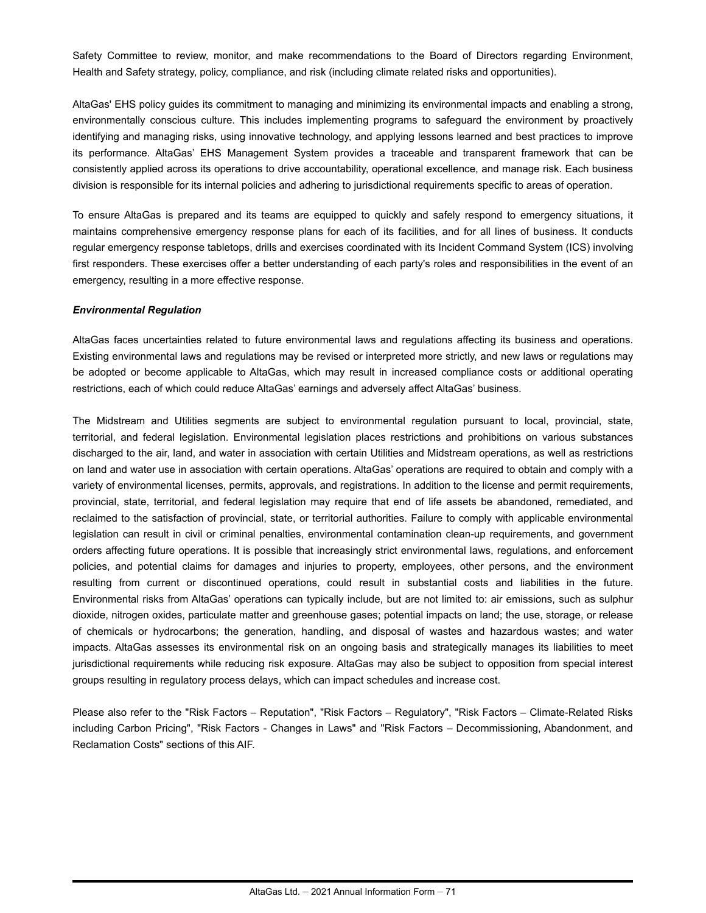Safety Committee to review, monitor, and make recommendations to the Board of Directors regarding Environment, Health and Safety strategy, policy, compliance, and risk (including climate related risks and opportunities).

AltaGas' EHS policy guides its commitment to managing and minimizing its environmental impacts and enabling a strong, environmentally conscious culture. This includes implementing programs to safeguard the environment by proactively identifying and managing risks, using innovative technology, and applying lessons learned and best practices to improve its performance. AltaGas' EHS Management System provides a traceable and transparent framework that can be consistently applied across its operations to drive accountability, operational excellence, and manage risk. Each business division is responsible for its internal policies and adhering to jurisdictional requirements specific to areas of operation.

To ensure AltaGas is prepared and its teams are equipped to quickly and safely respond to emergency situations, it maintains comprehensive emergency response plans for each of its facilities, and for all lines of business. It conducts regular emergency response tabletops, drills and exercises coordinated with its Incident Command System (ICS) involving first responders. These exercises offer a better understanding of each party's roles and responsibilities in the event of an emergency, resulting in a more effective response.

#### *Environmental Regulation*

AltaGas faces uncertainties related to future environmental laws and regulations affecting its business and operations. Existing environmental laws and regulations may be revised or interpreted more strictly, and new laws or regulations may be adopted or become applicable to AltaGas, which may result in increased compliance costs or additional operating restrictions, each of which could reduce AltaGas' earnings and adversely affect AltaGas' business.

The Midstream and Utilities segments are subject to environmental regulation pursuant to local, provincial, state, territorial, and federal legislation. Environmental legislation places restrictions and prohibitions on various substances discharged to the air, land, and water in association with certain Utilities and Midstream operations, as well as restrictions on land and water use in association with certain operations. AltaGas' operations are required to obtain and comply with a variety of environmental licenses, permits, approvals, and registrations. In addition to the license and permit requirements, provincial, state, territorial, and federal legislation may require that end of life assets be abandoned, remediated, and reclaimed to the satisfaction of provincial, state, or territorial authorities. Failure to comply with applicable environmental legislation can result in civil or criminal penalties, environmental contamination clean-up requirements, and government orders affecting future operations. It is possible that increasingly strict environmental laws, regulations, and enforcement policies, and potential claims for damages and injuries to property, employees, other persons, and the environment resulting from current or discontinued operations, could result in substantial costs and liabilities in the future. Environmental risks from AltaGas' operations can typically include, but are not limited to: air emissions, such as sulphur dioxide, nitrogen oxides, particulate matter and greenhouse gases; potential impacts on land; the use, storage, or release of chemicals or hydrocarbons; the generation, handling, and disposal of wastes and hazardous wastes; and water impacts. AltaGas assesses its environmental risk on an ongoing basis and strategically manages its liabilities to meet jurisdictional requirements while reducing risk exposure. AltaGas may also be subject to opposition from special interest groups resulting in regulatory process delays, which can impact schedules and increase cost.

Please also refer to the "Risk Factors – Reputation", "Risk Factors – Regulatory", "Risk Factors – Climate-Related Risks including Carbon Pricing", "Risk Factors - Changes in Laws" and "Risk Factors – Decommissioning, Abandonment, and Reclamation Costs" sections of this AIF.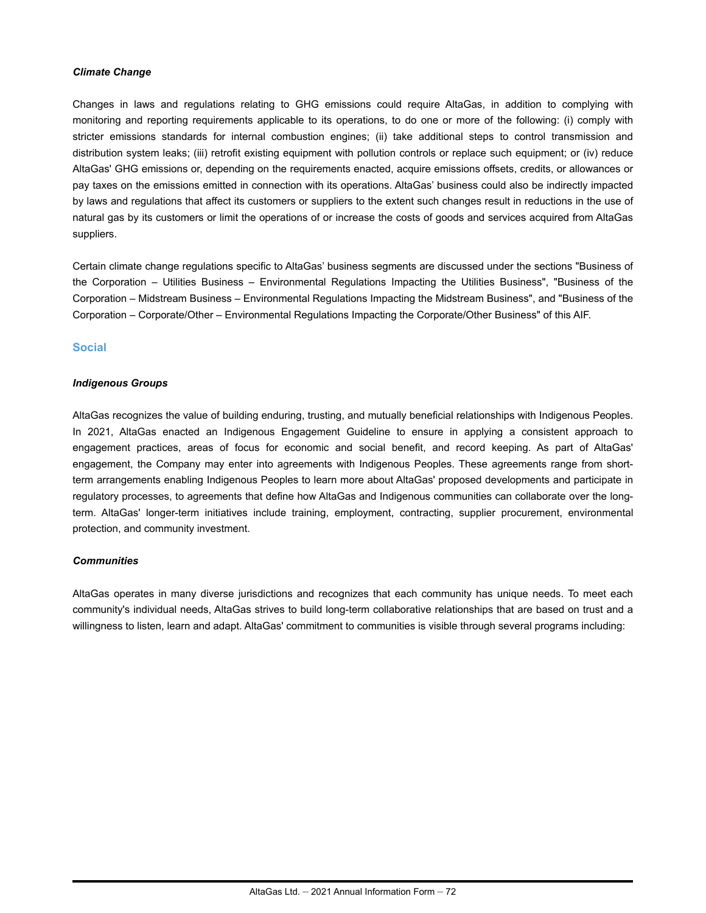### *Climate Change*

Changes in laws and regulations relating to GHG emissions could require AltaGas, in addition to complying with monitoring and reporting requirements applicable to its operations, to do one or more of the following: (i) comply with stricter emissions standards for internal combustion engines; (ii) take additional steps to control transmission and distribution system leaks; (iii) retrofit existing equipment with pollution controls or replace such equipment; or (iv) reduce AltaGas' GHG emissions or, depending on the requirements enacted, acquire emissions offsets, credits, or allowances or pay taxes on the emissions emitted in connection with its operations. AltaGas' business could also be indirectly impacted by laws and regulations that affect its customers or suppliers to the extent such changes result in reductions in the use of natural gas by its customers or limit the operations of or increase the costs of goods and services acquired from AltaGas suppliers.

Certain climate change regulations specific to AltaGas' business segments are discussed under the sections "Business of the Corporation – Utilities Business – Environmental Regulations Impacting the Utilities Business", "Business of the Corporation – Midstream Business – Environmental Regulations Impacting the Midstream Business", and "Business of the Corporation – Corporate/Other – Environmental Regulations Impacting the Corporate/Other Business" of this AIF.

### **Social**

#### *Indigenous Groups*

AltaGas recognizes the value of building enduring, trusting, and mutually beneficial relationships with Indigenous Peoples. In 2021, AltaGas enacted an Indigenous Engagement Guideline to ensure in applying a consistent approach to engagement practices, areas of focus for economic and social benefit, and record keeping. As part of AltaGas' engagement, the Company may enter into agreements with Indigenous Peoples. These agreements range from shortterm arrangements enabling Indigenous Peoples to learn more about AltaGas' proposed developments and participate in regulatory processes, to agreements that define how AltaGas and Indigenous communities can collaborate over the longterm. AltaGas' longer-term initiatives include training, employment, contracting, supplier procurement, environmental protection, and community investment.

### *Communities*

AltaGas operates in many diverse jurisdictions and recognizes that each community has unique needs. To meet each community's individual needs, AltaGas strives to build long-term collaborative relationships that are based on trust and a willingness to listen, learn and adapt. AltaGas' commitment to communities is visible through several programs including: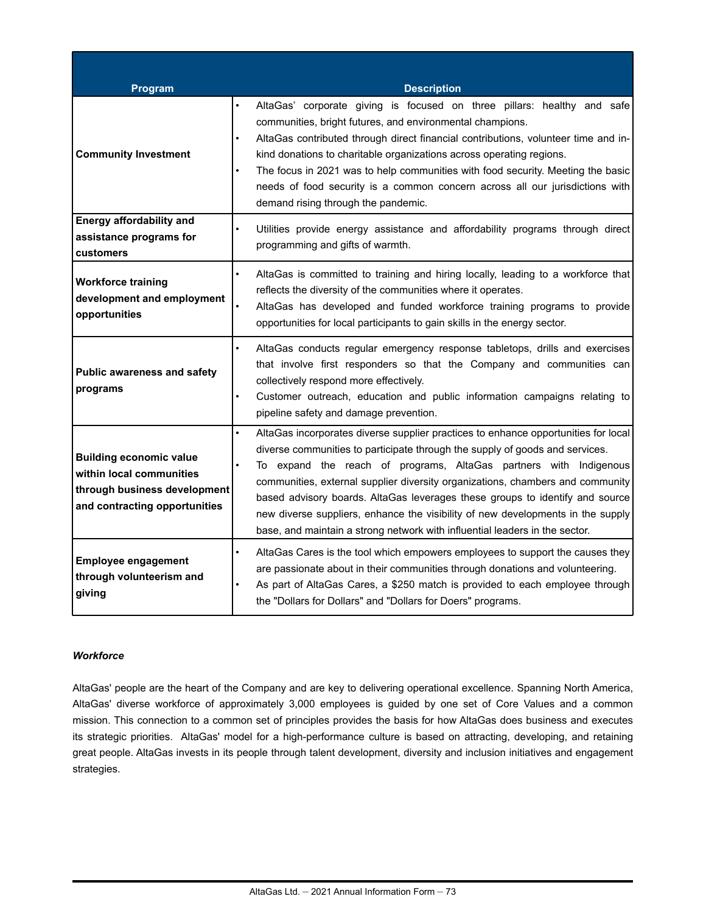| Program                                                                                                                     | <b>Description</b>                                                                                                                                                                                                                                                                                                                                                                                                                                                                                                                                                                       |
|-----------------------------------------------------------------------------------------------------------------------------|------------------------------------------------------------------------------------------------------------------------------------------------------------------------------------------------------------------------------------------------------------------------------------------------------------------------------------------------------------------------------------------------------------------------------------------------------------------------------------------------------------------------------------------------------------------------------------------|
| <b>Community Investment</b>                                                                                                 | AltaGas' corporate giving is focused on three pillars: healthy and safe<br>$\bullet$<br>communities, bright futures, and environmental champions.<br>AltaGas contributed through direct financial contributions, volunteer time and in-<br>$\bullet$<br>kind donations to charitable organizations across operating regions.<br>The focus in 2021 was to help communities with food security. Meeting the basic<br>needs of food security is a common concern across all our jurisdictions with<br>demand rising through the pandemic.                                                   |
| <b>Energy affordability and</b>                                                                                             |                                                                                                                                                                                                                                                                                                                                                                                                                                                                                                                                                                                          |
| assistance programs for<br>customers                                                                                        | Utilities provide energy assistance and affordability programs through direct<br>programming and gifts of warmth.                                                                                                                                                                                                                                                                                                                                                                                                                                                                        |
| <b>Workforce training</b><br>development and employment<br>opportunities                                                    | AltaGas is committed to training and hiring locally, leading to a workforce that<br>reflects the diversity of the communities where it operates.<br>$\bullet$<br>AltaGas has developed and funded workforce training programs to provide<br>opportunities for local participants to gain skills in the energy sector.                                                                                                                                                                                                                                                                    |
| <b>Public awareness and safety</b><br>programs                                                                              | AltaGas conducts regular emergency response tabletops, drills and exercises<br>$\bullet$<br>that involve first responders so that the Company and communities can<br>collectively respond more effectively.<br>Customer outreach, education and public information campaigns relating to<br>$\bullet$<br>pipeline safety and damage prevention.                                                                                                                                                                                                                                          |
| <b>Building economic value</b><br>within local communities<br>through business development<br>and contracting opportunities | AltaGas incorporates diverse supplier practices to enhance opportunities for local<br>$\bullet$<br>diverse communities to participate through the supply of goods and services.<br>To expand the reach of programs, AltaGas partners with Indigenous<br>communities, external supplier diversity organizations, chambers and community<br>based advisory boards. AltaGas leverages these groups to identify and source<br>new diverse suppliers, enhance the visibility of new developments in the supply<br>base, and maintain a strong network with influential leaders in the sector. |
| <b>Employee engagement</b><br>through volunteerism and<br>giving                                                            | AltaGas Cares is the tool which empowers employees to support the causes they<br>$\bullet$<br>are passionate about in their communities through donations and volunteering.<br>As part of AltaGas Cares, a \$250 match is provided to each employee through<br>the "Dollars for Dollars" and "Dollars for Doers" programs.                                                                                                                                                                                                                                                               |

## *Workforce*

AltaGas' people are the heart of the Company and are key to delivering operational excellence. Spanning North America, AltaGas' diverse workforce of approximately 3,000 employees is guided by one set of Core Values and a common mission. This connection to a common set of principles provides the basis for how AltaGas does business and executes its strategic priorities. AltaGas' model for a high-performance culture is based on attracting, developing, and retaining great people. AltaGas invests in its people through talent development, diversity and inclusion initiatives and engagement strategies.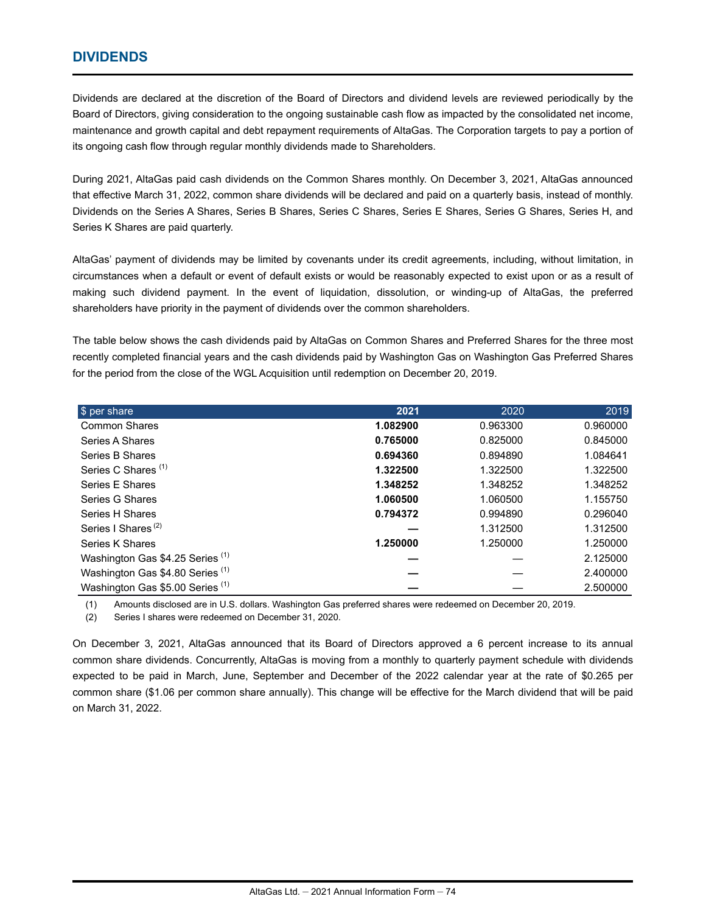# **DIVIDENDS**

Dividends are declared at the discretion of the Board of Directors and dividend levels are reviewed periodically by the Board of Directors, giving consideration to the ongoing sustainable cash flow as impacted by the consolidated net income, maintenance and growth capital and debt repayment requirements of AltaGas. The Corporation targets to pay a portion of its ongoing cash flow through regular monthly dividends made to Shareholders.

During 2021, AltaGas paid cash dividends on the Common Shares monthly. On December 3, 2021, AltaGas announced that effective March 31, 2022, common share dividends will be declared and paid on a quarterly basis, instead of monthly. Dividends on the Series A Shares, Series B Shares, Series C Shares, Series E Shares, Series G Shares, Series H, and Series K Shares are paid quarterly.

AltaGas' payment of dividends may be limited by covenants under its credit agreements, including, without limitation, in circumstances when a default or event of default exists or would be reasonably expected to exist upon or as a result of making such dividend payment. In the event of liquidation, dissolution, or winding-up of AltaGas, the preferred shareholders have priority in the payment of dividends over the common shareholders.

The table below shows the cash dividends paid by AltaGas on Common Shares and Preferred Shares for the three most recently completed financial years and the cash dividends paid by Washington Gas on Washington Gas Preferred Shares for the period from the close of the WGL Acquisition until redemption on December 20, 2019.

| \$ per share                     | 2021     | 2020     | 2019     |
|----------------------------------|----------|----------|----------|
| <b>Common Shares</b>             | 1.082900 | 0.963300 | 0.960000 |
| Series A Shares                  | 0.765000 | 0.825000 | 0.845000 |
| Series B Shares                  | 0.694360 | 0.894890 | 1.084641 |
| Series C Shares <sup>(1)</sup>   | 1.322500 | 1.322500 | 1.322500 |
| Series E Shares                  | 1.348252 | 1.348252 | 1.348252 |
| Series G Shares                  | 1.060500 | 1.060500 | 1.155750 |
| Series H Shares                  | 0.794372 | 0.994890 | 0.296040 |
| Series I Shares <sup>(2)</sup>   |          | 1.312500 | 1.312500 |
| Series K Shares                  | 1.250000 | 1.250000 | 1.250000 |
| Washington Gas \$4.25 Series (1) |          |          | 2.125000 |
| Washington Gas \$4.80 Series (1) |          |          | 2.400000 |
| Washington Gas \$5.00 Series (1) |          |          | 2.500000 |

(1) Amounts disclosed are in U.S. dollars. Washington Gas preferred shares were redeemed on December 20, 2019.

(2) Series I shares were redeemed on December 31, 2020.

On December 3, 2021, AltaGas announced that its Board of Directors approved a 6 percent increase to its annual common share dividends. Concurrently, AltaGas is moving from a monthly to quarterly payment schedule with dividends expected to be paid in March, June, September and December of the 2022 calendar year at the rate of \$0.265 per common share (\$1.06 per common share annually). This change will be effective for the March dividend that will be paid on March 31, 2022.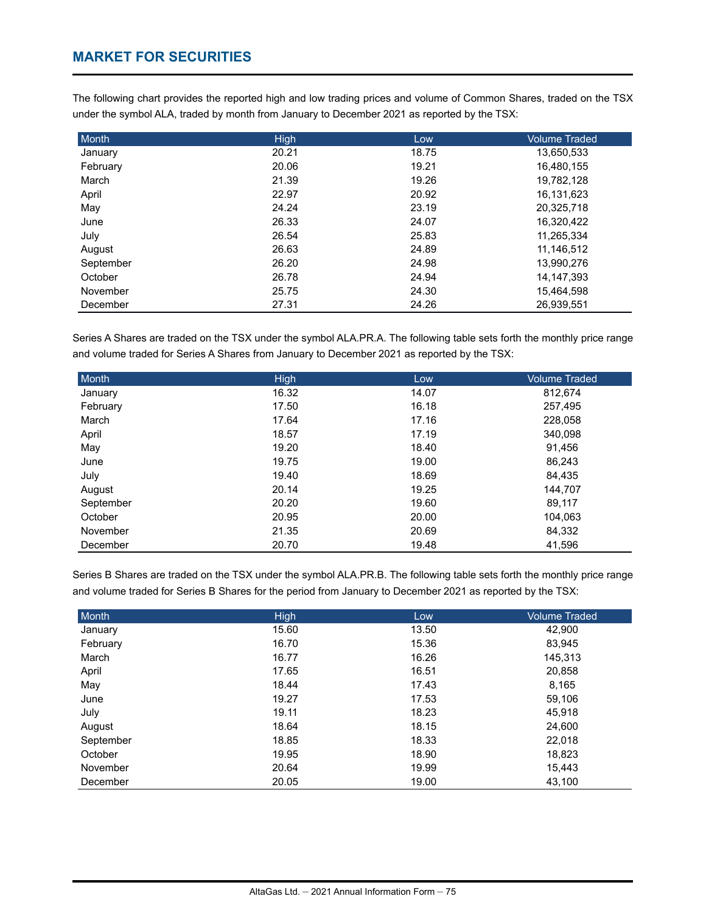# **MARKET FOR SECURITIES**

The following chart provides the reported high and low trading prices and volume of Common Shares, traded on the TSX under the symbol ALA, traded by month from January to December 2021 as reported by the TSX:

| Month     | <b>High</b> | Low   | <b>Volume Traded</b> |
|-----------|-------------|-------|----------------------|
| January   | 20.21       | 18.75 | 13,650,533           |
| February  | 20.06       | 19.21 | 16,480,155           |
| March     | 21.39       | 19.26 | 19,782,128           |
| April     | 22.97       | 20.92 | 16,131,623           |
| May       | 24.24       | 23.19 | 20,325,718           |
| June      | 26.33       | 24.07 | 16,320,422           |
| July      | 26.54       | 25.83 | 11,265,334           |
| August    | 26.63       | 24.89 | 11.146.512           |
| September | 26.20       | 24.98 | 13,990,276           |
| October   | 26.78       | 24.94 | 14, 147, 393         |
| November  | 25.75       | 24.30 | 15,464,598           |
| December  | 27.31       | 24.26 | 26.939.551           |

Series A Shares are traded on the TSX under the symbol ALA.PR.A. The following table sets forth the monthly price range and volume traded for Series A Shares from January to December 2021 as reported by the TSX:

| Month     | High  | Low   | <b>Volume Traded</b> |
|-----------|-------|-------|----------------------|
| January   | 16.32 | 14.07 | 812,674              |
| February  | 17.50 | 16.18 | 257,495              |
| March     | 17.64 | 17.16 | 228,058              |
| April     | 18.57 | 17.19 | 340,098              |
| May       | 19.20 | 18.40 | 91.456               |
| June      | 19.75 | 19.00 | 86,243               |
| July      | 19.40 | 18.69 | 84,435               |
| August    | 20.14 | 19.25 | 144.707              |
| September | 20.20 | 19.60 | 89,117               |
| October   | 20.95 | 20.00 | 104.063              |
| November  | 21.35 | 20.69 | 84,332               |
| December  | 20.70 | 19.48 | 41,596               |

Series B Shares are traded on the TSX under the symbol ALA.PR.B. The following table sets forth the monthly price range and volume traded for Series B Shares for the period from January to December 2021 as reported by the TSX:

| Month     | <b>High</b> | Low   | <b>Volume Traded</b> |
|-----------|-------------|-------|----------------------|
| January   | 15.60       | 13.50 | 42,900               |
| February  | 16.70       | 15.36 | 83,945               |
| March     | 16.77       | 16.26 | 145,313              |
| April     | 17.65       | 16.51 | 20,858               |
| May       | 18.44       | 17.43 | 8,165                |
| June      | 19.27       | 17.53 | 59,106               |
| July      | 19.11       | 18.23 | 45,918               |
| August    | 18.64       | 18.15 | 24,600               |
| September | 18.85       | 18.33 | 22,018               |
| October   | 19.95       | 18.90 | 18,823               |
| November  | 20.64       | 19.99 | 15,443               |
| December  | 20.05       | 19.00 | 43,100               |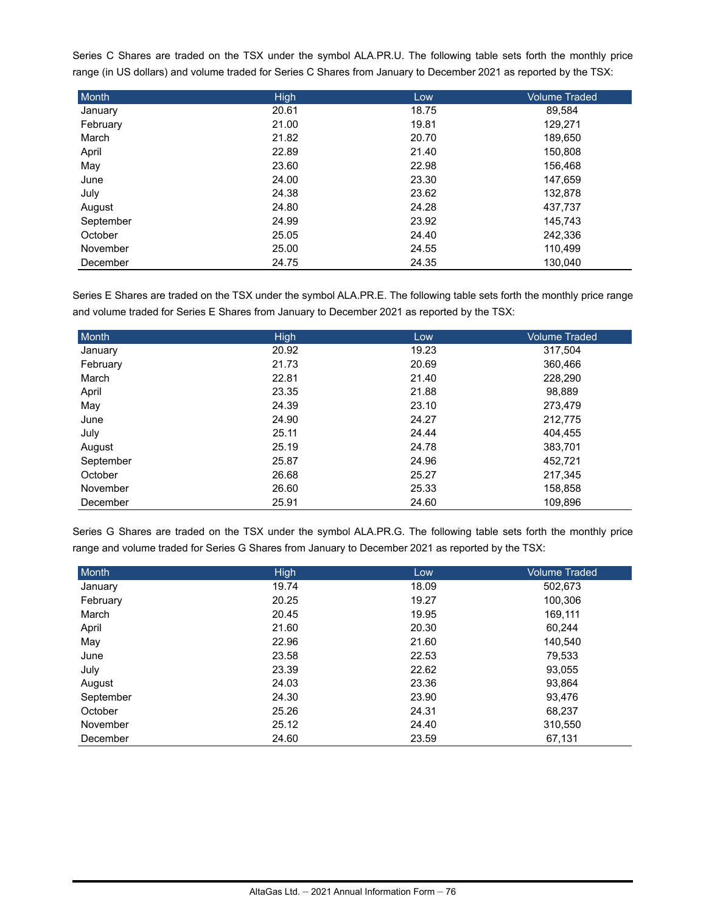Series C Shares are traded on the TSX under the symbol ALA.PR.U. The following table sets forth the monthly price range (in US dollars) and volume traded for Series C Shares from January to December 2021 as reported by the TSX:

| Month     | High  | Low   | <b>Volume Traded</b> |
|-----------|-------|-------|----------------------|
| January   | 20.61 | 18.75 | 89,584               |
| February  | 21.00 | 19.81 | 129,271              |
| March     | 21.82 | 20.70 | 189,650              |
| April     | 22.89 | 21.40 | 150,808              |
| May       | 23.60 | 22.98 | 156,468              |
| June      | 24.00 | 23.30 | 147,659              |
| July      | 24.38 | 23.62 | 132,878              |
| August    | 24.80 | 24.28 | 437,737              |
| September | 24.99 | 23.92 | 145,743              |
| October   | 25.05 | 24.40 | 242,336              |
| November  | 25.00 | 24.55 | 110,499              |
| December  | 24.75 | 24.35 | 130.040              |

Series E Shares are traded on the TSX under the symbol ALA.PR.E. The following table sets forth the monthly price range and volume traded for Series E Shares from January to December 2021 as reported by the TSX:

| Month     | <b>High</b> | Low   | <b>Volume Traded</b> |
|-----------|-------------|-------|----------------------|
| January   | 20.92       | 19.23 | 317,504              |
| February  | 21.73       | 20.69 | 360,466              |
| March     | 22.81       | 21.40 | 228,290              |
| April     | 23.35       | 21.88 | 98,889               |
| May       | 24.39       | 23.10 | 273,479              |
| June      | 24.90       | 24.27 | 212,775              |
| July      | 25.11       | 24.44 | 404,455              |
| August    | 25.19       | 24.78 | 383,701              |
| September | 25.87       | 24.96 | 452,721              |
| October   | 26.68       | 25.27 | 217,345              |
| November  | 26.60       | 25.33 | 158,858              |
| December  | 25.91       | 24.60 | 109,896              |

Series G Shares are traded on the TSX under the symbol ALA.PR.G. The following table sets forth the monthly price range and volume traded for Series G Shares from January to December 2021 as reported by the TSX:

| Month     | <b>High</b> | Low   | <b>Volume Traded</b> |
|-----------|-------------|-------|----------------------|
| January   | 19.74       | 18.09 | 502,673              |
| February  | 20.25       | 19.27 | 100,306              |
| March     | 20.45       | 19.95 | 169,111              |
| April     | 21.60       | 20.30 | 60.244               |
| May       | 22.96       | 21.60 | 140,540              |
| June      | 23.58       | 22.53 | 79,533               |
| July      | 23.39       | 22.62 | 93,055               |
| August    | 24.03       | 23.36 | 93,864               |
| September | 24.30       | 23.90 | 93,476               |
| October   | 25.26       | 24.31 | 68.237               |
| November  | 25.12       | 24.40 | 310,550              |
| December  | 24.60       | 23.59 | 67,131               |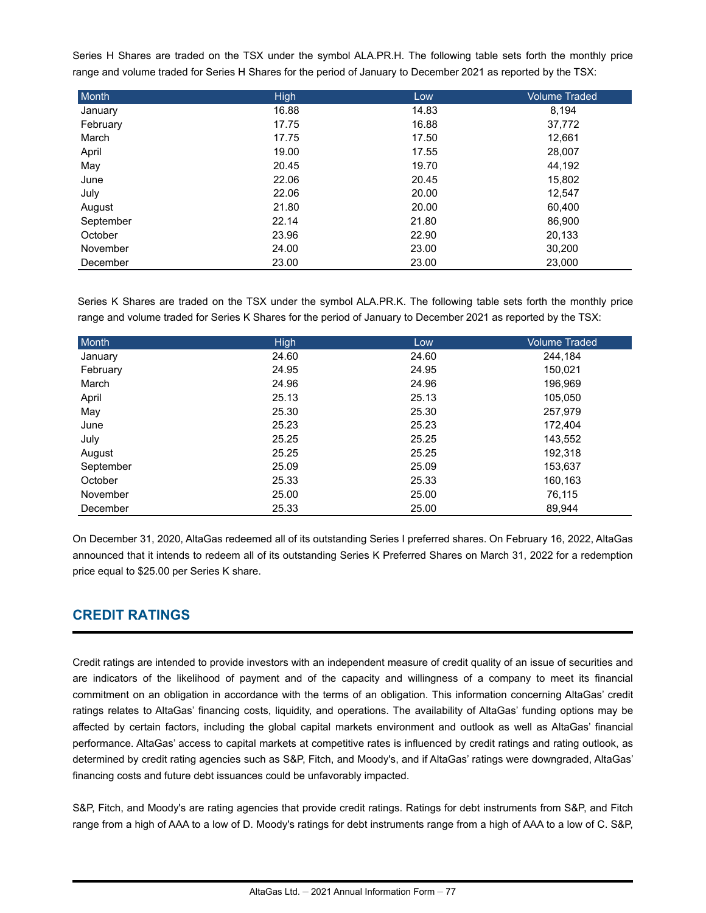Series H Shares are traded on the TSX under the symbol ALA.PR.H. The following table sets forth the monthly price range and volume traded for Series H Shares for the period of January to December 2021 as reported by the TSX:

| Month     | <b>High</b> | Low   | <b>Volume Traded</b> |
|-----------|-------------|-------|----------------------|
| January   | 16.88       | 14.83 | 8,194                |
| February  | 17.75       | 16.88 | 37,772               |
| March     | 17.75       | 17.50 | 12,661               |
| April     | 19.00       | 17.55 | 28,007               |
| May       | 20.45       | 19.70 | 44,192               |
| June      | 22.06       | 20.45 | 15,802               |
| July      | 22.06       | 20.00 | 12,547               |
| August    | 21.80       | 20.00 | 60,400               |
| September | 22.14       | 21.80 | 86,900               |
| October   | 23.96       | 22.90 | 20,133               |
| November  | 24.00       | 23.00 | 30,200               |
| December  | 23.00       | 23.00 | 23,000               |

Series K Shares are traded on the TSX under the symbol ALA.PR.K. The following table sets forth the monthly price range and volume traded for Series K Shares for the period of January to December 2021 as reported by the TSX:

| Month     | <b>High</b> | Low   | <b>Volume Traded</b> |
|-----------|-------------|-------|----------------------|
| January   | 24.60       | 24.60 | 244,184              |
| February  | 24.95       | 24.95 | 150,021              |
| March     | 24.96       | 24.96 | 196,969              |
| April     | 25.13       | 25.13 | 105,050              |
| May       | 25.30       | 25.30 | 257,979              |
| June      | 25.23       | 25.23 | 172,404              |
| July      | 25.25       | 25.25 | 143,552              |
| August    | 25.25       | 25.25 | 192,318              |
| September | 25.09       | 25.09 | 153,637              |
| October   | 25.33       | 25.33 | 160,163              |
| November  | 25.00       | 25.00 | 76,115               |
| December  | 25.33       | 25.00 | 89.944               |

On December 31, 2020, AltaGas redeemed all of its outstanding Series I preferred shares. On February 16, 2022, AltaGas announced that it intends to redeem all of its outstanding Series K Preferred Shares on March 31, 2022 for a redemption price equal to \$25.00 per Series K share.

# **CREDIT RATINGS**

Credit ratings are intended to provide investors with an independent measure of credit quality of an issue of securities and are indicators of the likelihood of payment and of the capacity and willingness of a company to meet its financial commitment on an obligation in accordance with the terms of an obligation. This information concerning AltaGas' credit ratings relates to AltaGas' financing costs, liquidity, and operations. The availability of AltaGas' funding options may be affected by certain factors, including the global capital markets environment and outlook as well as AltaGas' financial performance. AltaGas' access to capital markets at competitive rates is influenced by credit ratings and rating outlook, as determined by credit rating agencies such as S&P, Fitch, and Moody's, and if AltaGas' ratings were downgraded, AltaGas' financing costs and future debt issuances could be unfavorably impacted.

S&P, Fitch, and Moody's are rating agencies that provide credit ratings. Ratings for debt instruments from S&P, and Fitch range from a high of AAA to a low of D. Moody's ratings for debt instruments range from a high of AAA to a low of C. S&P,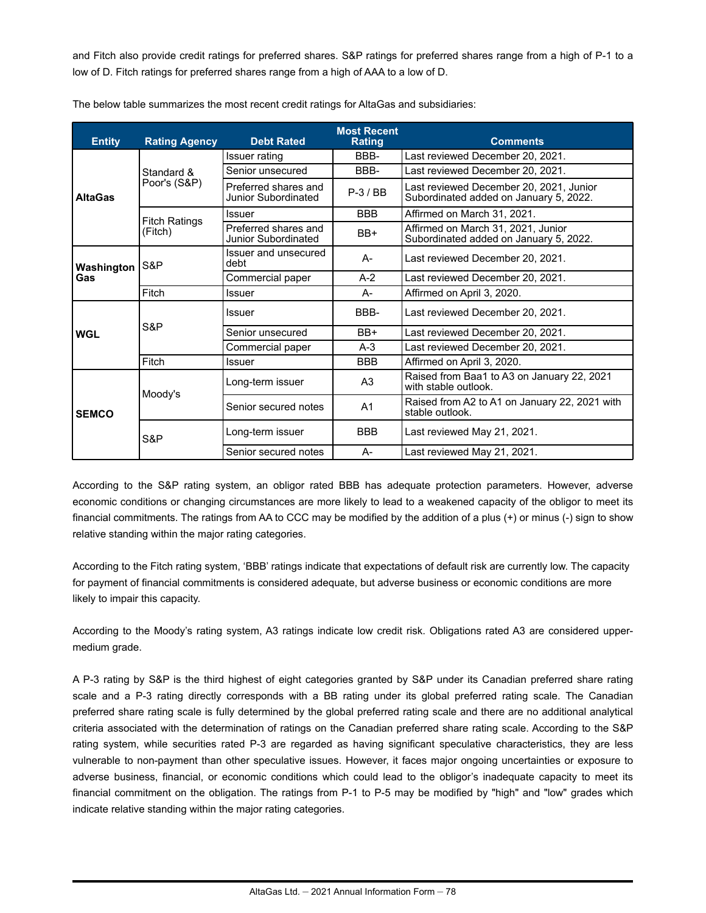and Fitch also provide credit ratings for preferred shares. S&P ratings for preferred shares range from a high of P-1 to a low of D. Fitch ratings for preferred shares range from a high of AAA to a low of D.

| <b>Entity</b>     | <b>Rating Agency</b> | <b>Debt Rated</b>                           | <b>Most Recent</b><br>Rating | <b>Comments</b>                                                                   |
|-------------------|----------------------|---------------------------------------------|------------------------------|-----------------------------------------------------------------------------------|
|                   |                      | Issuer rating                               | BBB-                         | Last reviewed December 20, 2021.                                                  |
|                   | Standard &           | Senior unsecured                            | BBB-                         | Last reviewed December 20, 2021.                                                  |
| <b>AltaGas</b>    | Poor's (S&P)         | Preferred shares and<br>Junior Subordinated | $P-3$ / BB                   | Last reviewed December 20, 2021, Junior<br>Subordinated added on January 5, 2022. |
|                   | <b>Fitch Ratings</b> | Issuer                                      | <b>BBB</b>                   | Affirmed on March 31, 2021.                                                       |
|                   | (Fitch)              | Preferred shares and<br>Junior Subordinated | BB+                          | Affirmed on March 31, 2021, Junior<br>Subordinated added on January 5, 2022.      |
| Washington<br>Gas | S&P                  | Issuer and unsecured<br>debt                | A-                           | Last reviewed December 20, 2021.                                                  |
|                   |                      | Commercial paper                            | $A-2$                        | Last reviewed December 20, 2021.                                                  |
|                   | Fitch                | <b>Issuer</b>                               | А-                           | Affirmed on April 3, 2020.                                                        |
|                   | S&P                  | Issuer                                      | BBB-                         | Last reviewed December 20, 2021.                                                  |
| <b>WGL</b>        |                      | Senior unsecured                            | BB+                          | Last reviewed December 20, 2021.                                                  |
|                   |                      | Commercial paper                            | $A-3$                        | Last reviewed December 20, 2021.                                                  |
|                   | Fitch                | Issuer                                      | <b>BBB</b>                   | Affirmed on April 3, 2020.                                                        |
|                   |                      | Long-term issuer                            | A <sub>3</sub>               | Raised from Baa1 to A3 on January 22, 2021<br>with stable outlook.                |
| <b>SEMCO</b>      | Moody's              | Senior secured notes                        | A <sub>1</sub>               | Raised from A2 to A1 on January 22, 2021 with<br>stable outlook.                  |
|                   | S&P                  | Long-term issuer                            | <b>BBB</b>                   | Last reviewed May 21, 2021.                                                       |
|                   |                      | Senior secured notes                        | А-                           | Last reviewed May 21, 2021.                                                       |

The below table summarizes the most recent credit ratings for AltaGas and subsidiaries:

According to the S&P rating system, an obligor rated BBB has adequate protection parameters. However, adverse economic conditions or changing circumstances are more likely to lead to a weakened capacity of the obligor to meet its financial commitments. The ratings from AA to CCC may be modified by the addition of a plus (+) or minus (-) sign to show relative standing within the major rating categories.

According to the Fitch rating system, 'BBB' ratings indicate that expectations of default risk are currently low. The capacity for payment of financial commitments is considered adequate, but adverse business or economic conditions are more likely to impair this capacity.

According to the Moody's rating system, A3 ratings indicate low credit risk. Obligations rated A3 are considered uppermedium grade.

A P-3 rating by S&P is the third highest of eight categories granted by S&P under its Canadian preferred share rating scale and a P-3 rating directly corresponds with a BB rating under its global preferred rating scale. The Canadian preferred share rating scale is fully determined by the global preferred rating scale and there are no additional analytical criteria associated with the determination of ratings on the Canadian preferred share rating scale. According to the S&P rating system, while securities rated P-3 are regarded as having significant speculative characteristics, they are less vulnerable to non-payment than other speculative issues. However, it faces major ongoing uncertainties or exposure to adverse business, financial, or economic conditions which could lead to the obligor's inadequate capacity to meet its financial commitment on the obligation. The ratings from P-1 to P-5 may be modified by "high" and "low" grades which indicate relative standing within the major rating categories.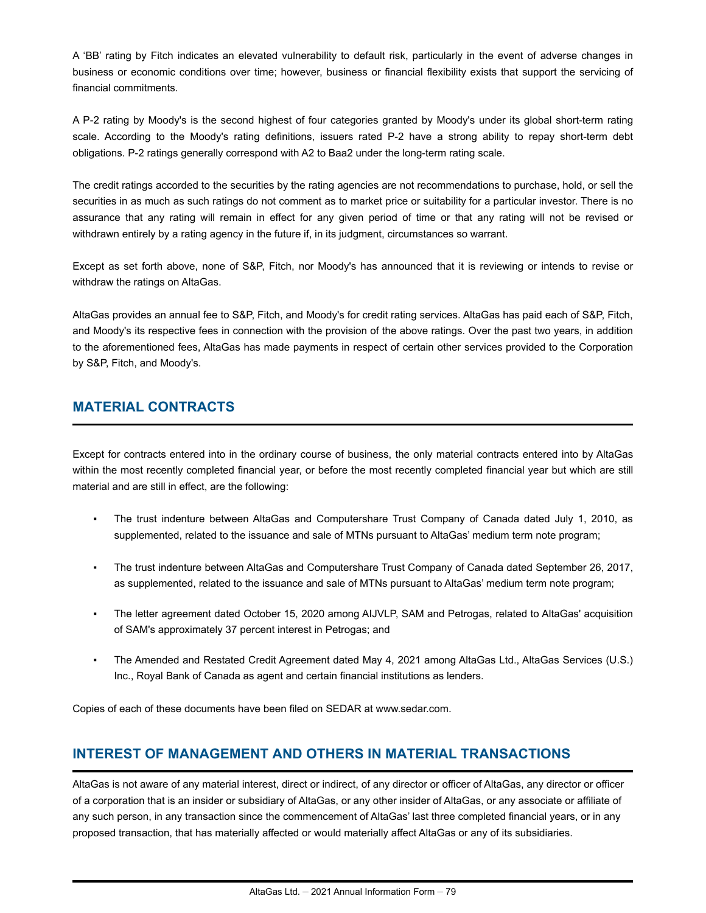A 'BB' rating by Fitch indicates an elevated vulnerability to default risk, particularly in the event of adverse changes in business or economic conditions over time; however, business or financial flexibility exists that support the servicing of financial commitments.

A P-2 rating by Moody's is the second highest of four categories granted by Moody's under its global short-term rating scale. According to the Moody's rating definitions, issuers rated P-2 have a strong ability to repay short-term debt obligations. P-2 ratings generally correspond with A2 to Baa2 under the long-term rating scale.

The credit ratings accorded to the securities by the rating agencies are not recommendations to purchase, hold, or sell the securities in as much as such ratings do not comment as to market price or suitability for a particular investor. There is no assurance that any rating will remain in effect for any given period of time or that any rating will not be revised or withdrawn entirely by a rating agency in the future if, in its judgment, circumstances so warrant.

Except as set forth above, none of S&P, Fitch, nor Moody's has announced that it is reviewing or intends to revise or withdraw the ratings on AltaGas.

AltaGas provides an annual fee to S&P, Fitch, and Moody's for credit rating services. AltaGas has paid each of S&P, Fitch, and Moody's its respective fees in connection with the provision of the above ratings. Over the past two years, in addition to the aforementioned fees, AltaGas has made payments in respect of certain other services provided to the Corporation by S&P, Fitch, and Moody's.

# **MATERIAL CONTRACTS**

Except for contracts entered into in the ordinary course of business, the only material contracts entered into by AltaGas within the most recently completed financial year, or before the most recently completed financial year but which are still material and are still in effect, are the following:

- The trust indenture between AltaGas and Computershare Trust Company of Canada dated July 1, 2010, as supplemented, related to the issuance and sale of MTNs pursuant to AltaGas' medium term note program;
- The trust indenture between AltaGas and Computershare Trust Company of Canada dated September 26, 2017, as supplemented, related to the issuance and sale of MTNs pursuant to AltaGas' medium term note program;
- The letter agreement dated October 15, 2020 among AIJVLP, SAM and Petrogas, related to AltaGas' acquisition of SAM's approximately 37 percent interest in Petrogas; and
- The Amended and Restated Credit Agreement dated May 4, 2021 among AltaGas Ltd., AltaGas Services (U.S.) Inc., Royal Bank of Canada as agent and certain financial institutions as lenders.

Copies of each of these documents have been filed on SEDAR at www.sedar.com.

# **INTEREST OF MANAGEMENT AND OTHERS IN MATERIAL TRANSACTIONS**

AltaGas is not aware of any material interest, direct or indirect, of any director or officer of AltaGas, any director or officer of a corporation that is an insider or subsidiary of AltaGas, or any other insider of AltaGas, or any associate or affiliate of any such person, in any transaction since the commencement of AltaGas' last three completed financial years, or in any proposed transaction, that has materially affected or would materially affect AltaGas or any of its subsidiaries.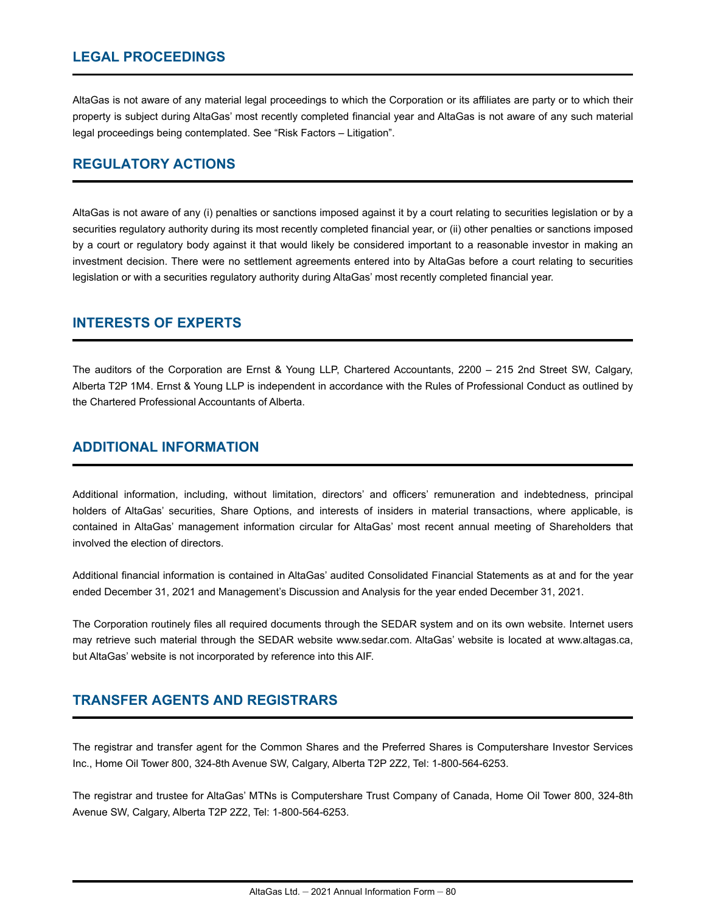# **LEGAL PROCEEDINGS**

AltaGas is not aware of any material legal proceedings to which the Corporation or its affiliates are party or to which their property is subject during AltaGas' most recently completed financial year and AltaGas is not aware of any such material legal proceedings being contemplated. See "Risk Factors – Litigation".

# **REGULATORY ACTIONS**

AltaGas is not aware of any (i) penalties or sanctions imposed against it by a court relating to securities legislation or by a securities regulatory authority during its most recently completed financial year, or (ii) other penalties or sanctions imposed by a court or regulatory body against it that would likely be considered important to a reasonable investor in making an investment decision. There were no settlement agreements entered into by AltaGas before a court relating to securities legislation or with a securities regulatory authority during AltaGas' most recently completed financial year.

## **INTERESTS OF EXPERTS**

The auditors of the Corporation are Ernst & Young LLP, Chartered Accountants, 2200 – 215 2nd Street SW, Calgary, Alberta T2P 1M4. Ernst & Young LLP is independent in accordance with the Rules of Professional Conduct as outlined by the Chartered Professional Accountants of Alberta.

## **ADDITIONAL INFORMATION**

Additional information, including, without limitation, directors' and officers' remuneration and indebtedness, principal holders of AltaGas' securities, Share Options, and interests of insiders in material transactions, where applicable, is contained in AltaGas' management information circular for AltaGas' most recent annual meeting of Shareholders that involved the election of directors.

Additional financial information is contained in AltaGas' audited Consolidated Financial Statements as at and for the year ended December 31, 2021 and Management's Discussion and Analysis for the year ended December 31, 2021.

The Corporation routinely files all required documents through the SEDAR system and on its own website. Internet users may retrieve such material through the SEDAR website www.sedar.com. AltaGas' website is located at www.altagas.ca, but AltaGas' website is not incorporated by reference into this AIF.

# **TRANSFER AGENTS AND REGISTRARS**

The registrar and transfer agent for the Common Shares and the Preferred Shares is Computershare Investor Services Inc., Home Oil Tower 800, 324-8th Avenue SW, Calgary, Alberta T2P 2Z2, Tel: 1-800-564-6253.

The registrar and trustee for AltaGas' MTNs is Computershare Trust Company of Canada, Home Oil Tower 800, 324-8th Avenue SW, Calgary, Alberta T2P 2Z2, Tel: 1-800-564-6253.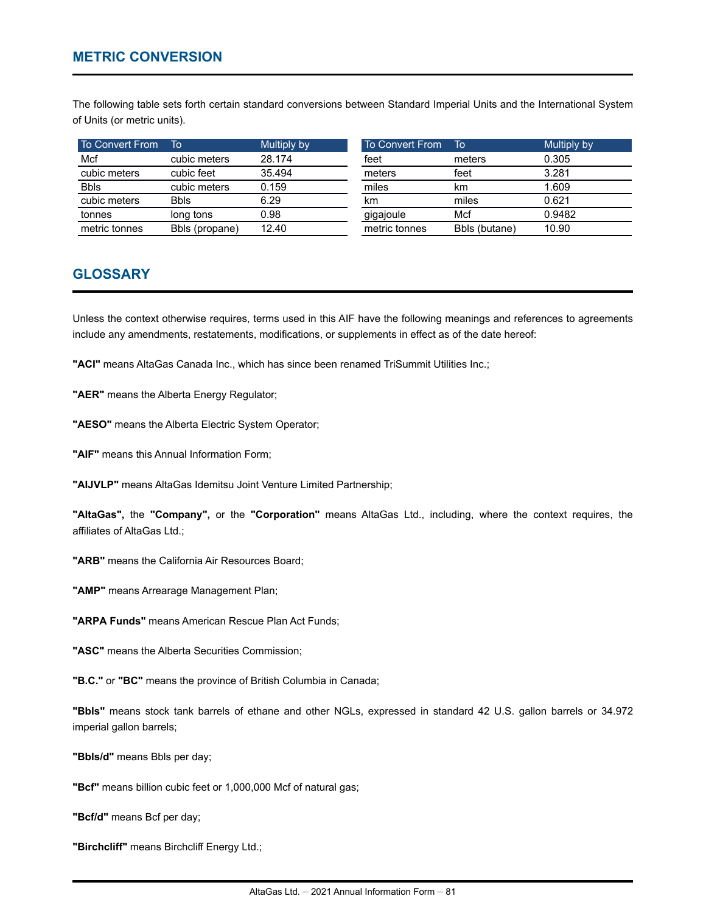The following table sets forth certain standard conversions between Standard Imperial Units and the International System of Units (or metric units).

| To Convert From | To             | Multiply by | To Convert From | To            | Multiply by |
|-----------------|----------------|-------------|-----------------|---------------|-------------|
| Mcf             | cubic meters   | 28.174      | feet            | meters        | 0.305       |
| cubic meters    | cubic feet     | 35.494      | meters          | feet          | 3.281       |
| <b>Bbls</b>     | cubic meters   | 0.159       | miles           | km            | 1.609       |
| cubic meters    | <b>Bbls</b>    | 6.29        | km              | miles         | 0.621       |
| tonnes          | long tons      | 0.98        | gigajoule       | Mcf           | 0.9482      |
| metric tonnes   | Bbls (propane) | 12.40       | metric tonnes   | Bbls (butane) | 10.90       |

# **GLOSSARY**

Unless the context otherwise requires, terms used in this AIF have the following meanings and references to agreements include any amendments, restatements, modifications, or supplements in effect as of the date hereof:

**"ACI"** means AltaGas Canada Inc., which has since been renamed TriSummit Utilities Inc.;

**"AER"** means the Alberta Energy Regulator;

**"AESO"** means the Alberta Electric System Operator;

**"AIF"** means this Annual Information Form;

**"AIJVLP"** means AltaGas Idemitsu Joint Venture Limited Partnership;

**"AltaGas",** the **"Company",** or the **"Corporation"** means AltaGas Ltd., including, where the context requires, the affiliates of AltaGas Ltd.;

**"ARB"** means the California Air Resources Board;

**"AMP"** means Arrearage Management Plan;

**"ARPA Funds"** means American Rescue Plan Act Funds;

**"ASC"** means the Alberta Securities Commission;

**"B.C."** or **"BC"** means the province of British Columbia in Canada;

**"Bbls"** means stock tank barrels of ethane and other NGLs, expressed in standard 42 U.S. gallon barrels or 34.972 imperial gallon barrels;

**"Bbls/d"** means Bbls per day;

**"Bcf"** means billion cubic feet or 1,000,000 Mcf of natural gas;

**"Bcf/d"** means Bcf per day;

**"Birchcliff"** means Birchcliff Energy Ltd.;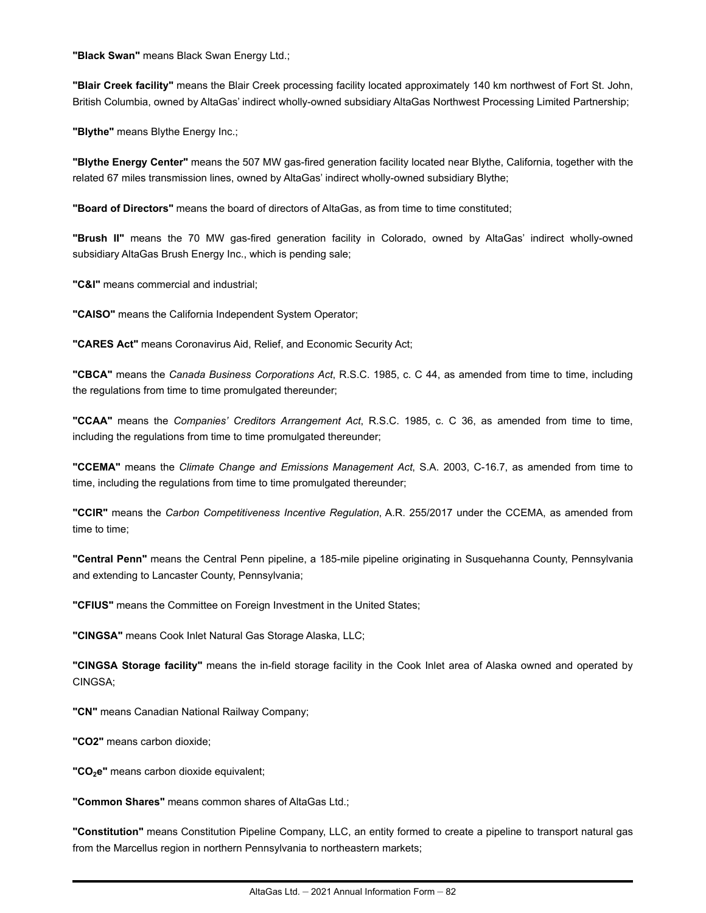**"Black Swan"** means Black Swan Energy Ltd.;

**"Blair Creek facility"** means the Blair Creek processing facility located approximately 140 km northwest of Fort St. John, British Columbia, owned by AltaGas' indirect wholly-owned subsidiary AltaGas Northwest Processing Limited Partnership;

**"Blythe"** means Blythe Energy Inc.;

**"Blythe Energy Center"** means the 507 MW gas-fired generation facility located near Blythe, California, together with the related 67 miles transmission lines, owned by AltaGas' indirect wholly-owned subsidiary Blythe;

**"Board of Directors"** means the board of directors of AltaGas, as from time to time constituted;

**"Brush II"** means the 70 MW gas-fired generation facility in Colorado, owned by AltaGas' indirect wholly-owned subsidiary AltaGas Brush Energy Inc., which is pending sale;

**"C&I"** means commercial and industrial;

**"CAISO"** means the California Independent System Operator;

**"CARES Act"** means Coronavirus Aid, Relief, and Economic Security Act;

**"CBCA"** means the *Canada Business Corporations Act*, R.S.C. 1985, c. C 44, as amended from time to time, including the regulations from time to time promulgated thereunder;

**"CCAA"** means the *Companies' Creditors Arrangement Act*, R.S.C. 1985, c. C 36, as amended from time to time, including the regulations from time to time promulgated thereunder;

**"CCEMA"** means the *Climate Change and Emissions Management Act*, S.A. 2003, C-16.7, as amended from time to time, including the regulations from time to time promulgated thereunder;

**"CCIR"** means the *Carbon Competitiveness Incentive Regulation*, A.R. 255/2017 under the CCEMA, as amended from time to time;

**"Central Penn"** means the Central Penn pipeline, a 185-mile pipeline originating in Susquehanna County, Pennsylvania and extending to Lancaster County, Pennsylvania;

**"CFIUS"** means the Committee on Foreign Investment in the United States;

**"CINGSA"** means Cook Inlet Natural Gas Storage Alaska, LLC;

**"CINGSA Storage facility"** means the in-field storage facility in the Cook Inlet area of Alaska owned and operated by CINGSA;

**"CN"** means Canadian National Railway Company;

**"CO2"** means carbon dioxide;

**"CO2e"** means carbon dioxide equivalent;

**"Common Shares"** means common shares of AltaGas Ltd.;

**"Constitution"** means Constitution Pipeline Company, LLC, an entity formed to create a pipeline to transport natural gas from the Marcellus region in northern Pennsylvania to northeastern markets;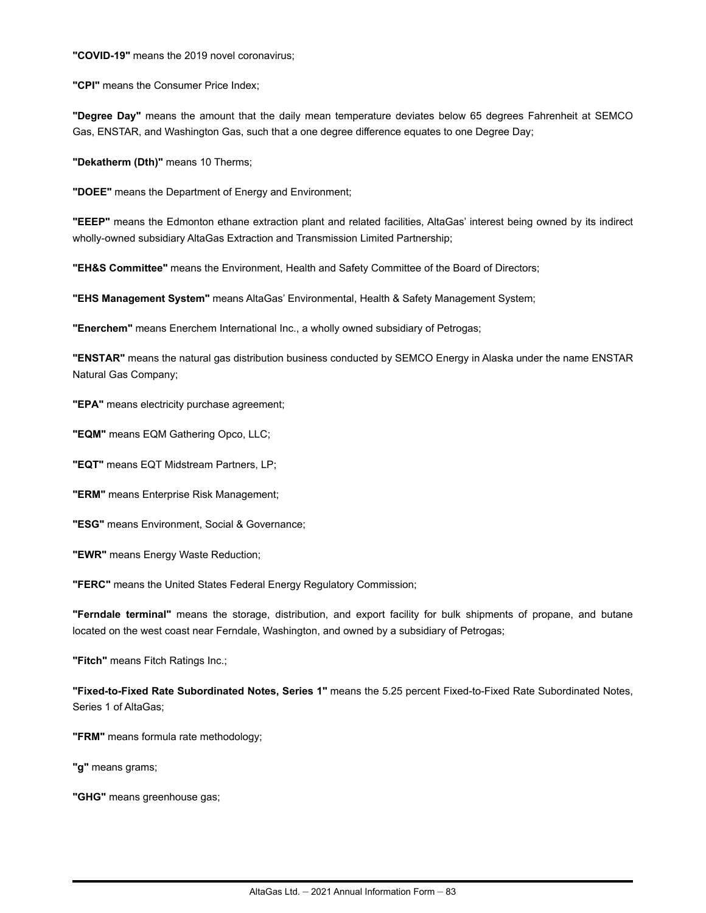**"COVID-19"** means the 2019 novel coronavirus;

**"CPI"** means the Consumer Price Index;

**"Degree Day"** means the amount that the daily mean temperature deviates below 65 degrees Fahrenheit at SEMCO Gas, ENSTAR, and Washington Gas, such that a one degree difference equates to one Degree Day;

**"Dekatherm (Dth)"** means 10 Therms;

**"DOEE"** means the Department of Energy and Environment;

**"EEEP"** means the Edmonton ethane extraction plant and related facilities, AltaGas' interest being owned by its indirect wholly-owned subsidiary AltaGas Extraction and Transmission Limited Partnership;

**"EH&S Committee"** means the Environment, Health and Safety Committee of the Board of Directors;

**"EHS Management System"** means AltaGas' Environmental, Health & Safety Management System;

**"Enerchem"** means Enerchem International Inc., a wholly owned subsidiary of Petrogas;

**"ENSTAR"** means the natural gas distribution business conducted by SEMCO Energy in Alaska under the name ENSTAR Natural Gas Company;

**"EPA"** means electricity purchase agreement;

**"EQM"** means EQM Gathering Opco, LLC;

**"EQT"** means EQT Midstream Partners, LP;

**"ERM"** means Enterprise Risk Management;

**"ESG"** means Environment, Social & Governance;

**"EWR"** means Energy Waste Reduction;

**"FERC"** means the United States Federal Energy Regulatory Commission;

**"Ferndale terminal"** means the storage, distribution, and export facility for bulk shipments of propane, and butane located on the west coast near Ferndale, Washington, and owned by a subsidiary of Petrogas;

**"Fitch"** means Fitch Ratings Inc.;

**"Fixed-to-Fixed Rate Subordinated Notes, Series 1"** means the 5.25 percent Fixed-to-Fixed Rate Subordinated Notes, Series 1 of AltaGas;

**"FRM"** means formula rate methodology;

**"g"** means grams;

**"GHG"** means greenhouse gas;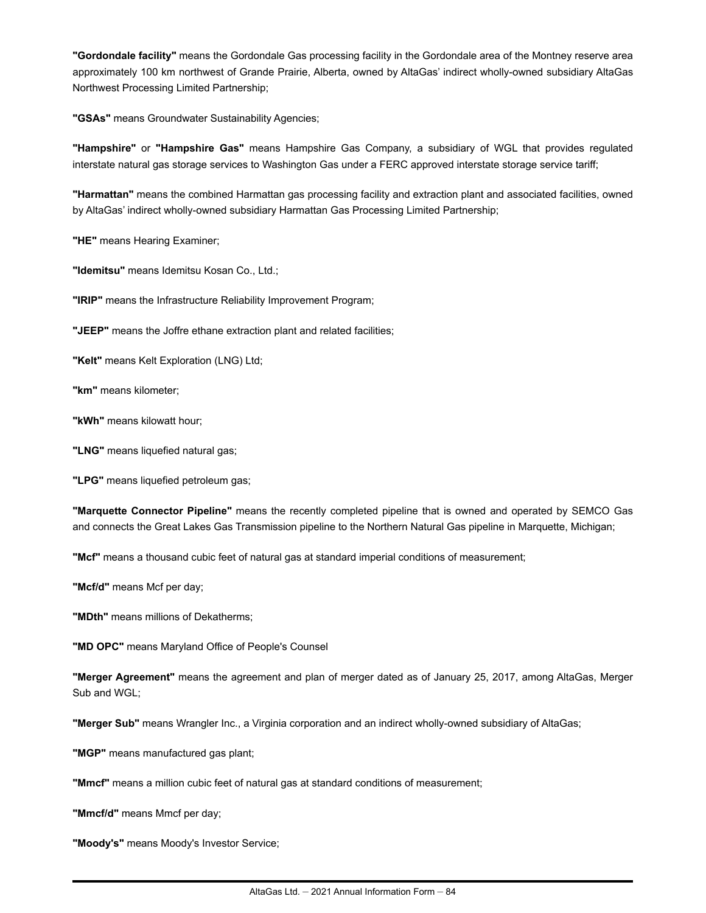**"Gordondale facility"** means the Gordondale Gas processing facility in the Gordondale area of the Montney reserve area approximately 100 km northwest of Grande Prairie, Alberta, owned by AltaGas' indirect wholly-owned subsidiary AltaGas Northwest Processing Limited Partnership;

**"GSAs"** means Groundwater Sustainability Agencies;

**"Hampshire"** or **"Hampshire Gas"** means Hampshire Gas Company, a subsidiary of WGL that provides regulated interstate natural gas storage services to Washington Gas under a FERC approved interstate storage service tariff;

**"Harmattan"** means the combined Harmattan gas processing facility and extraction plant and associated facilities, owned by AltaGas' indirect wholly-owned subsidiary Harmattan Gas Processing Limited Partnership;

**"HE"** means Hearing Examiner;

**"Idemitsu"** means Idemitsu Kosan Co., Ltd.;

**"IRIP"** means the Infrastructure Reliability Improvement Program;

**"JEEP"** means the Joffre ethane extraction plant and related facilities;

**"Kelt"** means Kelt Exploration (LNG) Ltd;

**"km"** means kilometer;

**"kWh"** means kilowatt hour;

**"LNG"** means liquefied natural gas;

**"LPG"** means liquefied petroleum gas;

**"Marquette Connector Pipeline"** means the recently completed pipeline that is owned and operated by SEMCO Gas and connects the Great Lakes Gas Transmission pipeline to the Northern Natural Gas pipeline in Marquette, Michigan;

**"Mcf"** means a thousand cubic feet of natural gas at standard imperial conditions of measurement;

**"Mcf/d"** means Mcf per day;

**"MDth"** means millions of Dekatherms;

**"MD OPC"** means Maryland Office of People's Counsel

**"Merger Agreement"** means the agreement and plan of merger dated as of January 25, 2017, among AltaGas, Merger Sub and WGL;

**"Merger Sub"** means Wrangler Inc., a Virginia corporation and an indirect wholly-owned subsidiary of AltaGas;

**"MGP"** means manufactured gas plant;

**"Mmcf"** means a million cubic feet of natural gas at standard conditions of measurement;

**"Mmcf/d"** means Mmcf per day;

**"Moody's"** means Moody's Investor Service;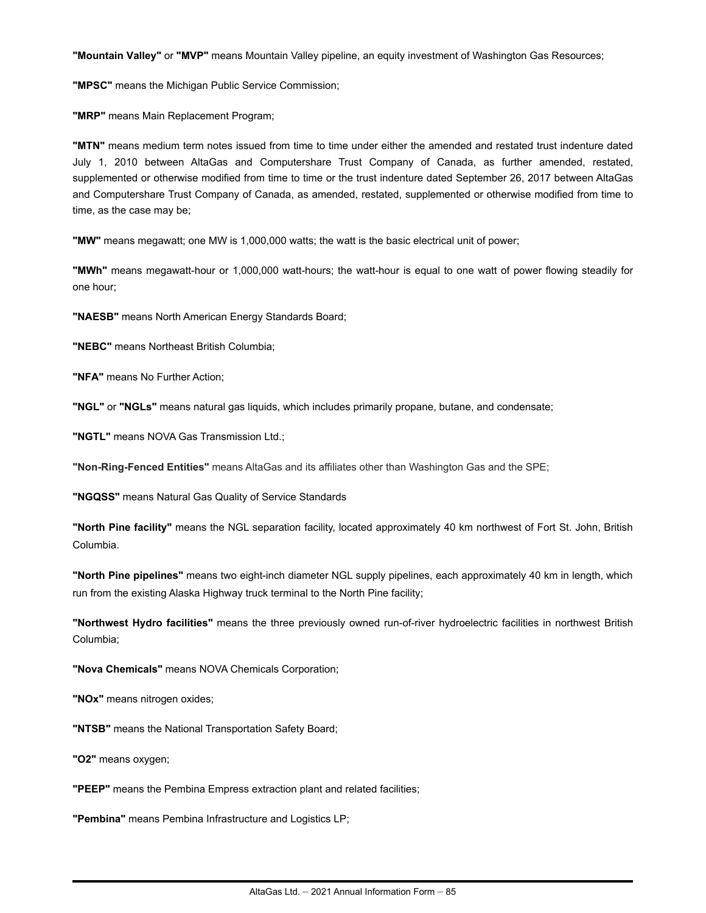**"Mountain Valley"** or **"MVP"** means Mountain Valley pipeline, an equity investment of Washington Gas Resources;

**"MPSC"** means the Michigan Public Service Commission;

**"MRP"** means Main Replacement Program;

**"MTN"** means medium term notes issued from time to time under either the amended and restated trust indenture dated July 1, 2010 between AltaGas and Computershare Trust Company of Canada, as further amended, restated, supplemented or otherwise modified from time to time or the trust indenture dated September 26, 2017 between AltaGas and Computershare Trust Company of Canada, as amended, restated, supplemented or otherwise modified from time to time, as the case may be;

**"MW"** means megawatt; one MW is 1,000,000 watts; the watt is the basic electrical unit of power;

**"MWh"** means megawatt-hour or 1,000,000 watt-hours; the watt-hour is equal to one watt of power flowing steadily for one hour;

**"NAESB"** means North American Energy Standards Board;

**"NEBC"** means Northeast British Columbia;

**"NFA"** means No Further Action;

**"NGL"** or **"NGLs"** means natural gas liquids, which includes primarily propane, butane, and condensate;

**"NGTL"** means NOVA Gas Transmission Ltd.;

**"Non-Ring-Fenced Entities"** means AltaGas and its affiliates other than Washington Gas and the SPE;

**"NGQSS"** means Natural Gas Quality of Service Standards

**"North Pine facility"** means the NGL separation facility, located approximately 40 km northwest of Fort St. John, British Columbia.

**"North Pine pipelines"** means two eight-inch diameter NGL supply pipelines, each approximately 40 km in length, which run from the existing Alaska Highway truck terminal to the North Pine facility;

**"Northwest Hydro facilities"** means the three previously owned run-of-river hydroelectric facilities in northwest British Columbia;

**"Nova Chemicals"** means NOVA Chemicals Corporation;

**"NOx"** means nitrogen oxides;

**"NTSB"** means the National Transportation Safety Board;

**"O2"** means oxygen;

**"PEEP"** means the Pembina Empress extraction plant and related facilities;

**"Pembina"** means Pembina Infrastructure and Logistics LP;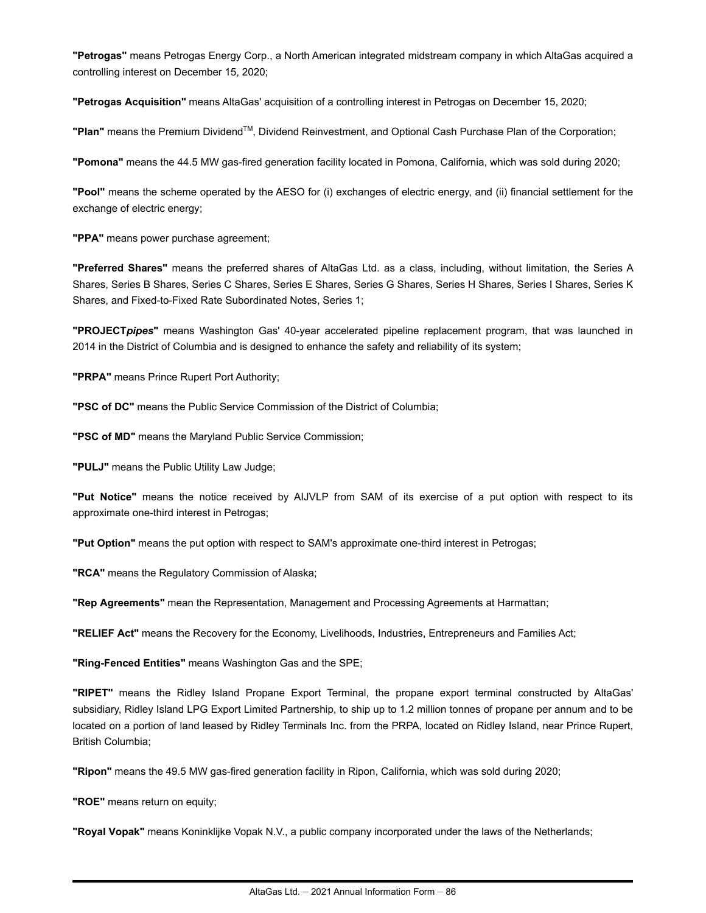**"Petrogas"** means Petrogas Energy Corp., a North American integrated midstream company in which AltaGas acquired a controlling interest on December 15, 2020;

**"Petrogas Acquisition"** means AltaGas' acquisition of a controlling interest in Petrogas on December 15, 2020;

**"Plan"** means the Premium Dividend™, Dividend Reinvestment, and Optional Cash Purchase Plan of the Corporation;

**"Pomona"** means the 44.5 MW gas-fired generation facility located in Pomona, California, which was sold during 2020;

**"Pool"** means the scheme operated by the AESO for (i) exchanges of electric energy, and (ii) financial settlement for the exchange of electric energy;

**"PPA"** means power purchase agreement;

**"Preferred Shares"** means the preferred shares of AltaGas Ltd. as a class, including, without limitation, the Series A Shares, Series B Shares, Series C Shares, Series E Shares, Series G Shares, Series H Shares, Series I Shares, Series K Shares, and Fixed-to-Fixed Rate Subordinated Notes, Series 1;

**"PROJECT***pipes***"** means Washington Gas' 40-year accelerated pipeline replacement program, that was launched in 2014 in the District of Columbia and is designed to enhance the safety and reliability of its system;

**"PRPA"** means Prince Rupert Port Authority;

**"PSC of DC"** means the Public Service Commission of the District of Columbia;

**"PSC of MD"** means the Maryland Public Service Commission;

**"PULJ"** means the Public Utility Law Judge;

**"Put Notice"** means the notice received by AIJVLP from SAM of its exercise of a put option with respect to its approximate one-third interest in Petrogas;

**"Put Option"** means the put option with respect to SAM's approximate one-third interest in Petrogas;

**"RCA"** means the Regulatory Commission of Alaska;

**"Rep Agreements"** mean the Representation, Management and Processing Agreements at Harmattan;

**"RELIEF Act"** means the Recovery for the Economy, Livelihoods, Industries, Entrepreneurs and Families Act;

**"Ring-Fenced Entities"** means Washington Gas and the SPE;

**"RIPET"** means the Ridley Island Propane Export Terminal, the propane export terminal constructed by AltaGas' subsidiary, Ridley Island LPG Export Limited Partnership, to ship up to 1.2 million tonnes of propane per annum and to be located on a portion of land leased by Ridley Terminals Inc. from the PRPA, located on Ridley Island, near Prince Rupert, British Columbia;

**"Ripon"** means the 49.5 MW gas-fired generation facility in Ripon, California, which was sold during 2020;

**"ROE"** means return on equity;

**"Royal Vopak"** means Koninklijke Vopak N.V., a public company incorporated under the laws of the Netherlands;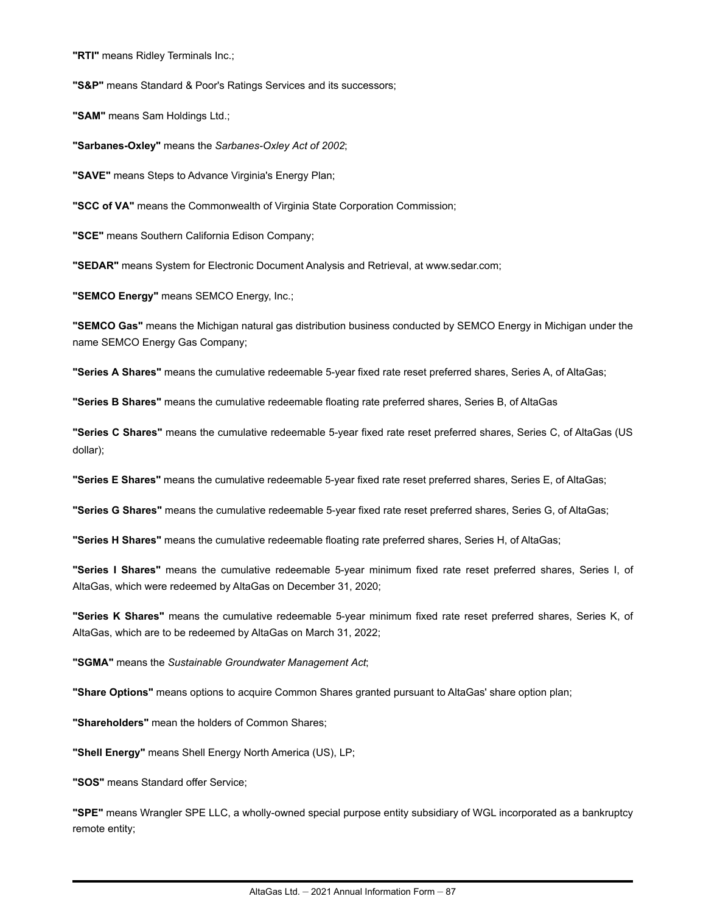**"RTI"** means Ridley Terminals Inc.;

**"S&P"** means Standard & Poor's Ratings Services and its successors;

**"SAM"** means Sam Holdings Ltd.;

**"Sarbanes-Oxley"** means the *Sarbanes-Oxley Act of 2002*;

**"SAVE"** means Steps to Advance Virginia's Energy Plan;

**"SCC of VA"** means the Commonwealth of Virginia State Corporation Commission;

**"SCE"** means Southern California Edison Company;

**"SEDAR"** means System for Electronic Document Analysis and Retrieval, at www.sedar.com;

**"SEMCO Energy"** means SEMCO Energy, Inc.;

**"SEMCO Gas"** means the Michigan natural gas distribution business conducted by SEMCO Energy in Michigan under the name SEMCO Energy Gas Company;

**"Series A Shares"** means the cumulative redeemable 5-year fixed rate reset preferred shares, Series A, of AltaGas;

**"Series B Shares"** means the cumulative redeemable floating rate preferred shares, Series B, of AltaGas

**"Series C Shares"** means the cumulative redeemable 5-year fixed rate reset preferred shares, Series C, of AltaGas (US dollar);

**"Series E Shares"** means the cumulative redeemable 5-year fixed rate reset preferred shares, Series E, of AltaGas;

**"Series G Shares"** means the cumulative redeemable 5-year fixed rate reset preferred shares, Series G, of AltaGas;

**"Series H Shares"** means the cumulative redeemable floating rate preferred shares, Series H, of AltaGas;

**"Series I Shares"** means the cumulative redeemable 5-year minimum fixed rate reset preferred shares, Series I, of AltaGas, which were redeemed by AltaGas on December 31, 2020;

**"Series K Shares"** means the cumulative redeemable 5-year minimum fixed rate reset preferred shares, Series K, of AltaGas, which are to be redeemed by AltaGas on March 31, 2022;

**"SGMA"** means the *Sustainable Groundwater Management Act*;

**"Share Options"** means options to acquire Common Shares granted pursuant to AltaGas' share option plan;

**"Shareholders"** mean the holders of Common Shares;

**"Shell Energy"** means Shell Energy North America (US), LP;

**"SOS"** means Standard offer Service;

**"SPE"** means Wrangler SPE LLC, a wholly-owned special purpose entity subsidiary of WGL incorporated as a bankruptcy remote entity;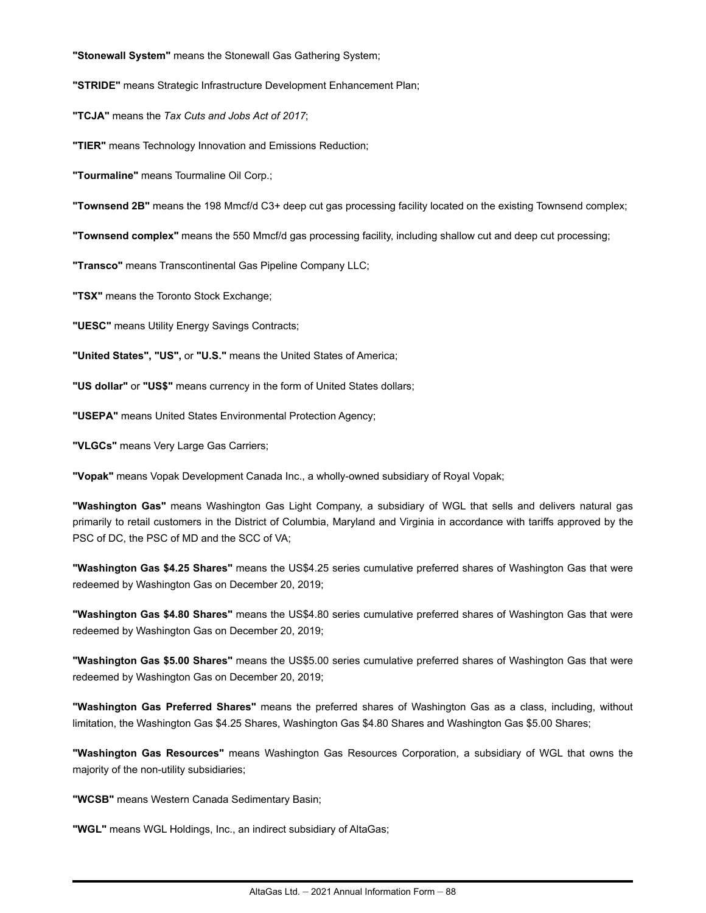**"Stonewall System"** means the Stonewall Gas Gathering System;

**"STRIDE"** means Strategic Infrastructure Development Enhancement Plan;

**"TCJA"** means the *Tax Cuts and Jobs Act of 2017*;

**"TIER"** means Technology Innovation and Emissions Reduction;

**"Tourmaline"** means Tourmaline Oil Corp.;

**"Townsend 2B"** means the 198 Mmcf/d C3+ deep cut gas processing facility located on the existing Townsend complex;

**"Townsend complex"** means the 550 Mmcf/d gas processing facility, including shallow cut and deep cut processing;

**"Transco"** means Transcontinental Gas Pipeline Company LLC;

**"TSX"** means the Toronto Stock Exchange;

**"UESC"** means Utility Energy Savings Contracts;

**"United States", "US",** or **"U.S."** means the United States of America;

**"US dollar"** or **"US\$"** means currency in the form of United States dollars;

**"USEPA"** means United States Environmental Protection Agency;

**"VLGCs"** means Very Large Gas Carriers;

**"Vopak"** means Vopak Development Canada Inc., a wholly-owned subsidiary of Royal Vopak;

**"Washington Gas"** means Washington Gas Light Company, a subsidiary of WGL that sells and delivers natural gas primarily to retail customers in the District of Columbia, Maryland and Virginia in accordance with tariffs approved by the PSC of DC, the PSC of MD and the SCC of VA;

**"Washington Gas \$4.25 Shares"** means the US\$4.25 series cumulative preferred shares of Washington Gas that were redeemed by Washington Gas on December 20, 2019;

**"Washington Gas \$4.80 Shares"** means the US\$4.80 series cumulative preferred shares of Washington Gas that were redeemed by Washington Gas on December 20, 2019;

**"Washington Gas \$5.00 Shares"** means the US\$5.00 series cumulative preferred shares of Washington Gas that were redeemed by Washington Gas on December 20, 2019;

**"Washington Gas Preferred Shares"** means the preferred shares of Washington Gas as a class, including, without limitation, the Washington Gas \$4.25 Shares, Washington Gas \$4.80 Shares and Washington Gas \$5.00 Shares;

**"Washington Gas Resources"** means Washington Gas Resources Corporation, a subsidiary of WGL that owns the majority of the non-utility subsidiaries;

**"WCSB"** means Western Canada Sedimentary Basin;

**"WGL"** means WGL Holdings, Inc., an indirect subsidiary of AltaGas;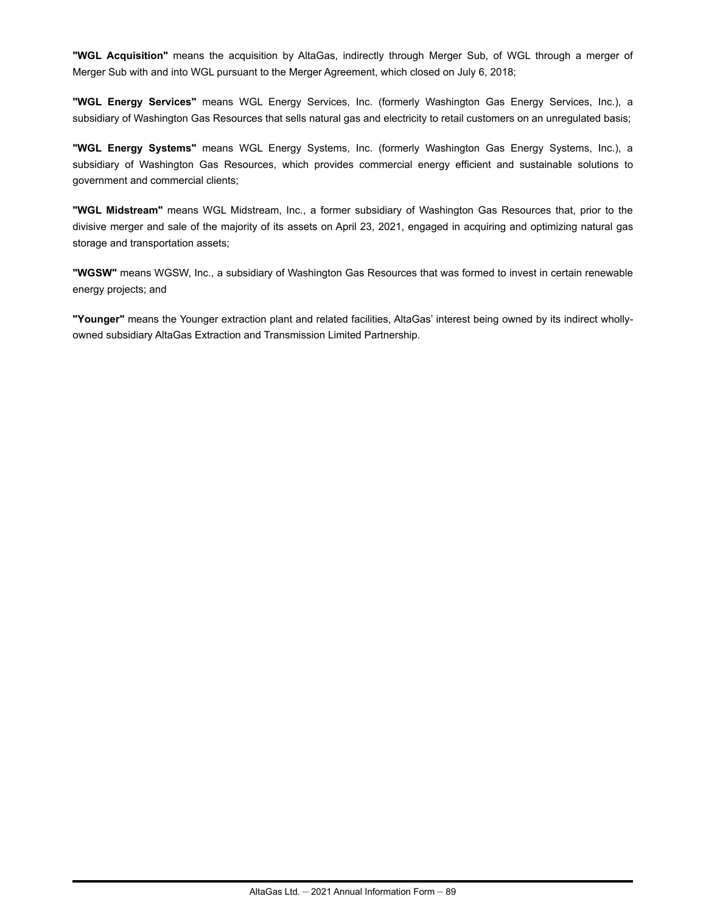**"WGL Acquisition"** means the acquisition by AltaGas, indirectly through Merger Sub, of WGL through a merger of Merger Sub with and into WGL pursuant to the Merger Agreement, which closed on July 6, 2018;

**"WGL Energy Services"** means WGL Energy Services, Inc. (formerly Washington Gas Energy Services, Inc.), a subsidiary of Washington Gas Resources that sells natural gas and electricity to retail customers on an unregulated basis;

**"WGL Energy Systems"** means WGL Energy Systems, Inc. (formerly Washington Gas Energy Systems, Inc.), a subsidiary of Washington Gas Resources, which provides commercial energy efficient and sustainable solutions to government and commercial clients;

**"WGL Midstream"** means WGL Midstream, Inc., a former subsidiary of Washington Gas Resources that, prior to the divisive merger and sale of the majority of its assets on April 23, 2021, engaged in acquiring and optimizing natural gas storage and transportation assets;

**"WGSW"** means WGSW, Inc., a subsidiary of Washington Gas Resources that was formed to invest in certain renewable energy projects; and

**"Younger"** means the Younger extraction plant and related facilities, AltaGas' interest being owned by its indirect whollyowned subsidiary AltaGas Extraction and Transmission Limited Partnership.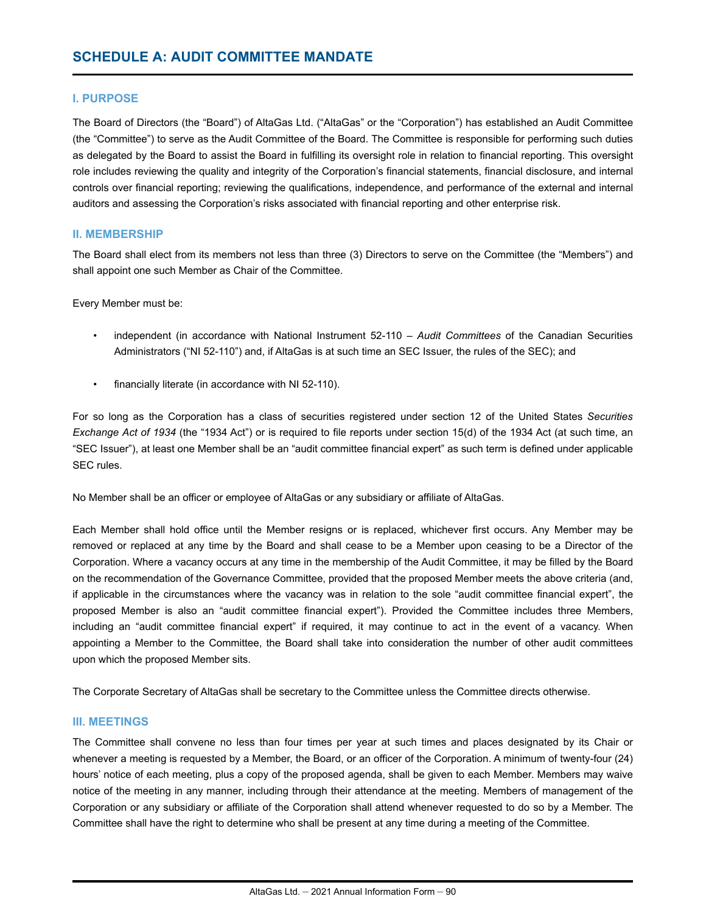## **I. PURPOSE**

The Board of Directors (the "Board") of AltaGas Ltd. ("AltaGas" or the "Corporation") has established an Audit Committee (the "Committee") to serve as the Audit Committee of the Board. The Committee is responsible for performing such duties as delegated by the Board to assist the Board in fulfilling its oversight role in relation to financial reporting. This oversight role includes reviewing the quality and integrity of the Corporation's financial statements, financial disclosure, and internal controls over financial reporting; reviewing the qualifications, independence, and performance of the external and internal auditors and assessing the Corporation's risks associated with financial reporting and other enterprise risk.

## **II. MEMBERSHIP**

The Board shall elect from its members not less than three (3) Directors to serve on the Committee (the "Members") and shall appoint one such Member as Chair of the Committee.

Every Member must be:

- independent (in accordance with National Instrument 52-110 *Audit Committees* of the Canadian Securities Administrators ("NI 52-110") and, if AltaGas is at such time an SEC Issuer, the rules of the SEC); and
- financially literate (in accordance with NI 52-110).

For so long as the Corporation has a class of securities registered under section 12 of the United States *Securities Exchange Act of 1934* (the "1934 Act") or is required to file reports under section 15(d) of the 1934 Act (at such time, an "SEC Issuer"), at least one Member shall be an "audit committee financial expert" as such term is defined under applicable SEC rules.

No Member shall be an officer or employee of AltaGas or any subsidiary or affiliate of AltaGas.

Each Member shall hold office until the Member resigns or is replaced, whichever first occurs. Any Member may be removed or replaced at any time by the Board and shall cease to be a Member upon ceasing to be a Director of the Corporation. Where a vacancy occurs at any time in the membership of the Audit Committee, it may be filled by the Board on the recommendation of the Governance Committee, provided that the proposed Member meets the above criteria (and, if applicable in the circumstances where the vacancy was in relation to the sole "audit committee financial expert", the proposed Member is also an "audit committee financial expert"). Provided the Committee includes three Members, including an "audit committee financial expert" if required, it may continue to act in the event of a vacancy. When appointing a Member to the Committee, the Board shall take into consideration the number of other audit committees upon which the proposed Member sits.

The Corporate Secretary of AltaGas shall be secretary to the Committee unless the Committee directs otherwise.

## **III. MEETINGS**

The Committee shall convene no less than four times per year at such times and places designated by its Chair or whenever a meeting is requested by a Member, the Board, or an officer of the Corporation. A minimum of twenty-four (24) hours' notice of each meeting, plus a copy of the proposed agenda, shall be given to each Member. Members may waive notice of the meeting in any manner, including through their attendance at the meeting. Members of management of the Corporation or any subsidiary or affiliate of the Corporation shall attend whenever requested to do so by a Member. The Committee shall have the right to determine who shall be present at any time during a meeting of the Committee.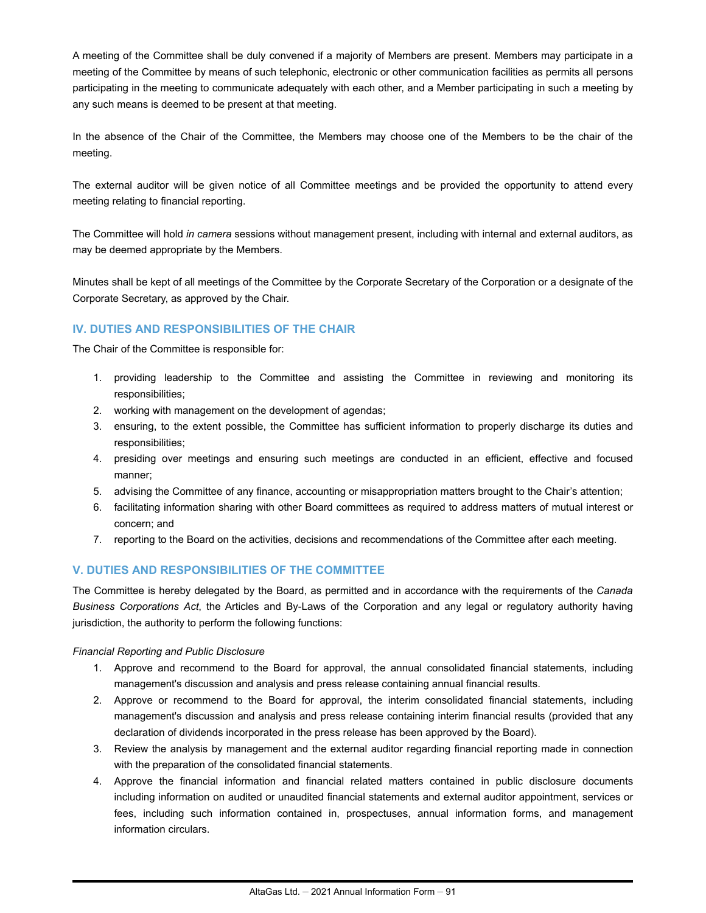A meeting of the Committee shall be duly convened if a majority of Members are present. Members may participate in a meeting of the Committee by means of such telephonic, electronic or other communication facilities as permits all persons participating in the meeting to communicate adequately with each other, and a Member participating in such a meeting by any such means is deemed to be present at that meeting.

In the absence of the Chair of the Committee, the Members may choose one of the Members to be the chair of the meeting.

The external auditor will be given notice of all Committee meetings and be provided the opportunity to attend every meeting relating to financial reporting.

The Committee will hold *in camera* sessions without management present, including with internal and external auditors, as may be deemed appropriate by the Members.

Minutes shall be kept of all meetings of the Committee by the Corporate Secretary of the Corporation or a designate of the Corporate Secretary, as approved by the Chair.

## **IV. DUTIES AND RESPONSIBILITIES OF THE CHAIR**

The Chair of the Committee is responsible for:

- 1. providing leadership to the Committee and assisting the Committee in reviewing and monitoring its responsibilities;
- 2. working with management on the development of agendas;
- 3. ensuring, to the extent possible, the Committee has sufficient information to properly discharge its duties and responsibilities;
- 4. presiding over meetings and ensuring such meetings are conducted in an efficient, effective and focused manner;
- 5. advising the Committee of any finance, accounting or misappropriation matters brought to the Chair's attention;
- 6. facilitating information sharing with other Board committees as required to address matters of mutual interest or concern; and
- 7. reporting to the Board on the activities, decisions and recommendations of the Committee after each meeting.

## **V. DUTIES AND RESPONSIBILITIES OF THE COMMITTEE**

The Committee is hereby delegated by the Board, as permitted and in accordance with the requirements of the *Canada Business Corporations Act*, the Articles and By-Laws of the Corporation and any legal or regulatory authority having jurisdiction, the authority to perform the following functions:

### *Financial Reporting and Public Disclosure*

- 1. Approve and recommend to the Board for approval, the annual consolidated financial statements, including management's discussion and analysis and press release containing annual financial results.
- 2. Approve or recommend to the Board for approval, the interim consolidated financial statements, including management's discussion and analysis and press release containing interim financial results (provided that any declaration of dividends incorporated in the press release has been approved by the Board).
- 3. Review the analysis by management and the external auditor regarding financial reporting made in connection with the preparation of the consolidated financial statements.
- 4. Approve the financial information and financial related matters contained in public disclosure documents including information on audited or unaudited financial statements and external auditor appointment, services or fees, including such information contained in, prospectuses, annual information forms, and management information circulars.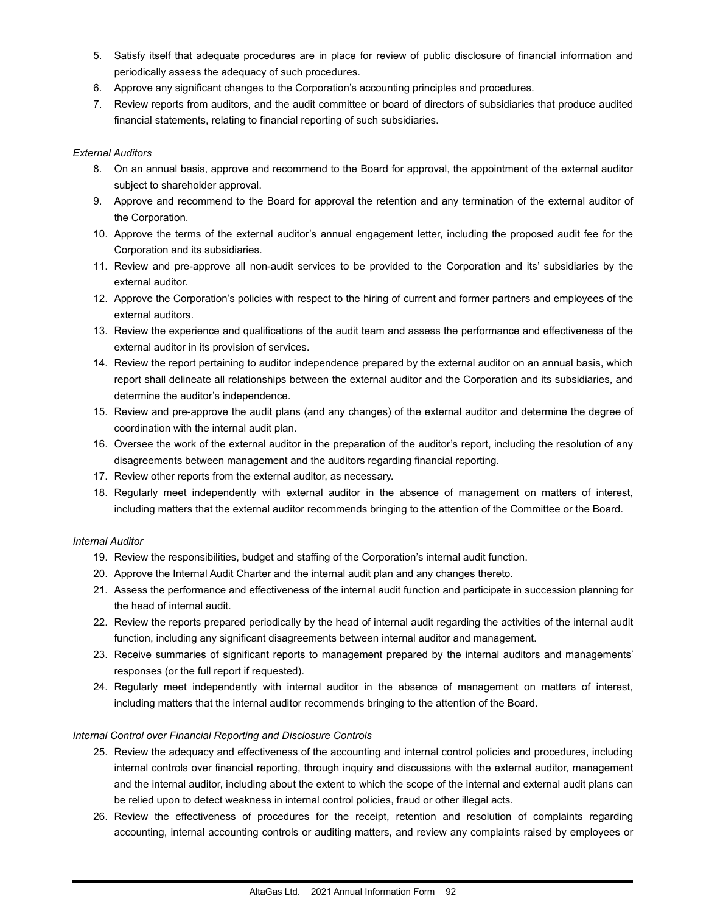- 5. Satisfy itself that adequate procedures are in place for review of public disclosure of financial information and periodically assess the adequacy of such procedures.
- 6. Approve any significant changes to the Corporation's accounting principles and procedures.
- 7. Review reports from auditors, and the audit committee or board of directors of subsidiaries that produce audited financial statements, relating to financial reporting of such subsidiaries.

## *External Auditors*

- 8. On an annual basis, approve and recommend to the Board for approval, the appointment of the external auditor subject to shareholder approval.
- 9. Approve and recommend to the Board for approval the retention and any termination of the external auditor of the Corporation.
- 10. Approve the terms of the external auditor's annual engagement letter, including the proposed audit fee for the Corporation and its subsidiaries.
- 11. Review and pre-approve all non-audit services to be provided to the Corporation and its' subsidiaries by the external auditor.
- 12. Approve the Corporation's policies with respect to the hiring of current and former partners and employees of the external auditors.
- 13. Review the experience and qualifications of the audit team and assess the performance and effectiveness of the external auditor in its provision of services.
- 14. Review the report pertaining to auditor independence prepared by the external auditor on an annual basis, which report shall delineate all relationships between the external auditor and the Corporation and its subsidiaries, and determine the auditor's independence.
- 15. Review and pre-approve the audit plans (and any changes) of the external auditor and determine the degree of coordination with the internal audit plan.
- 16. Oversee the work of the external auditor in the preparation of the auditor's report, including the resolution of any disagreements between management and the auditors regarding financial reporting.
- 17. Review other reports from the external auditor, as necessary.
- 18. Regularly meet independently with external auditor in the absence of management on matters of interest, including matters that the external auditor recommends bringing to the attention of the Committee or the Board.

## *Internal Auditor*

- 19. Review the responsibilities, budget and staffing of the Corporation's internal audit function.
- 20. Approve the Internal Audit Charter and the internal audit plan and any changes thereto.
- 21. Assess the performance and effectiveness of the internal audit function and participate in succession planning for the head of internal audit.
- 22. Review the reports prepared periodically by the head of internal audit regarding the activities of the internal audit function, including any significant disagreements between internal auditor and management.
- 23. Receive summaries of significant reports to management prepared by the internal auditors and managements' responses (or the full report if requested).
- 24. Regularly meet independently with internal auditor in the absence of management on matters of interest, including matters that the internal auditor recommends bringing to the attention of the Board.

## *Internal Control over Financial Reporting and Disclosure Controls*

- 25. Review the adequacy and effectiveness of the accounting and internal control policies and procedures, including internal controls over financial reporting, through inquiry and discussions with the external auditor, management and the internal auditor, including about the extent to which the scope of the internal and external audit plans can be relied upon to detect weakness in internal control policies, fraud or other illegal acts.
- 26. Review the effectiveness of procedures for the receipt, retention and resolution of complaints regarding accounting, internal accounting controls or auditing matters, and review any complaints raised by employees or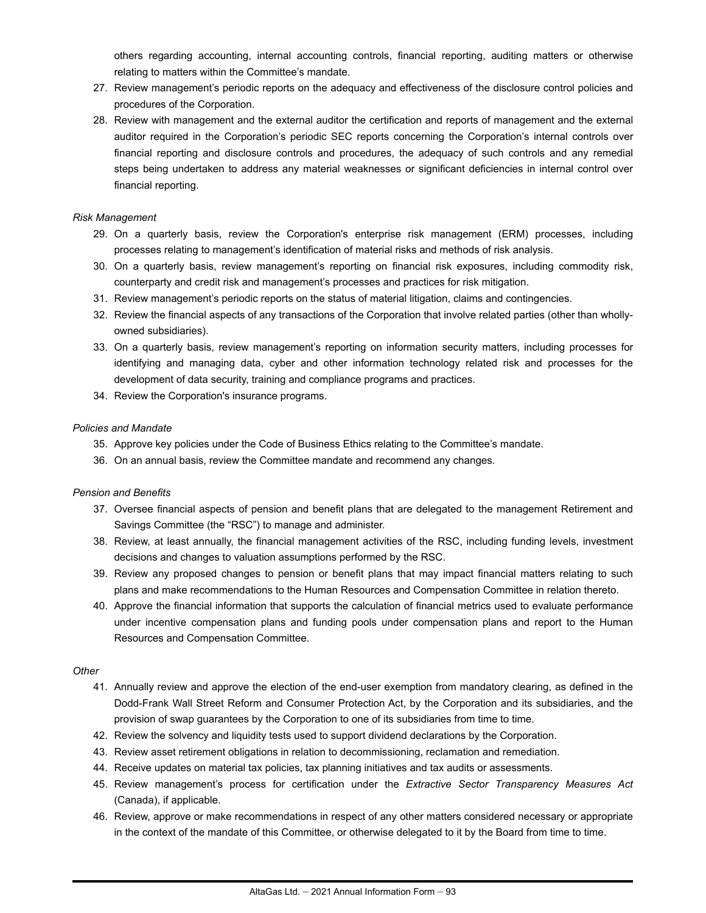others regarding accounting, internal accounting controls, financial reporting, auditing matters or otherwise relating to matters within the Committee's mandate.

- 27. Review management's periodic reports on the adequacy and effectiveness of the disclosure control policies and procedures of the Corporation.
- 28. Review with management and the external auditor the certification and reports of management and the external auditor required in the Corporation's periodic SEC reports concerning the Corporation's internal controls over financial reporting and disclosure controls and procedures, the adequacy of such controls and any remedial steps being undertaken to address any material weaknesses or significant deficiencies in internal control over financial reporting.

### *Risk Management*

- 29. On a quarterly basis, review the Corporation's enterprise risk management (ERM) processes, including processes relating to management's identification of material risks and methods of risk analysis.
- 30. On a quarterly basis, review management's reporting on financial risk exposures, including commodity risk, counterparty and credit risk and management's processes and practices for risk mitigation.
- 31. Review management's periodic reports on the status of material litigation, claims and contingencies.
- 32. Review the financial aspects of any transactions of the Corporation that involve related parties (other than whollyowned subsidiaries).
- 33. On a quarterly basis, review management's reporting on information security matters, including processes for identifying and managing data, cyber and other information technology related risk and processes for the development of data security, training and compliance programs and practices.
- 34. Review the Corporation's insurance programs.

### *Policies and Mandate*

- 35. Approve key policies under the Code of Business Ethics relating to the Committee's mandate.
- 36. On an annual basis, review the Committee mandate and recommend any changes.

### *Pension and Benefits*

- 37. Oversee financial aspects of pension and benefit plans that are delegated to the management Retirement and Savings Committee (the "RSC") to manage and administer.
- 38. Review, at least annually, the financial management activities of the RSC, including funding levels, investment decisions and changes to valuation assumptions performed by the RSC.
- 39. Review any proposed changes to pension or benefit plans that may impact financial matters relating to such plans and make recommendations to the Human Resources and Compensation Committee in relation thereto.
- 40. Approve the financial information that supports the calculation of financial metrics used to evaluate performance under incentive compensation plans and funding pools under compensation plans and report to the Human Resources and Compensation Committee.

### *Other*

- 41. Annually review and approve the election of the end-user exemption from mandatory clearing, as defined in the Dodd-Frank Wall Street Reform and Consumer Protection Act, by the Corporation and its subsidiaries, and the provision of swap guarantees by the Corporation to one of its subsidiaries from time to time.
- 42. Review the solvency and liquidity tests used to support dividend declarations by the Corporation.
- 43. Review asset retirement obligations in relation to decommissioning, reclamation and remediation.
- 44. Receive updates on material tax policies, tax planning initiatives and tax audits or assessments.
- 45. Review management's process for certification under the *Extractive Sector Transparency Measures Act* (Canada), if applicable.
- 46. Review, approve or make recommendations in respect of any other matters considered necessary or appropriate in the context of the mandate of this Committee, or otherwise delegated to it by the Board from time to time.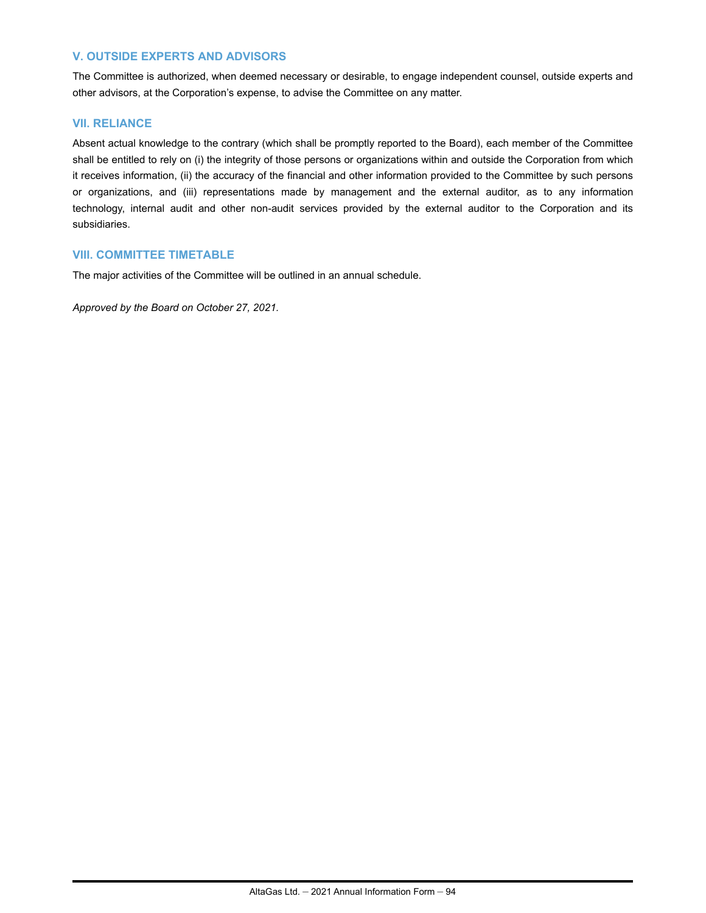## **V. OUTSIDE EXPERTS AND ADVISORS**

The Committee is authorized, when deemed necessary or desirable, to engage independent counsel, outside experts and other advisors, at the Corporation's expense, to advise the Committee on any matter.

## **VII. RELIANCE**

Absent actual knowledge to the contrary (which shall be promptly reported to the Board), each member of the Committee shall be entitled to rely on (i) the integrity of those persons or organizations within and outside the Corporation from which it receives information, (ii) the accuracy of the financial and other information provided to the Committee by such persons or organizations, and (iii) representations made by management and the external auditor, as to any information technology, internal audit and other non-audit services provided by the external auditor to the Corporation and its subsidiaries.

### **VIII. COMMITTEE TIMETABLE**

The major activities of the Committee will be outlined in an annual schedule.

*Approved by the Board on October 27, 2021.*